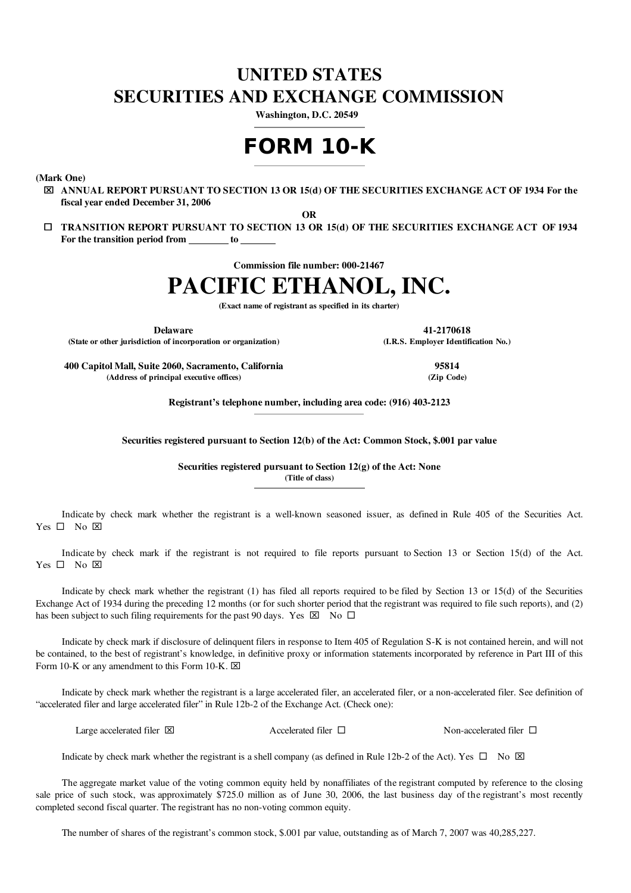# UNITED STATES SECURITIES AND EXCHANGE COMMISSION

Washington, D.C. 20549

# **FORM 10-K**

(Mark One)

x ANNUAL REPORT PURSUANT TO SECTION 13 OR 15(d) OF THE SECURITIES EXCHANGE ACT OF 1934 For the fiscal year ended December 31, 2006

OR

¨ TRANSITION REPORT PURSUANT TO SECTION 13 OR 15(d) OF THE SECURITIES EXCHANGE ACT OF 1934 For the transition period from to

Commission file number: 000-21467

# PACIFIC ETHANOL, INC.

(Exact name of registrant as specified in its charter)

(State or other jurisdiction of incorporation or organization)

Delaware 41-2170618<br>
on of incorporation or organization) (I.R.S. Employer Identification No.)

400 Capitol Mall, Suite 2060, Sacramento, California 95814<br>(Address of principal executive offices) (Zip Code) (Address of principal executive offices)

Registrant's telephone number, including area code: (916) 403-2123

Securities registered pursuant to Section 12(b) of the Act: Common Stock, \$.001 par value

Securities registered pursuant to Section 12(g) of the Act: None (Title of class)

Indicate by check mark whether the registrant is a well-known seasoned issuer, as defined in Rule 405 of the Securities Act. Yes  $\square$  No  $\square$ 

Indicate by check mark if the registrant is not required to file reports pursuant to Section 13 or Section 15(d) of the Act. Yes  $\Box$  No  $\overline{X}$ 

Indicate by check mark whether the registrant (1) has filed all reports required to be filed by Section 13 or 15(d) of the Securities Exchange Act of 1934 during the preceding 12 months (or for such shorter period that the registrant was required to file such reports), and (2) has been subject to such filing requirements for the past 90 days. Yes  $\boxtimes$  No  $\Box$ 

Indicate by check mark if disclosure of delinquent filers in response to Item 405 of Regulation S-K is not contained herein, and will not be contained, to the best of registrant's knowledge, in definitive proxy or information statements incorporated by reference in Part III of this Form 10-K or any amendment to this Form 10-K.  $\boxtimes$ 

Indicate by check mark whether the registrant is a large accelerated filer, an accelerated filer, or a non-accelerated filer. See definition of "accelerated filer and large accelerated filer" in Rule 12b-2 of the Exchange Act. (Check one):

Large accelerated filer  $\boxtimes$  Accelerated filer  $\Box$  Non-accelerated filer  $\Box$ 

Indicate by check mark whether the registrant is a shell company (as defined in Rule 12b-2 of the Act). Yes  $\Box$  No  $\boxtimes$ 

The aggregate market value of the voting common equity held by nonaffiliates of the registrant computed by reference to the closing sale price of such stock, was approximately \$725.0 million as of June 30, 2006, the last business day of the registrant's most recently completed second fiscal quarter. The registrant has no non-voting common equity.

The number of shares of the registrant's common stock, \$.001 par value, outstanding as of March 7, 2007 was 40,285,227.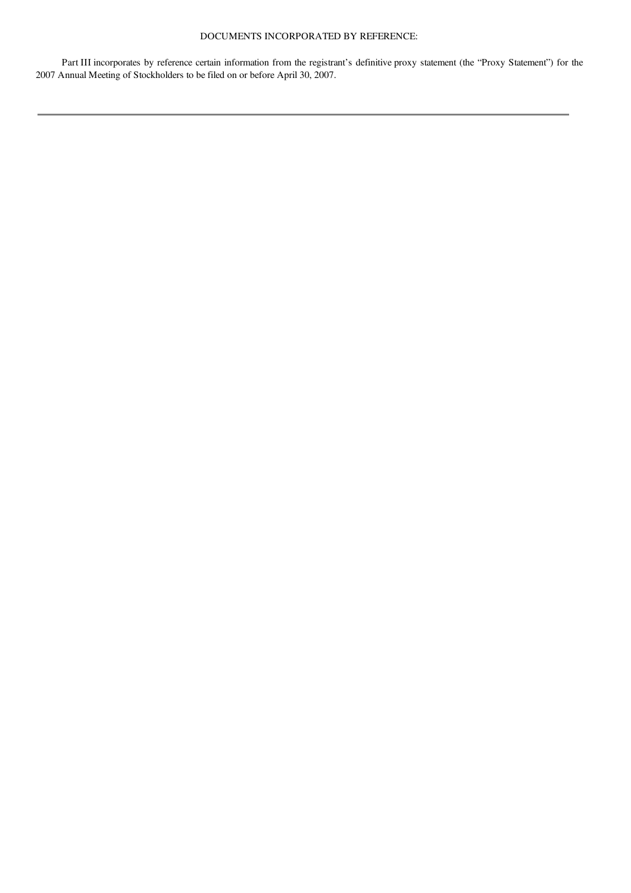## DOCUMENTS INCORPORATED BY REFERENCE:

Part III incorporates by reference certain information from the registrant's definitive proxy statement (the "Proxy Statement") for the 2007 Annual Meeting of Stockholders to be filed on or before April 30, 2007.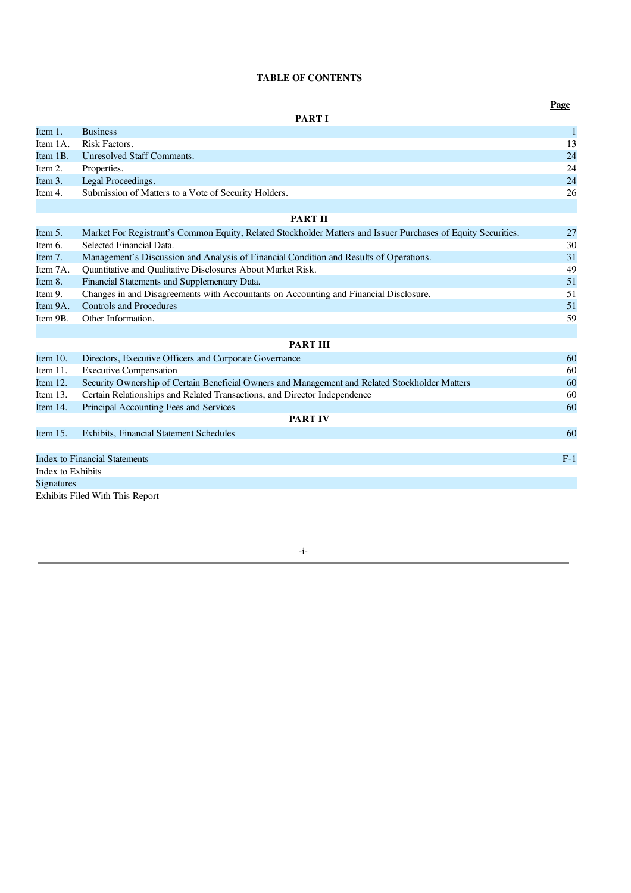# TABLE OF CONTENTS

Page

|                   | <b>PARTI</b>                                                                                                  |              |
|-------------------|---------------------------------------------------------------------------------------------------------------|--------------|
| Item 1.           | <b>Business</b>                                                                                               | $\mathbf{1}$ |
| Item 1A.          | Risk Factors.                                                                                                 | 13           |
| Item 1B.          | Unresolved Staff Comments.                                                                                    | 24           |
| Item 2.           | Properties.                                                                                                   | 24           |
| Item 3.           | Legal Proceedings.                                                                                            | 24           |
| Item 4.           | Submission of Matters to a Vote of Security Holders.                                                          | 26           |
|                   |                                                                                                               |              |
|                   | <b>PART II</b>                                                                                                |              |
| Item 5.           | Market For Registrant's Common Equity, Related Stockholder Matters and Issuer Purchases of Equity Securities. | 27           |
| Item 6.           | Selected Financial Data.                                                                                      | 30           |
| Item 7.           | Management's Discussion and Analysis of Financial Condition and Results of Operations.                        | 31           |
| Item 7A.          | Quantitative and Qualitative Disclosures About Market Risk.                                                   | 49           |
| Item 8.           | Financial Statements and Supplementary Data.                                                                  | 51           |
| Item 9.           | Changes in and Disagreements with Accountants on Accounting and Financial Disclosure.                         | 51           |
| Item 9A.          | <b>Controls and Procedures</b>                                                                                | 51           |
| Item 9B.          | Other Information.                                                                                            | 59           |
|                   |                                                                                                               |              |
|                   | <b>PART III</b>                                                                                               |              |
| Item $10$ .       | Directors, Executive Officers and Corporate Governance                                                        | 60           |
| Item 11.          | <b>Executive Compensation</b>                                                                                 | 60           |
| Item $12$ .       | Security Ownership of Certain Beneficial Owners and Management and Related Stockholder Matters                | 60           |
| Item 13.          | Certain Relationships and Related Transactions, and Director Independence                                     | 60           |
| Item $14$ .       | Principal Accounting Fees and Services                                                                        | 60           |
|                   | <b>PARTIV</b>                                                                                                 |              |
| Item $15$ .       | <b>Exhibits, Financial Statement Schedules</b>                                                                | 60           |
|                   |                                                                                                               |              |
|                   | <b>Index to Financial Statements</b>                                                                          | $F-1$        |
| Index to Exhibits |                                                                                                               |              |
| <b>Signatures</b> |                                                                                                               |              |
|                   | Exhibits Filed With This Report                                                                               |              |
|                   |                                                                                                               |              |

# -i-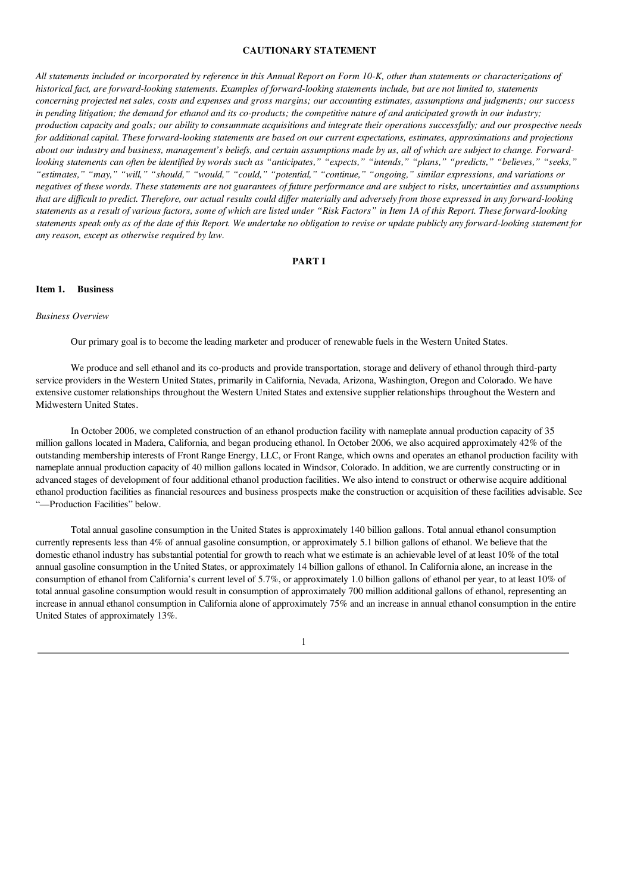## CAUTIONARY STATEMENT

All statements included or incorporated by reference in this Annual Report on Form 10-K, other than statements or characterizations of historical fact, are forward-looking statements. Examples of forward-looking statements include, but are not limited to, statements concerning projected net sales, costs and expenses and gross margins; our accounting estimates, assumptions and judgments; our success in pending litigation; the demand for ethanol and its co-products; the competitive nature of and anticipated growth in our industry; production capacity and goals: our ability to consummate acquisitions and integrate their operations successfully; and our prospective needs for additional capital. These forward-looking statements are based on our current expectations, estimates, approximations and projections about our industry and business, management's beliefs, and certain assumptions made by us, all of which are subject to change. Forwardlooking statements can often be identified by words such as "anticipates," "expects," "intends," "plans," "predicts," "believes," "seeks," "estimates," "may," "will," "should," "would," "could," "potential," "continue," "ongoing," similar expressions, and variations or negatives of these words. These statements are not guarantees of future performance and are subject to risks, uncertainties and assumptions that are difficult to predict. Therefore, our actual results could differ materially and adversely from those expressed in any forward-looking statements as a result of various factors, some of which are listed under "Risk Factors" in Item 1A of this Report. These forward-looking statements speak only as of the date of this Report. We undertake no obligation to revise or update publicly any forward-looking statement for *any reason, except as otherwise required by law.*

## PART I

#### Item 1. Business

## *Business Overview*

Our primary goal is to become the leading marketer and producer of renewable fuels in the Western United States.

We produce and sell ethanol and its co-products and provide transportation, storage and delivery of ethanol through third-party service providers in the Western United States, primarily in California, Nevada, Arizona, Washington, Oregon and Colorado. We have extensive customer relationships throughout the Western United States and extensive supplier relationships throughout the Western and Midwestern United States.

In October 2006, we completed construction of an ethanol production facility with nameplate annual production capacity of 35 million gallons located in Madera, California, and began producing ethanol. In October 2006, we also acquired approximately 42% of the outstanding membership interests of Front Range Energy, LLC, or Front Range, which owns and operates an ethanol production facility with nameplate annual production capacity of 40 million gallons located in Windsor, Colorado. In addition, we are currently constructing or in advanced stages of development of four additional ethanol production facilities. We also intend to construct or otherwise acquire additional ethanol production facilities as financial resources and business prospects make the construction or acquisition of these facilities advisable. See "—Production Facilities" below.

Total annual gasoline consumption in the United States is approximately 140 billion gallons. Total annual ethanol consumption currently represents less than 4% of annual gasoline consumption, or approximately 5.1 billion gallons of ethanol. We believe that the domestic ethanol industry has substantial potential for growth to reach what we estimate is an achievable level of at least 10% of the total annual gasoline consumption in the United States, or approximately 14 billion gallons of ethanol. In California alone, an increase in the consumption of ethanol from California's current level of 5.7%, or approximately 1.0 billion gallons of ethanol per year, to at least 10% of total annual gasoline consumption would result in consumption of approximately 700 million additional gallons of ethanol, representing an increase in annual ethanol consumption in California alone of approximately 75% and an increase in annual ethanol consumption in the entire United States of approximately 13%.

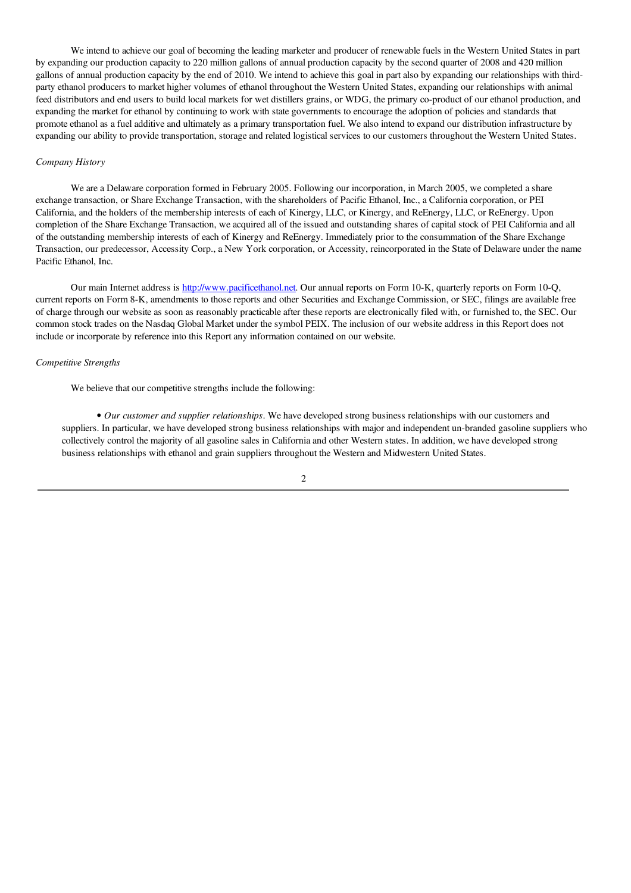We intend to achieve our goal of becoming the leading marketer and producer of renewable fuels in the Western United States in part by expanding our production capacity to 220 million gallons of annual production capacity by the second quarter of 2008 and 420 million gallons of annual production capacity by the end of 2010. We intend to achieve this goal in part also by expanding our relationships with thirdparty ethanol producers to market higher volumes of ethanol throughout the Western United States, expanding our relationships with animal feed distributors and end users to build local markets for wet distillers grains, or WDG, the primary co-product of our ethanol production, and expanding the market for ethanol by continuing to work with state governments to encourage the adoption of policies and standards that promote ethanol as a fuel additive and ultimately as a primary transportation fuel. We also intend to expand our distribution infrastructure by expanding our ability to provide transportation, storage and related logistical services to our customers throughout the Western United States.

## *Company History*

We are a Delaware corporation formed in February 2005. Following our incorporation, in March 2005, we completed a share exchange transaction, or Share Exchange Transaction, with the shareholders of Pacific Ethanol, Inc., a California corporation, or PEI California, and the holders of the membership interests of each of Kinergy, LLC, or Kinergy, and ReEnergy, LLC, or ReEnergy. Upon completion of the Share Exchange Transaction, we acquired all of the issued and outstanding shares of capital stock of PEI California and all of the outstanding membership interests of each of Kinergy and ReEnergy. Immediately prior to the consummation of the Share Exchange Transaction, our predecessor, Accessity Corp., a New York corporation, or Accessity, reincorporated in the State of Delaware under the name Pacific Ethanol, Inc.

Our main Internet address is http://www.pacificethanol.net. Our annual reports on Form 10-K, quarterly reports on Form 10-Q, current reports on Form 8-K, amendments to those reports and other Securities and Exchange Commission, or SEC, filings are available free of charge through our website as soon as reasonably practicable after these reports are electronically filed with, or furnished to, the SEC. Our common stock trades on the Nasdaq Global Market under the symbol PEIX. The inclusion of our website address in this Report does not include or incorporate by reference into this Report any information contained on our website.

#### *Competitive Strengths*

We believe that our competitive strengths include the following:

· *Our customer and supplier relationships*. We have developed strong business relationships with our customers and suppliers. In particular, we have developed strong business relationships with major and independent un-branded gasoline suppliers who collectively control the majority of all gasoline sales in California and other Western states. In addition, we have developed strong business relationships with ethanol and grain suppliers throughout the Western and Midwestern United States.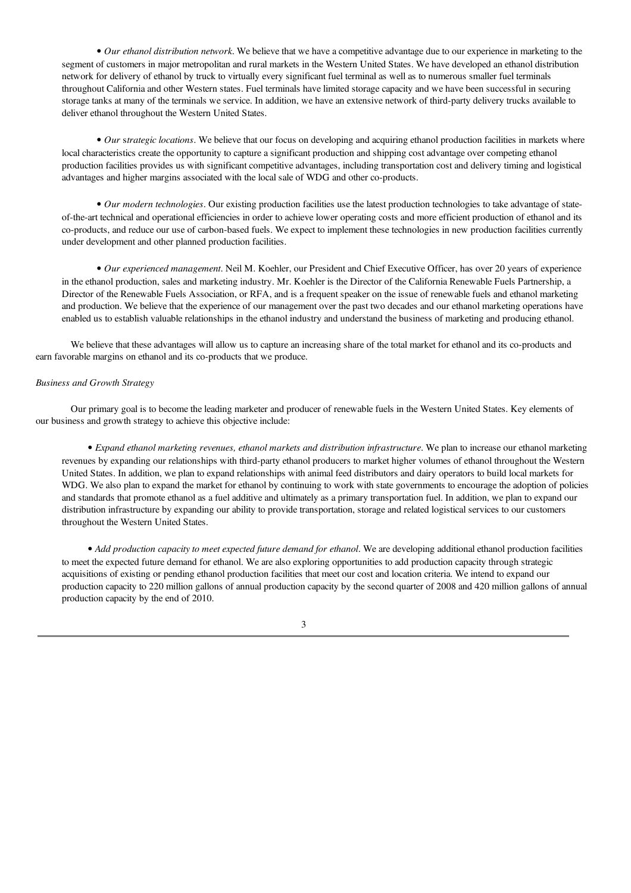· *Our ethanol distribution network*. We believe that we have a competitive advantage due to our experience in marketing to the segment of customers in major metropolitan and rural markets in the Western United States. We have developed an ethanol distribution network for delivery of ethanol by truck to virtually every significant fuel terminal as well as to numerous smaller fuel terminals throughout California and other Western states. Fuel terminals have limited storage capacity and we have been successful in securing storage tanks at many of the terminals we service. In addition, we have an extensive network of third-party delivery trucks available to deliver ethanol throughout the Western United States.

· *Our* s*trategic locations*. We believe that our focus on developing and acquiring ethanol production facilities in markets where local characteristics create the opportunity to capture a significant production and shipping cost advantage over competing ethanol production facilities provides us with significant competitive advantages, including transportation cost and delivery timing and logistical advantages and higher margins associated with the local sale of WDG and other co-products.

· *Our modern technologies*. Our existing production facilities use the latest production technologies to take advantage of stateof-the-art technical and operational efficiencies in order to achieve lower operating costs and more efficient production of ethanol and its co-products, and reduce our use of carbon-based fuels. We expect to implement these technologies in new production facilities currently under development and other planned production facilities.

· *Our experienced management*. Neil M. Koehler, our President and Chief Executive Officer, has over 20 years of experience in the ethanol production, sales and marketing industry. Mr. Koehler is the Director of the California Renewable Fuels Partnership, a Director of the Renewable Fuels Association, or RFA, and is a frequent speaker on the issue of renewable fuels and ethanol marketing and production. We believe that the experience of our management over the past two decades and our ethanol marketing operations have enabled us to establish valuable relationships in the ethanol industry and understand the business of marketing and producing ethanol.

We believe that these advantages will allow us to capture an increasing share of the total market for ethanol and its co-products and earn favorable margins on ethanol and its co-products that we produce.

#### *Business and Growth Strategy*

Our primary goal is to become the leading marketer and producer of renewable fuels in the Western United States. Key elements of our business and growth strategy to achieve this objective include:

· *Expand ethanol marketing revenues, ethanol markets and distribution infrastructure*. We plan to increase our ethanol marketing revenues by expanding our relationships with third-party ethanol producers to market higher volumes of ethanol throughout the Western United States. In addition, we plan to expand relationships with animal feed distributors and dairy operators to build local markets for WDG. We also plan to expand the market for ethanol by continuing to work with state governments to encourage the adoption of policies and standards that promote ethanol as a fuel additive and ultimately as a primary transportation fuel. In addition, we plan to expand our distribution infrastructure by expanding our ability to provide transportation, storage and related logistical services to our customers throughout the Western United States.

· *Add production capacity to meet expected future demand for ethanol*. We are developing additional ethanol production facilities to meet the expected future demand for ethanol. We are also exploring opportunities to add production capacity through strategic acquisitions of existing or pending ethanol production facilities that meet our cost and location criteria. We intend to expand our production capacity to 220 million gallons of annual production capacity by the second quarter of 2008 and 420 million gallons of annual production capacity by the end of 2010.

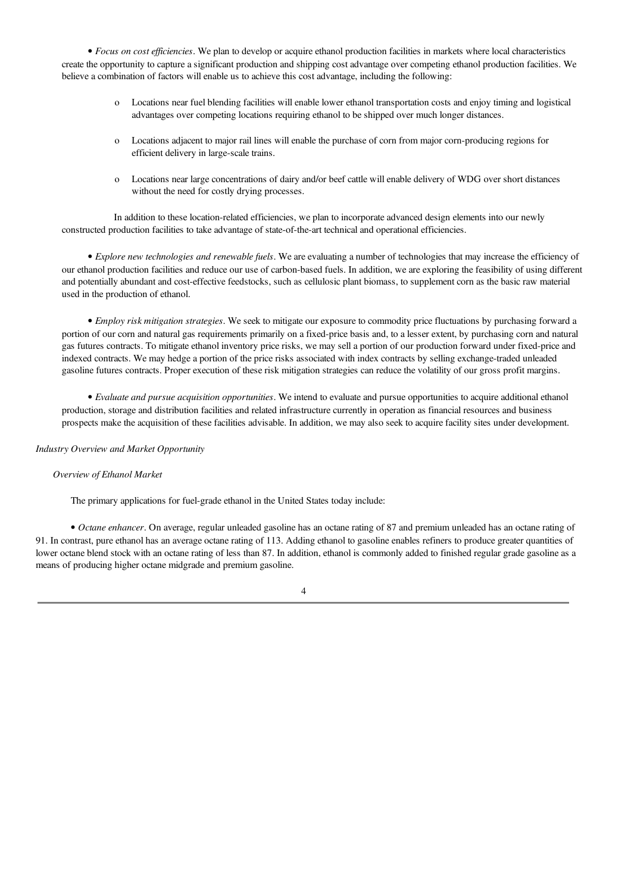· *Focus on cost ef iciencies*. We plan to develop or acquire ethanol production facilities in markets where local characteristics create the opportunity to capture a significant production and shipping cost advantage over competing ethanol production facilities. We believe a combination of factors will enable us to achieve this cost advantage, including the following:

- o Locations near fuel blending facilities will enable lower ethanol transportation costs and enjoy timing and logistical advantages over competing locations requiring ethanol to be shipped over much longer distances.
- o Locations adjacent to major rail lines will enable the purchase of corn from major corn-producing regions for efficient delivery in large-scale trains.
- o Locations near large concentrations of dairy and/or beef cattle will enable delivery of WDG over short distances without the need for costly drying processes.

In addition to these location-related efficiencies, we plan to incorporate advanced design elements into our newly constructed production facilities to take advantage of state-of-the-art technical and operational efficiencies.

· *Explore new technologies and renewable fuels*. We are evaluating a number of technologies that may increase the efficiency of our ethanol production facilities and reduce our use of carbon-based fuels. In addition, we are exploring the feasibility of using different and potentially abundant and cost-effective feedstocks, such as cellulosic plant biomass, to supplement corn as the basic raw material used in the production of ethanol.

· *Employ risk mitigation strategies*. We seek to mitigate our exposure to commodity price fluctuations by purchasing forward a portion of our corn and natural gas requirements primarily on a fixed-price basis and, to a lesser extent, by purchasing corn and natural gas futures contracts. To mitigate ethanol inventory price risks, we may sell a portion of our production forward under fixed-price and indexed contracts. We may hedge a portion of the price risks associated with index contracts by selling exchange-traded unleaded gasoline futures contracts. Proper execution of these risk mitigation strategies can reduce the volatility of our gross profit margins.

· *Evaluate and pursue acquisition opportunities*. We intend to evaluate and pursue opportunities to acquire additional ethanol production, storage and distribution facilities and related infrastructure currently in operation as financial resources and business prospects make the acquisition of these facilities advisable. In addition, we may also seek to acquire facility sites under development.

*Industry Overview and Market Opportunity*

#### *Overview of Ethanol Market*

The primary applications for fuel-grade ethanol in the United States today include:

· *Octane enhancer*. On average, regular unleaded gasoline has an octane rating of 87 and premium unleaded has an octane rating of 91. In contrast, pure ethanol has an average octane rating of 113. Adding ethanol to gasoline enables refiners to produce greater quantities of lower octane blend stock with an octane rating of less than 87. In addition, ethanol is commonly added to finished regular grade gasoline as a means of producing higher octane midgrade and premium gasoline.

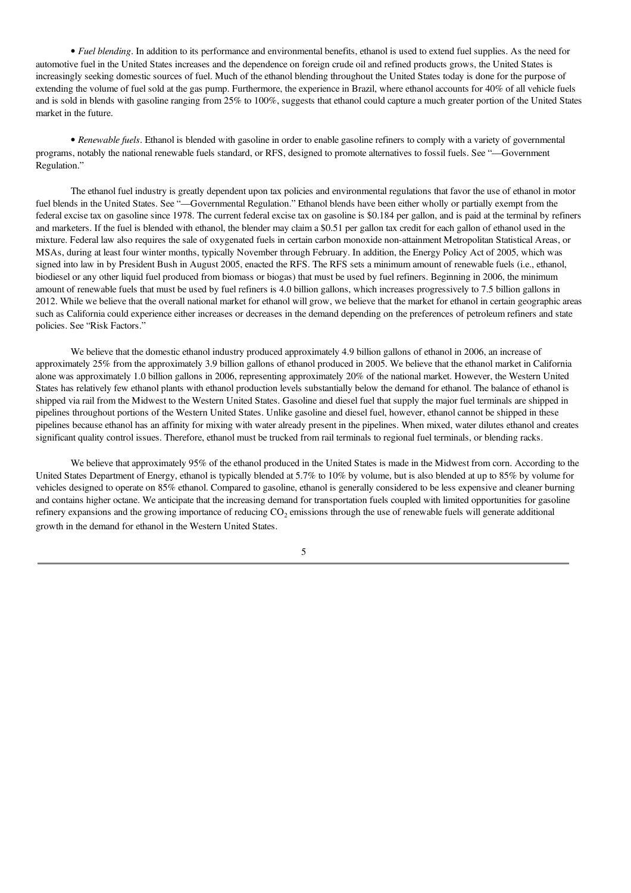· *Fuel blending*. In addition to its performance and environmental benefits, ethanol is used to extend fuel supplies. As the need for automotive fuel in the United States increases and the dependence on foreign crude oil and refined products grows, the United States is increasingly seeking domestic sources of fuel. Much of the ethanol blending throughout the United States today is done for the purpose of extending the volume of fuel sold at the gas pump. Furthermore, the experience in Brazil, where ethanol accounts for 40% of all vehicle fuels and is sold in blends with gasoline ranging from 25% to 100%, suggests that ethanol could capture a much greater portion of the United States market in the future.

· *Renewable fuels*. Ethanol is blended with gasoline in order to enable gasoline refiners to comply with a variety of governmental programs, notably the national renewable fuels standard, or RFS, designed to promote alternatives to fossil fuels. See "—Government Regulation."

The ethanol fuel industry is greatly dependent upon tax policies and environmental regulations that favor the use of ethanol in motor fuel blends in the United States. See "—Governmental Regulation." Ethanol blends have been either wholly or partially exempt from the federal excise tax on gasoline since 1978. The current federal excise tax on gasoline is \$0.184 per gallon, and is paid at the terminal by refiners and marketers. If the fuel is blended with ethanol, the blender may claim a \$0.51 per gallon tax credit for each gallon of ethanol used in the mixture. Federal law also requires the sale of oxygenated fuels in certain carbon monoxide non-attainment Metropolitan Statistical Areas, or MSAs, during at least four winter months, typically November through February. In addition, the Energy Policy Act of 2005, which was signed into law in by President Bush in August 2005, enacted the RFS. The RFS sets a minimum amount of renewable fuels (i.e., ethanol, biodiesel or any other liquid fuel produced from biomass or biogas) that must be used by fuel refiners. Beginning in 2006, the minimum amount of renewable fuels that must be used by fuel refiners is 4.0 billion gallons, which increases progressively to 7.5 billion gallons in 2012. While we believe that the overall national market for ethanol will grow, we believe that the market for ethanol in certain geographic areas such as California could experience either increases or decreases in the demand depending on the preferences of petroleum refiners and state policies. See "Risk Factors."

We believe that the domestic ethanol industry produced approximately 4.9 billion gallons of ethanol in 2006, an increase of approximately 25% from the approximately 3.9 billion gallons of ethanol produced in 2005. We believe that the ethanol market in California alone was approximately 1.0 billion gallons in 2006, representing approximately 20% of the national market. However, the Western United States has relatively few ethanol plants with ethanol production levels substantially below the demand for ethanol. The balance of ethanol is shipped via rail from the Midwest to the Western United States. Gasoline and diesel fuel that supply the major fuel terminals are shipped in pipelines throughout portions of the Western United States. Unlike gasoline and diesel fuel, however, ethanol cannot be shipped in these pipelines because ethanol has an affinity for mixing with water already present in the pipelines. When mixed, water dilutes ethanol and creates significant quality control issues. Therefore, ethanol must be trucked from rail terminals to regional fuel terminals, or blending racks.

We believe that approximately 95% of the ethanol produced in the United States is made in the Midwest from corn. According to the United States Department of Energy, ethanol is typically blended at 5.7% to 10% by volume, but is also blended at up to 85% by volume for vehicles designed to operate on 85% ethanol. Compared to gasoline, ethanol is generally considered to be less expensive and cleaner burning and contains higher octane. We anticipate that the increasing demand for transportation fuels coupled with limited opportunities for gasoline refinery expansions and the growing importance of reducing CO<sub>2</sub> emissions through the use of renewable fuels will generate additional growth in the demand for ethanol in the Western United States.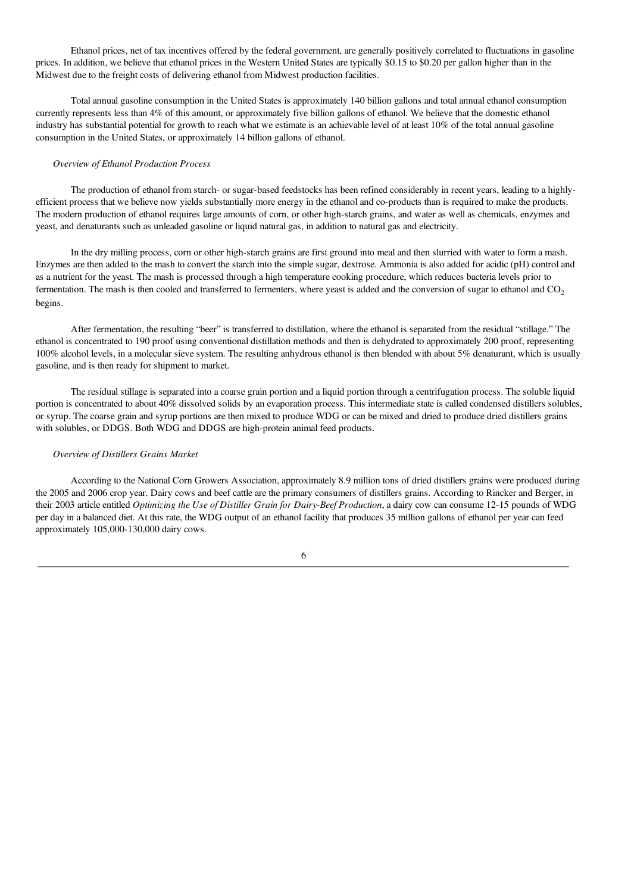Ethanol prices, net of tax incentives offered by the federal government, are generally positively correlated to fluctuations in gasoline prices. In addition, we believe that ethanol prices in the Western United States are typically \$0.15 to \$0.20 per gallon higher than in the Midwest due to the freight costs of delivering ethanol from Midwest production facilities.

Total annual gasoline consumption in the United States is approximately 140 billion gallons and total annual ethanol consumption currently represents less than 4% of this amount, or approximately five billion gallons of ethanol. We believe that the domestic ethanol industry has substantial potential for growth to reach what we estimate is an achievable level of at least 10% of the total annual gasoline consumption in the United States, or approximately 14 billion gallons of ethanol.

#### *Overview of Ethanol Production Process*

The production of ethanol from starch- or sugar-based feedstocks has been refined considerably in recent years, leading to a highlyefficient process that we believe now yields substantially more energy in the ethanol and co-products than is required to make the products. The modern production of ethanol requires large amounts of corn, or other high-starch grains, and water as well as chemicals, enzymes and yeast, and denaturants such as unleaded gasoline or liquid natural gas, in addition to natural gas and electricity.

In the dry milling process, corn or other high-starch grains are first ground into meal and then slurried with water to form a mash. Enzymes are then added to the mash to convert the starch into the simple sugar, dextrose. Ammonia is also added for acidic (pH) control and as a nutrient for the yeast. The mash is processed through a high temperature cooking procedure, which reduces bacteria levels prior to fermentation. The mash is then cooled and transferred to fermenters, where yeast is added and the conversion of sugar to ethanol and CO<sub>2</sub> begins.

After fermentation, the resulting "beer" is transferred to distillation, where the ethanol is separated from the residual "stillage." The ethanol is concentrated to 190 proof using conventional distillation methods and then is dehydrated to approximately 200 proof, representing 100% alcohol levels, in a molecular sieve system. The resulting anhydrous ethanol is then blended with about 5% denaturant, which is usually gasoline, and is then ready for shipment to market.

The residual stillage is separated into a coarse grain portion and a liquid portion through a centrifugation process. The soluble liquid portion is concentrated to about 40% dissolved solids by an evaporation process. This intermediate state is called condensed distillers solubles, or syrup. The coarse grain and syrup portions are then mixed to produce WDG or can be mixed and dried to produce dried distillers grains with solubles, or DDGS. Both WDG and DDGS are high-protein animal feed products.

#### *Overview of Distillers Grains Market*

According to the National Corn Growers Association, approximately 8.9 million tons of dried distillers grains were produced during the 2005 and 2006 crop year. Dairy cows and beef cattle are the primary consumers of distillers grains. According to Rincker and Berger, in their 2003 article entitled *Optimizing the Use of Distiller Grain for Dairy-Beef Production*, a dairy cow can consume 12-15 pounds of WDG per day in a balanced diet. At this rate, the WDG output of an ethanol facility that produces 35 million gallons of ethanol per year can feed approximately 105,000-130,000 dairy cows.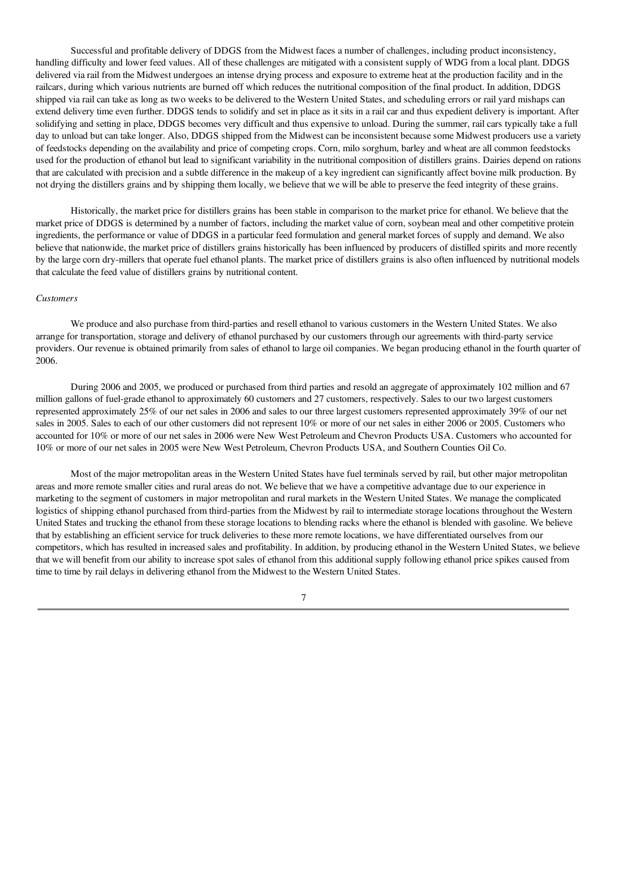Successful and profitable delivery of DDGS from the Midwest faces a number of challenges, including product inconsistency, handling difficulty and lower feed values. All of these challenges are mitigated with a consistent supply of WDG from a local plant. DDGS delivered via rail from the Midwest undergoes an intense drying process and exposure to extreme heat at the production facility and in the railcars, during which various nutrients are burned off which reduces the nutritional composition of the final product. In addition, DDGS shipped via rail can take as long as two weeks to be delivered to the Western United States, and scheduling errors or rail yard mishaps can extend delivery time even further. DDGS tends to solidify and set in place as it sits in a rail car and thus expedient delivery is important. After solidifying and setting in place, DDGS becomes very difficult and thus expensive to unload. During the summer, rail cars typically take a full day to unload but can take longer. Also, DDGS shipped from the Midwest can be inconsistent because some Midwest producers use a variety of feedstocks depending on the availability and price of competing crops. Corn, milo sorghum, barley and wheat are all common feedstocks used for the production of ethanol but lead to significant variability in the nutritional composition of distillers grains. Dairies depend on rations that are calculated with precision and a subtle difference in the makeup of a key ingredient can significantly affect bovine milk production. By not drying the distillers grains and by shipping them locally, we believe that we will be able to preserve the feed integrity of these grains.

Historically, the market price for distillers grains has been stable in comparison to the market price for ethanol. We believe that the market price of DDGS is determined by a number of factors, including the market value of corn, soybean meal and other competitive protein ingredients, the performance or value of DDGS in a particular feed formulation and general market forces of supply and demand. We also believe that nationwide, the market price of distillers grains historically has been influenced by producers of distilled spirits and more recently by the large corn dry-millers that operate fuel ethanol plants. The market price of distillers grains is also often influenced by nutritional models that calculate the feed value of distillers grains by nutritional content.

## *Customers*

We produce and also purchase from third-parties and resell ethanol to various customers in the Western United States. We also arrange for transportation, storage and delivery of ethanol purchased by our customers through our agreements with third-party service providers. Our revenue is obtained primarily from sales of ethanol to large oil companies. We began producing ethanol in the fourth quarter of 2006.

During 2006 and 2005, we produced or purchased from third parties and resold an aggregate of approximately 102 million and 67 million gallons of fuel-grade ethanol to approximately 60 customers and 27 customers, respectively. Sales to our two largest customers represented approximately 25% of our net sales in 2006 and sales to our three largest customers represented approximately 39% of our net sales in 2005. Sales to each of our other customers did not represent 10% or more of our net sales in either 2006 or 2005. Customers who accounted for 10% or more of our net sales in 2006 were New West Petroleum and Chevron Products USA. Customers who accounted for 10% or more of our net sales in 2005 were New West Petroleum, Chevron Products USA, and Southern Counties Oil Co.

Most of the major metropolitan areas in the Western United States have fuel terminals served by rail, but other major metropolitan areas and more remote smaller cities and rural areas do not. We believe that we have a competitive advantage due to our experience in marketing to the segment of customers in major metropolitan and rural markets in the Western United States. We manage the complicated logistics of shipping ethanol purchased from third-parties from the Midwest by rail to intermediate storage locations throughout the Western United States and trucking the ethanol from these storage locations to blending racks where the ethanol is blended with gasoline. We believe that by establishing an efficient service for truck deliveries to these more remote locations, we have differentiated ourselves from our competitors, which has resulted in increased sales and profitability. In addition, by producing ethanol in the Western United States, we believe that we will benefit from our ability to increase spot sales of ethanol from this additional supply following ethanol price spikes caused from time to time by rail delays in delivering ethanol from the Midwest to the Western United States.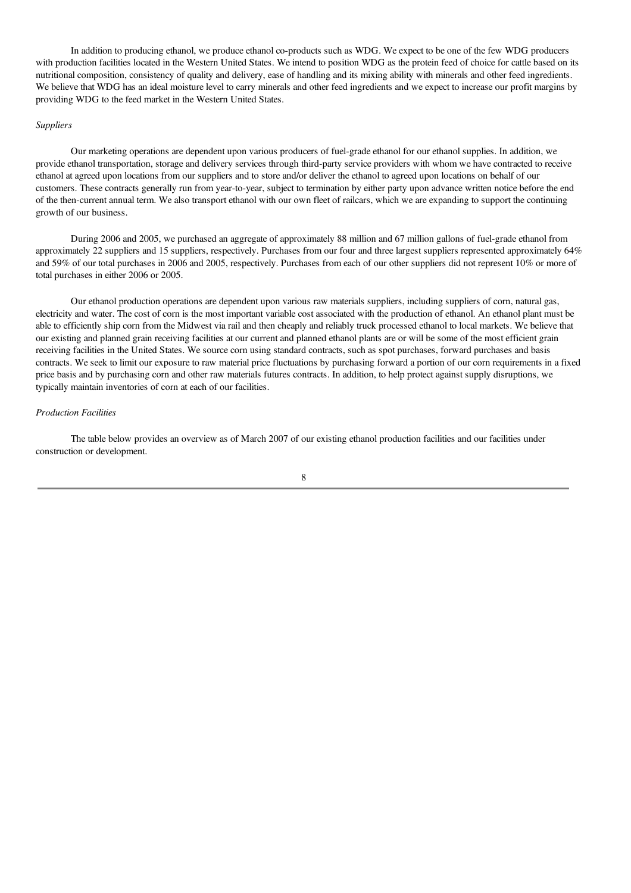In addition to producing ethanol, we produce ethanol co-products such as WDG. We expect to be one of the few WDG producers with production facilities located in the Western United States. We intend to position WDG as the protein feed of choice for cattle based on its nutritional composition, consistency of quality and delivery, ease of handling and its mixing ability with minerals and other feed ingredients. We believe that WDG has an ideal moisture level to carry minerals and other feed ingredients and we expect to increase our profit margins by providing WDG to the feed market in the Western United States.

#### *Suppliers*

Our marketing operations are dependent upon various producers of fuel-grade ethanol for our ethanol supplies. In addition, we provide ethanol transportation, storage and delivery services through third-party service providers with whom we have contracted to receive ethanol at agreed upon locations from our suppliers and to store and/or deliver the ethanol to agreed upon locations on behalf of our customers. These contracts generally run from year-to-year, subject to termination by either party upon advance written notice before the end of the then-current annual term. We also transport ethanol with our own fleet of railcars, which we are expanding to support the continuing growth of our business.

During 2006 and 2005, we purchased an aggregate of approximately 88 million and 67 million gallons of fuel-grade ethanol from approximately 22 suppliers and 15 suppliers, respectively. Purchases from our four and three largest suppliers represented approximately 64% and 59% of our total purchases in 2006 and 2005, respectively. Purchases from each of our other suppliers did not represent 10% or more of total purchases in either 2006 or 2005.

Our ethanol production operations are dependent upon various raw materials suppliers, including suppliers of corn, natural gas, electricity and water. The cost of corn is the most important variable cost associated with the production of ethanol. An ethanol plant must be able to efficiently ship corn from the Midwest via rail and then cheaply and reliably truck processed ethanol to local markets. We believe that our existing and planned grain receiving facilities at our current and planned ethanol plants are or will be some of the most efficient grain receiving facilities in the United States. We source corn using standard contracts, such as spot purchases, forward purchases and basis contracts. We seek to limit our exposure to raw material price fluctuations by purchasing forward a portion of our corn requirements in a fixed price basis and by purchasing corn and other raw materials futures contracts. In addition, to help protect against supply disruptions, we typically maintain inventories of corn at each of our facilities.

## *Production Facilities*

The table below provides an overview as of March 2007 of our existing ethanol production facilities and our facilities under construction or development.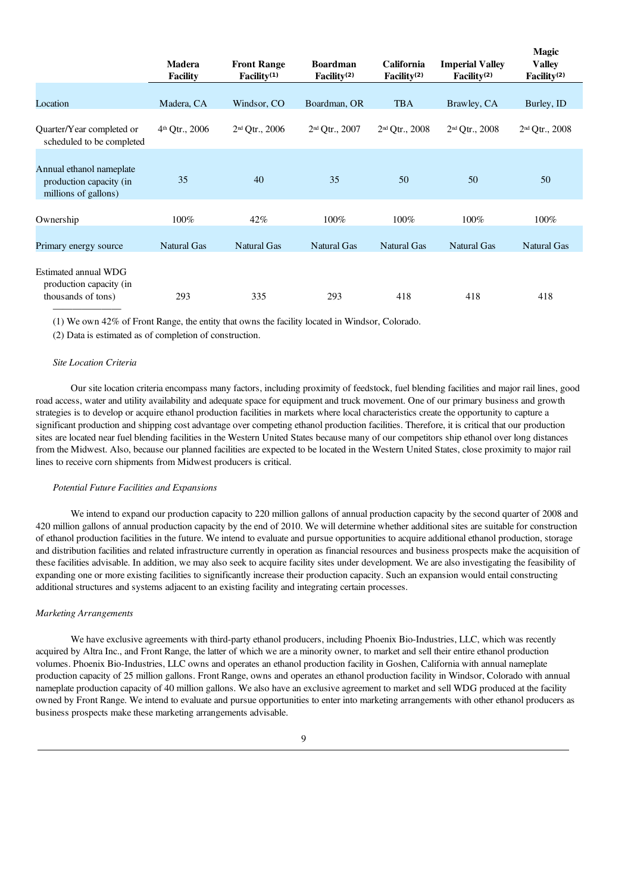|                                                                             | <b>Madera</b><br><b>Front Range</b><br>Facility $(1)$<br><b>Facility</b> |                    | <b>Boardman</b><br>Facility <sup>(2)</sup> | California<br>Facility <sup>(2)</sup> | <b>Imperial Valley</b><br>Facility <sup>(2)</sup> | <b>Magic</b><br><b>Valley</b><br>Facility <sup>(2)</sup> |  |
|-----------------------------------------------------------------------------|--------------------------------------------------------------------------|--------------------|--------------------------------------------|---------------------------------------|---------------------------------------------------|----------------------------------------------------------|--|
| Location                                                                    | Madera, CA                                                               | Windsor, CO        | Boardman, OR                               | <b>TBA</b>                            | Brawley, CA                                       | Burley, ID                                               |  |
| Quarter/Year completed or<br>scheduled to be completed                      | $4th$ Qtr., 2006                                                         | $2nd$ Qtr., 2006   | 2 <sup>nd</sup> Qtr., 2007                 | $2nd$ Qtr., 2008                      | $2nd$ Qtr., 2008                                  | $2nd$ Qtr., 2008                                         |  |
| Annual ethanol nameplate<br>production capacity (in<br>millions of gallons) | 35                                                                       | 40                 | 35                                         | 50                                    | 50                                                | 50                                                       |  |
| 100%<br>42%<br>Ownership                                                    |                                                                          |                    | 100%<br>100%                               |                                       | 100%                                              | 100%                                                     |  |
| Primary energy source                                                       | <b>Natural Gas</b>                                                       | <b>Natural Gas</b> | <b>Natural Gas</b>                         | <b>Natural Gas</b>                    | <b>Natural Gas</b>                                | <b>Natural Gas</b>                                       |  |
| Estimated annual WDG<br>production capacity (in<br>thousands of tons)       | 293                                                                      | 335                | 293                                        | 418                                   | 418                                               | 418                                                      |  |

(1) We own 42% of Front Range, the entity that owns the facility located in Windsor, Colorado.

(2) Data is estimated as of completion of construction.

#### *Site Location Criteria*

Our site location criteria encompass many factors, including proximity of feedstock, fuel blending facilities and major rail lines, good road access, water and utility availability and adequate space for equipment and truck movement. One of our primary business and growth strategies is to develop or acquire ethanol production facilities in markets where local characteristics create the opportunity to capture a significant production and shipping cost advantage over competing ethanol production facilities. Therefore, it is critical that our production sites are located near fuel blending facilities in the Western United States because many of our competitors ship ethanol over long distances from the Midwest. Also, because our planned facilities are expected to be located in the Western United States, close proximity to major rail lines to receive corn shipments from Midwest producers is critical.

#### *Potential Future Facilities and Expansions*

We intend to expand our production capacity to 220 million gallons of annual production capacity by the second quarter of 2008 and 420 million gallons of annual production capacity by the end of 2010. We will determine whether additional sites are suitable for construction of ethanol production facilities in the future. We intend to evaluate and pursue opportunities to acquire additional ethanol production, storage and distribution facilities and related infrastructure currently in operation as financial resources and business prospects make the acquisition of these facilities advisable. In addition, we may also seek to acquire facility sites under development. We are also investigating the feasibility of expanding one or more existing facilities to significantly increase their production capacity. Such an expansion would entail constructing additional structures and systems adjacent to an existing facility and integrating certain processes.

## *Marketing Arrangements*

We have exclusive agreements with third-party ethanol producers, including Phoenix Bio-Industries, LLC, which was recently acquired by Altra Inc., and Front Range, the latter of which we are a minority owner, to market and sell their entire ethanol production volumes. Phoenix Bio-Industries, LLC owns and operates an ethanol production facility in Goshen, California with annual nameplate production capacity of 25 million gallons. Front Range, owns and operates an ethanol production facility in Windsor, Colorado with annual nameplate production capacity of 40 million gallons. We also have an exclusive agreement to market and sell WDG produced at the facility owned by Front Range. We intend to evaluate and pursue opportunities to enter into marketing arrangements with other ethanol producers as business prospects make these marketing arrangements advisable.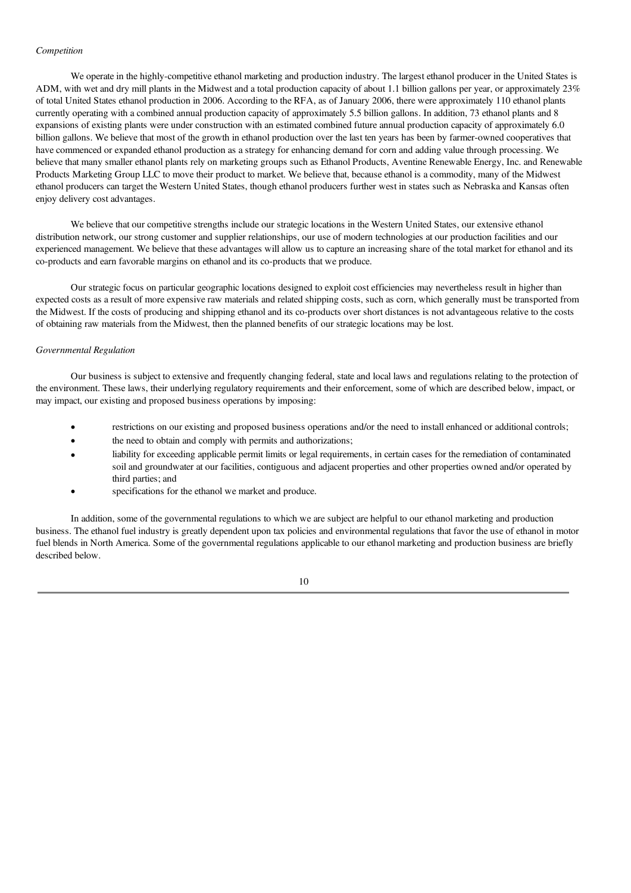#### *Competition*

We operate in the highly-competitive ethanol marketing and production industry. The largest ethanol producer in the United States is ADM, with wet and dry mill plants in the Midwest and a total production capacity of about 1.1 billion gallons per year, or approximately 23% of total United States ethanol production in 2006. According to the RFA, as of January 2006, there were approximately 110 ethanol plants currently operating with a combined annual production capacity of approximately 5.5 billion gallons. In addition, 73 ethanol plants and 8 expansions of existing plants were under construction with an estimated combined future annual production capacity of approximately 6.0 billion gallons. We believe that most of the growth in ethanol production over the last ten years has been by farmer-owned cooperatives that have commenced or expanded ethanol production as a strategy for enhancing demand for corn and adding value through processing. We believe that many smaller ethanol plants rely on marketing groups such as Ethanol Products, Aventine Renewable Energy, Inc. and Renewable Products Marketing Group LLC to move their product to market. We believe that, because ethanol is a commodity, many of the Midwest ethanol producers can target the Western United States, though ethanol producers further west in states such as Nebraska and Kansas often enjoy delivery cost advantages.

We believe that our competitive strengths include our strategic locations in the Western United States, our extensive ethanol distribution network, our strong customer and supplier relationships, our use of modern technologies at our production facilities and our experienced management. We believe that these advantages will allow us to capture an increasing share of the total market for ethanol and its co-products and earn favorable margins on ethanol and its co-products that we produce.

Our strategic focus on particular geographic locations designed to exploit cost efficiencies may nevertheless result in higher than expected costs as a result of more expensive raw materials and related shipping costs, such as corn, which generally must be transported from the Midwest. If the costs of producing and shipping ethanol and its co-products over short distances is not advantageous relative to the costs of obtaining raw materials from the Midwest, then the planned benefits of our strategic locations may be lost.

## *Governmental Regulation*

Our business is subject to extensive and frequently changing federal, state and local laws and regulations relating to the protection of the environment. These laws, their underlying regulatory requirements and their enforcement, some of which are described below, impact, or may impact, our existing and proposed business operations by imposing:

- restrictions on our existing and proposed business operations and/or the need to install enhanced or additional controls;
- the need to obtain and comply with permits and authorizations;
- liability for exceeding applicable permit limits or legal requirements, in certain cases for the remediation of contaminated soil and groundwater at our facilities, contiguous and adjacent properties and other properties owned and/or operated by third parties; and
- specifications for the ethanol we market and produce.

In addition, some of the governmental regulations to which we are subject are helpful to our ethanol marketing and production business. The ethanol fuel industry is greatly dependent upon tax policies and environmental regulations that favor the use of ethanol in motor fuel blends in North America. Some of the governmental regulations applicable to our ethanol marketing and production business are briefly described below.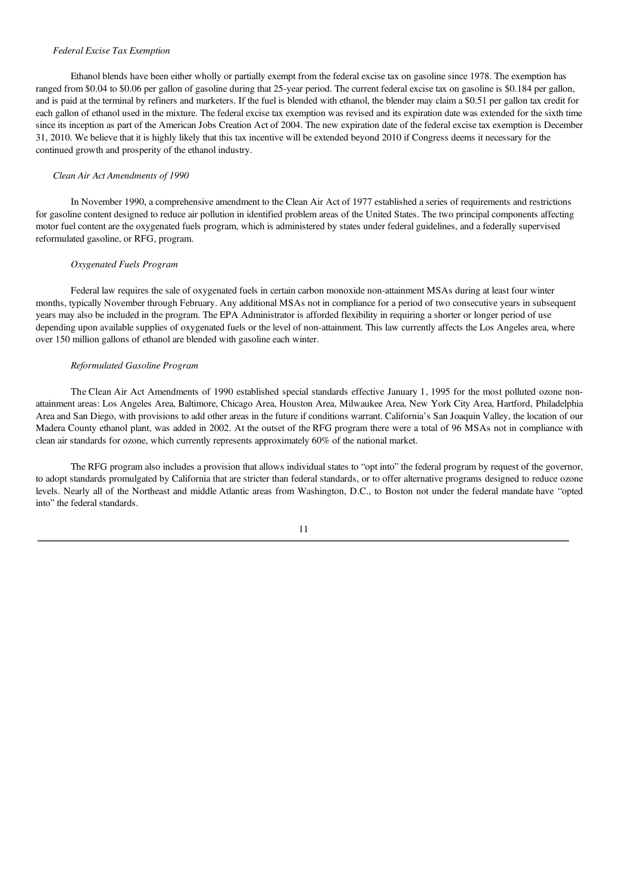#### *Federal Excise Tax Exemption*

Ethanol blends have been either wholly or partially exempt from the federal excise tax on gasoline since 1978. The exemption has ranged from \$0.04 to \$0.06 per gallon of gasoline during that 25-year period. The current federal excise tax on gasoline is \$0.184 per gallon, and is paid at the terminal by refiners and marketers. If the fuel is blended with ethanol, the blender may claim a \$0.51 per gallon tax credit for each gallon of ethanol used in the mixture. The federal excise tax exemption was revised and its expiration date was extended for the sixth time since its inception as part of the American Jobs Creation Act of 2004. The new expiration date of the federal excise tax exemption is December 31, 2010. We believe that it is highly likely that this tax incentive will be extended beyond 2010 if Congress deems it necessary for the continued growth and prosperity of the ethanol industry.

#### *Clean Air Act Amendments of 1990*

In November 1990, a comprehensive amendment to the Clean Air Act of 1977 established a series of requirements and restrictions for gasoline content designed to reduce air pollution in identified problem areas of the United States. The two principal components affecting motor fuel content are the oxygenated fuels program, which is administered by states under federal guidelines, and a federally supervised reformulated gasoline, or RFG, program.

## *Oxygenated Fuels Program*

Federal law requires the sale of oxygenated fuels in certain carbon monoxide non-attainment MSAs during at least four winter months, typically November through February. Any additional MSAs not in compliance for a period of two consecutive years in subsequent years may also be included in the program. The EPA Administrator is afforded flexibility in requiring a shorter or longer period of use depending upon available supplies of oxygenated fuels or the level of non-attainment. This law currently affects the Los Angeles area, where over 150 million gallons of ethanol are blended with gasoline each winter.

#### *Reformulated Gasoline Program*

The Clean Air Act Amendments of 1990 established special standards effective January 1, 1995 for the most polluted ozone nonattainment areas: Los Angeles Area, Baltimore, Chicago Area, Houston Area, Milwaukee Area, New York City Area, Hartford, Philadelphia Area and San Diego, with provisions to add other areas in the future if conditions warrant. California's San Joaquin Valley, the location of our Madera County ethanol plant, was added in 2002. At the outset of the RFG program there were a total of 96 MSAs not in compliance with clean air standards for ozone, which currently represents approximately 60% of the national market.

The RFG program also includes a provision that allows individual states to "opt into" the federal program by request of the governor, to adopt standards promulgated by California that are stricter than federal standards, or to offer alternative programs designed to reduce ozone levels. Nearly all of the Northeast and middle Atlantic areas from Washington, D.C., to Boston not under the federal mandate have "opted into" the federal standards.

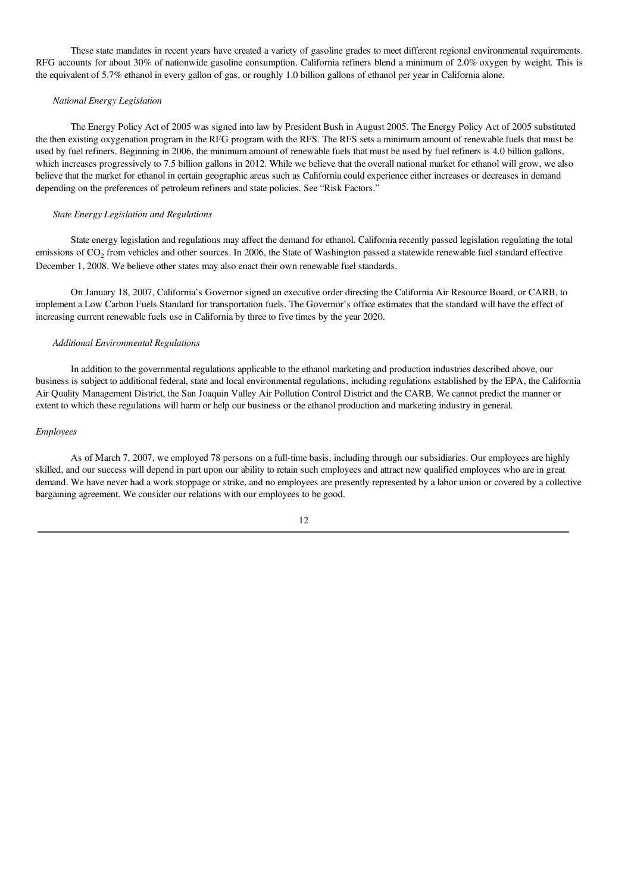These state mandates in recent years have created a variety of gasoline grades to meet different regional environmental requirements. RFG accounts for about 30% of nationwide gasoline consumption. California refiners blend a minimum of 2.0% oxygen by weight. This is the equivalent of 5.7% ethanol in every gallon of gas, or roughly 1.0 billion gallons of ethanol per year in California alone.

## *National Energy Legislation*

The Energy Policy Act of 2005 was signed into law by President Bush in August 2005. The Energy Policy Act of 2005 substituted the then existing oxygenation program in the RFG program with the RFS. The RFS sets a minimum amount of renewable fuels that must be used by fuel refiners. Beginning in 2006, the minimum amount of renewable fuels that must be used by fuel refiners is 4.0 billion gallons, which increases progressively to 7.5 billion gallons in 2012. While we believe that the overall national market for ethanol will grow, we also believe that the market for ethanol in certain geographic areas such as California could experience either increases or decreases in demand depending on the preferences of petroleum refiners and state policies. See "Risk Factors."

#### *State Energy Legislation and Regulations*

State energy legislation and regulations may affect the demand for ethanol. California recently passed legislation regulating the total emissions of  $CO_2$  from vehicles and other sources. In 2006, the State of Washington passed a statewide renewable fuel standard effective December 1, 2008. We believe other states may also enact their own renewable fuel standards.

On January 18, 2007, California's Governor signed an executive order directing the California Air Resource Board, or CARB, to implement a Low Carbon Fuels Standard for transportation fuels. The Governor's office estimates that the standard will have the effect of increasing current renewable fuels use in California by three to five times by the year 2020.

#### *Additional Environmental Regulations*

In addition to the governmental regulations applicable to the ethanol marketing and production industries described above, our business is subject to additional federal, state and local environmental regulations, including regulations established by the EPA, the California Air Quality Management District, the San Joaquin Valley Air Pollution Control District and the CARB. We cannot predict the manner or extent to which these regulations will harm or help our business or the ethanol production and marketing industry in general.

## *Employees*

As of March 7, 2007, we employed 78 persons on a full-time basis, including through our subsidiaries. Our employees are highly skilled, and our success will depend in part upon our ability to retain such employees and attract new qualified employees who are in great demand. We have never had a work stoppage or strike, and no employees are presently represented by a labor union or covered by a collective bargaining agreement. We consider our relations with our employees to be good.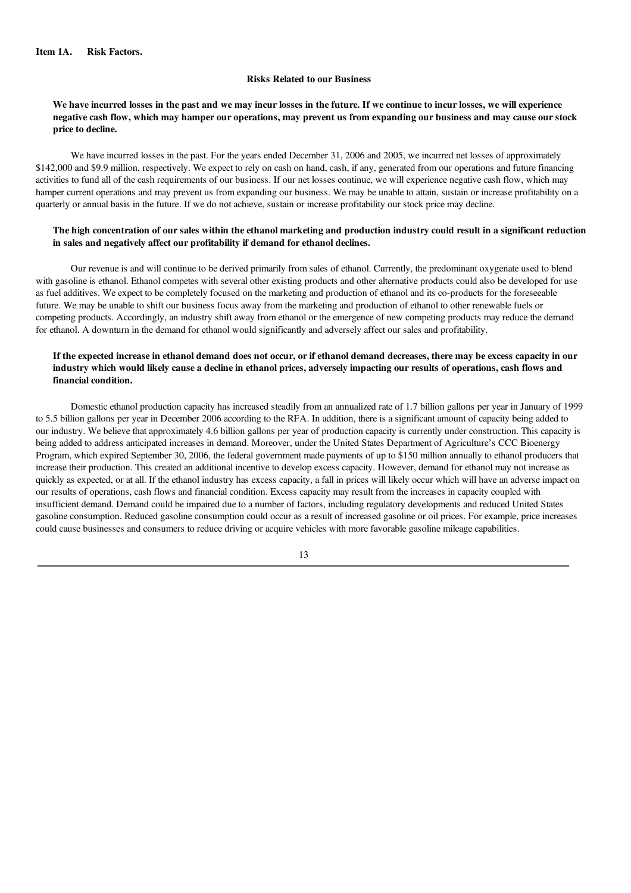## Risks Related to our Business

## We have incurred losses in the past and we may incur losses in the future. If we continue to incur losses, we will experience negative cash flow, which may hamper our operations, may prevent us from expanding our business and may cause our stock price to decline.

We have incurred losses in the past. For the years ended December 31, 2006 and 2005, we incurred net losses of approximately \$142,000 and \$9.9 million, respectively. We expect to rely on cash on hand, cash, if any, generated from our operations and future financing activities to fund all of the cash requirements of our business. If our net losses continue, we will experience negative cash flow, which may hamper current operations and may prevent us from expanding our business. We may be unable to attain, sustain or increase profitability on a quarterly or annual basis in the future. If we do not achieve, sustain or increase profitability our stock price may decline.

## The high concentration of our sales within the ethanol marketing and production industry could result in a significant reduction in sales and negatively affect our profitability if demand for ethanol declines.

Our revenue is and will continue to be derived primarily from sales of ethanol. Currently, the predominant oxygenate used to blend with gasoline is ethanol. Ethanol competes with several other existing products and other alternative products could also be developed for use as fuel additives. We expect to be completely focused on the marketing and production of ethanol and its co-products for the foreseeable future. We may be unable to shift our business focus away from the marketing and production of ethanol to other renewable fuels or competing products. Accordingly, an industry shift away from ethanol or the emergence of new competing products may reduce the demand for ethanol. A downturn in the demand for ethanol would significantly and adversely affect our sales and profitability.

## If the expected increase in ethanol demand does not occur, or if ethanol demand decreases, there may be excess capacity in our industry which would likely cause a decline in ethanol prices, adversely impacting our results of operations, cash flows and financial condition.

Domestic ethanol production capacity has increased steadily from an annualized rate of 1.7 billion gallons per year in January of 1999 to 5.5 billion gallons per year in December 2006 according to the RFA. In addition, there is a significant amount of capacity being added to our industry. We believe that approximately 4.6 billion gallons per year of production capacity is currently under construction. This capacity is being added to address anticipated increases in demand. Moreover, under the United States Department of Agriculture's CCC Bioenergy Program, which expired September 30, 2006, the federal government made payments of up to \$150 million annually to ethanol producers that increase their production. This created an additional incentive to develop excess capacity. However, demand for ethanol may not increase as quickly as expected, or at all. If the ethanol industry has excess capacity, a fall in prices will likely occur which will have an adverse impact on our results of operations, cash flows and financial condition. Excess capacity may result from the increases in capacity coupled with insufficient demand. Demand could be impaired due to a number of factors, including regulatory developments and reduced United States gasoline consumption. Reduced gasoline consumption could occur as a result of increased gasoline or oil prices. For example, price increases could cause businesses and consumers to reduce driving or acquire vehicles with more favorable gasoline mileage capabilities.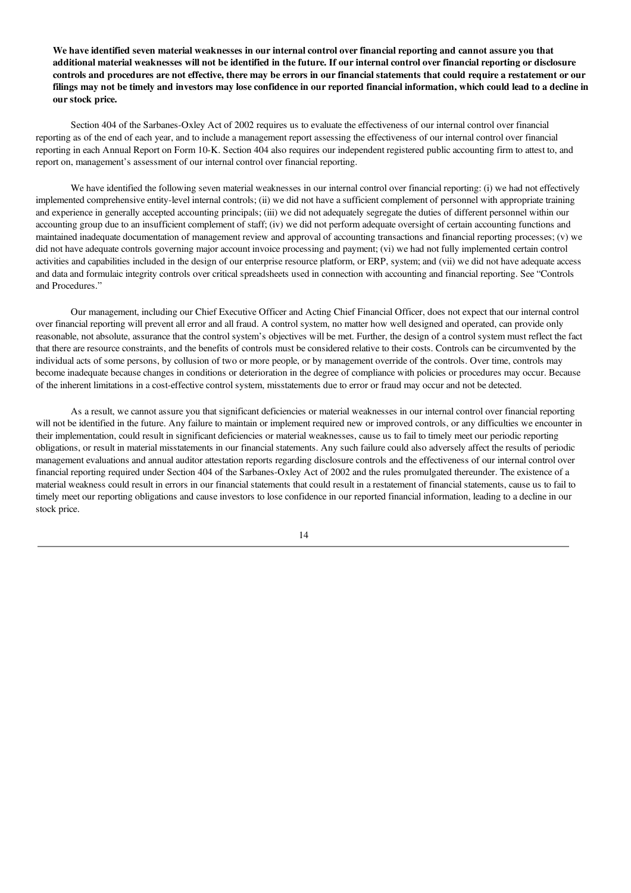We have identified seven material weaknesses in our internal control over financial reporting and cannot assure you that additional material weaknesses will not be identified in the future. If our internal control over financial reporting or disclosure controls and procedures are not effective, there may be errors in our financial statements that could require a restatement or our filings may not be timely and investors may lose confidence in our reported financial information, which could lead to a decline in our stock price.

Section 404 of the Sarbanes-Oxley Act of 2002 requires us to evaluate the effectiveness of our internal control over financial reporting as of the end of each year, and to include a management report assessing the effectiveness of our internal control over financial reporting in each Annual Report on Form 10-K. Section 404 also requires our independent registered public accounting firm to attest to, and report on, management's assessment of our internal control over financial reporting.

We have identified the following seven material weaknesses in our internal control over financial reporting: (i) we had not effectively implemented comprehensive entity-level internal controls; (ii) we did not have a sufficient complement of personnel with appropriate training and experience in generally accepted accounting principals; (iii) we did not adequately segregate the duties of different personnel within our accounting group due to an insufficient complement of staff; (iv) we did not perform adequate oversight of certain accounting functions and maintained inadequate documentation of management review and approval of accounting transactions and financial reporting processes; (v) we did not have adequate controls governing major account invoice processing and payment; (vi) we had not fully implemented certain control activities and capabilities included in the design of our enterprise resource platform, or ERP, system; and (vii) we did not have adequate access and data and formulaic integrity controls over critical spreadsheets used in connection with accounting and financial reporting. See "Controls and Procedures."

Our management, including our Chief Executive Officer and Acting Chief Financial Officer, does not expect that our internal control over financial reporting will prevent all error and all fraud. A control system, no matter how well designed and operated, can provide only reasonable, not absolute, assurance that the control system's objectives will be met. Further, the design of a control system must reflect the fact that there are resource constraints, and the benefits of controls must be considered relative to their costs. Controls can be circumvented by the individual acts of some persons, by collusion of two or more people, or by management override of the controls. Over time, controls may become inadequate because changes in conditions or deterioration in the degree of compliance with policies or procedures may occur. Because of the inherent limitations in a cost-effective control system, misstatements due to error or fraud may occur and not be detected.

As a result, we cannot assure you that significant deficiencies or material weaknesses in our internal control over financial reporting will not be identified in the future. Any failure to maintain or implement required new or improved controls, or any difficulties we encounter in their implementation, could result in significant deficiencies or material weaknesses, cause us to fail to timely meet our periodic reporting obligations, or result in material misstatements in our financial statements. Any such failure could also adversely affect the results of periodic management evaluations and annual auditor attestation reports regarding disclosure controls and the effectiveness of our internal control over financial reporting required under Section 404 of the Sarbanes-Oxley Act of 2002 and the rules promulgated thereunder. The existence of a material weakness could result in errors in our financial statements that could result in a restatement of financial statements, cause us to fail to timely meet our reporting obligations and cause investors to lose confidence in our reported financial information, leading to a decline in our stock price.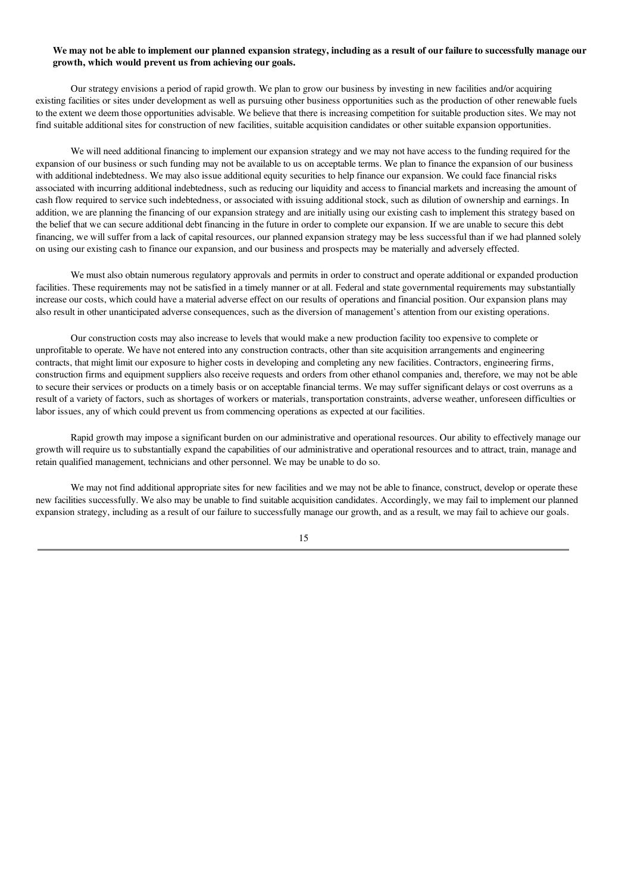## We may not be able to implement our planned expansion strategy, including as a result of our failure to successfully manage our growth, which would prevent us from achieving our goals.

Our strategy envisions a period of rapid growth. We plan to grow our business by investing in new facilities and/or acquiring existing facilities or sites under development as well as pursuing other business opportunities such as the production of other renewable fuels to the extent we deem those opportunities advisable. We believe that there is increasing competition for suitable production sites. We may not find suitable additional sites for construction of new facilities, suitable acquisition candidates or other suitable expansion opportunities.

We will need additional financing to implement our expansion strategy and we may not have access to the funding required for the expansion of our business or such funding may not be available to us on acceptable terms. We plan to finance the expansion of our business with additional indebtedness. We may also issue additional equity securities to help finance our expansion. We could face financial risks associated with incurring additional indebtedness, such as reducing our liquidity and access to financial markets and increasing the amount of cash flow required to service such indebtedness, or associated with issuing additional stock, such as dilution of ownership and earnings. In addition, we are planning the financing of our expansion strategy and are initially using our existing cash to implement this strategy based on the belief that we can secure additional debt financing in the future in order to complete our expansion. If we are unable to secure this debt financing, we will suffer from a lack of capital resources, our planned expansion strategy may be less successful than if we had planned solely on using our existing cash to finance our expansion, and our business and prospects may be materially and adversely effected.

We must also obtain numerous regulatory approvals and permits in order to construct and operate additional or expanded production facilities. These requirements may not be satisfied in a timely manner or at all. Federal and state governmental requirements may substantially increase our costs, which could have a material adverse effect on our results of operations and financial position. Our expansion plans may also result in other unanticipated adverse consequences, such as the diversion of management's attention from our existing operations.

Our construction costs may also increase to levels that would make a new production facility too expensive to complete or unprofitable to operate. We have not entered into any construction contracts, other than site acquisition arrangements and engineering contracts, that might limit our exposure to higher costs in developing and completing any new facilities. Contractors, engineering firms, construction firms and equipment suppliers also receive requests and orders from other ethanol companies and, therefore, we may not be able to secure their services or products on a timely basis or on acceptable financial terms. We may suffer significant delays or cost overruns as a result of a variety of factors, such as shortages of workers or materials, transportation constraints, adverse weather, unforeseen difficulties or labor issues, any of which could prevent us from commencing operations as expected at our facilities.

Rapid growth may impose a significant burden on our administrative and operational resources. Our ability to effectively manage our growth will require us to substantially expand the capabilities of our administrative and operational resources and to attract, train, manage and retain qualified management, technicians and other personnel. We may be unable to do so.

We may not find additional appropriate sites for new facilities and we may not be able to finance, construct, develop or operate these new facilities successfully. We also may be unable to find suitable acquisition candidates. Accordingly, we may fail to implement our planned expansion strategy, including as a result of our failure to successfully manage our growth, and as a result, we may fail to achieve our goals.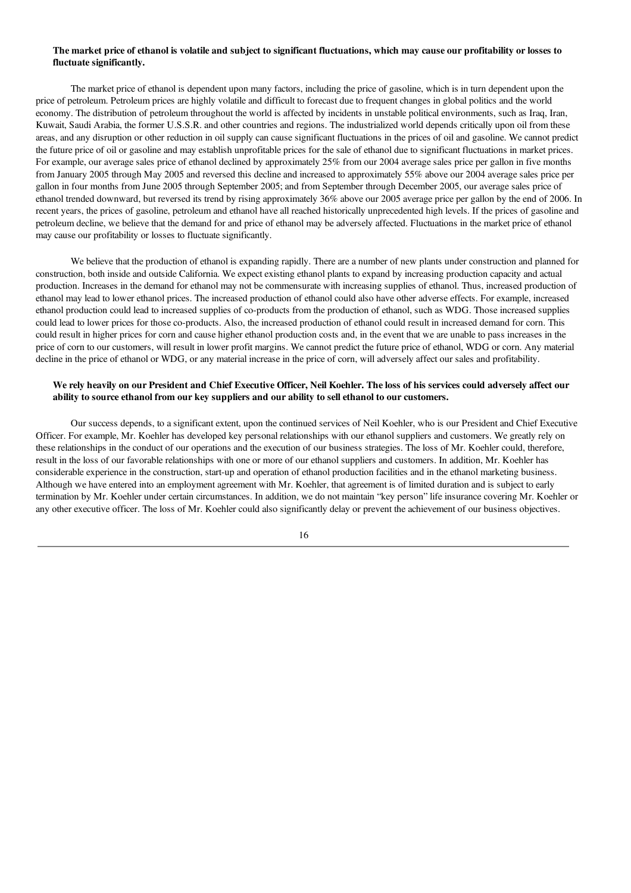## The market price of ethanol is volatile and subject to significant fluctuations, which may cause our profitability or losses to fluctuate significantly.

The market price of ethanol is dependent upon many factors, including the price of gasoline, which is in turn dependent upon the price of petroleum. Petroleum prices are highly volatile and difficult to forecast due to frequent changes in global politics and the world economy. The distribution of petroleum throughout the world is affected by incidents in unstable political environments, such as Iraq, Iran, Kuwait, Saudi Arabia, the former U.S.S.R. and other countries and regions. The industrialized world depends critically upon oil from these areas, and any disruption or other reduction in oil supply can cause significant fluctuations in the prices of oil and gasoline. We cannot predict the future price of oil or gasoline and may establish unprofitable prices for the sale of ethanol due to significant fluctuations in market prices. For example, our average sales price of ethanol declined by approximately 25% from our 2004 average sales price per gallon in five months from January 2005 through May 2005 and reversed this decline and increased to approximately 55% above our 2004 average sales price per gallon in four months from June 2005 through September 2005; and from September through December 2005, our average sales price of ethanol trended downward, but reversed its trend by rising approximately 36% above our 2005 average price per gallon by the end of 2006. In recent years, the prices of gasoline, petroleum and ethanol have all reached historically unprecedented high levels. If the prices of gasoline and petroleum decline, we believe that the demand for and price of ethanol may be adversely affected. Fluctuations in the market price of ethanol may cause our profitability or losses to fluctuate significantly.

We believe that the production of ethanol is expanding rapidly. There are a number of new plants under construction and planned for construction, both inside and outside California. We expect existing ethanol plants to expand by increasing production capacity and actual production. Increases in the demand for ethanol may not be commensurate with increasing supplies of ethanol. Thus, increased production of ethanol may lead to lower ethanol prices. The increased production of ethanol could also have other adverse effects. For example, increased ethanol production could lead to increased supplies of co-products from the production of ethanol, such as WDG. Those increased supplies could lead to lower prices for those co-products. Also, the increased production of ethanol could result in increased demand for corn. This could result in higher prices for corn and cause higher ethanol production costs and, in the event that we are unable to pass increases in the price of corn to our customers, will result in lower profit margins. We cannot predict the future price of ethanol, WDG or corn. Any material decline in the price of ethanol or WDG, or any material increase in the price of corn, will adversely affect our sales and profitability.

## We rely heavily on our President and Chief Executive Officer, Neil Koehler. The loss of his services could adversely affect our ability to source ethanol from our key suppliers and our ability to sell ethanol to our customers.

Our success depends, to a significant extent, upon the continued services of Neil Koehler, who is our President and Chief Executive Officer. For example, Mr. Koehler has developed key personal relationships with our ethanol suppliers and customers. We greatly rely on these relationships in the conduct of our operations and the execution of our business strategies. The loss of Mr. Koehler could, therefore, result in the loss of our favorable relationships with one or more of our ethanol suppliers and customers. In addition, Mr. Koehler has considerable experience in the construction, start-up and operation of ethanol production facilities and in the ethanol marketing business. Although we have entered into an employment agreement with Mr. Koehler, that agreement is of limited duration and is subject to early termination by Mr. Koehler under certain circumstances. In addition, we do not maintain "key person" life insurance covering Mr. Koehler or any other executive officer. The loss of Mr. Koehler could also significantly delay or prevent the achievement of our business objectives.

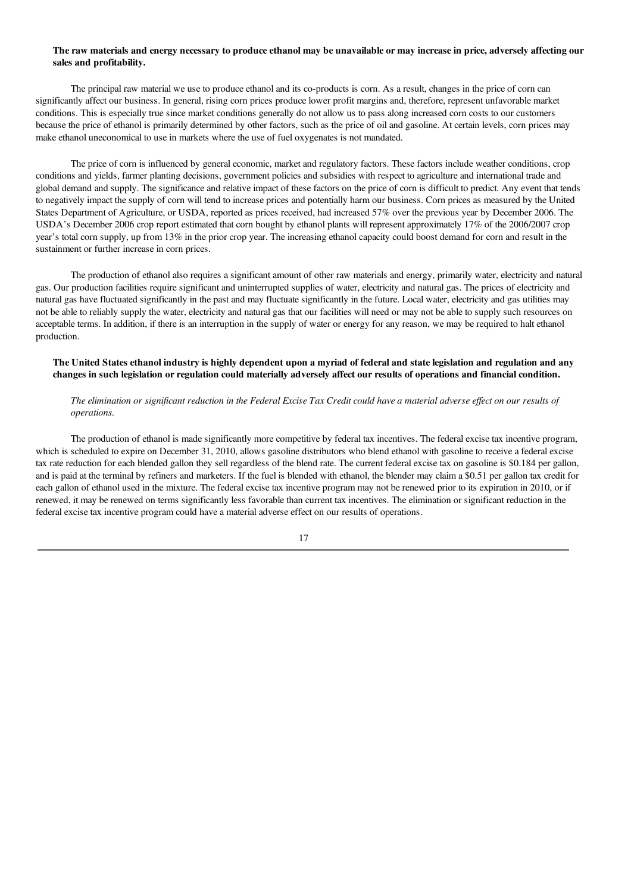## The raw materials and energy necessary to produce ethanol may be unavailable or may increase in price, adversely affecting our sales and profitability.

The principal raw material we use to produce ethanol and its co-products is corn. As a result, changes in the price of corn can significantly affect our business. In general, rising corn prices produce lower profit margins and, therefore, represent unfavorable market conditions. This is especially true since market conditions generally do not allow us to pass along increased corn costs to our customers because the price of ethanol is primarily determined by other factors, such as the price of oil and gasoline. At certain levels, corn prices may make ethanol uneconomical to use in markets where the use of fuel oxygenates is not mandated.

The price of corn is influenced by general economic, market and regulatory factors. These factors include weather conditions, crop conditions and yields, farmer planting decisions, government policies and subsidies with respect to agriculture and international trade and global demand and supply. The significance and relative impact of these factors on the price of corn is difficult to predict. Any event that tends to negatively impact the supply of corn will tend to increase prices and potentially harm our business. Corn prices as measured by the United States Department of Agriculture, or USDA, reported as prices received, had increased 57% over the previous year by December 2006. The USDA's December 2006 crop report estimated that corn bought by ethanol plants will represent approximately 17% of the 2006/2007 crop year's total corn supply, up from 13% in the prior crop year. The increasing ethanol capacity could boost demand for corn and result in the sustainment or further increase in corn prices.

The production of ethanol also requires a significant amount of other raw materials and energy, primarily water, electricity and natural gas. Our production facilities require significant and uninterrupted supplies of water, electricity and natural gas. The prices of electricity and natural gas have fluctuated significantly in the past and may fluctuate significantly in the future. Local water, electricity and gas utilities may not be able to reliably supply the water, electricity and natural gas that our facilities will need or may not be able to supply such resources on acceptable terms. In addition, if there is an interruption in the supply of water or energy for any reason, we may be required to halt ethanol production.

## The United States ethanol industry is highly dependent upon a myriad of federal and state legislation and regulation and any changes in such legislation or regulation could materially adversely affect our results of operations and financial condition.

## The elimination or significant reduction in the Federal Excise Tax Credit could have a material adverse effect on our results of *operations.*

The production of ethanol is made significantly more competitive by federal tax incentives. The federal excise tax incentive program, which is scheduled to expire on December 31, 2010, allows gasoline distributors who blend ethanol with gasoline to receive a federal excise tax rate reduction for each blended gallon they sell regardless of the blend rate. The current federal excise tax on gasoline is \$0.184 per gallon, and is paid at the terminal by refiners and marketers. If the fuel is blended with ethanol, the blender may claim a \$0.51 per gallon tax credit for each gallon of ethanol used in the mixture. The federal excise tax incentive program may not be renewed prior to its expiration in 2010, or if renewed, it may be renewed on terms significantly less favorable than current tax incentives. The elimination or significant reduction in the federal excise tax incentive program could have a material adverse effect on our results of operations.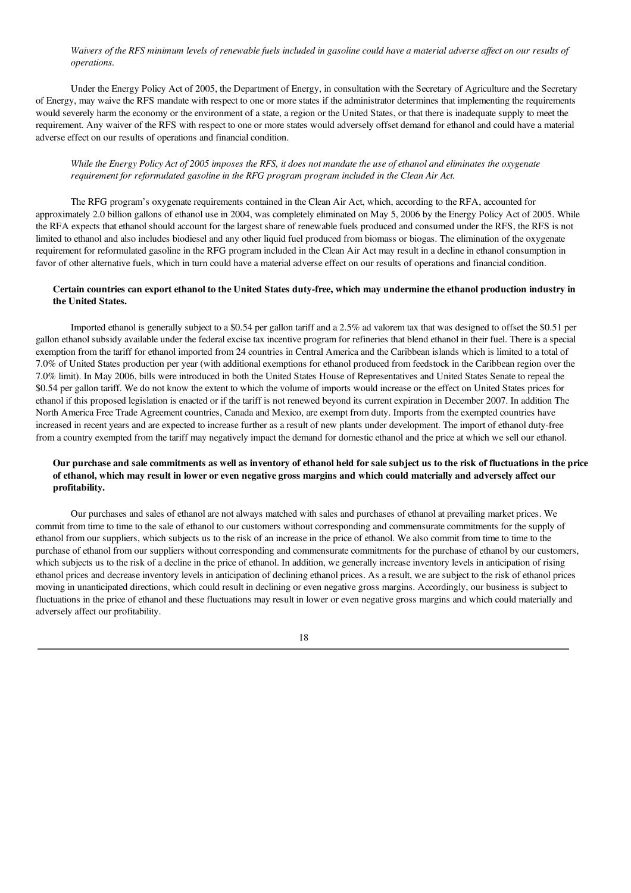Waivers of the RFS minimum levels of renewable fuels included in gasoline could have a material adverse affect on our results of *operations.*

Under the Energy Policy Act of 2005, the Department of Energy, in consultation with the Secretary of Agriculture and the Secretary of Energy, may waive the RFS mandate with respect to one or more states if the administrator determines that implementing the requirements would severely harm the economy or the environment of a state, a region or the United States, or that there is inadequate supply to meet the requirement. Any waiver of the RFS with respect to one or more states would adversely offset demand for ethanol and could have a material adverse effect on our results of operations and financial condition.

## While the Energy Policy Act of 2005 imposes the RFS, it does not mandate the use of ethanol and eliminates the oxygenate *requirement for reformulated gasoline in the RFG program program included in the Clean Air Act.*

The RFG program's oxygenate requirements contained in the Clean Air Act, which, according to the RFA, accounted for approximately 2.0 billion gallons of ethanol use in 2004, was completely eliminated on May 5, 2006 by the Energy Policy Act of 2005. While the RFA expects that ethanol should account for the largest share of renewable fuels produced and consumed under the RFS, the RFS is not limited to ethanol and also includes biodiesel and any other liquid fuel produced from biomass or biogas. The elimination of the oxygenate requirement for reformulated gasoline in the RFG program included in the Clean Air Act may result in a decline in ethanol consumption in favor of other alternative fuels, which in turn could have a material adverse effect on our results of operations and financial condition.

## Certain countries can export ethanol to the United States duty-free, which may undermine the ethanol production industry in the United States.

Imported ethanol is generally subject to a \$0.54 per gallon tariff and a 2.5% ad valorem tax that was designed to offset the \$0.51 per gallon ethanol subsidy available under the federal excise tax incentive program for refineries that blend ethanol in their fuel. There is a special exemption from the tariff for ethanol imported from 24 countries in Central America and the Caribbean islands which is limited to a total of 7.0% of United States production per year (with additional exemptions for ethanol produced from feedstock in the Caribbean region over the 7.0% limit). In May 2006, bills were introduced in both the United States House of Representatives and United States Senate to repeal the \$0.54 per gallon tariff. We do not know the extent to which the volume of imports would increase or the effect on United States prices for ethanol if this proposed legislation is enacted or if the tariff is not renewed beyond its current expiration in December 2007. In addition The North America Free Trade Agreement countries, Canada and Mexico, are exempt from duty. Imports from the exempted countries have increased in recent years and are expected to increase further as a result of new plants under development. The import of ethanol duty-free from a country exempted from the tariff may negatively impact the demand for domestic ethanol and the price at which we sell our ethanol.

## Our purchase and sale commitments as well as inventory of ethanol held for sale subject us to the risk of fluctuations in the price of ethanol, which may result in lower or even negative gross margins and which could materially and adversely affect our profitability.

Our purchases and sales of ethanol are not always matched with sales and purchases of ethanol at prevailing market prices. We commit from time to time to the sale of ethanol to our customers without corresponding and commensurate commitments for the supply of ethanol from our suppliers, which subjects us to the risk of an increase in the price of ethanol. We also commit from time to time to the purchase of ethanol from our suppliers without corresponding and commensurate commitments for the purchase of ethanol by our customers, which subjects us to the risk of a decline in the price of ethanol. In addition, we generally increase inventory levels in anticipation of rising ethanol prices and decrease inventory levels in anticipation of declining ethanol prices. As a result, we are subject to the risk of ethanol prices moving in unanticipated directions, which could result in declining or even negative gross margins. Accordingly, our business is subject to fluctuations in the price of ethanol and these fluctuations may result in lower or even negative gross margins and which could materially and adversely affect our profitability.

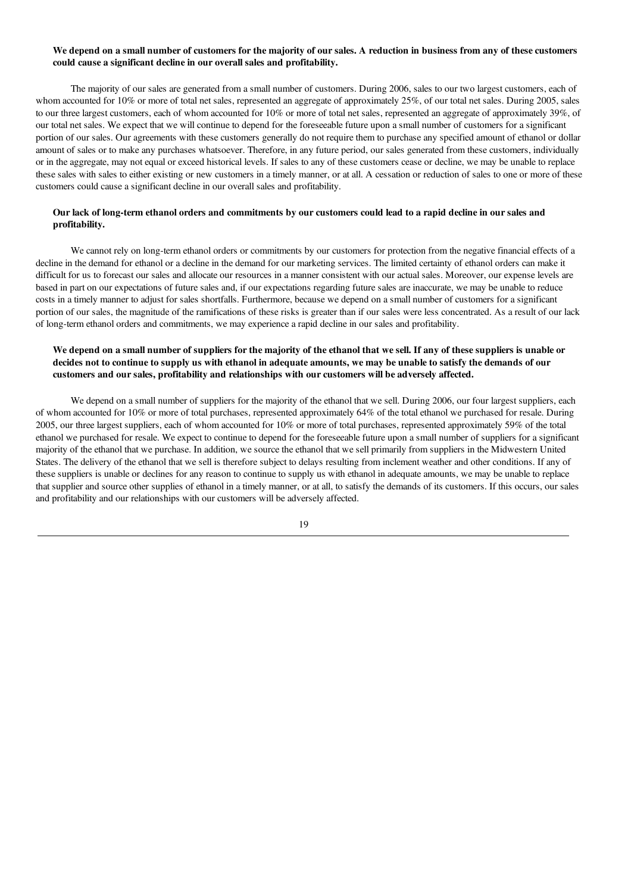## We depend on a small number of customers for the majority of our sales. A reduction in business from any of these customers could cause a significant decline in our overall sales and profitability.

The majority of our sales are generated from a small number of customers. During 2006, sales to our two largest customers, each of whom accounted for 10% or more of total net sales, represented an aggregate of approximately 25%, of our total net sales. During 2005, sales to our three largest customers, each of whom accounted for 10% or more of total net sales, represented an aggregate of approximately 39%, of our total net sales. We expect that we will continue to depend for the foreseeable future upon a small number of customers for a significant portion of our sales. Our agreements with these customers generally do not require them to purchase any specified amount of ethanol or dollar amount of sales or to make any purchases whatsoever. Therefore, in any future period, our sales generated from these customers, individually or in the aggregate, may not equal or exceed historical levels. If sales to any of these customers cease or decline, we may be unable to replace these sales with sales to either existing or new customers in a timely manner, or at all. A cessation or reduction of sales to one or more of these customers could cause a significant decline in our overall sales and profitability.

## Our lack of long-term ethanol orders and commitments by our customers could lead to a rapid decline in our sales and profitability.

We cannot rely on long-term ethanol orders or commitments by our customers for protection from the negative financial effects of a decline in the demand for ethanol or a decline in the demand for our marketing services. The limited certainty of ethanol orders can make it difficult for us to forecast our sales and allocate our resources in a manner consistent with our actual sales. Moreover, our expense levels are based in part on our expectations of future sales and, if our expectations regarding future sales are inaccurate, we may be unable to reduce costs in a timely manner to adjust for sales shortfalls. Furthermore, because we depend on a small number of customers for a significant portion of our sales, the magnitude of the ramifications of these risks is greater than if our sales were less concentrated. As a result of our lack of long-term ethanol orders and commitments, we may experience a rapid decline in our sales and profitability.

## We depend on a small number of suppliers for the majority of the ethanol that we sell. If any of these suppliers is unable or decides not to continue to supply us with ethanol in adequate amounts, we may be unable to satisfy the demands of our customers and our sales, profitability and relationships with our customers will be adversely affected.

We depend on a small number of suppliers for the majority of the ethanol that we sell. During 2006, our four largest suppliers, each of whom accounted for 10% or more of total purchases, represented approximately 64% of the total ethanol we purchased for resale. During 2005, our three largest suppliers, each of whom accounted for 10% or more of total purchases, represented approximately 59% of the total ethanol we purchased for resale. We expect to continue to depend for the foreseeable future upon a small number of suppliers for a significant majority of the ethanol that we purchase. In addition, we source the ethanol that we sell primarily from suppliers in the Midwestern United States. The delivery of the ethanol that we sell is therefore subject to delays resulting from inclement weather and other conditions. If any of these suppliers is unable or declines for any reason to continue to supply us with ethanol in adequate amounts, we may be unable to replace that supplier and source other supplies of ethanol in a timely manner, or at all, to satisfy the demands of its customers. If this occurs, our sales and profitability and our relationships with our customers will be adversely affected.

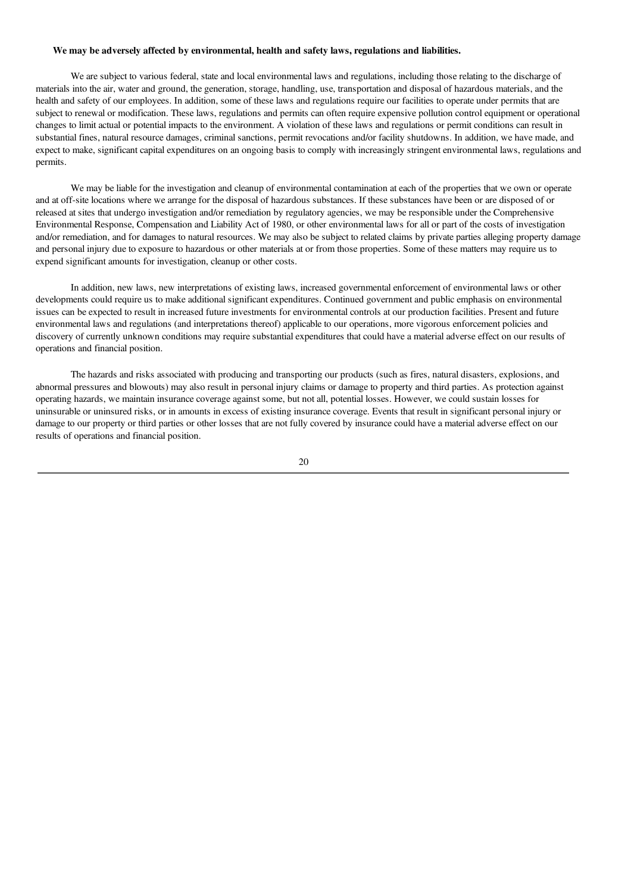## We may be adversely affected by environmental, health and safety laws, regulations and liabilities.

We are subject to various federal, state and local environmental laws and regulations, including those relating to the discharge of materials into the air, water and ground, the generation, storage, handling, use, transportation and disposal of hazardous materials, and the health and safety of our employees. In addition, some of these laws and regulations require our facilities to operate under permits that are subject to renewal or modification. These laws, regulations and permits can often require expensive pollution control equipment or operational changes to limit actual or potential impacts to the environment. A violation of these laws and regulations or permit conditions can result in substantial fines, natural resource damages, criminal sanctions, permit revocations and/or facility shutdowns. In addition, we have made, and expect to make, significant capital expenditures on an ongoing basis to comply with increasingly stringent environmental laws, regulations and permits.

We may be liable for the investigation and cleanup of environmental contamination at each of the properties that we own or operate and at off-site locations where we arrange for the disposal of hazardous substances. If these substances have been or are disposed of or released at sites that undergo investigation and/or remediation by regulatory agencies, we may be responsible under the Comprehensive Environmental Response, Compensation and Liability Act of 1980, or other environmental laws for all or part of the costs of investigation and/or remediation, and for damages to natural resources. We may also be subject to related claims by private parties alleging property damage and personal injury due to exposure to hazardous or other materials at or from those properties. Some of these matters may require us to expend significant amounts for investigation, cleanup or other costs.

In addition, new laws, new interpretations of existing laws, increased governmental enforcement of environmental laws or other developments could require us to make additional significant expenditures. Continued government and public emphasis on environmental issues can be expected to result in increased future investments for environmental controls at our production facilities. Present and future environmental laws and regulations (and interpretations thereof) applicable to our operations, more vigorous enforcement policies and discovery of currently unknown conditions may require substantial expenditures that could have a material adverse effect on our results of operations and financial position.

The hazards and risks associated with producing and transporting our products (such as fires, natural disasters, explosions, and abnormal pressures and blowouts) may also result in personal injury claims or damage to property and third parties. As protection against operating hazards, we maintain insurance coverage against some, but not all, potential losses. However, we could sustain losses for uninsurable or uninsured risks, or in amounts in excess of existing insurance coverage. Events that result in significant personal injury or damage to our property or third parties or other losses that are not fully covered by insurance could have a material adverse effect on our results of operations and financial position.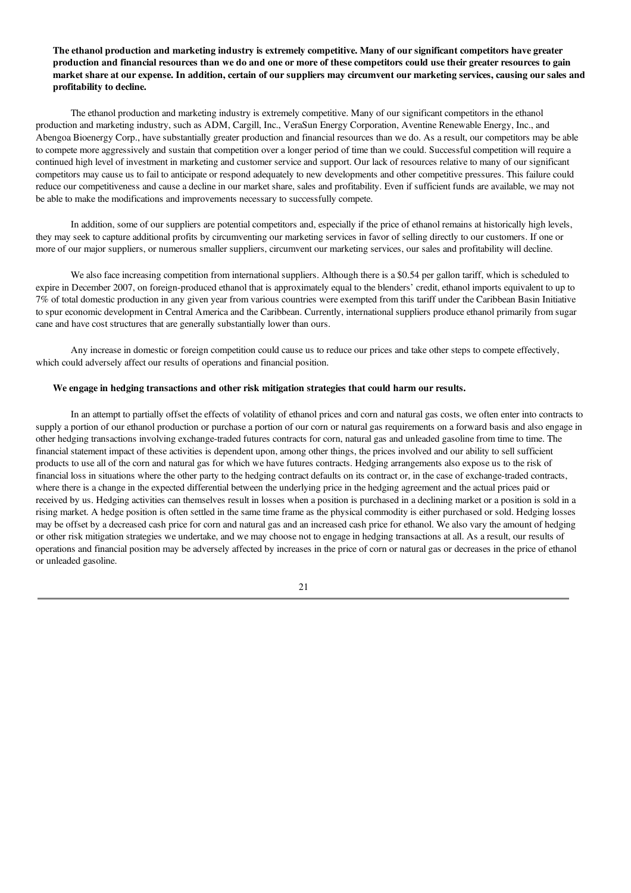## The ethanol production and marketing industry is extremely competitive. Many of our significant competitors have greater production and financial resources than we do and one or more of these competitors could use their greater resources to gain market share at our expense. In addition, certain of our suppliers may circumvent our marketing services, causing our sales and profitability to decline.

The ethanol production and marketing industry is extremely competitive. Many of our significant competitors in the ethanol production and marketing industry, such as ADM, Cargill, Inc., VeraSun Energy Corporation, Aventine Renewable Energy, Inc., and Abengoa Bioenergy Corp., have substantially greater production and financial resources than we do. As a result, our competitors may be able to compete more aggressively and sustain that competition over a longer period of time than we could. Successful competition will require a continued high level of investment in marketing and customer service and support. Our lack of resources relative to many of our significant competitors may cause us to fail to anticipate or respond adequately to new developments and other competitive pressures. This failure could reduce our competitiveness and cause a decline in our market share, sales and profitability. Even if sufficient funds are available, we may not be able to make the modifications and improvements necessary to successfully compete.

In addition, some of our suppliers are potential competitors and, especially if the price of ethanol remains at historically high levels, they may seek to capture additional profits by circumventing our marketing services in favor of selling directly to our customers. If one or more of our major suppliers, or numerous smaller suppliers, circumvent our marketing services, our sales and profitability will decline.

We also face increasing competition from international suppliers. Although there is a \$0.54 per gallon tariff, which is scheduled to expire in December 2007, on foreign-produced ethanol that is approximately equal to the blenders' credit, ethanol imports equivalent to up to 7% of total domestic production in any given year from various countries were exempted from this tariff under the Caribbean Basin Initiative to spur economic development in Central America and the Caribbean. Currently, international suppliers produce ethanol primarily from sugar cane and have cost structures that are generally substantially lower than ours.

Any increase in domestic or foreign competition could cause us to reduce our prices and take other steps to compete effectively, which could adversely affect our results of operations and financial position.

## We engage in hedging transactions and other risk mitigation strategies that could harm our results.

In an attempt to partially offset the effects of volatility of ethanol prices and corn and natural gas costs, we often enter into contracts to supply a portion of our ethanol production or purchase a portion of our corn or natural gas requirements on a forward basis and also engage in other hedging transactions involving exchange-traded futures contracts for corn, natural gas and unleaded gasoline from time to time. The financial statement impact of these activities is dependent upon, among other things, the prices involved and our ability to sell sufficient products to use all of the corn and natural gas for which we have futures contracts. Hedging arrangements also expose us to the risk of financial loss in situations where the other party to the hedging contract defaults on its contract or, in the case of exchange-traded contracts, where there is a change in the expected differential between the underlying price in the hedging agreement and the actual prices paid or received by us. Hedging activities can themselves result in losses when a position is purchased in a declining market or a position is sold in a rising market. A hedge position is often settled in the same time frame as the physical commodity is either purchased or sold. Hedging losses may be offset by a decreased cash price for corn and natural gas and an increased cash price for ethanol. We also vary the amount of hedging or other risk mitigation strategies we undertake, and we may choose not to engage in hedging transactions at all. As a result, our results of operations and financial position may be adversely affected by increases in the price of corn or natural gas or decreases in the price of ethanol or unleaded gasoline.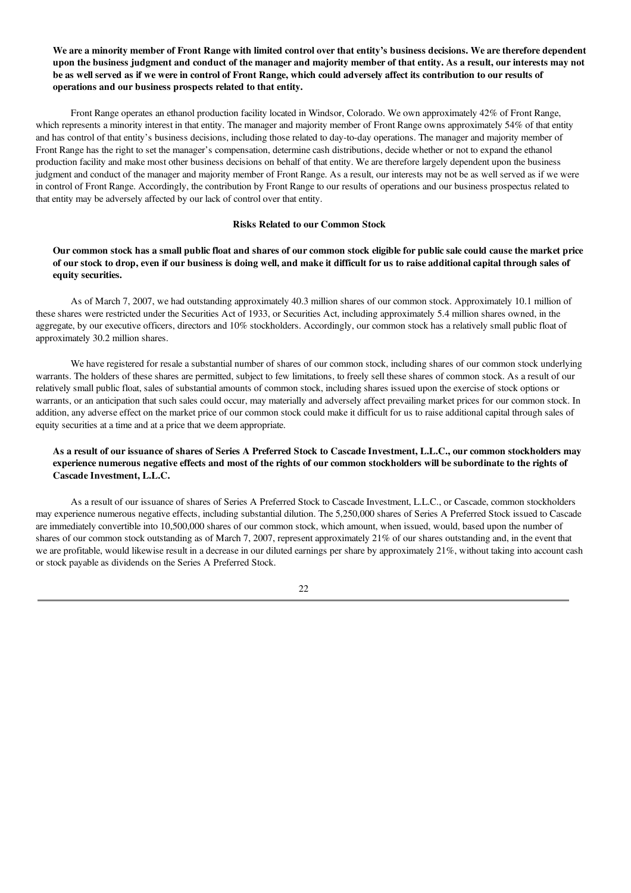## We are a minority member of Front Range with limited control over that entity's business decisions. We are therefore dependent upon the business judgment and conduct of the manager and majority member of that entity. As a result, our interests may not be as well served as if we were in control of Front Range, which could adversely affect its contribution to our results of operations and our business prospects related to that entity.

Front Range operates an ethanol production facility located in Windsor, Colorado. We own approximately 42% of Front Range, which represents a minority interest in that entity. The manager and majority member of Front Range owns approximately 54% of that entity and has control of that entity's business decisions, including those related to day-to-day operations. The manager and majority member of Front Range has the right to set the manager's compensation, determine cash distributions, decide whether or not to expand the ethanol production facility and make most other business decisions on behalf of that entity. We are therefore largely dependent upon the business judgment and conduct of the manager and majority member of Front Range. As a result, our interests may not be as well served as if we were in control of Front Range. Accordingly, the contribution by Front Range to our results of operations and our business prospectus related to that entity may be adversely affected by our lack of control over that entity.

#### Risks Related to our Common Stock

## Our common stock has a small public float and shares of our common stock eligible for public sale could cause the market price of our stock to drop, even if our business is doing well, and make it difficult for us to raise additional capital through sales of equity securities.

As of March 7, 2007, we had outstanding approximately 40.3 million shares of our common stock. Approximately 10.1 million of these shares were restricted under the Securities Act of 1933, or Securities Act, including approximately 5.4 million shares owned, in the aggregate, by our executive officers, directors and 10% stockholders. Accordingly, our common stock has a relatively small public float of approximately 30.2 million shares.

We have registered for resale a substantial number of shares of our common stock, including shares of our common stock underlying warrants. The holders of these shares are permitted, subject to few limitations, to freely sell these shares of common stock. As a result of our relatively small public float, sales of substantial amounts of common stock, including shares issued upon the exercise of stock options or warrants, or an anticipation that such sales could occur, may materially and adversely affect prevailing market prices for our common stock. In addition, any adverse effect on the market price of our common stock could make it difficult for us to raise additional capital through sales of equity securities at a time and at a price that we deem appropriate.

# As a result of our issuance of shares of Series A Preferred Stock to Cascade Investment, L.L.C., our common stockholders may experience numerous negative effects and most of the rights of our common stockholders will be subordinate to the rights of Cascade Investment, L.L.C.

As a result of our issuance of shares of Series A Preferred Stock to Cascade Investment, L.L.C., or Cascade, common stockholders may experience numerous negative effects, including substantial dilution. The 5,250,000 shares of Series A Preferred Stock issued to Cascade are immediately convertible into 10,500,000 shares of our common stock, which amount, when issued, would, based upon the number of shares of our common stock outstanding as of March 7, 2007, represent approximately 21% of our shares outstanding and, in the event that we are profitable, would likewise result in a decrease in our diluted earnings per share by approximately 21%, without taking into account cash or stock payable as dividends on the Series A Preferred Stock.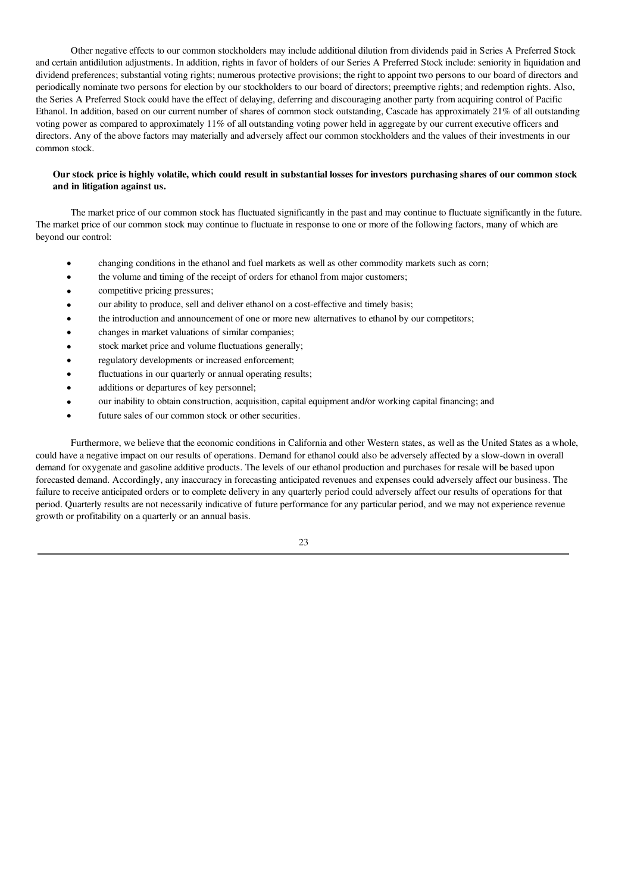Other negative effects to our common stockholders may include additional dilution from dividends paid in Series A Preferred Stock and certain antidilution adjustments. In addition, rights in favor of holders of our Series A Preferred Stock include: seniority in liquidation and dividend preferences; substantial voting rights; numerous protective provisions; the right to appoint two persons to our board of directors and periodically nominate two persons for election by our stockholders to our board of directors; preemptive rights; and redemption rights. Also, the Series A Preferred Stock could have the effect of delaying, deferring and discouraging another party from acquiring control of Pacific Ethanol. In addition, based on our current number of shares of common stock outstanding, Cascade has approximately 21% of all outstanding voting power as compared to approximately 11% of all outstanding voting power held in aggregate by our current executive officers and directors. Any of the above factors may materially and adversely affect our common stockholders and the values of their investments in our common stock.

## Our stock price is highly volatile, which could result in substantial losses for investors purchasing shares of our common stock and in litigation against us.

The market price of our common stock has fluctuated significantly in the past and may continue to fluctuate significantly in the future. The market price of our common stock may continue to fluctuate in response to one or more of the following factors, many of which are beyond our control:

- · changing conditions in the ethanol and fuel markets as well as other commodity markets such as corn;
- the volume and timing of the receipt of orders for ethanol from major customers;
- competitive pricing pressures;
- · our ability to produce, sell and deliver ethanol on a cost-effective and timely basis;
- the introduction and announcement of one or more new alternatives to ethanol by our competitors;
- · changes in market valuations of similar companies;
- · stock market price and volume fluctuations generally;
- regulatory developments or increased enforcement;
- fluctuations in our quarterly or annual operating results;
- · additions or departures of key personnel;
- · our inability to obtain construction, acquisition, capital equipment and/or working capital financing; and
- future sales of our common stock or other securities.

Furthermore, we believe that the economic conditions in California and other Western states, as well as the United States as a whole, could have a negative impact on our results of operations. Demand for ethanol could also be adversely affected by a slow-down in overall demand for oxygenate and gasoline additive products. The levels of our ethanol production and purchases for resale will be based upon forecasted demand. Accordingly, any inaccuracy in forecasting anticipated revenues and expenses could adversely affect our business. The failure to receive anticipated orders or to complete delivery in any quarterly period could adversely affect our results of operations for that period. Quarterly results are not necessarily indicative of future performance for any particular period, and we may not experience revenue growth or profitability on a quarterly or an annual basis.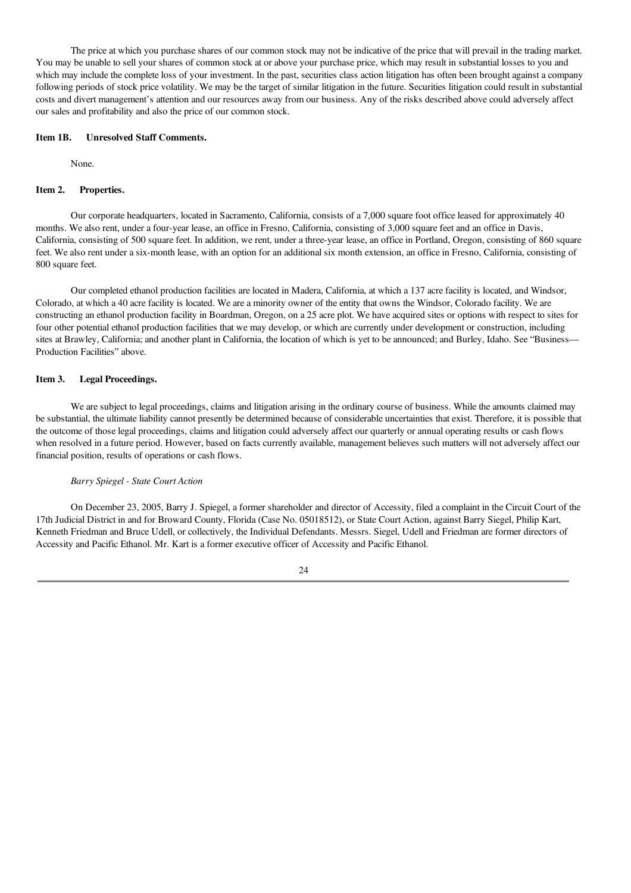The price at which you purchase shares of our common stock may not be indicative of the price that will prevail in the trading market. You may be unable to sell your shares of common stock at or above your purchase price, which may result in substantial losses to you and which may include the complete loss of your investment. In the past, securities class action litigation has often been brought against a company following periods of stock price volatility. We may be the target of similar litigation in the future. Securities litigation could result in substantial costs and divert management's attention and our resources away from our business. Any of the risks described above could adversely affect our sales and profitability and also the price of our common stock.

## Item 1B. Unresolved Staff Comments.

None.

## Item 2. Properties.

Our corporate headquarters, located in Sacramento, California, consists of a 7,000 square foot office leased for approximately 40 months. We also rent, under a four-year lease, an office in Fresno, California, consisting of 3,000 square feet and an office in Davis, California, consisting of 500 square feet. In addition, we rent, under a three-year lease, an office in Portland, Oregon, consisting of 860 square feet. We also rent under a six-month lease, with an option for an additional six month extension, an office in Fresno, California, consisting of 800 square feet.

Our completed ethanol production facilities are located in Madera, California, at which a 137 acre facility is located, and Windsor, Colorado, at which a 40 acre facility is located. We are a minority owner of the entity that owns the Windsor, Colorado facility. We are constructing an ethanol production facility in Boardman, Oregon, on a 25 acre plot. We have acquired sites or options with respect to sites for four other potential ethanol production facilities that we may develop, or which are currently under development or construction, including sites at Brawley, California; and another plant in California, the location of which is yet to be announced; and Burley, Idaho. See "Business— Production Facilities" above.

## Item 3. Legal Proceedings.

We are subject to legal proceedings, claims and litigation arising in the ordinary course of business. While the amounts claimed may be substantial, the ultimate liability cannot presently be determined because of considerable uncertainties that exist. Therefore, it is possible that the outcome of those legal proceedings, claims and litigation could adversely affect our quarterly or annual operating results or cash flows when resolved in a future period. However, based on facts currently available, management believes such matters will not adversely affect our financial position, results of operations or cash flows.

## *Barry Spiegel - State Court Action*

On December 23, 2005, Barry J. Spiegel, a former shareholder and director of Accessity, filed a complaint in the Circuit Court of the 17th Judicial District in and for Broward County, Florida (Case No. 05018512), or State Court Action, against Barry Siegel, Philip Kart, Kenneth Friedman and Bruce Udell, or collectively, the Individual Defendants. Messrs. Siegel, Udell and Friedman are former directors of Accessity and Pacific Ethanol. Mr. Kart is a former executive officer of Accessity and Pacific Ethanol.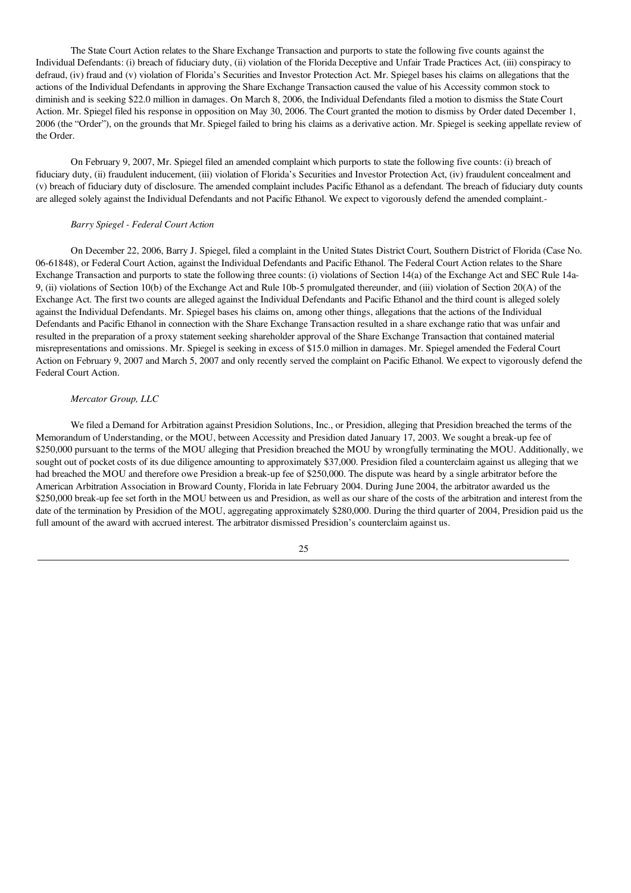The State Court Action relates to the Share Exchange Transaction and purports to state the following five counts against the Individual Defendants: (i) breach of fiduciary duty, (ii) violation of the Florida Deceptive and Unfair Trade Practices Act, (iii) conspiracy to defraud, (iv) fraud and (v) violation of Florida's Securities and Investor Protection Act. Mr. Spiegel bases his claims on allegations that the actions of the Individual Defendants in approving the Share Exchange Transaction caused the value of his Accessity common stock to diminish and is seeking \$22.0 million in damages. On March 8, 2006, the Individual Defendants filed a motion to dismiss the State Court Action. Mr. Spiegel filed his response in opposition on May 30, 2006. The Court granted the motion to dismiss by Order dated December 1, 2006 (the "Order"), on the grounds that Mr. Spiegel failed to bring his claims as a derivative action. Mr. Spiegel is seeking appellate review of the Order.

On February 9, 2007, Mr. Spiegel filed an amended complaint which purports to state the following five counts: (i) breach of fiduciary duty, (ii) fraudulent inducement, (iii) violation of Florida's Securities and Investor Protection Act, (iv) fraudulent concealment and (v) breach of fiduciary duty of disclosure. The amended complaint includes Pacific Ethanol as a defendant. The breach of fiduciary duty counts are alleged solely against the Individual Defendants and not Pacific Ethanol. We expect to vigorously defend the amended complaint.-

### *Barry Spiegel - Federal Court Action*

On December 22, 2006, Barry J. Spiegel, filed a complaint in the United States District Court, Southern District of Florida (Case No. 06-61848), or Federal Court Action, against the Individual Defendants and Pacific Ethanol. The Federal Court Action relates to the Share Exchange Transaction and purports to state the following three counts: (i) violations of Section 14(a) of the Exchange Act and SEC Rule 14a-9, (ii) violations of Section 10(b) of the Exchange Act and Rule 10b-5 promulgated thereunder, and (iii) violation of Section 20(A) of the Exchange Act. The first two counts are alleged against the Individual Defendants and Pacific Ethanol and the third count is alleged solely against the Individual Defendants. Mr. Spiegel bases his claims on, among other things, allegations that the actions of the Individual Defendants and Pacific Ethanol in connection with the Share Exchange Transaction resulted in a share exchange ratio that was unfair and resulted in the preparation of a proxy statement seeking shareholder approval of the Share Exchange Transaction that contained material misrepresentations and omissions. Mr. Spiegel is seeking in excess of \$15.0 million in damages. Mr. Spiegel amended the Federal Court Action on February 9, 2007 and March 5, 2007 and only recently served the complaint on Pacific Ethanol. We expect to vigorously defend the Federal Court Action.

## *Mercator Group, LLC*

We filed a Demand for Arbitration against Presidion Solutions, Inc., or Presidion, alleging that Presidion breached the terms of the Memorandum of Understanding, or the MOU, between Accessity and Presidion dated January 17, 2003. We sought a break-up fee of \$250,000 pursuant to the terms of the MOU alleging that Presidion breached the MOU by wrongfully terminating the MOU. Additionally, we sought out of pocket costs of its due diligence amounting to approximately \$37,000. Presidion filed a counterclaim against us alleging that we had breached the MOU and therefore owe Presidion a break-up fee of \$250,000. The dispute was heard by a single arbitrator before the American Arbitration Association in Broward County, Florida in late February 2004. During June 2004, the arbitrator awarded us the \$250,000 break-up fee set forth in the MOU between us and Presidion, as well as our share of the costs of the arbitration and interest from the date of the termination by Presidion of the MOU, aggregating approximately \$280,000. During the third quarter of 2004, Presidion paid us the full amount of the award with accrued interest. The arbitrator dismissed Presidion's counterclaim against us.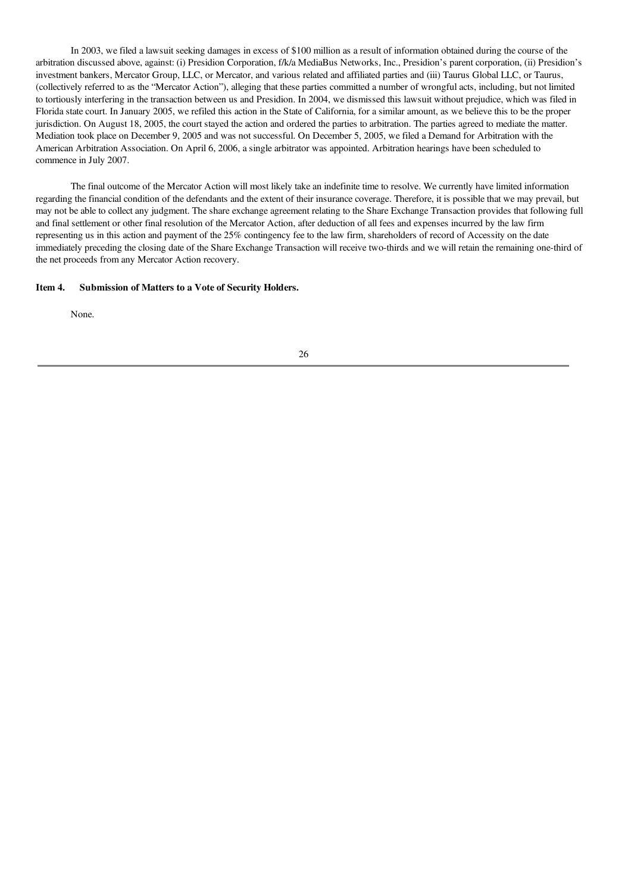In 2003, we filed a lawsuit seeking damages in excess of \$100 million as a result of information obtained during the course of the arbitration discussed above, against: (i) Presidion Corporation, f/k/a MediaBus Networks, Inc., Presidion's parent corporation, (ii) Presidion's investment bankers, Mercator Group, LLC, or Mercator, and various related and affiliated parties and (iii) Taurus Global LLC, or Taurus, (collectively referred to as the "Mercator Action"), alleging that these parties committed a number of wrongful acts, including, but not limited to tortiously interfering in the transaction between us and Presidion. In 2004, we dismissed this lawsuit without prejudice, which was filed in Florida state court. In January 2005, we refiled this action in the State of California, for a similar amount, as we believe this to be the proper jurisdiction. On August 18, 2005, the court stayed the action and ordered the parties to arbitration. The parties agreed to mediate the matter. Mediation took place on December 9, 2005 and was not successful. On December 5, 2005, we filed a Demand for Arbitration with the American Arbitration Association. On April 6, 2006, a single arbitrator was appointed. Arbitration hearings have been scheduled to commence in July 2007.

The final outcome of the Mercator Action will most likely take an indefinite time to resolve. We currently have limited information regarding the financial condition of the defendants and the extent of their insurance coverage. Therefore, it is possible that we may prevail, but may not be able to collect any judgment. The share exchange agreement relating to the Share Exchange Transaction provides that following full and final settlement or other final resolution of the Mercator Action, after deduction of all fees and expenses incurred by the law firm representing us in this action and payment of the 25% contingency fee to the law firm, shareholders of record of Accessity on the date immediately preceding the closing date of the Share Exchange Transaction will receive two-thirds and we will retain the remaining one-third of the net proceeds from any Mercator Action recovery.

#### Item 4. Submission of Matters to a Vote of Security Holders.

None.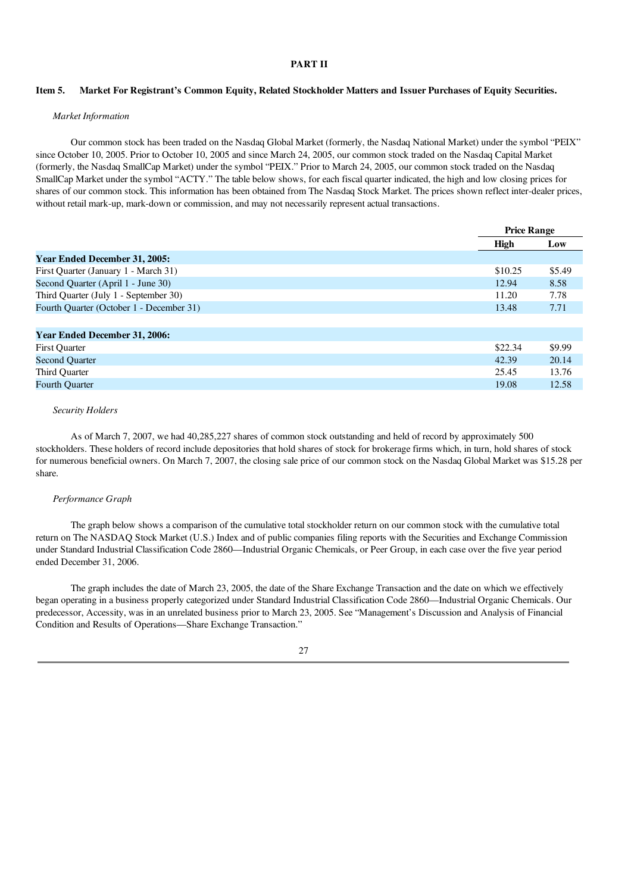# PART II

## Item 5. Market For Registrant's Common Equity, Related Stockholder Matters and Issuer Purchases of Equity Securities.

#### *Market Information*

Our common stock has been traded on the Nasdaq Global Market (formerly, the Nasdaq National Market) under the symbol "PEIX" since October 10, 2005. Prior to October 10, 2005 and since March 24, 2005, our common stock traded on the Nasdaq Capital Market (formerly, the Nasdaq SmallCap Market) under the symbol "PEIX." Prior to March 24, 2005, our common stock traded on the Nasdaq SmallCap Market under the symbol "ACTY." The table below shows, for each fiscal quarter indicated, the high and low closing prices for shares of our common stock. This information has been obtained from The Nasdaq Stock Market. The prices shown reflect inter-dealer prices, without retail mark-up, mark-down or commission, and may not necessarily represent actual transactions.

|                                          | <b>Price Range</b> |        |
|------------------------------------------|--------------------|--------|
|                                          | <b>High</b>        | Low    |
| Year Ended December 31, 2005:            |                    |        |
| First Quarter (January 1 - March 31)     | \$10.25            | \$5.49 |
| Second Quarter (April 1 - June 30)       | 12.94              | 8.58   |
| Third Quarter (July 1 - September 30)    | 11.20              | 7.78   |
| Fourth Quarter (October 1 - December 31) | 13.48              | 7.71   |
|                                          |                    |        |
| Year Ended December 31, 2006:            |                    |        |
| <b>First Quarter</b>                     | \$22.34            | \$9.99 |
| <b>Second Quarter</b>                    | 42.39              | 20.14  |
| Third Quarter                            | 25.45              | 13.76  |
| <b>Fourth Quarter</b>                    | 19.08              | 12.58  |
|                                          |                    |        |

#### *Security Holders*

As of March 7, 2007, we had 40,285,227 shares of common stock outstanding and held of record by approximately 500 stockholders. These holders of record include depositories that hold shares of stock for brokerage firms which, in turn, hold shares of stock for numerous beneficial owners. On March 7, 2007, the closing sale price of our common stock on the Nasdaq Global Market was \$15.28 per share.

#### *Performance Graph*

The graph below shows a comparison of the cumulative total stockholder return on our common stock with the cumulative total return on The NASDAQ Stock Market (U.S.) Index and of public companies filing reports with the Securities and Exchange Commission under Standard Industrial Classification Code 2860—Industrial Organic Chemicals, or Peer Group, in each case over the five year period ended December 31, 2006.

The graph includes the date of March 23, 2005, the date of the Share Exchange Transaction and the date on which we effectively began operating in a business properly categorized under Standard Industrial Classification Code 2860—Industrial Organic Chemicals. Our predecessor, Accessity, was in an unrelated business prior to March 23, 2005. See "Management's Discussion and Analysis of Financial Condition and Results of Operations—Share Exchange Transaction."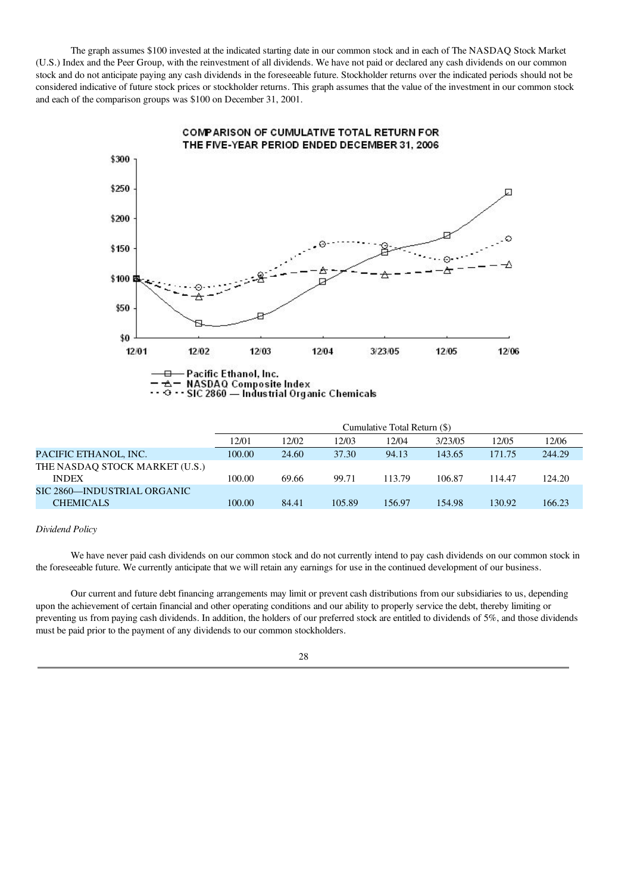The graph assumes \$100 invested at the indicated starting date in our common stock and in each of The NASDAQ Stock Market (U.S.) Index and the Peer Group, with the reinvestment of all dividends. We have not paid or declared any cash dividends on our common stock and do not anticipate paying any cash dividends in the foreseeable future. Stockholder returns over the indicated periods should not be considered indicative of future stock prices or stockholder returns. This graph assumes that the value of the investment in our common stock and each of the comparison groups was \$100 on December 31, 2001.

COMPARISON OF CUMULATIVE TOTAL RETURN FOR



→<br>→ NASDAQ Composite Index<br>→ → SIC 2860 — Industrial Organic Chemicals

|                                | Cumulative Total Return (\$) |       |        |        |         |        |        |
|--------------------------------|------------------------------|-------|--------|--------|---------|--------|--------|
|                                | 12/01                        | 12/02 | 12/03  | 12/04  | 3/23/05 | 12/05  | 12/06  |
| PACIFIC ETHANOL, INC.          | 100.00                       | 24.60 | 37.30  | 94.13  | 143.65  | 171.75 | 244.29 |
| THE NASDAO STOCK MARKET (U.S.) |                              |       |        |        |         |        |        |
| <b>INDEX</b>                   | 100.00                       | 69.66 | 99.71  | 113.79 | 106.87  | 114.47 | 124.20 |
| SIC 2860—INDUSTRIAL ORGANIC    |                              |       |        |        |         |        |        |
| <b>CHEMICALS</b>               | 100.00                       | 84.41 | 105.89 | 156.97 | 154.98  | 130.92 | 166.23 |
|                                |                              |       |        |        |         |        |        |

## *Dividend Policy*

We have never paid cash dividends on our common stock and do not currently intend to pay cash dividends on our common stock in the foreseeable future. We currently anticipate that we will retain any earnings for use in the continued development of our business.

Our current and future debt financing arrangements may limit or prevent cash distributions from our subsidiaries to us, depending upon the achievement of certain financial and other operating conditions and our ability to properly service the debt, thereby limiting or preventing us from paying cash dividends. In addition, the holders of our preferred stock are entitled to dividends of 5%, and those dividends must be paid prior to the payment of any dividends to our common stockholders.

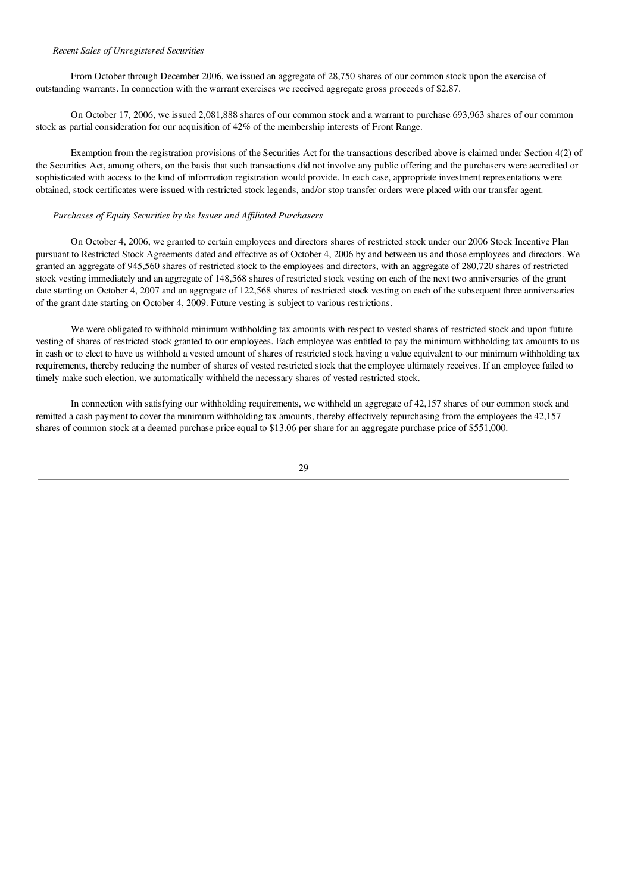#### *Recent Sales of Unregistered Securities*

From October through December 2006, we issued an aggregate of 28,750 shares of our common stock upon the exercise of outstanding warrants. In connection with the warrant exercises we received aggregate gross proceeds of \$2.87.

On October 17, 2006, we issued 2,081,888 shares of our common stock and a warrant to purchase 693,963 shares of our common stock as partial consideration for our acquisition of 42% of the membership interests of Front Range.

Exemption from the registration provisions of the Securities Act for the transactions described above is claimed under Section 4(2) of the Securities Act, among others, on the basis that such transactions did not involve any public offering and the purchasers were accredited or sophisticated with access to the kind of information registration would provide. In each case, appropriate investment representations were obtained, stock certificates were issued with restricted stock legends, and/or stop transfer orders were placed with our transfer agent.

#### *Purchases of Equity Securities by the Issuer and Af iliated Purchasers*

On October 4, 2006, we granted to certain employees and directors shares of restricted stock under our 2006 Stock Incentive Plan pursuant to Restricted Stock Agreements dated and effective as of October 4, 2006 by and between us and those employees and directors. We granted an aggregate of 945,560 shares of restricted stock to the employees and directors, with an aggregate of 280,720 shares of restricted stock vesting immediately and an aggregate of 148,568 shares of restricted stock vesting on each of the next two anniversaries of the grant date starting on October 4, 2007 and an aggregate of 122,568 shares of restricted stock vesting on each of the subsequent three anniversaries of the grant date starting on October 4, 2009. Future vesting is subject to various restrictions.

We were obligated to withhold minimum withholding tax amounts with respect to vested shares of restricted stock and upon future vesting of shares of restricted stock granted to our employees. Each employee was entitled to pay the minimum withholding tax amounts to us in cash or to elect to have us withhold a vested amount of shares of restricted stock having a value equivalent to our minimum withholding tax requirements, thereby reducing the number of shares of vested restricted stock that the employee ultimately receives. If an employee failed to timely make such election, we automatically withheld the necessary shares of vested restricted stock.

In connection with satisfying our withholding requirements, we withheld an aggregate of 42,157 shares of our common stock and remitted a cash payment to cover the minimum withholding tax amounts, thereby effectively repurchasing from the employees the 42,157 shares of common stock at a deemed purchase price equal to \$13.06 per share for an aggregate purchase price of \$551,000.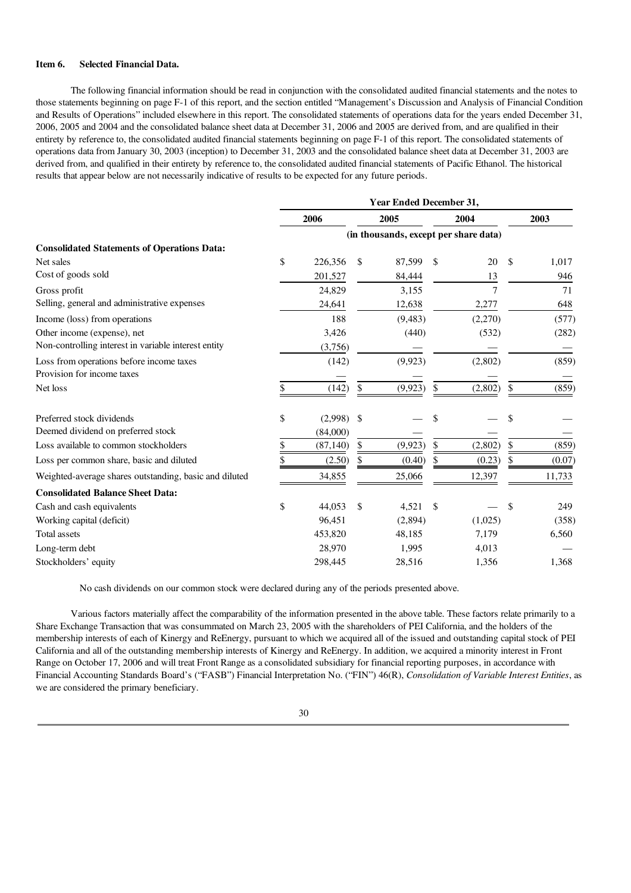## Item 6. Selected Financial Data.

The following financial information should be read in conjunction with the consolidated audited financial statements and the notes to those statements beginning on page F-1 of this report, and the section entitled "Management's Discussion and Analysis of Financial Condition and Results of Operations" included elsewhere in this report. The consolidated statements of operations data for the years ended December 31, 2006, 2005 and 2004 and the consolidated balance sheet data at December 31, 2006 and 2005 are derived from, and are qualified in their entirety by reference to, the consolidated audited financial statements beginning on page F-1 of this report. The consolidated statements of operations data from January 30, 2003 (inception) to December 31, 2003 and the consolidated balance sheet data at December 31, 2003 are derived from, and qualified in their entirety by reference to, the consolidated audited financial statements of Pacific Ethanol. The historical results that appear below are not necessarily indicative of results to be expected for any future periods.

|                                                                        | Year Ended December 31,               |           |     |          |              |                |     |        |  |  |
|------------------------------------------------------------------------|---------------------------------------|-----------|-----|----------|--------------|----------------|-----|--------|--|--|
|                                                                        |                                       | 2006      |     | 2005     |              | 2004           |     | 2003   |  |  |
|                                                                        | (in thousands, except per share data) |           |     |          |              |                |     |        |  |  |
| <b>Consolidated Statements of Operations Data:</b>                     |                                       |           |     |          |              |                |     |        |  |  |
| Net sales                                                              | \$                                    | 226,356   | \$  | 87,599   | \$           | 20             | -\$ | 1,017  |  |  |
| Cost of goods sold                                                     |                                       | 201,527   |     | 84,444   |              | 13             |     | 946    |  |  |
| Gross profit                                                           |                                       | 24,829    |     | 3,155    |              | $\overline{7}$ |     | 71     |  |  |
| Selling, general and administrative expenses                           |                                       | 24,641    |     | 12,638   |              | 2,277          |     | 648    |  |  |
| Income (loss) from operations                                          |                                       | 188       |     | (9, 483) |              | (2,270)        |     | (577)  |  |  |
| Other income (expense), net                                            |                                       | 3,426     |     | (440)    |              | (532)          |     | (282)  |  |  |
| Non-controlling interest in variable interest entity                   |                                       | (3,756)   |     |          |              |                |     |        |  |  |
| Loss from operations before income taxes<br>Provision for income taxes |                                       | (142)     |     | (9, 923) |              | (2,802)        |     | (859)  |  |  |
| Net loss                                                               | \$                                    | (142)     | \$  | (9, 923) | $\mathbb{S}$ | (2,802)        | \$  | (859)  |  |  |
| Preferred stock dividends                                              | \$                                    | (2,998)   | -\$ |          | \$           |                | \$  |        |  |  |
| Deemed dividend on preferred stock                                     |                                       | (84,000)  |     |          |              |                |     |        |  |  |
| Loss available to common stockholders                                  | \$                                    | (87, 140) | \$  | (9, 923) | \$           | (2,802)        | S   | (859)  |  |  |
| Loss per common share, basic and diluted                               |                                       | (2.50)    | \$  | (0.40)   | \$           | (0.23)         |     | (0.07) |  |  |
| Weighted-average shares outstanding, basic and diluted                 |                                       | 34,855    |     | 25,066   |              | 12,397         |     | 11,733 |  |  |
| <b>Consolidated Balance Sheet Data:</b>                                |                                       |           |     |          |              |                |     |        |  |  |
| Cash and cash equivalents                                              | \$                                    | 44,053    | \$  | 4,521    | \$           |                | \$  | 249    |  |  |
| Working capital (deficit)                                              |                                       | 96,451    |     | (2,894)  |              | (1,025)        |     | (358)  |  |  |
| <b>Total assets</b>                                                    |                                       | 453,820   |     | 48,185   |              | 7,179          |     | 6,560  |  |  |
| Long-term debt                                                         |                                       | 28,970    |     | 1,995    |              | 4,013          |     |        |  |  |
| Stockholders' equity                                                   |                                       | 298,445   |     | 28,516   |              | 1,356          |     | 1,368  |  |  |

No cash dividends on our common stock were declared during any of the periods presented above.

Various factors materially affect the comparability of the information presented in the above table. These factors relate primarily to a Share Exchange Transaction that was consummated on March 23, 2005 with the shareholders of PEI California, and the holders of the membership interests of each of Kinergy and ReEnergy, pursuant to which we acquired all of the issued and outstanding capital stock of PEI California and all of the outstanding membership interests of Kinergy and ReEnergy. In addition, we acquired a minority interest in Front Range on October 17, 2006 and will treat Front Range as a consolidated subsidiary for financial reporting purposes, in accordance with Financial Accounting Standards Board's ("FASB") Financial Interpretation No. ("FIN") 46(R), *Consolidation of Variable Interest Entities*, as we are considered the primary beneficiary.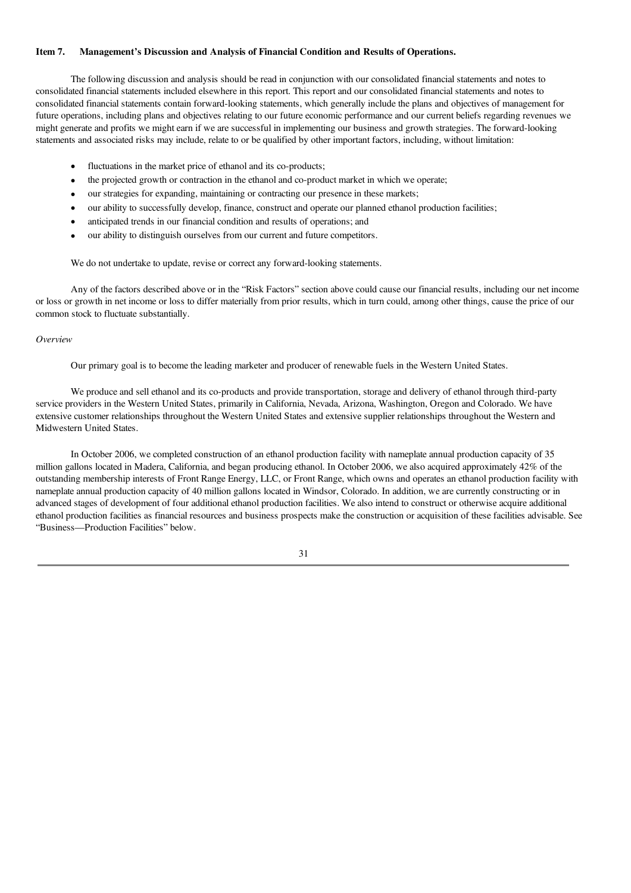## Item 7. Management's Discussion and Analysis of Financial Condition and Results of Operations.

The following discussion and analysis should be read in conjunction with our consolidated financial statements and notes to consolidated financial statements included elsewhere in this report. This report and our consolidated financial statements and notes to consolidated financial statements contain forward-looking statements, which generally include the plans and objectives of management for future operations, including plans and objectives relating to our future economic performance and our current beliefs regarding revenues we might generate and profits we might earn if we are successful in implementing our business and growth strategies. The forward-looking statements and associated risks may include, relate to or be qualified by other important factors, including, without limitation:

- fluctuations in the market price of ethanol and its co-products;
- the projected growth or contraction in the ethanol and co-product market in which we operate;
- our strategies for expanding, maintaining or contracting our presence in these markets;
- our ability to successfully develop, finance, construct and operate our planned ethanol production facilities;
- anticipated trends in our financial condition and results of operations; and
- our ability to distinguish ourselves from our current and future competitors.

We do not undertake to update, revise or correct any forward-looking statements.

Any of the factors described above or in the "Risk Factors" section above could cause our financial results, including our net income or loss or growth in net income or loss to differ materially from prior results, which in turn could, among other things, cause the price of our common stock to fluctuate substantially.

#### *Overview*

Our primary goal is to become the leading marketer and producer of renewable fuels in the Western United States.

We produce and sell ethanol and its co-products and provide transportation, storage and delivery of ethanol through third-party service providers in the Western United States, primarily in California, Nevada, Arizona, Washington, Oregon and Colorado. We have extensive customer relationships throughout the Western United States and extensive supplier relationships throughout the Western and Midwestern United States.

In October 2006, we completed construction of an ethanol production facility with nameplate annual production capacity of 35 million gallons located in Madera, California, and began producing ethanol. In October 2006, we also acquired approximately 42% of the outstanding membership interests of Front Range Energy, LLC, or Front Range, which owns and operates an ethanol production facility with nameplate annual production capacity of 40 million gallons located in Windsor, Colorado. In addition, we are currently constructing or in advanced stages of development of four additional ethanol production facilities. We also intend to construct or otherwise acquire additional ethanol production facilities as financial resources and business prospects make the construction or acquisition of these facilities advisable. See "Business—Production Facilities" below.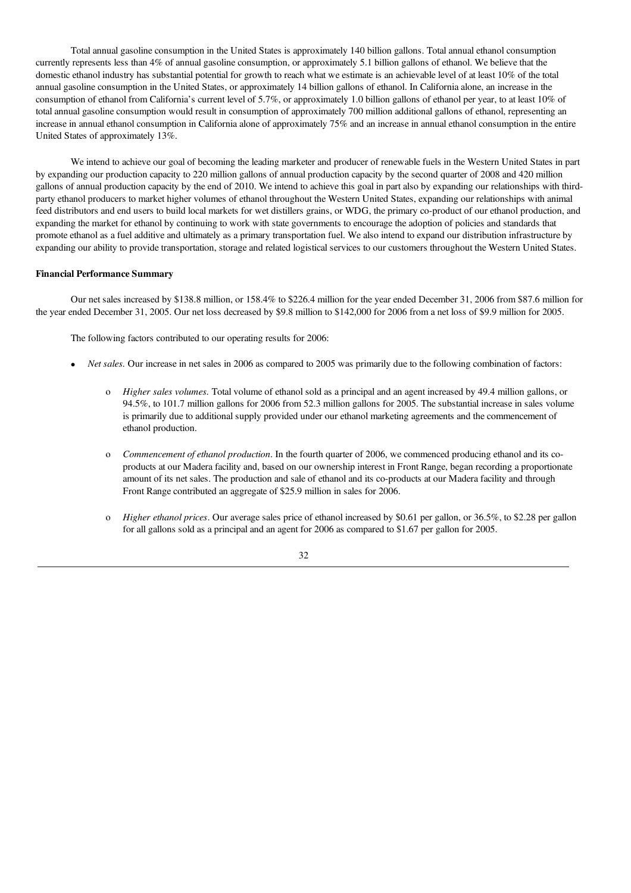Total annual gasoline consumption in the United States is approximately 140 billion gallons. Total annual ethanol consumption currently represents less than 4% of annual gasoline consumption, or approximately 5.1 billion gallons of ethanol. We believe that the domestic ethanol industry has substantial potential for growth to reach what we estimate is an achievable level of at least 10% of the total annual gasoline consumption in the United States, or approximately 14 billion gallons of ethanol. In California alone, an increase in the consumption of ethanol from California's current level of 5.7%, or approximately 1.0 billion gallons of ethanol per year, to at least 10% of total annual gasoline consumption would result in consumption of approximately 700 million additional gallons of ethanol, representing an increase in annual ethanol consumption in California alone of approximately 75% and an increase in annual ethanol consumption in the entire United States of approximately 13%.

We intend to achieve our goal of becoming the leading marketer and producer of renewable fuels in the Western United States in part by expanding our production capacity to 220 million gallons of annual production capacity by the second quarter of 2008 and 420 million gallons of annual production capacity by the end of 2010. We intend to achieve this goal in part also by expanding our relationships with thirdparty ethanol producers to market higher volumes of ethanol throughout the Western United States, expanding our relationships with animal feed distributors and end users to build local markets for wet distillers grains, or WDG, the primary co-product of our ethanol production, and expanding the market for ethanol by continuing to work with state governments to encourage the adoption of policies and standards that promote ethanol as a fuel additive and ultimately as a primary transportation fuel. We also intend to expand our distribution infrastructure by expanding our ability to provide transportation, storage and related logistical services to our customers throughout the Western United States.

## Financial Performance Summary

Our net sales increased by \$138.8 million, or 158.4% to \$226.4 million for the year ended December 31, 2006 from \$87.6 million for the year ended December 31, 2005. Our net loss decreased by \$9.8 million to \$142,000 for 2006 from a net loss of \$9.9 million for 2005.

The following factors contributed to our operating results for 2006:

- *Net sales.* Our increase in net sales in 2006 as compared to 2005 was primarily due to the following combination of factors:
	- o *Higher sales volumes.* Total volume of ethanol sold as a principal and an agent increased by 49.4 million gallons, or 94.5%, to 101.7 million gallons for 2006 from 52.3 million gallons for 2005. The substantial increase in sales volume is primarily due to additional supply provided under our ethanol marketing agreements and the commencement of ethanol production.
	- o *Commencement of ethanol production*. In the fourth quarter of 2006, we commenced producing ethanol and its coproducts at our Madera facility and, based on our ownership interest in Front Range, began recording a proportionate amount of its net sales. The production and sale of ethanol and its co-products at our Madera facility and through Front Range contributed an aggregate of \$25.9 million in sales for 2006.
	- o *Higher ethanol prices*. Our average sales price of ethanol increased by \$0.61 per gallon, or 36.5%, to \$2.28 per gallon for all gallons sold as a principal and an agent for 2006 as compared to \$1.67 per gallon for 2005.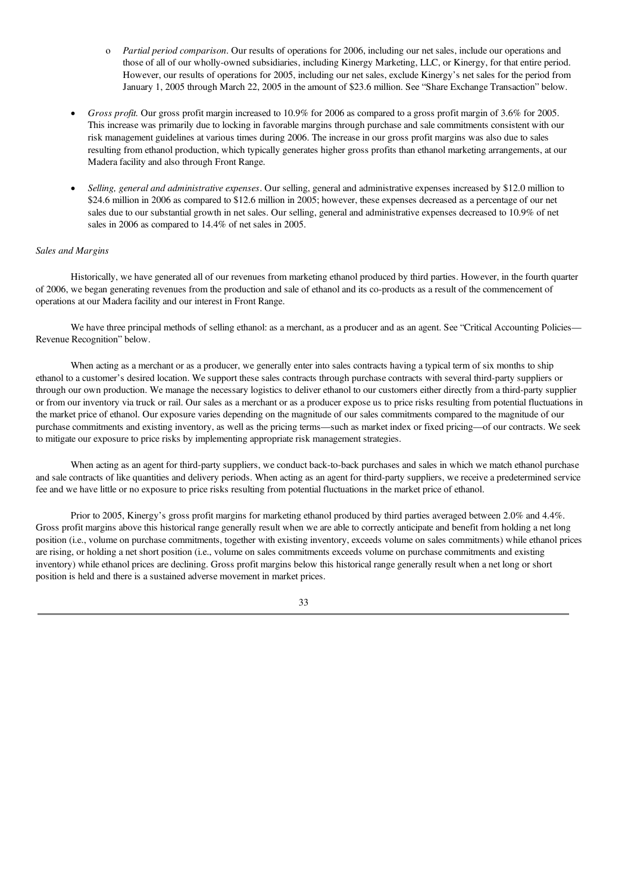- o *Partial period comparison*. Our results of operations for 2006, including our net sales, include our operations and those of all of our wholly-owned subsidiaries, including Kinergy Marketing, LLC, or Kinergy, for that entire period. However, our results of operations for 2005, including our net sales, exclude Kinergy's net sales for the period from January 1, 2005 through March 22, 2005 in the amount of \$23.6 million. See "Share Exchange Transaction" below.
- · *Gross profit.* Our gross profit margin increased to 10.9% for 2006 as compared to a gross profit margin of 3.6% for 2005. This increase was primarily due to locking in favorable margins through purchase and sale commitments consistent with our risk management guidelines at various times during 2006. The increase in our gross profit margins was also due to sales resulting from ethanol production, which typically generates higher gross profits than ethanol marketing arrangements, at our Madera facility and also through Front Range.
- · *Selling, general and administrative expenses*. Our selling, general and administrative expenses increased by \$12.0 million to \$24.6 million in 2006 as compared to \$12.6 million in 2005; however, these expenses decreased as a percentage of our net sales due to our substantial growth in net sales. Our selling, general and administrative expenses decreased to 10.9% of net sales in 2006 as compared to 14.4% of net sales in 2005.

## *Sales and Margins*

Historically, we have generated all of our revenues from marketing ethanol produced by third parties. However, in the fourth quarter of 2006, we began generating revenues from the production and sale of ethanol and its co-products as a result of the commencement of operations at our Madera facility and our interest in Front Range.

We have three principal methods of selling ethanol: as a merchant, as a producer and as an agent. See "Critical Accounting Policies— Revenue Recognition" below.

When acting as a merchant or as a producer, we generally enter into sales contracts having a typical term of six months to ship ethanol to a customer's desired location. We support these sales contracts through purchase contracts with several third-party suppliers or through our own production. We manage the necessary logistics to deliver ethanol to our customers either directly from a third-party supplier or from our inventory via truck or rail. Our sales as a merchant or as a producer expose us to price risks resulting from potential fluctuations in the market price of ethanol. Our exposure varies depending on the magnitude of our sales commitments compared to the magnitude of our purchase commitments and existing inventory, as well as the pricing terms—such as market index or fixed pricing—of our contracts. We seek to mitigate our exposure to price risks by implementing appropriate risk management strategies.

When acting as an agent for third-party suppliers, we conduct back-to-back purchases and sales in which we match ethanol purchase and sale contracts of like quantities and delivery periods. When acting as an agent for third-party suppliers, we receive a predetermined service fee and we have little or no exposure to price risks resulting from potential fluctuations in the market price of ethanol.

Prior to 2005, Kinergy's gross profit margins for marketing ethanol produced by third parties averaged between 2.0% and 4.4%. Gross profit margins above this historical range generally result when we are able to correctly anticipate and benefit from holding a net long position (i.e., volume on purchase commitments, together with existing inventory, exceeds volume on sales commitments) while ethanol prices are rising, or holding a net short position (i.e., volume on sales commitments exceeds volume on purchase commitments and existing inventory) while ethanol prices are declining. Gross profit margins below this historical range generally result when a net long or short position is held and there is a sustained adverse movement in market prices.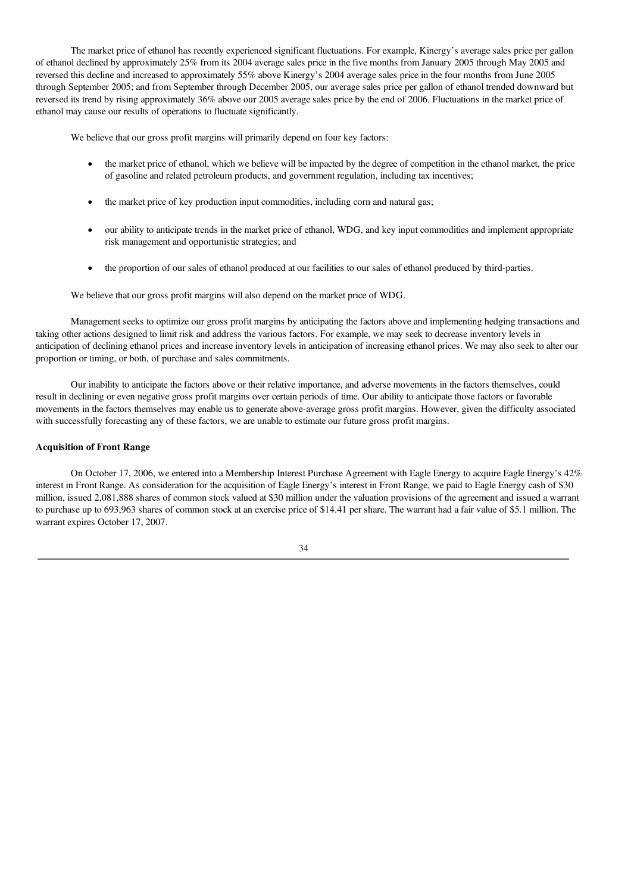The market price of ethanol has recently experienced significant fluctuations. For example, Kinergy's average sales price per gallon of ethanol declined by approximately 25% from its 2004 average sales price in the five months from January 2005 through May 2005 and reversed this decline and increased to approximately 55% above Kinergy's 2004 average sales price in the four months from June 2005 through September 2005; and from September through December 2005, our average sales price per gallon of ethanol trended downward but reversed its trend by rising approximately 36% above our 2005 average sales price by the end of 2006. Fluctuations in the market price of ethanol may cause our results of operations to fluctuate significantly.

We believe that our gross profit margins will primarily depend on four key factors:

- · the market price of ethanol, which we believe will be impacted by the degree of competition in the ethanol market, the price of gasoline and related petroleum products, and government regulation, including tax incentives;
- the market price of key production input commodities, including corn and natural gas;
- our ability to anticipate trends in the market price of ethanol, WDG, and key input commodities and implement appropriate risk management and opportunistic strategies; and
- · the proportion of our sales of ethanol produced at our facilities to our sales of ethanol produced by third-parties.

We believe that our gross profit margins will also depend on the market price of WDG.

Management seeks to optimize our gross profit margins by anticipating the factors above and implementing hedging transactions and taking other actions designed to limit risk and address the various factors. For example, we may seek to decrease inventory levels in anticipation of declining ethanol prices and increase inventory levels in anticipation of increasing ethanol prices. We may also seek to alter our proportion or timing, or both, of purchase and sales commitments.

Our inability to anticipate the factors above or their relative importance, and adverse movements in the factors themselves, could result in declining or even negative gross profit margins over certain periods of time. Our ability to anticipate those factors or favorable movements in the factors themselves may enable us to generate above-average gross profit margins. However, given the difficulty associated with successfully forecasting any of these factors, we are unable to estimate our future gross profit margins.

### Acquisition of Front Range

On October 17, 2006, we entered into a Membership Interest Purchase Agreement with Eagle Energy to acquire Eagle Energy's 42% interest in Front Range. As consideration for the acquisition of Eagle Energy's interest in Front Range, we paid to Eagle Energy cash of \$30 million, issued 2,081,888 shares of common stock valued at \$30 million under the valuation provisions of the agreement and issued a warrant to purchase up to 693,963 shares of common stock at an exercise price of \$14.41 per share. The warrant had a fair value of \$5.1 million. The warrant expires October 17, 2007.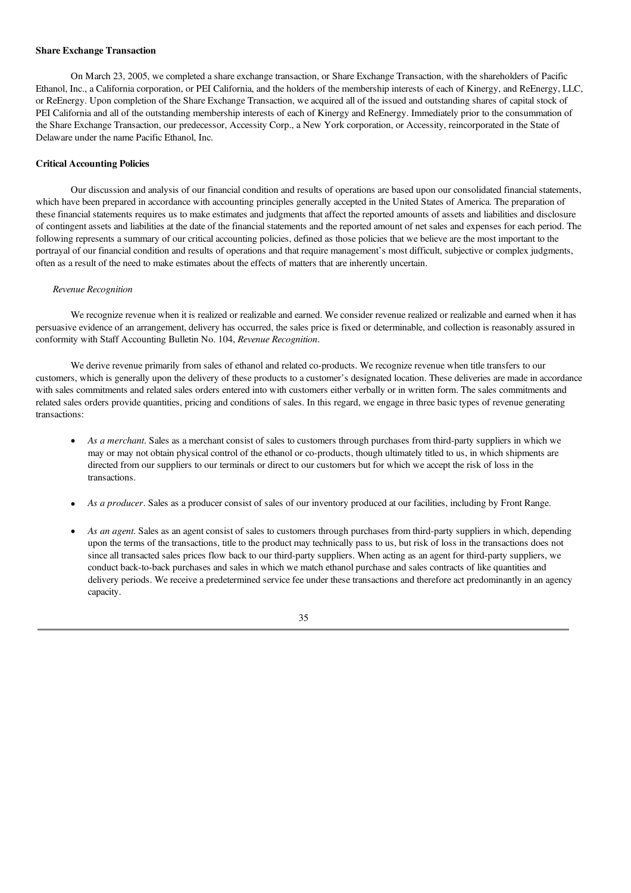#### Share Exchange Transaction

On March 23, 2005, we completed a share exchange transaction, or Share Exchange Transaction, with the shareholders of Pacific Ethanol, Inc., a California corporation, or PEI California, and the holders of the membership interests of each of Kinergy, and ReEnergy, LLC, or ReEnergy. Upon completion of the Share Exchange Transaction, we acquired all of the issued and outstanding shares of capital stock of PEI California and all of the outstanding membership interests of each of Kinergy and ReEnergy. Immediately prior to the consummation of the Share Exchange Transaction, our predecessor, Accessity Corp., a New York corporation, or Accessity, reincorporated in the State of Delaware under the name Pacific Ethanol, Inc.

### Critical Accounting Policies

Our discussion and analysis of our financial condition and results of operations are based upon our consolidated financial statements, which have been prepared in accordance with accounting principles generally accepted in the United States of America. The preparation of these financial statements requires us to make estimates and judgments that affect the reported amounts of assets and liabilities and disclosure of contingent assets and liabilities at the date of the financial statements and the reported amount of net sales and expenses for each period. The following represents a summary of our critical accounting policies, defined as those policies that we believe are the most important to the portrayal of our financial condition and results of operations and that require management's most difficult, subjective or complex judgments, often as a result of the need to make estimates about the effects of matters that are inherently uncertain.

#### *Revenue Recognition*

We recognize revenue when it is realized or realizable and earned. We consider revenue realized or realizable and earned when it has persuasive evidence of an arrangement, delivery has occurred, the sales price is fixed or determinable, and collection is reasonably assured in conformity with Staff Accounting Bulletin No. 104, *Revenue Recognition*.

We derive revenue primarily from sales of ethanol and related co-products. We recognize revenue when title transfers to our customers, which is generally upon the delivery of these products to a customer's designated location. These deliveries are made in accordance with sales commitments and related sales orders entered into with customers either verbally or in written form. The sales commitments and related sales orders provide quantities, pricing and conditions of sales. In this regard, we engage in three basic types of revenue generating transactions:

- As *a merchant*. Sales as a merchant consist of sales to customers through purchases from third-party suppliers in which we may or may not obtain physical control of the ethanol or co-products, though ultimately titled to us, in which shipments are directed from our suppliers to our terminals or direct to our customers but for which we accept the risk of loss in the transactions.
- As *a producer*. Sales as a producer consist of sales of our inventory produced at our facilities, including by Front Range.
- *As an agent*. Sales as an agent consist of sales to customers through purchases from third-party suppliers in which, depending upon the terms of the transactions, title to the product may technically pass to us, but risk of loss in the transactions does not since all transacted sales prices flow back to our third-party suppliers. When acting as an agent for third-party suppliers, we conduct back-to-back purchases and sales in which we match ethanol purchase and sales contracts of like quantities and delivery periods. We receive a predetermined service fee under these transactions and therefore act predominantly in an agency capacity.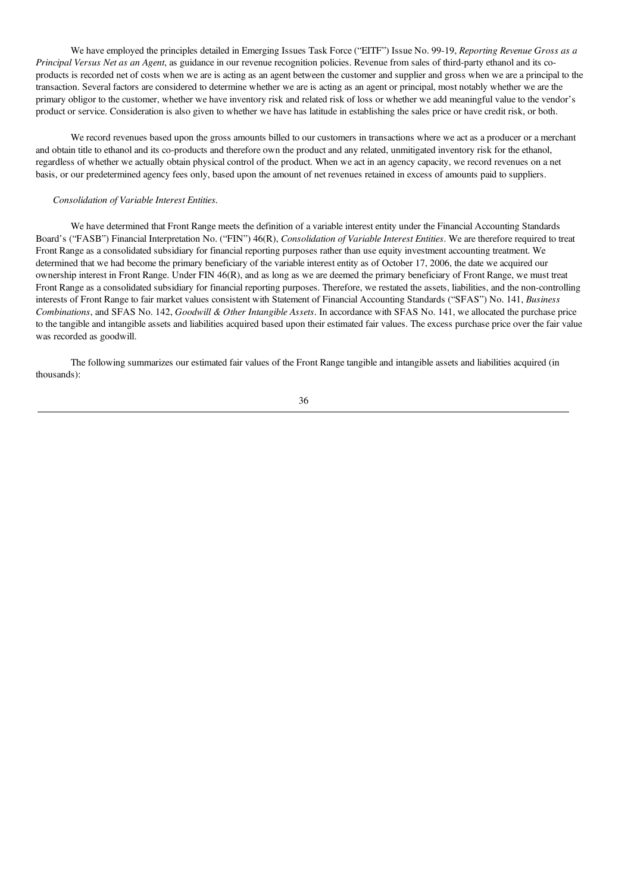We have employed the principles detailed in Emerging Issues Task Force ("EITF") Issue No. 99-19, *Reporting Revenue Gross as a Principal Versus Net as an Agent*, as guidance in our revenue recognition policies. Revenue from sales of third-party ethanol and its coproducts is recorded net of costs when we are is acting as an agent between the customer and supplier and gross when we are a principal to the transaction. Several factors are considered to determine whether we are is acting as an agent or principal, most notably whether we are the primary obligor to the customer, whether we have inventory risk and related risk of loss or whether we add meaningful value to the vendor's product or service. Consideration is also given to whether we have has latitude in establishing the sales price or have credit risk, or both.

We record revenues based upon the gross amounts billed to our customers in transactions where we act as a producer or a merchant and obtain title to ethanol and its co-products and therefore own the product and any related, unmitigated inventory risk for the ethanol, regardless of whether we actually obtain physical control of the product. When we act in an agency capacity, we record revenues on a net basis, or our predetermined agency fees only, based upon the amount of net revenues retained in excess of amounts paid to suppliers.

#### *Consolidation of Variable Interest Entities.*

We have determined that Front Range meets the definition of a variable interest entity under the Financial Accounting Standards Board's ("FASB") Financial Interpretation No. ("FIN") 46(R), *Consolidation of Variable Interest Entities*. We are therefore required to treat Front Range as a consolidated subsidiary for financial reporting purposes rather than use equity investment accounting treatment. We determined that we had become the primary beneficiary of the variable interest entity as of October 17, 2006, the date we acquired our ownership interest in Front Range. Under FIN 46(R), and as long as we are deemed the primary beneficiary of Front Range, we must treat Front Range as a consolidated subsidiary for financial reporting purposes. Therefore, we restated the assets, liabilities, and the non-controlling interests of Front Range to fair market values consistent with Statement of Financial Accounting Standards ("SFAS") No. 141, *Business Combinations*, and SFAS No. 142, *Goodwill & Other Intangible Assets*. In accordance with SFAS No. 141, we allocated the purchase price to the tangible and intangible assets and liabilities acquired based upon their estimated fair values. The excess purchase price over the fair value was recorded as goodwill.

The following summarizes our estimated fair values of the Front Range tangible and intangible assets and liabilities acquired (in thousands):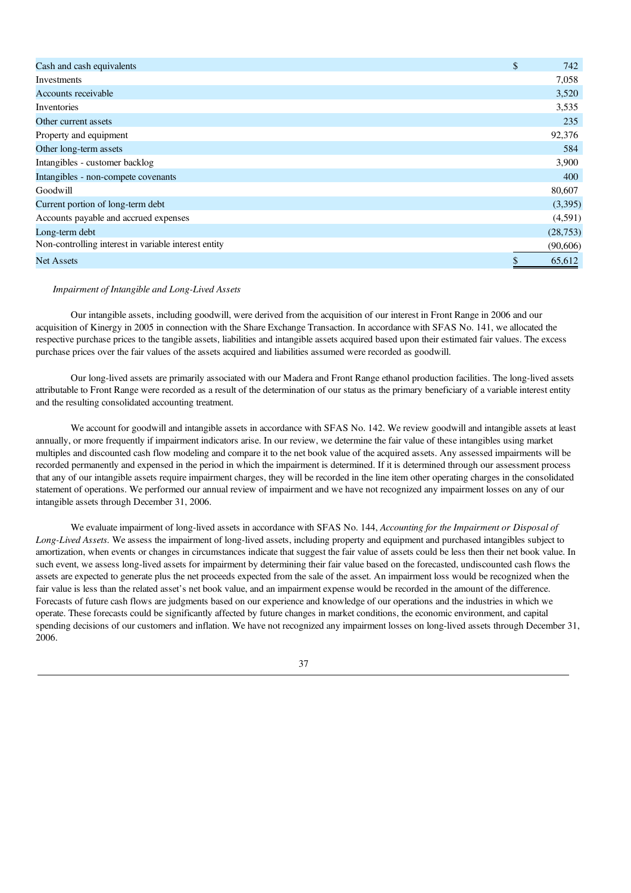| Cash and cash equivalents                            | \$<br>742    |
|------------------------------------------------------|--------------|
| Investments                                          | 7,058        |
| Accounts receivable                                  | 3,520        |
| Inventories                                          | 3,535        |
| Other current assets                                 | 235          |
| Property and equipment                               | 92,376       |
| Other long-term assets                               | 584          |
| Intangibles - customer backlog                       | 3,900        |
| Intangibles - non-compete covenants                  | 400          |
| Goodwill                                             | 80,607       |
| Current portion of long-term debt                    | (3,395)      |
| Accounts payable and accrued expenses                | (4,591)      |
| Long-term debt                                       | (28, 753)    |
| Non-controlling interest in variable interest entity | (90,606)     |
| <b>Net Assets</b>                                    | \$<br>65,612 |

### *Impairment of Intangible and Long-Lived Assets*

Our intangible assets, including goodwill, were derived from the acquisition of our interest in Front Range in 2006 and our acquisition of Kinergy in 2005 in connection with the Share Exchange Transaction. In accordance with SFAS No. 141, we allocated the respective purchase prices to the tangible assets, liabilities and intangible assets acquired based upon their estimated fair values. The excess purchase prices over the fair values of the assets acquired and liabilities assumed were recorded as goodwill.

Our long-lived assets are primarily associated with our Madera and Front Range ethanol production facilities. The long-lived assets attributable to Front Range were recorded as a result of the determination of our status as the primary beneficiary of a variable interest entity and the resulting consolidated accounting treatment.

We account for goodwill and intangible assets in accordance with SFAS No. 142. We review goodwill and intangible assets at least annually, or more frequently if impairment indicators arise. In our review, we determine the fair value of these intangibles using market multiples and discounted cash flow modeling and compare it to the net book value of the acquired assets. Any assessed impairments will be recorded permanently and expensed in the period in which the impairment is determined. If it is determined through our assessment process that any of our intangible assets require impairment charges, they will be recorded in the line item other operating charges in the consolidated statement of operations. We performed our annual review of impairment and we have not recognized any impairment losses on any of our intangible assets through December 31, 2006.

We evaluate impairment of long-lived assets in accordance with SFAS No. 144, *Accounting for the Impairment or Disposal of Long-Lived Assets.* We assess the impairment of long-lived assets, including property and equipment and purchased intangibles subject to amortization, when events or changes in circumstances indicate that suggest the fair value of assets could be less then their net book value. In such event, we assess long-lived assets for impairment by determining their fair value based on the forecasted, undiscounted cash flows the assets are expected to generate plus the net proceeds expected from the sale of the asset. An impairment loss would be recognized when the fair value is less than the related asset's net book value, and an impairment expense would be recorded in the amount of the difference. Forecasts of future cash flows are judgments based on our experience and knowledge of our operations and the industries in which we operate. These forecasts could be significantly affected by future changes in market conditions, the economic environment, and capital spending decisions of our customers and inflation. We have not recognized any impairment losses on long-lived assets through December 31, 2006.

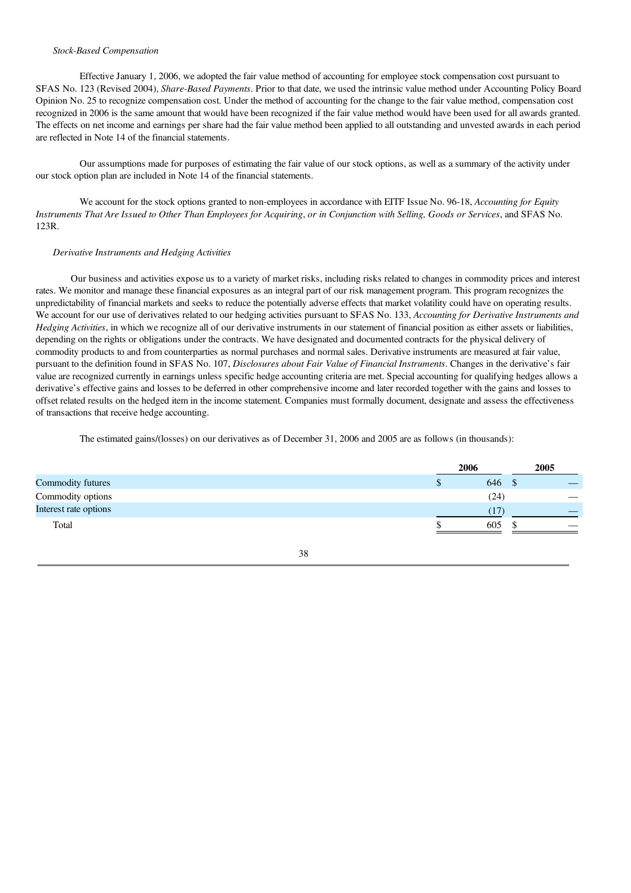#### *Stock-Based Compensation*

Effective January 1, 2006, we adopted the fair value method of accounting for employee stock compensation cost pursuant to SFAS No. 123 (Revised 2004), *Share-Based Payments*. Prior to that date, we used the intrinsic value method under Accounting Policy Board Opinion No. 25 to recognize compensation cost. Under the method of accounting for the change to the fair value method, compensation cost recognized in 2006 is the same amount that would have been recognized if the fair value method would have been used for all awards granted. The effects on net income and earnings per share had the fair value method been applied to all outstanding and unvested awards in each period are reflected in Note 14 of the financial statements.

Our assumptions made for purposes of estimating the fair value of our stock options, as well as a summary of the activity under our stock option plan are included in Note 14 of the financial statements.

We account for the stock options granted to non-employees in accordance with EITF Issue No. 96-18, *Accounting for Equity* Instruments That Are Issued to Other Than Employees for Acquiring, or in Conjunction with Selling, Goods or Services, and SFAS No. 123R.

#### *Derivative Instruments and Hedging Activities*

Our business and activities expose us to a variety of market risks, including risks related to changes in commodity prices and interest rates. We monitor and manage these financial exposures as an integral part of our risk management program. This program recognizes the unpredictability of financial markets and seeks to reduce the potentially adverse effects that market volatility could have on operating results. We account for our use of derivatives related to our hedging activities pursuant to SFAS No. 133, *Accounting for Derivative Instruments and Hedging Activities*, in which we recognize all of our derivative instruments in our statement of financial position as either assets or liabilities, depending on the rights or obligations under the contracts. We have designated and documented contracts for the physical delivery of commodity products to and from counterparties as normal purchases and normal sales. Derivative instruments are measured at fair value, pursuant to the definition found in SFAS No. 107, *Disclosures about Fair Value of Financial Instruments*. Changes in the derivative's fair value are recognized currently in earnings unless specific hedge accounting criteria are met. Special accounting for qualifying hedges allows a derivative's effective gains and losses to be deferred in other comprehensive income and later recorded together with the gains and losses to offset related results on the hedged item in the income statement. Companies must formally document, designate and assess the effectiveness of transactions that receive hedge accounting.

The estimated gains/(losses) on our derivatives as of December 31, 2006 and 2005 are as follows (in thousands):

|                       | 2006 |        | 2005 |
|-----------------------|------|--------|------|
| Commodity futures     | Ф    | 646 \$ |      |
| Commodity options     |      | (24)   |      |
| Interest rate options |      |        |      |
| Total                 |      | 605    |      |
|                       |      |        |      |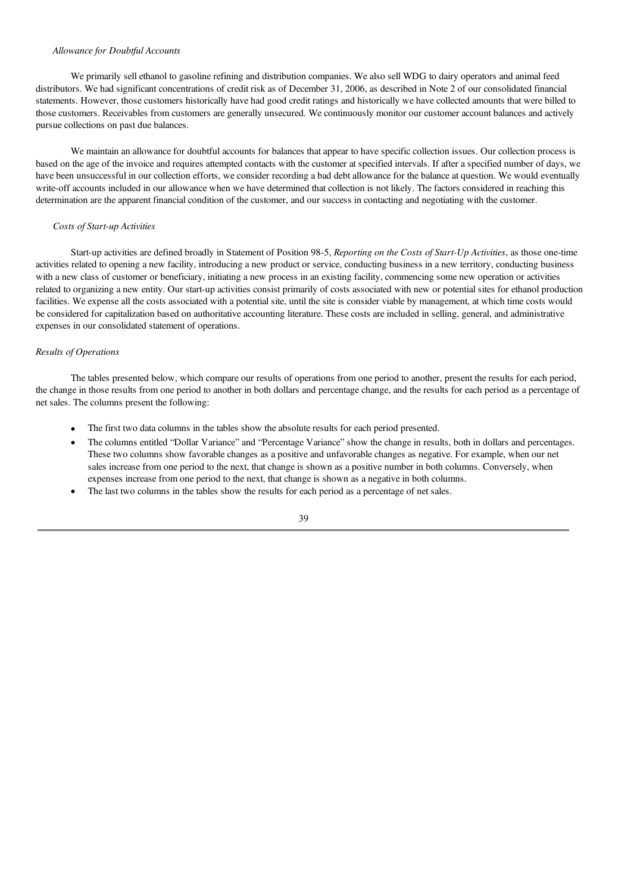#### *Allowance for Doubtful Accounts*

We primarily sell ethanol to gasoline refining and distribution companies. We also sell WDG to dairy operators and animal feed distributors. We had significant concentrations of credit risk as of December 31, 2006, as described in Note 2 of our consolidated financial statements. However, those customers historically have had good credit ratings and historically we have collected amounts that were billed to those customers. Receivables from customers are generally unsecured. We continuously monitor our customer account balances and actively pursue collections on past due balances.

We maintain an allowance for doubtful accounts for balances that appear to have specific collection issues. Our collection process is based on the age of the invoice and requires attempted contacts with the customer at specified intervals. If after a specified number of days, we have been unsuccessful in our collection efforts, we consider recording a bad debt allowance for the balance at question. We would eventually write-off accounts included in our allowance when we have determined that collection is not likely. The factors considered in reaching this determination are the apparent financial condition of the customer, and our success in contacting and negotiating with the customer.

### *Costs of Start-up Activities*

Start-up activities are defined broadly in Statement of Position 98-5, *Reporting on the Costs of Start-Up Activities*, as those one-time activities related to opening a new facility, introducing a new product or service, conducting business in a new territory, conducting business with a new class of customer or beneficiary, initiating a new process in an existing facility, commencing some new operation or activities related to organizing a new entity. Our start-up activities consist primarily of costs associated with new or potential sites for ethanol production facilities. We expense all the costs associated with a potential site, until the site is consider viable by management, at which time costs would be considered for capitalization based on authoritative accounting literature. These costs are included in selling, general, and administrative expenses in our consolidated statement of operations.

### *Results of Operations*

The tables presented below, which compare our results of operations from one period to another, present the results for each period, the change in those results from one period to another in both dollars and percentage change, and the results for each period as a percentage of net sales. The columns present the following:

- The first two data columns in the tables show the absolute results for each period presented.
- · The columns entitled "Dollar Variance" and "Percentage Variance" show the change in results, both in dollars and percentages. These two columns show favorable changes as a positive and unfavorable changes as negative. For example, when our net sales increase from one period to the next, that change is shown as a positive number in both columns. Conversely, when expenses increase from one period to the next, that change is shown as a negative in both columns.
- The last two columns in the tables show the results for each period as a percentage of net sales.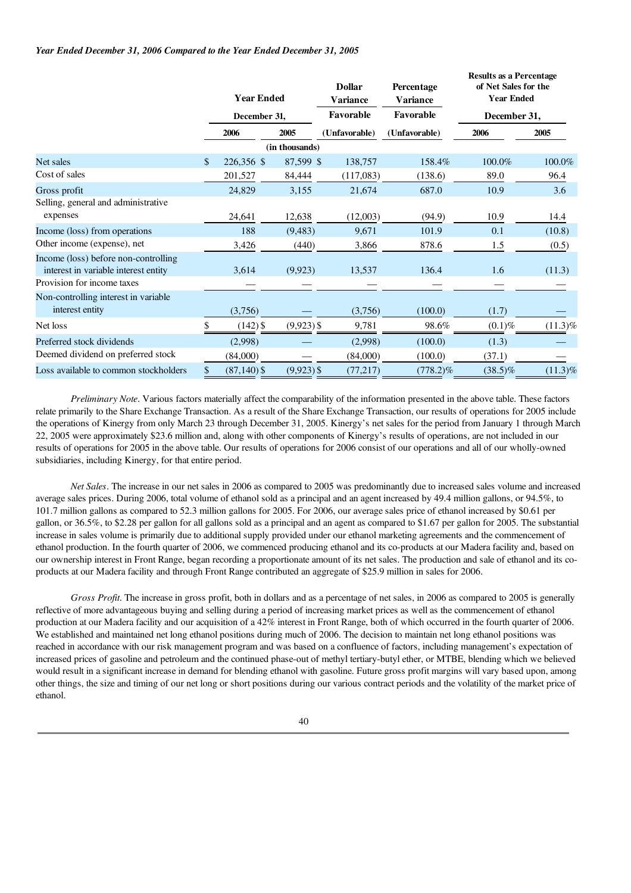|                                                                              |    | <b>Year Ended</b> |              | <b>Dollar</b><br><b>Variance</b> | Percentage<br><b>Variance</b> | <b>Results as a Percentage</b><br>of Net Sales for the<br><b>Year Ended</b> |            |  |  |  |
|------------------------------------------------------------------------------|----|-------------------|--------------|----------------------------------|-------------------------------|-----------------------------------------------------------------------------|------------|--|--|--|
|                                                                              |    | December 31,      |              | Favorable                        | Favorable                     | December 31,                                                                |            |  |  |  |
|                                                                              |    | 2006              | 2005         | (Unfavorable)                    | (Unfavorable)                 | 2006                                                                        | 2005       |  |  |  |
| (in thousands)                                                               |    |                   |              |                                  |                               |                                                                             |            |  |  |  |
| Net sales                                                                    | \$ | 226,356 \$        | 87,599 \$    | 138,757                          | 158.4%                        | 100.0%                                                                      | 100.0%     |  |  |  |
| Cost of sales                                                                |    | 201,527           | 84,444       | (117,083)                        | (138.6)                       | 89.0                                                                        | 96.4       |  |  |  |
| Gross profit                                                                 |    | 24,829            | 3,155        | 21,674                           | 687.0                         | 10.9                                                                        | 3.6        |  |  |  |
| Selling, general and administrative                                          |    |                   |              |                                  |                               |                                                                             |            |  |  |  |
| expenses                                                                     |    | 24,641            | 12,638       | (12,003)                         | (94.9)                        | 10.9                                                                        | 14.4       |  |  |  |
| Income (loss) from operations                                                |    | 188               | (9, 483)     | 9,671                            | 101.9                         | 0.1                                                                         | (10.8)     |  |  |  |
| Other income (expense), net                                                  |    | 3,426             | (440)        | 3,866                            | 878.6                         | 1.5                                                                         | (0.5)      |  |  |  |
| Income (loss) before non-controlling<br>interest in variable interest entity |    | 3,614             | (9, 923)     | 13,537                           | 136.4                         | 1.6                                                                         | (11.3)     |  |  |  |
| Provision for income taxes                                                   |    |                   |              |                                  |                               |                                                                             |            |  |  |  |
| Non-controlling interest in variable<br>interest entity                      |    | (3,756)           |              | (3,756)                          | (100.0)                       | (1.7)                                                                       |            |  |  |  |
| Net loss                                                                     |    | $(142)$ \$        | $(9,923)$ \$ | 9,781                            | 98.6%                         | $(0.1)$ %                                                                   | $(11.3)\%$ |  |  |  |
| Preferred stock dividends                                                    |    | (2,998)           |              | (2,998)                          | (100.0)                       | (1.3)                                                                       |            |  |  |  |
| Deemed dividend on preferred stock                                           |    | (84,000)          |              | (84,000)                         | (100.0)                       | (37.1)                                                                      |            |  |  |  |
| Loss available to common stockholders                                        |    | $(87, 140)$ \$    | $(9,923)$ \$ | (77, 217)                        | $(778.2)\%$                   | $(38.5)\%$                                                                  | $(11.3)\%$ |  |  |  |

*Preliminary Note*. Various factors materially affect the comparability of the information presented in the above table. These factors relate primarily to the Share Exchange Transaction. As a result of the Share Exchange Transaction, our results of operations for 2005 include the operations of Kinergy from only March 23 through December 31, 2005. Kinergy's net sales for the period from January 1 through March 22, 2005 were approximately \$23.6 million and, along with other components of Kinergy's results of operations, are not included in our results of operations for 2005 in the above table. Our results of operations for 2006 consist of our operations and all of our wholly-owned subsidiaries, including Kinergy, for that entire period.

*Net Sales*. The increase in our net sales in 2006 as compared to 2005 was predominantly due to increased sales volume and increased average sales prices. During 2006, total volume of ethanol sold as a principal and an agent increased by 49.4 million gallons, or 94.5%, to 101.7 million gallons as compared to 52.3 million gallons for 2005. For 2006, our average sales price of ethanol increased by \$0.61 per gallon, or 36.5%, to \$2.28 per gallon for all gallons sold as a principal and an agent as compared to \$1.67 per gallon for 2005. The substantial increase in sales volume is primarily due to additional supply provided under our ethanol marketing agreements and the commencement of ethanol production. In the fourth quarter of 2006, we commenced producing ethanol and its co-products at our Madera facility and, based on our ownership interest in Front Range, began recording a proportionate amount of its net sales. The production and sale of ethanol and its coproducts at our Madera facility and through Front Range contributed an aggregate of \$25.9 million in sales for 2006.

*Gross Profit*. The increase in gross profit, both in dollars and as a percentage of net sales, in 2006 as compared to 2005 is generally reflective of more advantageous buying and selling during a period of increasing market prices as well as the commencement of ethanol production at our Madera facility and our acquisition of a 42% interest in Front Range, both of which occurred in the fourth quarter of 2006. We established and maintained net long ethanol positions during much of 2006. The decision to maintain net long ethanol positions was reached in accordance with our risk management program and was based on a confluence of factors, including management's expectation of increased prices of gasoline and petroleum and the continued phase-out of methyl tertiary-butyl ether, or MTBE, blending which we believed would result in a significant increase in demand for blending ethanol with gasoline. Future gross profit margins will vary based upon, among other things, the size and timing of our net long or short positions during our various contract periods and the volatility of the market price of ethanol.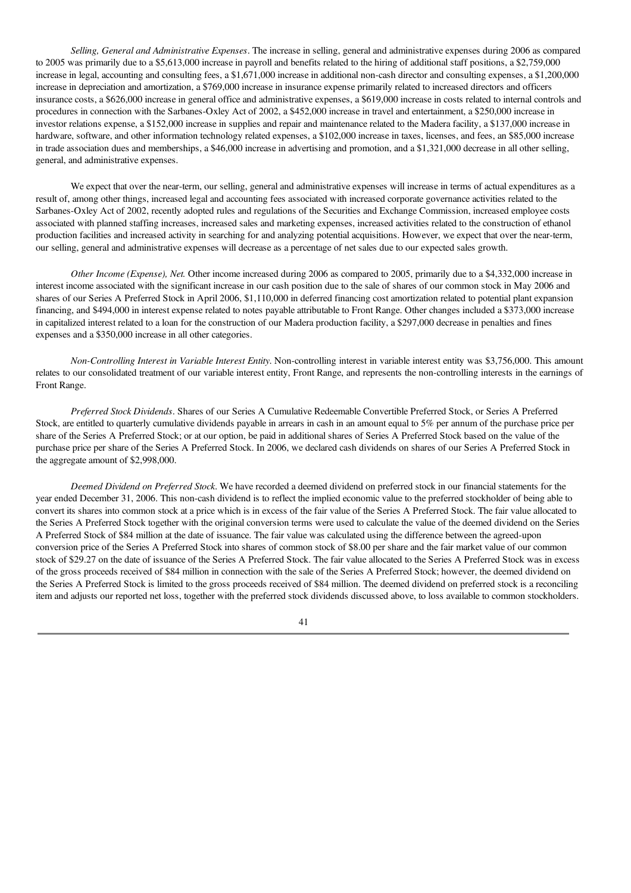*Selling, General and Administrative Expenses*. The increase in selling, general and administrative expenses during 2006 as compared to 2005 was primarily due to a \$5,613,000 increase in payroll and benefits related to the hiring of additional staff positions, a \$2,759,000 increase in legal, accounting and consulting fees, a \$1,671,000 increase in additional non-cash director and consulting expenses, a \$1,200,000 increase in depreciation and amortization, a \$769,000 increase in insurance expense primarily related to increased directors and officers insurance costs, a \$626,000 increase in general office and administrative expenses, a \$619,000 increase in costs related to internal controls and procedures in connection with the Sarbanes-Oxley Act of 2002, a \$452,000 increase in travel and entertainment, a \$250,000 increase in investor relations expense, a \$152,000 increase in supplies and repair and maintenance related to the Madera facility, a \$137,000 increase in hardware, software, and other information technology related expenses, a \$102,000 increase in taxes, licenses, and fees, an \$85,000 increase in trade association dues and memberships, a \$46,000 increase in advertising and promotion, and a \$1,321,000 decrease in all other selling, general, and administrative expenses.

We expect that over the near-term, our selling, general and administrative expenses will increase in terms of actual expenditures as a result of, among other things, increased legal and accounting fees associated with increased corporate governance activities related to the Sarbanes-Oxley Act of 2002, recently adopted rules and regulations of the Securities and Exchange Commission, increased employee costs associated with planned staffing increases, increased sales and marketing expenses, increased activities related to the construction of ethanol production facilities and increased activity in searching for and analyzing potential acquisitions. However, we expect that over the near-term, our selling, general and administrative expenses will decrease as a percentage of net sales due to our expected sales growth.

*Other Income (Expense), Net.* Other income increased during 2006 as compared to 2005, primarily due to a \$4,332,000 increase in interest income associated with the significant increase in our cash position due to the sale of shares of our common stock in May 2006 and shares of our Series A Preferred Stock in April 2006, \$1,110,000 in deferred financing cost amortization related to potential plant expansion financing, and \$494,000 in interest expense related to notes payable attributable to Front Range. Other changes included a \$373,000 increase in capitalized interest related to a loan for the construction of our Madera production facility, a \$297,000 decrease in penalties and fines expenses and a \$350,000 increase in all other categories.

*Non-Controlling Interest in Variable Interest Entity*. Non-controlling interest in variable interest entity was \$3,756,000. This amount relates to our consolidated treatment of our variable interest entity, Front Range, and represents the non-controlling interests in the earnings of Front Range.

*Preferred Stock Dividends*. Shares of our Series A Cumulative Redeemable Convertible Preferred Stock, or Series A Preferred Stock, are entitled to quarterly cumulative dividends payable in arrears in cash in an amount equal to 5% per annum of the purchase price per share of the Series A Preferred Stock; or at our option, be paid in additional shares of Series A Preferred Stock based on the value of the purchase price per share of the Series A Preferred Stock. In 2006, we declared cash dividends on shares of our Series A Preferred Stock in the aggregate amount of \$2,998,000.

*Deemed Dividend on Preferred Stock*. We have recorded a deemed dividend on preferred stock in our financial statements for the year ended December 31, 2006. This non-cash dividend is to reflect the implied economic value to the preferred stockholder of being able to convert its shares into common stock at a price which is in excess of the fair value of the Series A Preferred Stock. The fair value allocated to the Series A Preferred Stock together with the original conversion terms were used to calculate the value of the deemed dividend on the Series A Preferred Stock of \$84 million at the date of issuance. The fair value was calculated using the difference between the agreed-upon conversion price of the Series A Preferred Stock into shares of common stock of \$8.00 per share and the fair market value of our common stock of \$29.27 on the date of issuance of the Series A Preferred Stock. The fair value allocated to the Series A Preferred Stock was in excess of the gross proceeds received of \$84 million in connection with the sale of the Series A Preferred Stock; however, the deemed dividend on the Series A Preferred Stock is limited to the gross proceeds received of \$84 million. The deemed dividend on preferred stock is a reconciling item and adjusts our reported net loss, together with the preferred stock dividends discussed above, to loss available to common stockholders.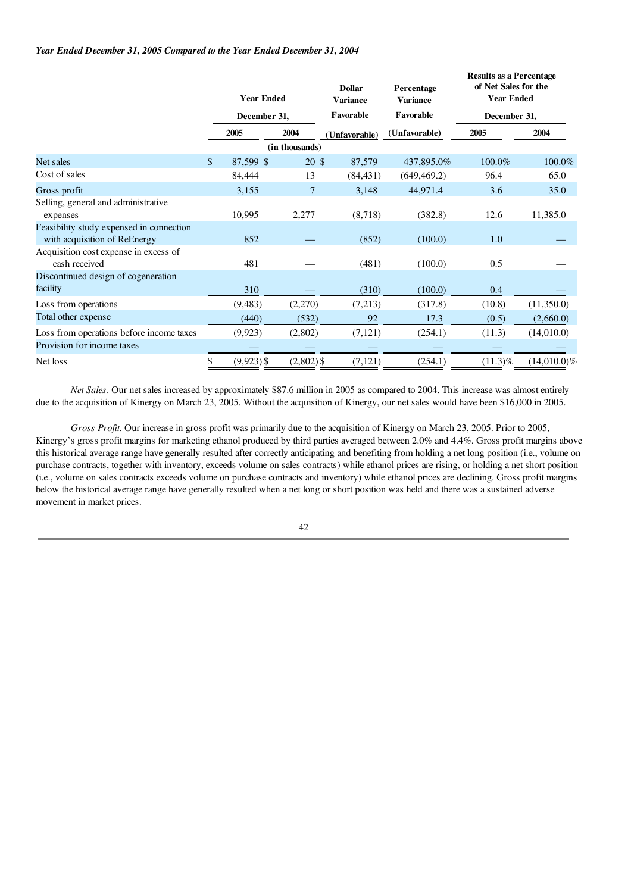|                                                                          |              | <b>Year Ended</b> |                 | <b>Dollar</b><br><b>Variance</b> | Percentage<br><b>Variance</b> | <b>Results as a Percentage</b><br>of Net Sales for the<br><b>Year Ended</b> |                |  |  |  |  |
|--------------------------------------------------------------------------|--------------|-------------------|-----------------|----------------------------------|-------------------------------|-----------------------------------------------------------------------------|----------------|--|--|--|--|
|                                                                          |              | December 31,      |                 | Favorable                        | Favorable                     | December 31,                                                                |                |  |  |  |  |
|                                                                          |              | 2005              | 2004            | (Unfavorable)                    | (Unfavorable)                 | 2005                                                                        | 2004           |  |  |  |  |
| (in thousands)                                                           |              |                   |                 |                                  |                               |                                                                             |                |  |  |  |  |
| Net sales                                                                | $\mathbb{S}$ | 87,599 \$         | 20 <sup>5</sup> | 87,579                           | 437,895.0%                    | 100.0%                                                                      | 100.0%         |  |  |  |  |
| Cost of sales                                                            |              | 84,444            | 13              | (84, 431)                        | (649, 469.2)                  | 96.4                                                                        | 65.0           |  |  |  |  |
| Gross profit                                                             |              | 3,155             | $\overline{7}$  | 3,148                            | 44,971.4                      | 3.6                                                                         | 35.0           |  |  |  |  |
| Selling, general and administrative<br>expenses                          |              | 10,995            | 2,277           | (8,718)                          | (382.8)                       | 12.6                                                                        | 11,385.0       |  |  |  |  |
| Feasibility study expensed in connection<br>with acquisition of ReEnergy |              | 852               |                 | (852)                            | (100.0)                       | 1.0                                                                         |                |  |  |  |  |
| Acquisition cost expense in excess of<br>cash received                   |              | 481               |                 | (481)                            | (100.0)                       | 0.5                                                                         |                |  |  |  |  |
| Discontinued design of cogeneration                                      |              |                   |                 |                                  |                               |                                                                             |                |  |  |  |  |
| facility                                                                 |              | 310               |                 | (310)                            | (100.0)                       | 0.4                                                                         |                |  |  |  |  |
| Loss from operations                                                     |              | (9, 483)          | (2,270)         | (7,213)                          | (317.8)                       | (10.8)                                                                      | (11,350.0)     |  |  |  |  |
| Total other expense                                                      |              | (440)             | (532)           | 92                               | 17.3                          | (0.5)                                                                       | (2,660.0)      |  |  |  |  |
| Loss from operations before income taxes<br>Provision for income taxes   |              | (9,923)           | (2,802)         | (7, 121)                         | (254.1)                       | (11.3)                                                                      | (14,010.0)     |  |  |  |  |
| Net loss                                                                 | \$           | $(9,923)$ \$      | $(2,802)$ \$    | (7, 121)                         | (254.1)                       | $(11.3)\%$                                                                  | $(14,010.0)\%$ |  |  |  |  |

*Net Sales*. Our net sales increased by approximately \$87.6 million in 2005 as compared to 2004. This increase was almost entirely due to the acquisition of Kinergy on March 23, 2005. Without the acquisition of Kinergy, our net sales would have been \$16,000 in 2005.

*Gross Profit*. Our increase in gross profit was primarily due to the acquisition of Kinergy on March 23, 2005. Prior to 2005, Kinergy's gross profit margins for marketing ethanol produced by third parties averaged between 2.0% and 4.4%. Gross profit margins above this historical average range have generally resulted after correctly anticipating and benefiting from holding a net long position (i.e., volume on purchase contracts, together with inventory, exceeds volume on sales contracts) while ethanol prices are rising, or holding a net short position (i.e., volume on sales contracts exceeds volume on purchase contracts and inventory) while ethanol prices are declining. Gross profit margins below the historical average range have generally resulted when a net long or short position was held and there was a sustained adverse movement in market prices.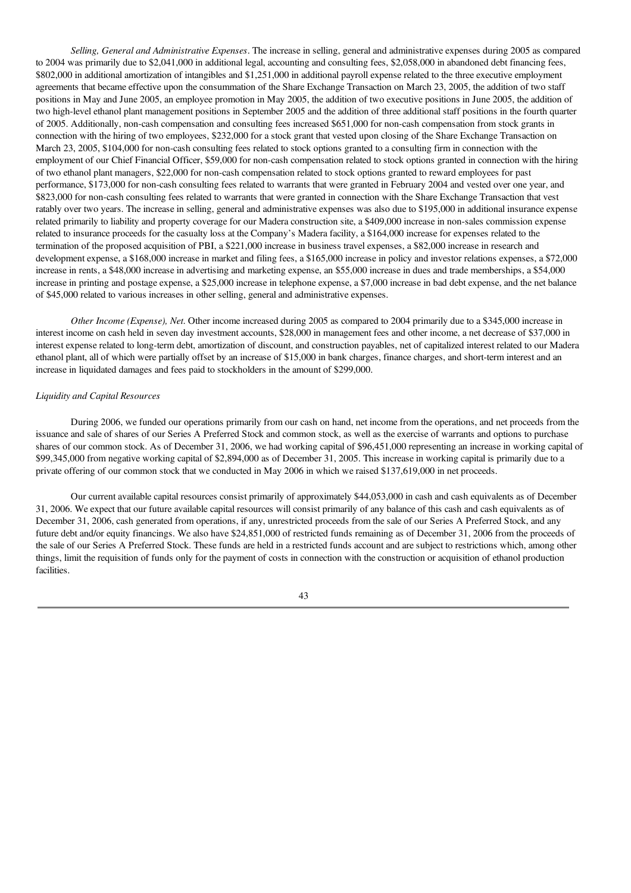*Selling, General and Administrative Expenses*. The increase in selling, general and administrative expenses during 2005 as compared to 2004 was primarily due to \$2,041,000 in additional legal, accounting and consulting fees, \$2,058,000 in abandoned debt financing fees, \$802,000 in additional amortization of intangibles and \$1,251,000 in additional payroll expense related to the three executive employment agreements that became effective upon the consummation of the Share Exchange Transaction on March 23, 2005, the addition of two staff positions in May and June 2005, an employee promotion in May 2005, the addition of two executive positions in June 2005, the addition of two high-level ethanol plant management positions in September 2005 and the addition of three additional staff positions in the fourth quarter of 2005. Additionally, non-cash compensation and consulting fees increased \$651,000 for non-cash compensation from stock grants in connection with the hiring of two employees, \$232,000 for a stock grant that vested upon closing of the Share Exchange Transaction on March 23, 2005, \$104,000 for non-cash consulting fees related to stock options granted to a consulting firm in connection with the employment of our Chief Financial Officer, \$59,000 for non-cash compensation related to stock options granted in connection with the hiring of two ethanol plant managers, \$22,000 for non-cash compensation related to stock options granted to reward employees for past performance, \$173,000 for non-cash consulting fees related to warrants that were granted in February 2004 and vested over one year, and \$823,000 for non-cash consulting fees related to warrants that were granted in connection with the Share Exchange Transaction that vest ratably over two years. The increase in selling, general and administrative expenses was also due to \$195,000 in additional insurance expense related primarily to liability and property coverage for our Madera construction site, a \$409,000 increase in non-sales commission expense related to insurance proceeds for the casualty loss at the Company's Madera facility, a \$164,000 increase for expenses related to the termination of the proposed acquisition of PBI, a \$221,000 increase in business travel expenses, a \$82,000 increase in research and development expense, a \$168,000 increase in market and filing fees, a \$165,000 increase in policy and investor relations expenses, a \$72,000 increase in rents, a \$48,000 increase in advertising and marketing expense, an \$55,000 increase in dues and trade memberships, a \$54,000 increase in printing and postage expense, a \$25,000 increase in telephone expense, a \$7,000 increase in bad debt expense, and the net balance of \$45,000 related to various increases in other selling, general and administrative expenses.

*Other Income (Expense), Net*. Other income increased during 2005 as compared to 2004 primarily due to a \$345,000 increase in interest income on cash held in seven day investment accounts, \$28,000 in management fees and other income, a net decrease of \$37,000 in interest expense related to long-term debt, amortization of discount, and construction payables, net of capitalized interest related to our Madera ethanol plant, all of which were partially offset by an increase of \$15,000 in bank charges, finance charges, and short-term interest and an increase in liquidated damages and fees paid to stockholders in the amount of \$299,000.

#### *Liquidity and Capital Resources*

During 2006, we funded our operations primarily from our cash on hand, net income from the operations, and net proceeds from the issuance and sale of shares of our Series A Preferred Stock and common stock, as well as the exercise of warrants and options to purchase shares of our common stock. As of December 31, 2006, we had working capital of \$96,451,000 representing an increase in working capital of \$99,345,000 from negative working capital of \$2,894,000 as of December 31, 2005. This increase in working capital is primarily due to a private offering of our common stock that we conducted in May 2006 in which we raised \$137,619,000 in net proceeds.

Our current available capital resources consist primarily of approximately \$44,053,000 in cash and cash equivalents as of December 31, 2006. We expect that our future available capital resources will consist primarily of any balance of this cash and cash equivalents as of December 31, 2006, cash generated from operations, if any, unrestricted proceeds from the sale of our Series A Preferred Stock, and any future debt and/or equity financings. We also have \$24,851,000 of restricted funds remaining as of December 31, 2006 from the proceeds of the sale of our Series A Preferred Stock. These funds are held in a restricted funds account and are subject to restrictions which, among other things, limit the requisition of funds only for the payment of costs in connection with the construction or acquisition of ethanol production facilities.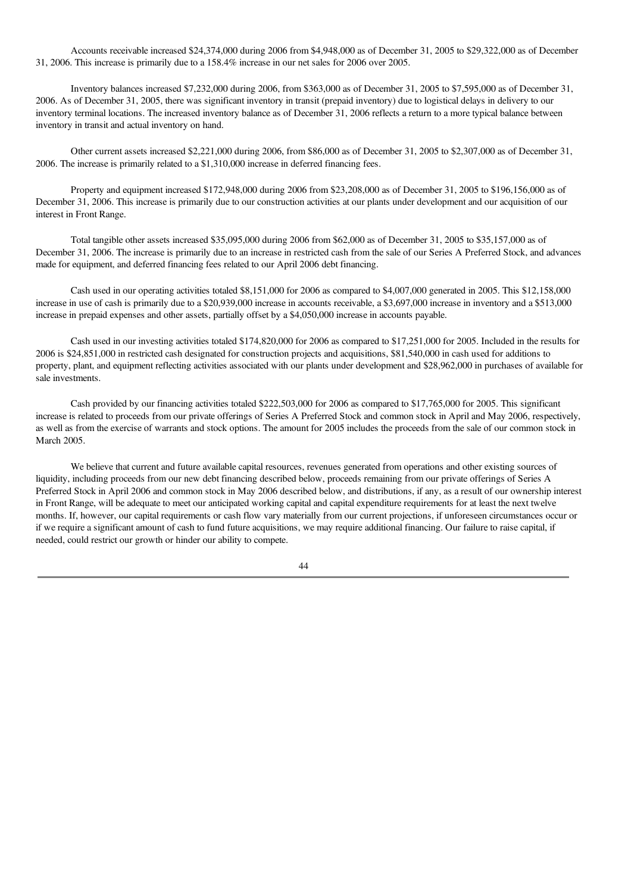Accounts receivable increased \$24,374,000 during 2006 from \$4,948,000 as of December 31, 2005 to \$29,322,000 as of December 31, 2006. This increase is primarily due to a 158.4% increase in our net sales for 2006 over 2005.

Inventory balances increased \$7,232,000 during 2006, from \$363,000 as of December 31, 2005 to \$7,595,000 as of December 31, 2006. As of December 31, 2005, there was significant inventory in transit (prepaid inventory) due to logistical delays in delivery to our inventory terminal locations. The increased inventory balance as of December 31, 2006 reflects a return to a more typical balance between inventory in transit and actual inventory on hand.

Other current assets increased \$2,221,000 during 2006, from \$86,000 as of December 31, 2005 to \$2,307,000 as of December 31, 2006. The increase is primarily related to a \$1,310,000 increase in deferred financing fees.

Property and equipment increased \$172,948,000 during 2006 from \$23,208,000 as of December 31, 2005 to \$196,156,000 as of December 31, 2006. This increase is primarily due to our construction activities at our plants under development and our acquisition of our interest in Front Range.

Total tangible other assets increased \$35,095,000 during 2006 from \$62,000 as of December 31, 2005 to \$35,157,000 as of December 31, 2006. The increase is primarily due to an increase in restricted cash from the sale of our Series A Preferred Stock, and advances made for equipment, and deferred financing fees related to our April 2006 debt financing.

Cash used in our operating activities totaled \$8,151,000 for 2006 as compared to \$4,007,000 generated in 2005. This \$12,158,000 increase in use of cash is primarily due to a \$20,939,000 increase in accounts receivable, a \$3,697,000 increase in inventory and a \$513,000 increase in prepaid expenses and other assets, partially offset by a \$4,050,000 increase in accounts payable.

Cash used in our investing activities totaled \$174,820,000 for 2006 as compared to \$17,251,000 for 2005. Included in the results for 2006 is \$24,851,000 in restricted cash designated for construction projects and acquisitions, \$81,540,000 in cash used for additions to property, plant, and equipment reflecting activities associated with our plants under development and \$28,962,000 in purchases of available for sale investments.

Cash provided by our financing activities totaled \$222,503,000 for 2006 as compared to \$17,765,000 for 2005. This significant increase is related to proceeds from our private offerings of Series A Preferred Stock and common stock in April and May 2006, respectively, as well as from the exercise of warrants and stock options. The amount for 2005 includes the proceeds from the sale of our common stock in March 2005.

We believe that current and future available capital resources, revenues generated from operations and other existing sources of liquidity, including proceeds from our new debt financing described below, proceeds remaining from our private offerings of Series A Preferred Stock in April 2006 and common stock in May 2006 described below, and distributions, if any, as a result of our ownership interest in Front Range, will be adequate to meet our anticipated working capital and capital expenditure requirements for at least the next twelve months. If, however, our capital requirements or cash flow vary materially from our current projections, if unforeseen circumstances occur or if we require a significant amount of cash to fund future acquisitions, we may require additional financing. Our failure to raise capital, if needed, could restrict our growth or hinder our ability to compete.

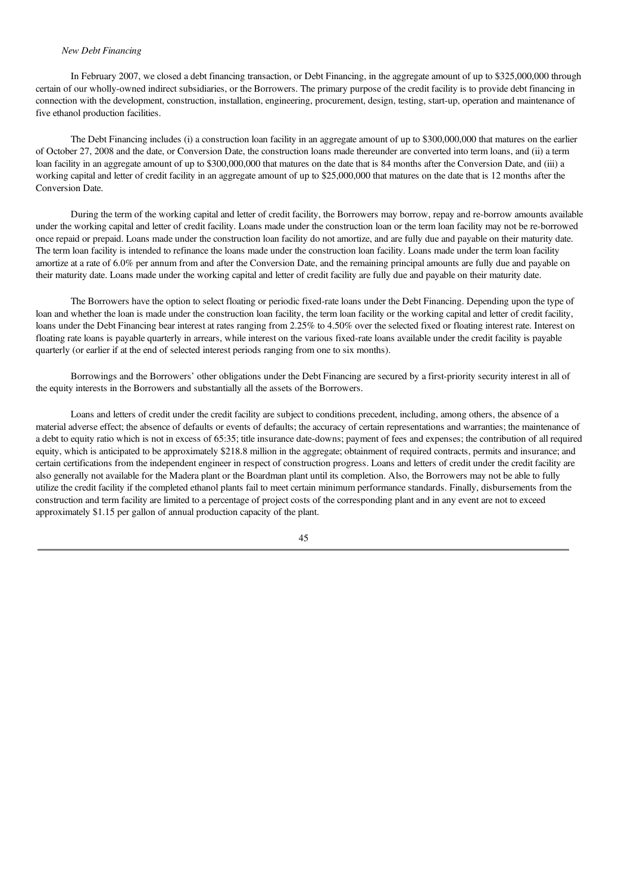#### *New Debt Financing*

In February 2007, we closed a debt financing transaction, or Debt Financing, in the aggregate amount of up to \$325,000,000 through certain of our wholly-owned indirect subsidiaries, or the Borrowers. The primary purpose of the credit facility is to provide debt financing in connection with the development, construction, installation, engineering, procurement, design, testing, start-up, operation and maintenance of five ethanol production facilities.

The Debt Financing includes (i) a construction loan facility in an aggregate amount of up to \$300,000,000 that matures on the earlier of October 27, 2008 and the date, or Conversion Date, the construction loans made thereunder are converted into term loans, and (ii) a term loan facility in an aggregate amount of up to \$300,000,000 that matures on the date that is 84 months after the Conversion Date, and (iii) a working capital and letter of credit facility in an aggregate amount of up to \$25,000,000 that matures on the date that is 12 months after the Conversion Date.

During the term of the working capital and letter of credit facility, the Borrowers may borrow, repay and re-borrow amounts available under the working capital and letter of credit facility. Loans made under the construction loan or the term loan facility may not be re-borrowed once repaid or prepaid. Loans made under the construction loan facility do not amortize, and are fully due and payable on their maturity date. The term loan facility is intended to refinance the loans made under the construction loan facility. Loans made under the term loan facility amortize at a rate of 6.0% per annum from and after the Conversion Date, and the remaining principal amounts are fully due and payable on their maturity date. Loans made under the working capital and letter of credit facility are fully due and payable on their maturity date.

The Borrowers have the option to select floating or periodic fixed-rate loans under the Debt Financing. Depending upon the type of loan and whether the loan is made under the construction loan facility, the term loan facility or the working capital and letter of credit facility, loans under the Debt Financing bear interest at rates ranging from 2.25% to 4.50% over the selected fixed or floating interest rate. Interest on floating rate loans is payable quarterly in arrears, while interest on the various fixed-rate loans available under the credit facility is payable quarterly (or earlier if at the end of selected interest periods ranging from one to six months).

Borrowings and the Borrowers' other obligations under the Debt Financing are secured by a first-priority security interest in all of the equity interests in the Borrowers and substantially all the assets of the Borrowers.

Loans and letters of credit under the credit facility are subject to conditions precedent, including, among others, the absence of a material adverse effect; the absence of defaults or events of defaults; the accuracy of certain representations and warranties; the maintenance of a debt to equity ratio which is not in excess of 65:35; title insurance date-downs; payment of fees and expenses; the contribution of all required equity, which is anticipated to be approximately \$218.8 million in the aggregate; obtainment of required contracts, permits and insurance; and certain certifications from the independent engineer in respect of construction progress. Loans and letters of credit under the credit facility are also generally not available for the Madera plant or the Boardman plant until its completion. Also, the Borrowers may not be able to fully utilize the credit facility if the completed ethanol plants fail to meet certain minimum performance standards. Finally, disbursements from the construction and term facility are limited to a percentage of project costs of the corresponding plant and in any event are not to exceed approximately \$1.15 per gallon of annual production capacity of the plant.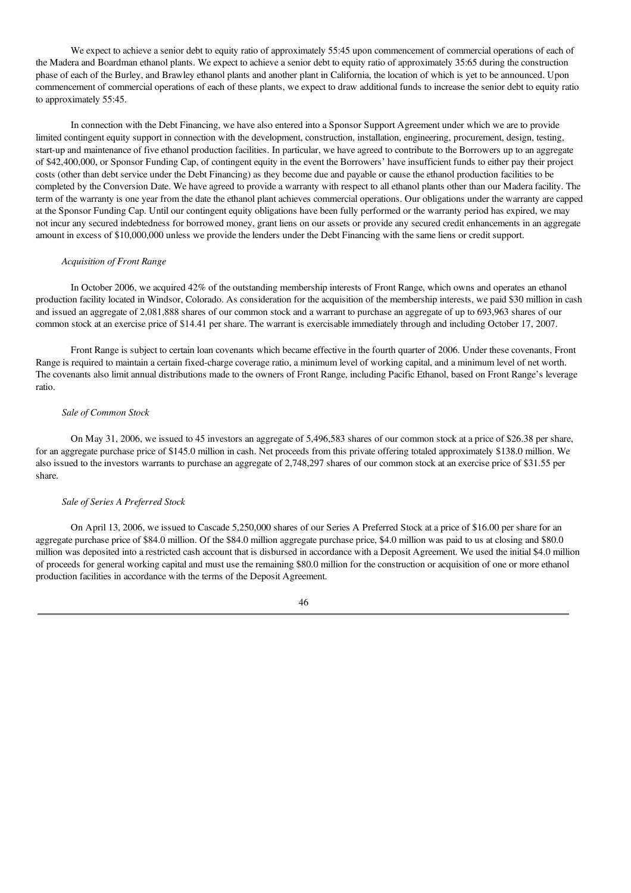We expect to achieve a senior debt to equity ratio of approximately 55:45 upon commencement of commercial operations of each of the Madera and Boardman ethanol plants. We expect to achieve a senior debt to equity ratio of approximately 35:65 during the construction phase of each of the Burley, and Brawley ethanol plants and another plant in California, the location of which is yet to be announced. Upon commencement of commercial operations of each of these plants, we expect to draw additional funds to increase the senior debt to equity ratio to approximately 55:45.

In connection with the Debt Financing, we have also entered into a Sponsor Support Agreement under which we are to provide limited contingent equity support in connection with the development, construction, installation, engineering, procurement, design, testing, start-up and maintenance of five ethanol production facilities. In particular, we have agreed to contribute to the Borrowers up to an aggregate of \$42,400,000, or Sponsor Funding Cap, of contingent equity in the event the Borrowers' have insufficient funds to either pay their project costs (other than debt service under the Debt Financing) as they become due and payable or cause the ethanol production facilities to be completed by the Conversion Date. We have agreed to provide a warranty with respect to all ethanol plants other than our Madera facility. The term of the warranty is one year from the date the ethanol plant achieves commercial operations. Our obligations under the warranty are capped at the Sponsor Funding Cap. Until our contingent equity obligations have been fully performed or the warranty period has expired, we may not incur any secured indebtedness for borrowed money, grant liens on our assets or provide any secured credit enhancements in an aggregate amount in excess of \$10,000,000 unless we provide the lenders under the Debt Financing with the same liens or credit support.

#### *Acquisition of Front Range*

In October 2006, we acquired 42% of the outstanding membership interests of Front Range, which owns and operates an ethanol production facility located in Windsor, Colorado. As consideration for the acquisition of the membership interests, we paid \$30 million in cash and issued an aggregate of 2,081,888 shares of our common stock and a warrant to purchase an aggregate of up to 693,963 shares of our common stock at an exercise price of \$14.41 per share. The warrant is exercisable immediately through and including October 17, 2007.

Front Range is subject to certain loan covenants which became effective in the fourth quarter of 2006. Under these covenants, Front Range is required to maintain a certain fixed-charge coverage ratio, a minimum level of working capital, and a minimum level of net worth. The covenants also limit annual distributions made to the owners of Front Range, including Pacific Ethanol, based on Front Range's leverage ratio.

#### *Sale of Common Stock*

On May 31, 2006, we issued to 45 investors an aggregate of 5,496,583 shares of our common stock at a price of \$26.38 per share, for an aggregate purchase price of \$145.0 million in cash. Net proceeds from this private offering totaled approximately \$138.0 million. We also issued to the investors warrants to purchase an aggregate of 2,748,297 shares of our common stock at an exercise price of \$31.55 per share.

#### *Sale of Series A Preferred Stock*

On April 13, 2006, we issued to Cascade 5,250,000 shares of our Series A Preferred Stock at a price of \$16.00 per share for an aggregate purchase price of \$84.0 million. Of the \$84.0 million aggregate purchase price, \$4.0 million was paid to us at closing and \$80.0 million was deposited into a restricted cash account that is disbursed in accordance with a Deposit Agreement. We used the initial \$4.0 million of proceeds for general working capital and must use the remaining \$80.0 million for the construction or acquisition of one or more ethanol production facilities in accordance with the terms of the Deposit Agreement.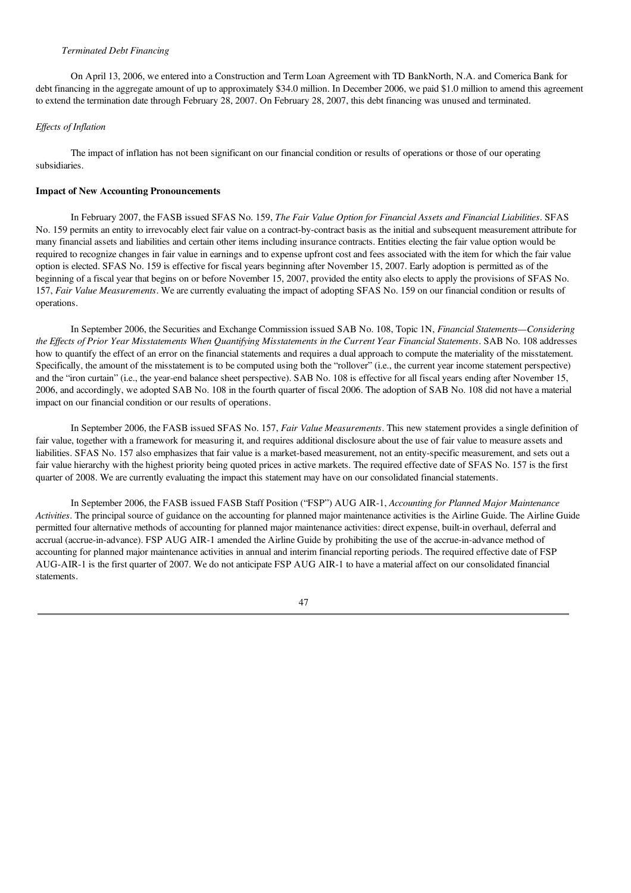#### *Terminated Debt Financing*

On April 13, 2006, we entered into a Construction and Term Loan Agreement with TD BankNorth, N.A. and Comerica Bank for debt financing in the aggregate amount of up to approximately \$34.0 million. In December 2006, we paid \$1.0 million to amend this agreement to extend the termination date through February 28, 2007. On February 28, 2007, this debt financing was unused and terminated.

#### *Ef ects of Inflation*

The impact of inflation has not been significant on our financial condition or results of operations or those of our operating subsidiaries.

## Impact of New Accounting Pronouncements

In February 2007, the FASB issued SFAS No. 159, *The Fair Value Option for Financial Assets and Financial Liabilities*. SFAS No. 159 permits an entity to irrevocably elect fair value on a contract-by-contract basis as the initial and subsequent measurement attribute for many financial assets and liabilities and certain other items including insurance contracts. Entities electing the fair value option would be required to recognize changes in fair value in earnings and to expense upfront cost and fees associated with the item for which the fair value option is elected. SFAS No. 159 is effective for fiscal years beginning after November 15, 2007. Early adoption is permitted as of the beginning of a fiscal year that begins on or before November 15, 2007, provided the entity also elects to apply the provisions of SFAS No. 157, *Fair Value Measurements*. We are currently evaluating the impact of adopting SFAS No. 159 on our financial condition or results of operations.

In September 2006, the Securities and Exchange Commission issued SAB No. 108, Topic 1N, *Financial Statements—Considering* the Effects of Prior Year Misstatements When Quantifying Misstatements in the Current Year Financial Statements. SAB No. 108 addresses how to quantify the effect of an error on the financial statements and requires a dual approach to compute the materiality of the misstatement. Specifically, the amount of the misstatement is to be computed using both the "rollover" (i.e., the current year income statement perspective) and the "iron curtain" (i.e., the year-end balance sheet perspective). SAB No. 108 is effective for all fiscal years ending after November 15, 2006, and accordingly, we adopted SAB No. 108 in the fourth quarter of fiscal 2006. The adoption of SAB No. 108 did not have a material impact on our financial condition or our results of operations.

In September 2006, the FASB issued SFAS No. 157, *Fair Value Measurements*. This new statement provides a single definition of fair value, together with a framework for measuring it, and requires additional disclosure about the use of fair value to measure assets and liabilities. SFAS No. 157 also emphasizes that fair value is a market-based measurement, not an entity-specific measurement, and sets out a fair value hierarchy with the highest priority being quoted prices in active markets. The required effective date of SFAS No. 157 is the first quarter of 2008. We are currently evaluating the impact this statement may have on our consolidated financial statements.

In September 2006, the FASB issued FASB Staff Position ("FSP") AUG AIR-1, *Accounting for Planned Major Maintenance Activities*. The principal source of guidance on the accounting for planned major maintenance activities is the Airline Guide. The Airline Guide permitted four alternative methods of accounting for planned major maintenance activities: direct expense, built-in overhaul, deferral and accrual (accrue-in-advance). FSP AUG AIR-1 amended the Airline Guide by prohibiting the use of the accrue-in-advance method of accounting for planned major maintenance activities in annual and interim financial reporting periods. The required effective date of FSP AUG-AIR-1 is the first quarter of 2007. We do not anticipate FSP AUG AIR-1 to have a material affect on our consolidated financial statements.

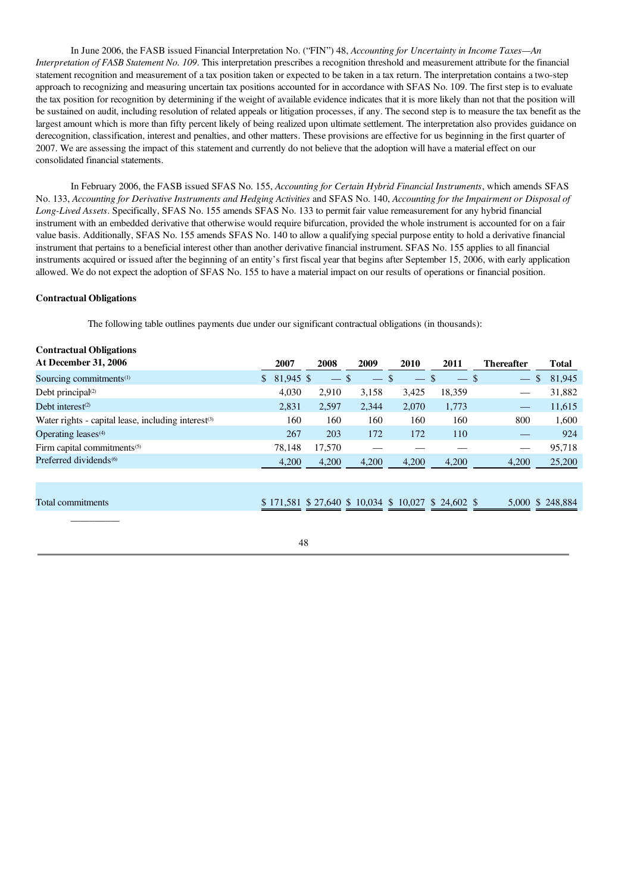In June 2006, the FASB issued Financial Interpretation No. ("FIN") 48, *Accounting for Uncertainty in Income Taxes—An Interpretation of FASB Statement No. 109*. This interpretation prescribes a recognition threshold and measurement attribute for the financial statement recognition and measurement of a tax position taken or expected to be taken in a tax return. The interpretation contains a two-step approach to recognizing and measuring uncertain tax positions accounted for in accordance with SFAS No. 109. The first step is to evaluate the tax position for recognition by determining if the weight of available evidence indicates that it is more likely than not that the position will be sustained on audit, including resolution of related appeals or litigation processes, if any. The second step is to measure the tax benefit as the largest amount which is more than fifty percent likely of being realized upon ultimate settlement. The interpretation also provides guidance on derecognition, classification, interest and penalties, and other matters. These provisions are effective for us beginning in the first quarter of 2007. We are assessing the impact of this statement and currently do not believe that the adoption will have a material effect on our consolidated financial statements.

In February 2006, the FASB issued SFAS No. 155, *Accounting for Certain Hybrid Financial Instruments*, which amends SFAS No. 133, Accounting for Derivative Instruments and Hedging Activities and SFAS No. 140, Accounting for the Impairment or Disposal of *Long-Lived Assets*. Specifically, SFAS No. 155 amends SFAS No. 133 to permit fair value remeasurement for any hybrid financial instrument with an embedded derivative that otherwise would require bifurcation, provided the whole instrument is accounted for on a fair value basis. Additionally, SFAS No. 155 amends SFAS No. 140 to allow a qualifying special purpose entity to hold a derivative financial instrument that pertains to a beneficial interest other than another derivative financial instrument. SFAS No. 155 applies to all financial instruments acquired or issued after the beginning of an entity's first fiscal year that begins after September 15, 2006, with early application allowed. We do not expect the adoption of SFAS No. 155 to have a material impact on our results of operations or financial position.

## Contractual Obligations

The following table outlines payments due under our significant contractual obligations (in thousands):

| <b>Contractual Obligations</b>                                  |                 |        |       |                                                  |        |                          |               |                  |
|-----------------------------------------------------------------|-----------------|--------|-------|--------------------------------------------------|--------|--------------------------|---------------|------------------|
| <b>At December 31, 2006</b>                                     | 2007            | 2008   | 2009  | 2010                                             | 2011   | <b>Thereafter</b>        |               | Total            |
| Sourcing commitments <sup>(1)</sup>                             | \$<br>81,945 \$ | $-$ \$ |       | $\mathbb{S}$                                     | $-$ \$ | $\overline{\phantom{m}}$ | <sup>\$</sup> | 81,945           |
| Debt principal <sup>(2)</sup>                                   | 4,030           | 2,910  | 3,158 | 3,425                                            | 18,359 |                          |               | 31,882           |
| Debt interest <sup>(2)</sup>                                    | 2,831           | 2,597  | 2,344 | 2,070                                            | 1,773  | —                        |               | 11,615           |
| Water rights - capital lease, including interest <sup>(3)</sup> | 160             | 160    | 160   | 160                                              | 160    | 800                      |               | 1,600            |
| Operating leases $(4)$                                          | 267             | 203    | 172   | 172                                              | 110    |                          |               | 924              |
| Firm capital commitments <sup>(5)</sup>                         | 78.148          | 17,570 |       |                                                  |        |                          |               | 95,718           |
| Preferred dividends <sup>(6)</sup>                              | 4,200           | 4,200  | 4,200 | 4,200                                            | 4,200  | 4,200                    |               | 25,200           |
|                                                                 |                 |        |       |                                                  |        |                          |               |                  |
|                                                                 |                 |        |       |                                                  |        |                          |               |                  |
| Total commitments                                               |                 |        |       | \$171,581 \$27,640 \$10,034 \$10,027 \$24,602 \$ |        |                          |               | 5,000 \$ 248,884 |
|                                                                 |                 |        |       |                                                  |        |                          |               |                  |
|                                                                 |                 |        |       |                                                  |        |                          |               |                  |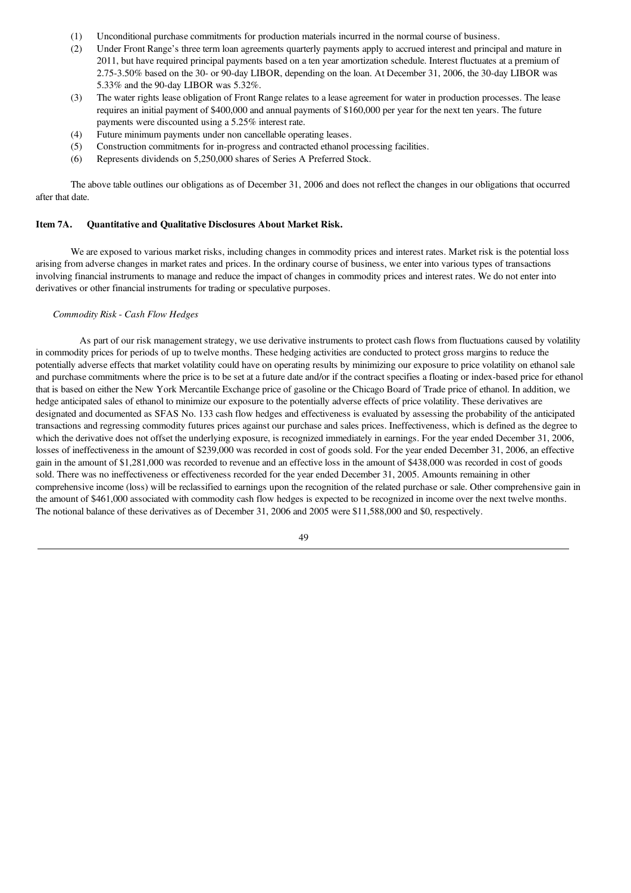- (1) Unconditional purchase commitments for production materials incurred in the normal course of business.
- (2) Under Front Range's three term loan agreements quarterly payments apply to accrued interest and principal and mature in 2011, but have required principal payments based on a ten year amortization schedule. Interest fluctuates at a premium of 2.75-3.50% based on the 30- or 90-day LIBOR, depending on the loan. At December 31, 2006, the 30-day LIBOR was 5.33% and the 90-day LIBOR was 5.32%.
- (3) The water rights lease obligation of Front Range relates to a lease agreement for water in production processes. The lease requires an initial payment of \$400,000 and annual payments of \$160,000 per year for the next ten years. The future payments were discounted using a 5.25% interest rate.
- (4) Future minimum payments under non cancellable operating leases.
- (5) Construction commitments for in-progress and contracted ethanol processing facilities.
- (6) Represents dividends on 5,250,000 shares of Series A Preferred Stock.

The above table outlines our obligations as of December 31, 2006 and does not reflect the changes in our obligations that occurred after that date.

### Item 7A. Quantitative and Qualitative Disclosures About Market Risk.

We are exposed to various market risks, including changes in commodity prices and interest rates. Market risk is the potential loss arising from adverse changes in market rates and prices. In the ordinary course of business, we enter into various types of transactions involving financial instruments to manage and reduce the impact of changes in commodity prices and interest rates. We do not enter into derivatives or other financial instruments for trading or speculative purposes.

#### *Commodity Risk* - *Cash Flow Hedges*

As part of our risk management strategy, we use derivative instruments to protect cash flows from fluctuations caused by volatility in commodity prices for periods of up to twelve months. These hedging activities are conducted to protect gross margins to reduce the potentially adverse effects that market volatility could have on operating results by minimizing our exposure to price volatility on ethanol sale and purchase commitments where the price is to be set at a future date and/or if the contract specifies a floating or index-based price for ethanol that is based on either the New York Mercantile Exchange price of gasoline or the Chicago Board of Trade price of ethanol. In addition, we hedge anticipated sales of ethanol to minimize our exposure to the potentially adverse effects of price volatility. These derivatives are designated and documented as SFAS No. 133 cash flow hedges and effectiveness is evaluated by assessing the probability of the anticipated transactions and regressing commodity futures prices against our purchase and sales prices. Ineffectiveness, which is defined as the degree to which the derivative does not offset the underlying exposure, is recognized immediately in earnings. For the year ended December 31, 2006, losses of ineffectiveness in the amount of \$239,000 was recorded in cost of goods sold. For the year ended December 31, 2006, an effective gain in the amount of \$1,281,000 was recorded to revenue and an effective loss in the amount of \$438,000 was recorded in cost of goods sold. There was no ineffectiveness or effectiveness recorded for the year ended December 31, 2005. Amounts remaining in other comprehensive income (loss) will be reclassified to earnings upon the recognition of the related purchase or sale. Other comprehensive gain in the amount of \$461,000 associated with commodity cash flow hedges is expected to be recognized in income over the next twelve months. The notional balance of these derivatives as of December 31, 2006 and 2005 were \$11,588,000 and \$0, respectively.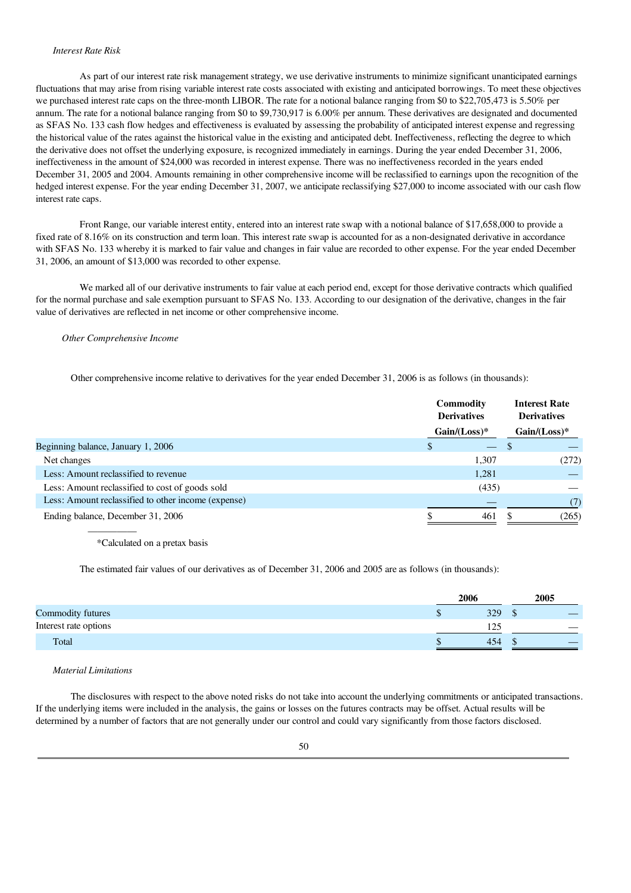#### *Interest Rate Risk*

As part of our interest rate risk management strategy, we use derivative instruments to minimize significant unanticipated earnings fluctuations that may arise from rising variable interest rate costs associated with existing and anticipated borrowings. To meet these objectives we purchased interest rate caps on the three-month LIBOR. The rate for a notional balance ranging from \$0 to \$22,705,473 is 5.50% per annum. The rate for a notional balance ranging from \$0 to \$9,730,917 is 6.00% per annum. These derivatives are designated and documented as SFAS No. 133 cash flow hedges and effectiveness is evaluated by assessing the probability of anticipated interest expense and regressing the historical value of the rates against the historical value in the existing and anticipated debt. Ineffectiveness, reflecting the degree to which the derivative does not offset the underlying exposure, is recognized immediately in earnings. During the year ended December 31, 2006, ineffectiveness in the amount of \$24,000 was recorded in interest expense. There was no ineffectiveness recorded in the years ended December 31, 2005 and 2004. Amounts remaining in other comprehensive income will be reclassified to earnings upon the recognition of the hedged interest expense. For the year ending December 31, 2007, we anticipate reclassifying \$27,000 to income associated with our cash flow interest rate caps.

Front Range, our variable interest entity, entered into an interest rate swap with a notional balance of \$17,658,000 to provide a fixed rate of 8.16% on its construction and term loan. This interest rate swap is accounted for as a non-designated derivative in accordance with SFAS No. 133 whereby it is marked to fair value and changes in fair value are recorded to other expense. For the year ended December 31, 2006, an amount of \$13,000 was recorded to other expense.

We marked all of our derivative instruments to fair value at each period end, except for those derivative contracts which qualified for the normal purchase and sale exemption pursuant to SFAS No. 133. According to our designation of the derivative, changes in the fair value of derivatives are reflected in net income or other comprehensive income.

#### *Other Comprehensive Income*

Other comprehensive income relative to derivatives for the year ended December 31, 2006 is as follows (in thousands):

|                                                     | <b>Commodity</b><br><b>Derivatives</b> | <b>Interest Rate</b><br><b>Derivatives</b> |       |  |
|-----------------------------------------------------|----------------------------------------|--------------------------------------------|-------|--|
|                                                     | $Gain/(Loss)*$                         | $Gain/(Loss)*$                             |       |  |
| Beginning balance, January 1, 2006                  | \$<br>$\equiv$                         |                                            |       |  |
| Net changes                                         | 1,307                                  |                                            | (272) |  |
| Less: Amount reclassified to revenue                | 1,281                                  |                                            |       |  |
| Less: Amount reclassified to cost of goods sold     | (435)                                  |                                            |       |  |
| Less: Amount reclassified to other income (expense) |                                        |                                            | (7)   |  |
| Ending balance, December 31, 2006                   | 461                                    |                                            | (265) |  |
|                                                     |                                        |                                            |       |  |

\*Calculated on a pretax basis

The estimated fair values of our derivatives as of December 31, 2006 and 2005 are as follows (in thousands):

|                       | 2006       | 2005 |
|-----------------------|------------|------|
| Commodity futures     | 329        | Φ    |
| Interest rate options | $\sqrt{2}$ |      |
| Total                 | 454        |      |

#### *Material Limitations*

The disclosures with respect to the above noted risks do not take into account the underlying commitments or anticipated transactions. If the underlying items were included in the analysis, the gains or losses on the futures contracts may be offset. Actual results will be determined by a number of factors that are not generally under our control and could vary significantly from those factors disclosed.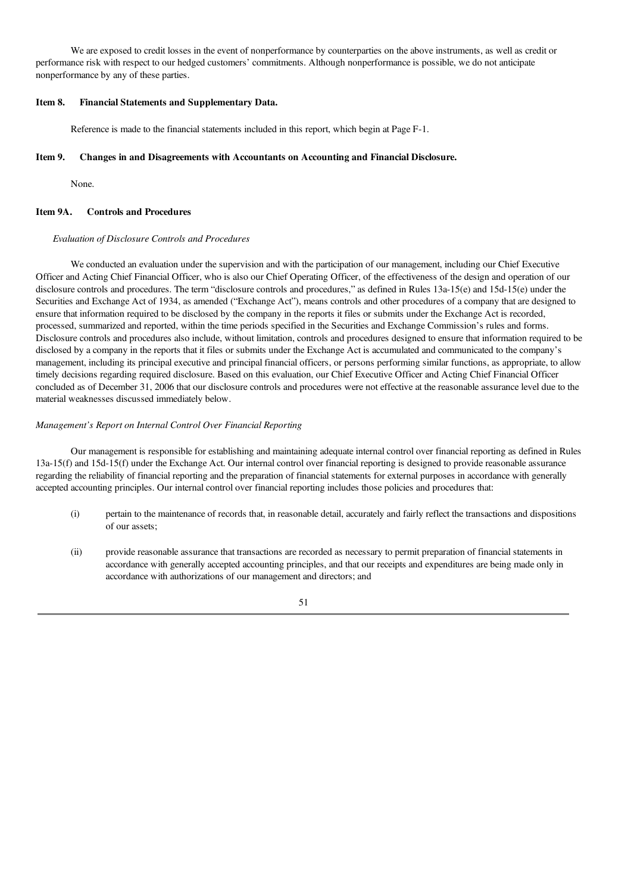We are exposed to credit losses in the event of nonperformance by counterparties on the above instruments, as well as credit or performance risk with respect to our hedged customers' commitments. Although nonperformance is possible, we do not anticipate nonperformance by any of these parties.

### Item 8. Financial Statements and Supplementary Data.

Reference is made to the financial statements included in this report, which begin at Page F-1.

### Item 9. Changes in and Disagreements with Accountants on Accounting and Financial Disclosure.

None.

### Item 9A. Controls and Procedures

#### *Evaluation of Disclosure Controls and Procedures*

We conducted an evaluation under the supervision and with the participation of our management, including our Chief Executive Officer and Acting Chief Financial Officer, who is also our Chief Operating Officer, of the effectiveness of the design and operation of our disclosure controls and procedures. The term "disclosure controls and procedures," as defined in Rules 13a-15(e) and 15d-15(e) under the Securities and Exchange Act of 1934, as amended ("Exchange Act"), means controls and other procedures of a company that are designed to ensure that information required to be disclosed by the company in the reports it files or submits under the Exchange Act is recorded, processed, summarized and reported, within the time periods specified in the Securities and Exchange Commission's rules and forms. Disclosure controls and procedures also include, without limitation, controls and procedures designed to ensure that information required to be disclosed by a company in the reports that it files or submits under the Exchange Act is accumulated and communicated to the company's management, including its principal executive and principal financial officers, or persons performing similar functions, as appropriate, to allow timely decisions regarding required disclosure. Based on this evaluation, our Chief Executive Officer and Acting Chief Financial Officer concluded as of December 31, 2006 that our disclosure controls and procedures were not effective at the reasonable assurance level due to the material weaknesses discussed immediately below.

### *Management's Report on Internal Control Over Financial Reporting*

Our management is responsible for establishing and maintaining adequate internal control over financial reporting as defined in Rules 13a-15(f) and 15d-15(f) under the Exchange Act. Our internal control over financial reporting is designed to provide reasonable assurance regarding the reliability of financial reporting and the preparation of financial statements for external purposes in accordance with generally accepted accounting principles. Our internal control over financial reporting includes those policies and procedures that:

- (i) pertain to the maintenance of records that, in reasonable detail, accurately and fairly reflect the transactions and dispositions of our assets;
- (ii) provide reasonable assurance that transactions are recorded as necessary to permit preparation of financial statements in accordance with generally accepted accounting principles, and that our receipts and expenditures are being made only in accordance with authorizations of our management and directors; and

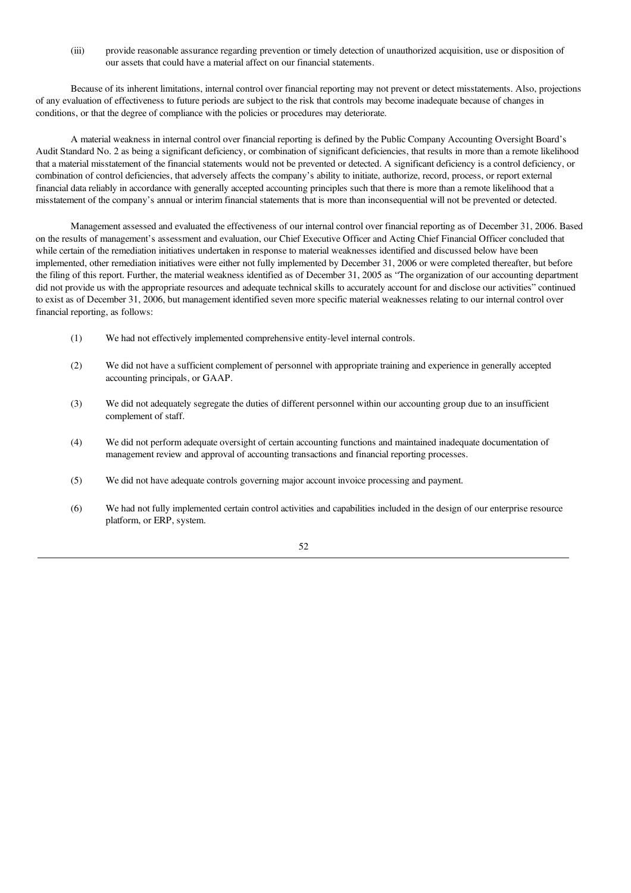(iii) provide reasonable assurance regarding prevention or timely detection of unauthorized acquisition, use or disposition of our assets that could have a material affect on our financial statements.

Because of its inherent limitations, internal control over financial reporting may not prevent or detect misstatements. Also, projections of any evaluation of effectiveness to future periods are subject to the risk that controls may become inadequate because of changes in conditions, or that the degree of compliance with the policies or procedures may deteriorate.

A material weakness in internal control over financial reporting is defined by the Public Company Accounting Oversight Board's Audit Standard No. 2 as being a significant deficiency, or combination of significant deficiencies, that results in more than a remote likelihood that a material misstatement of the financial statements would not be prevented or detected. A significant deficiency is a control deficiency, or combination of control deficiencies, that adversely affects the company's ability to initiate, authorize, record, process, or report external financial data reliably in accordance with generally accepted accounting principles such that there is more than a remote likelihood that a misstatement of the company's annual or interim financial statements that is more than inconsequential will not be prevented or detected.

Management assessed and evaluated the effectiveness of our internal control over financial reporting as of December 31, 2006. Based on the results of management's assessment and evaluation, our Chief Executive Officer and Acting Chief Financial Officer concluded that while certain of the remediation initiatives undertaken in response to material weaknesses identified and discussed below have been implemented, other remediation initiatives were either not fully implemented by December 31, 2006 or were completed thereafter, but before the filing of this report. Further, the material weakness identified as of December 31, 2005 as "The organization of our accounting department did not provide us with the appropriate resources and adequate technical skills to accurately account for and disclose our activities" continued to exist as of December 31, 2006, but management identified seven more specific material weaknesses relating to our internal control over financial reporting, as follows:

- (1) We had not effectively implemented comprehensive entity-level internal controls.
- (2) We did not have a sufficient complement of personnel with appropriate training and experience in generally accepted accounting principals, or GAAP.
- (3) We did not adequately segregate the duties of different personnel within our accounting group due to an insufficient complement of staff.
- (4) We did not perform adequate oversight of certain accounting functions and maintained inadequate documentation of management review and approval of accounting transactions and financial reporting processes.
- (5) We did not have adequate controls governing major account invoice processing and payment.
- (6) We had not fully implemented certain control activities and capabilities included in the design of our enterprise resource platform, or ERP, system.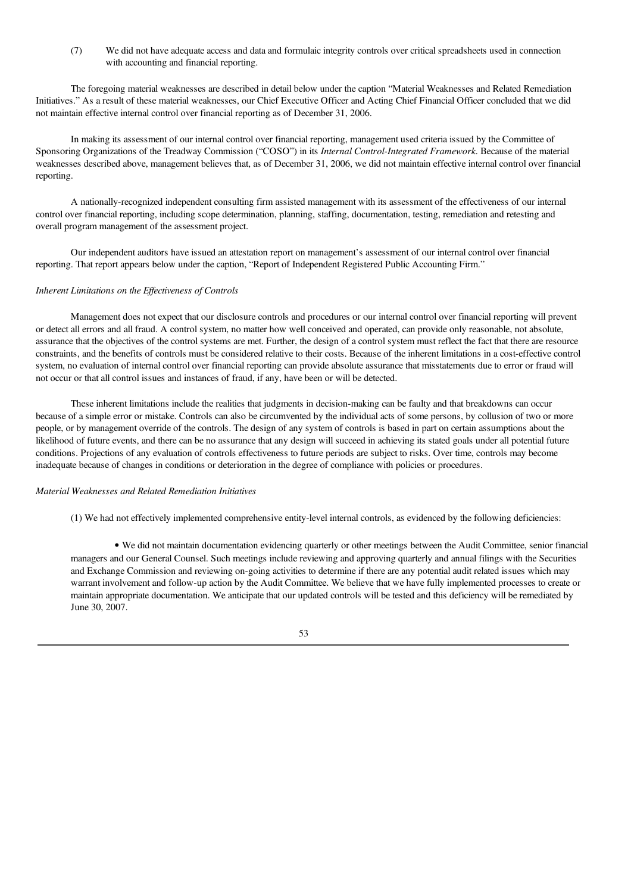(7) We did not have adequate access and data and formulaic integrity controls over critical spreadsheets used in connection with accounting and financial reporting.

The foregoing material weaknesses are described in detail below under the caption "Material Weaknesses and Related Remediation Initiatives." As a result of these material weaknesses, our Chief Executive Officer and Acting Chief Financial Officer concluded that we did not maintain effective internal control over financial reporting as of December 31, 2006.

In making its assessment of our internal control over financial reporting, management used criteria issued by the Committee of Sponsoring Organizations of the Treadway Commission ("COSO") in its *Internal Control-Integrated Framework*. Because of the material weaknesses described above, management believes that, as of December 31, 2006, we did not maintain effective internal control over financial reporting.

A nationally-recognized independent consulting firm assisted management with its assessment of the effectiveness of our internal control over financial reporting, including scope determination, planning, staffing, documentation, testing, remediation and retesting and overall program management of the assessment project.

Our independent auditors have issued an attestation report on management's assessment of our internal control over financial reporting. That report appears below under the caption, "Report of Independent Registered Public Accounting Firm."

#### *Inherent Limitations on the Ef ectiveness of Controls*

Management does not expect that our disclosure controls and procedures or our internal control over financial reporting will prevent or detect all errors and all fraud. A control system, no matter how well conceived and operated, can provide only reasonable, not absolute, assurance that the objectives of the control systems are met. Further, the design of a control system must reflect the fact that there are resource constraints, and the benefits of controls must be considered relative to their costs. Because of the inherent limitations in a cost-effective control system, no evaluation of internal control over financial reporting can provide absolute assurance that misstatements due to error or fraud will not occur or that all control issues and instances of fraud, if any, have been or will be detected.

These inherent limitations include the realities that judgments in decision-making can be faulty and that breakdowns can occur because of a simple error or mistake. Controls can also be circumvented by the individual acts of some persons, by collusion of two or more people, or by management override of the controls. The design of any system of controls is based in part on certain assumptions about the likelihood of future events, and there can be no assurance that any design will succeed in achieving its stated goals under all potential future conditions. Projections of any evaluation of controls effectiveness to future periods are subject to risks. Over time, controls may become inadequate because of changes in conditions or deterioration in the degree of compliance with policies or procedures.

### *Material Weaknesses and Related Remediation Initiatives*

(1) We had not effectively implemented comprehensive entity-level internal controls, as evidenced by the following deficiencies:

· We did not maintain documentation evidencing quarterly or other meetings between the Audit Committee, senior financial managers and our General Counsel. Such meetings include reviewing and approving quarterly and annual filings with the Securities and Exchange Commission and reviewing on-going activities to determine if there are any potential audit related issues which may warrant involvement and follow-up action by the Audit Committee. We believe that we have fully implemented processes to create or maintain appropriate documentation. We anticipate that our updated controls will be tested and this deficiency will be remediated by June 30, 2007.

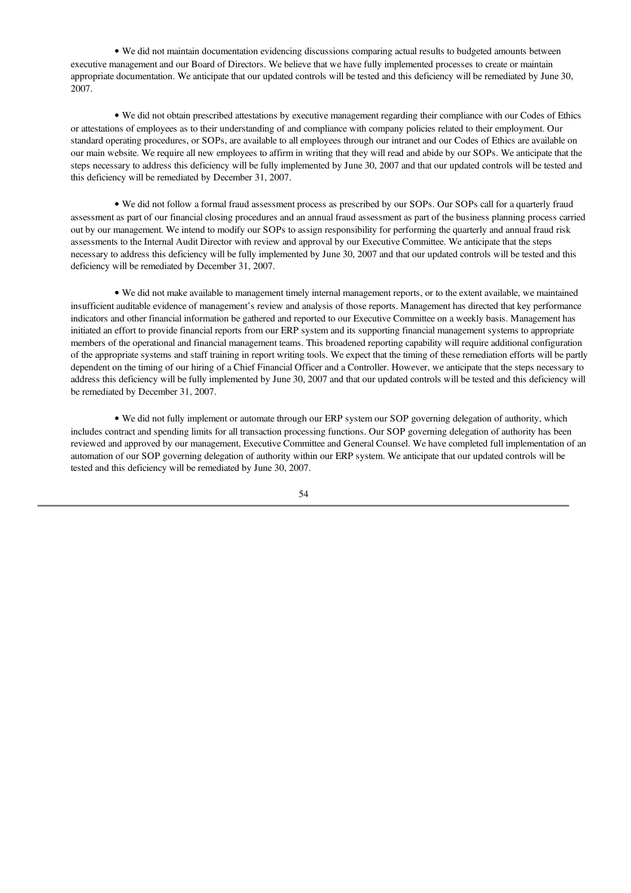· We did not maintain documentation evidencing discussions comparing actual results to budgeted amounts between executive management and our Board of Directors. We believe that we have fully implemented processes to create or maintain appropriate documentation. We anticipate that our updated controls will be tested and this deficiency will be remediated by June 30, 2007.

· We did not obtain prescribed attestations by executive management regarding their compliance with our Codes of Ethics or attestations of employees as to their understanding of and compliance with company policies related to their employment. Our standard operating procedures, or SOPs, are available to all employees through our intranet and our Codes of Ethics are available on our main website. We require all new employees to affirm in writing that they will read and abide by our SOPs. We anticipate that the steps necessary to address this deficiency will be fully implemented by June 30, 2007 and that our updated controls will be tested and this deficiency will be remediated by December 31, 2007.

· We did not follow a formal fraud assessment process as prescribed by our SOPs. Our SOPs call for a quarterly fraud assessment as part of our financial closing procedures and an annual fraud assessment as part of the business planning process carried out by our management. We intend to modify our SOPs to assign responsibility for performing the quarterly and annual fraud risk assessments to the Internal Audit Director with review and approval by our Executive Committee. We anticipate that the steps necessary to address this deficiency will be fully implemented by June 30, 2007 and that our updated controls will be tested and this deficiency will be remediated by December 31, 2007.

· We did not make available to management timely internal management reports, or to the extent available, we maintained insufficient auditable evidence of management's review and analysis of those reports. Management has directed that key performance indicators and other financial information be gathered and reported to our Executive Committee on a weekly basis. Management has initiated an effort to provide financial reports from our ERP system and its supporting financial management systems to appropriate members of the operational and financial management teams. This broadened reporting capability will require additional configuration of the appropriate systems and staff training in report writing tools. We expect that the timing of these remediation efforts will be partly dependent on the timing of our hiring of a Chief Financial Officer and a Controller. However, we anticipate that the steps necessary to address this deficiency will be fully implemented by June 30, 2007 and that our updated controls will be tested and this deficiency will be remediated by December 31, 2007.

· We did not fully implement or automate through our ERP system our SOP governing delegation of authority, which includes contract and spending limits for all transaction processing functions. Our SOP governing delegation of authority has been reviewed and approved by our management, Executive Committee and General Counsel. We have completed full implementation of an automation of our SOP governing delegation of authority within our ERP system. We anticipate that our updated controls will be tested and this deficiency will be remediated by June 30, 2007.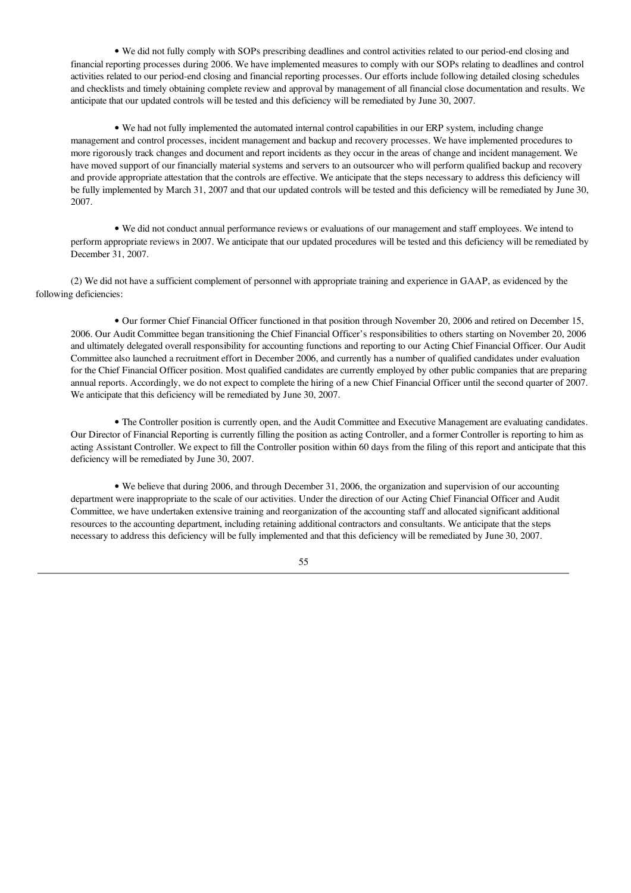· We did not fully comply with SOPs prescribing deadlines and control activities related to our period-end closing and financial reporting processes during 2006. We have implemented measures to comply with our SOPs relating to deadlines and control activities related to our period-end closing and financial reporting processes. Our efforts include following detailed closing schedules and checklists and timely obtaining complete review and approval by management of all financial close documentation and results. We anticipate that our updated controls will be tested and this deficiency will be remediated by June 30, 2007.

· We had not fully implemented the automated internal control capabilities in our ERP system, including change management and control processes, incident management and backup and recovery processes. We have implemented procedures to more rigorously track changes and document and report incidents as they occur in the areas of change and incident management. We have moved support of our financially material systems and servers to an outsourcer who will perform qualified backup and recovery and provide appropriate attestation that the controls are effective. We anticipate that the steps necessary to address this deficiency will be fully implemented by March 31, 2007 and that our updated controls will be tested and this deficiency will be remediated by June 30, 2007.

· We did not conduct annual performance reviews or evaluations of our management and staff employees. We intend to perform appropriate reviews in 2007. We anticipate that our updated procedures will be tested and this deficiency will be remediated by December 31, 2007.

(2) We did not have a sufficient complement of personnel with appropriate training and experience in GAAP, as evidenced by the following deficiencies:

· Our former Chief Financial Officer functioned in that position through November 20, 2006 and retired on December 15, 2006. Our Audit Committee began transitioning the Chief Financial Officer's responsibilities to others starting on November 20, 2006 and ultimately delegated overall responsibility for accounting functions and reporting to our Acting Chief Financial Officer. Our Audit Committee also launched a recruitment effort in December 2006, and currently has a number of qualified candidates under evaluation for the Chief Financial Officer position. Most qualified candidates are currently employed by other public companies that are preparing annual reports. Accordingly, we do not expect to complete the hiring of a new Chief Financial Officer until the second quarter of 2007. We anticipate that this deficiency will be remediated by June 30, 2007.

· The Controller position is currently open, and the Audit Committee and Executive Management are evaluating candidates. Our Director of Financial Reporting is currently filling the position as acting Controller, and a former Controller is reporting to him as acting Assistant Controller. We expect to fill the Controller position within 60 days from the filing of this report and anticipate that this deficiency will be remediated by June 30, 2007.

· We believe that during 2006, and through December 31, 2006, the organization and supervision of our accounting department were inappropriate to the scale of our activities. Under the direction of our Acting Chief Financial Officer and Audit Committee, we have undertaken extensive training and reorganization of the accounting staff and allocated significant additional resources to the accounting department, including retaining additional contractors and consultants. We anticipate that the steps necessary to address this deficiency will be fully implemented and that this deficiency will be remediated by June 30, 2007.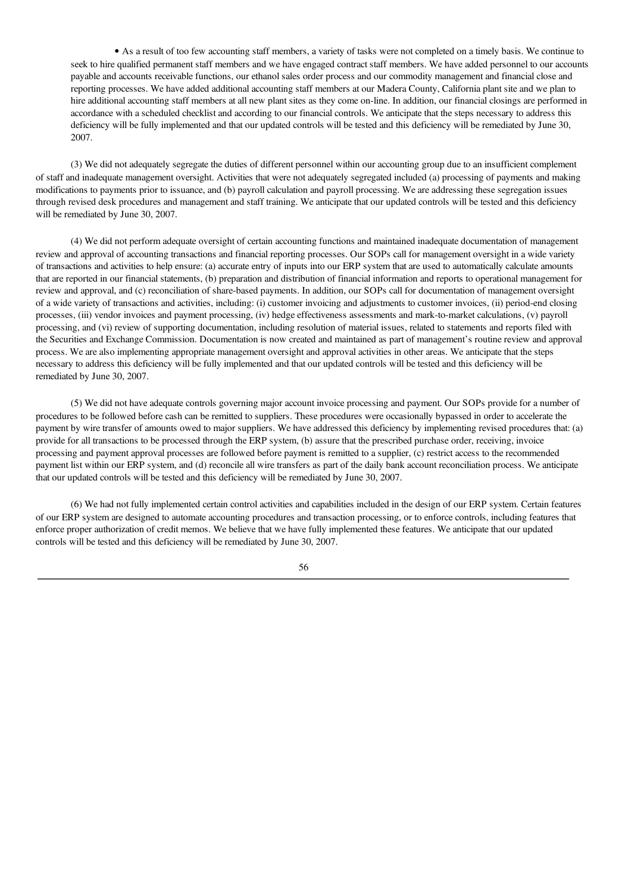· As a result of too few accounting staff members, a variety of tasks were not completed on a timely basis. We continue to seek to hire qualified permanent staff members and we have engaged contract staff members. We have added personnel to our accounts payable and accounts receivable functions, our ethanol sales order process and our commodity management and financial close and reporting processes. We have added additional accounting staff members at our Madera County, California plant site and we plan to hire additional accounting staff members at all new plant sites as they come on-line. In addition, our financial closings are performed in accordance with a scheduled checklist and according to our financial controls. We anticipate that the steps necessary to address this deficiency will be fully implemented and that our updated controls will be tested and this deficiency will be remediated by June 30, 2007.

(3) We did not adequately segregate the duties of different personnel within our accounting group due to an insufficient complement of staff and inadequate management oversight. Activities that were not adequately segregated included (a) processing of payments and making modifications to payments prior to issuance, and (b) payroll calculation and payroll processing. We are addressing these segregation issues through revised desk procedures and management and staff training. We anticipate that our updated controls will be tested and this deficiency will be remediated by June 30, 2007.

(4) We did not perform adequate oversight of certain accounting functions and maintained inadequate documentation of management review and approval of accounting transactions and financial reporting processes. Our SOPs call for management oversight in a wide variety of transactions and activities to help ensure: (a) accurate entry of inputs into our ERP system that are used to automatically calculate amounts that are reported in our financial statements, (b) preparation and distribution of financial information and reports to operational management for review and approval, and (c) reconciliation of share-based payments. In addition, our SOPs call for documentation of management oversight of a wide variety of transactions and activities, including: (i) customer invoicing and adjustments to customer invoices, (ii) period-end closing processes, (iii) vendor invoices and payment processing, (iv) hedge effectiveness assessments and mark-to-market calculations, (v) payroll processing, and (vi) review of supporting documentation, including resolution of material issues, related to statements and reports filed with the Securities and Exchange Commission. Documentation is now created and maintained as part of management's routine review and approval process. We are also implementing appropriate management oversight and approval activities in other areas. We anticipate that the steps necessary to address this deficiency will be fully implemented and that our updated controls will be tested and this deficiency will be remediated by June 30, 2007.

(5) We did not have adequate controls governing major account invoice processing and payment. Our SOPs provide for a number of procedures to be followed before cash can be remitted to suppliers. These procedures were occasionally bypassed in order to accelerate the payment by wire transfer of amounts owed to major suppliers. We have addressed this deficiency by implementing revised procedures that: (a) provide for all transactions to be processed through the ERP system, (b) assure that the prescribed purchase order, receiving, invoice processing and payment approval processes are followed before payment is remitted to a supplier, (c) restrict access to the recommended payment list within our ERP system, and (d) reconcile all wire transfers as part of the daily bank account reconciliation process. We anticipate that our updated controls will be tested and this deficiency will be remediated by June 30, 2007.

(6) We had not fully implemented certain control activities and capabilities included in the design of our ERP system. Certain features of our ERP system are designed to automate accounting procedures and transaction processing, or to enforce controls, including features that enforce proper authorization of credit memos. We believe that we have fully implemented these features. We anticipate that our updated controls will be tested and this deficiency will be remediated by June 30, 2007.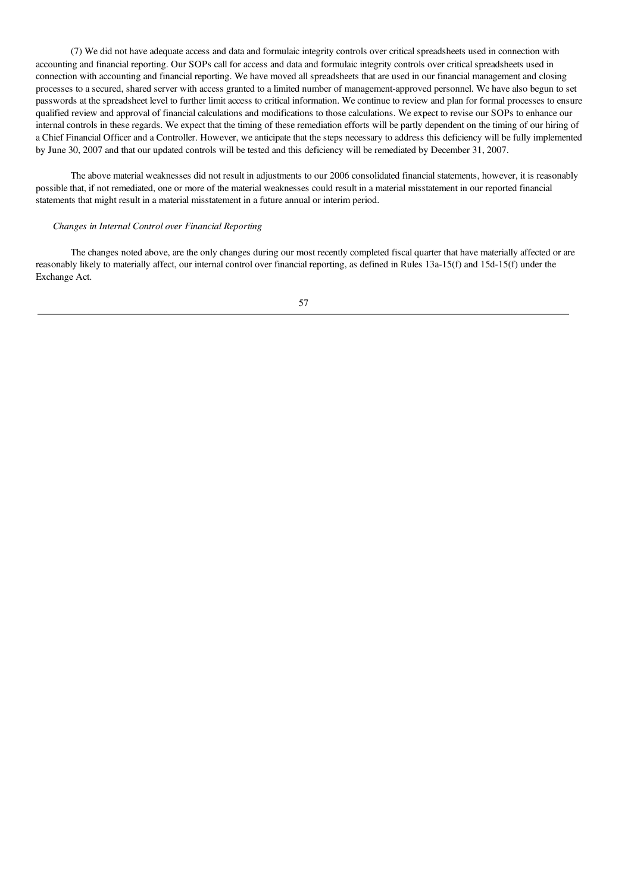(7) We did not have adequate access and data and formulaic integrity controls over critical spreadsheets used in connection with accounting and financial reporting. Our SOPs call for access and data and formulaic integrity controls over critical spreadsheets used in connection with accounting and financial reporting. We have moved all spreadsheets that are used in our financial management and closing processes to a secured, shared server with access granted to a limited number of management-approved personnel. We have also begun to set passwords at the spreadsheet level to further limit access to critical information. We continue to review and plan for formal processes to ensure qualified review and approval of financial calculations and modifications to those calculations. We expect to revise our SOPs to enhance our internal controls in these regards. We expect that the timing of these remediation efforts will be partly dependent on the timing of our hiring of a Chief Financial Officer and a Controller. However, we anticipate that the steps necessary to address this deficiency will be fully implemented by June 30, 2007 and that our updated controls will be tested and this deficiency will be remediated by December 31, 2007.

The above material weaknesses did not result in adjustments to our 2006 consolidated financial statements, however, it is reasonably possible that, if not remediated, one or more of the material weaknesses could result in a material misstatement in our reported financial statements that might result in a material misstatement in a future annual or interim period.

### *Changes in Internal Control over Financial Reporting*

The changes noted above, are the only changes during our most recently completed fiscal quarter that have materially affected or are reasonably likely to materially affect, our internal control over financial reporting, as defined in Rules 13a-15(f) and 15d-15(f) under the Exchange Act.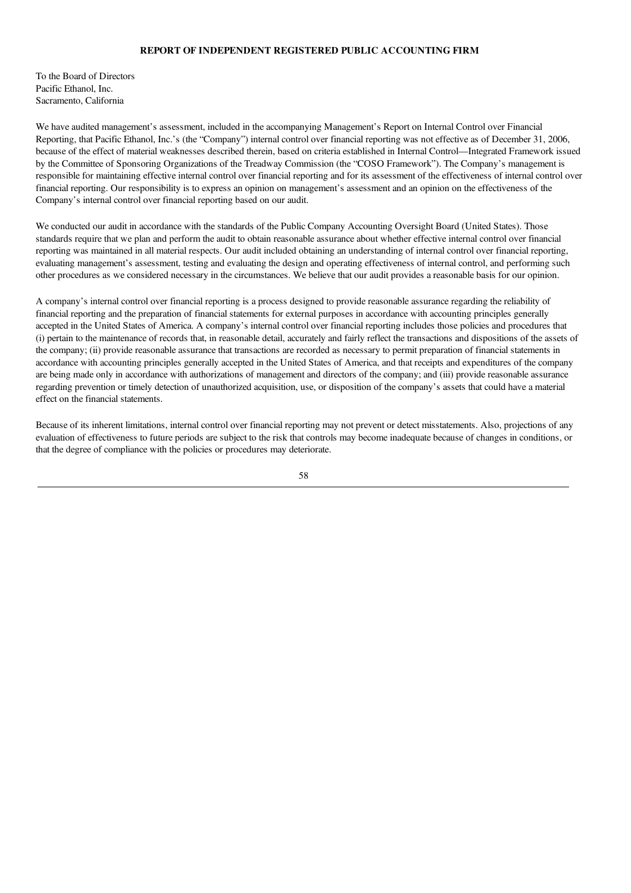## REPORT OF INDEPENDENT REGISTERED PUBLIC ACCOUNTING FIRM

To the Board of Directors Pacific Ethanol, Inc. Sacramento, California

We have audited management's assessment, included in the accompanying Management's Report on Internal Control over Financial Reporting, that Pacific Ethanol, Inc.'s (the "Company") internal control over financial reporting was not effective as of December 31, 2006, because of the effect of material weaknesses described therein, based on criteria established in Internal Control—Integrated Framework issued by the Committee of Sponsoring Organizations of the Treadway Commission (the "COSO Framework"). The Company's management is responsible for maintaining effective internal control over financial reporting and for its assessment of the effectiveness of internal control over financial reporting. Our responsibility is to express an opinion on management's assessment and an opinion on the effectiveness of the Company's internal control over financial reporting based on our audit.

We conducted our audit in accordance with the standards of the Public Company Accounting Oversight Board (United States). Those standards require that we plan and perform the audit to obtain reasonable assurance about whether effective internal control over financial reporting was maintained in all material respects. Our audit included obtaining an understanding of internal control over financial reporting, evaluating management's assessment, testing and evaluating the design and operating effectiveness of internal control, and performing such other procedures as we considered necessary in the circumstances. We believe that our audit provides a reasonable basis for our opinion.

A company's internal control over financial reporting is a process designed to provide reasonable assurance regarding the reliability of financial reporting and the preparation of financial statements for external purposes in accordance with accounting principles generally accepted in the United States of America. A company's internal control over financial reporting includes those policies and procedures that (i) pertain to the maintenance of records that, in reasonable detail, accurately and fairly reflect the transactions and dispositions of the assets of the company; (ii) provide reasonable assurance that transactions are recorded as necessary to permit preparation of financial statements in accordance with accounting principles generally accepted in the United States of America, and that receipts and expenditures of the company are being made only in accordance with authorizations of management and directors of the company; and (iii) provide reasonable assurance regarding prevention or timely detection of unauthorized acquisition, use, or disposition of the company's assets that could have a material effect on the financial statements.

Because of its inherent limitations, internal control over financial reporting may not prevent or detect misstatements. Also, projections of any evaluation of effectiveness to future periods are subject to the risk that controls may become inadequate because of changes in conditions, or that the degree of compliance with the policies or procedures may deteriorate.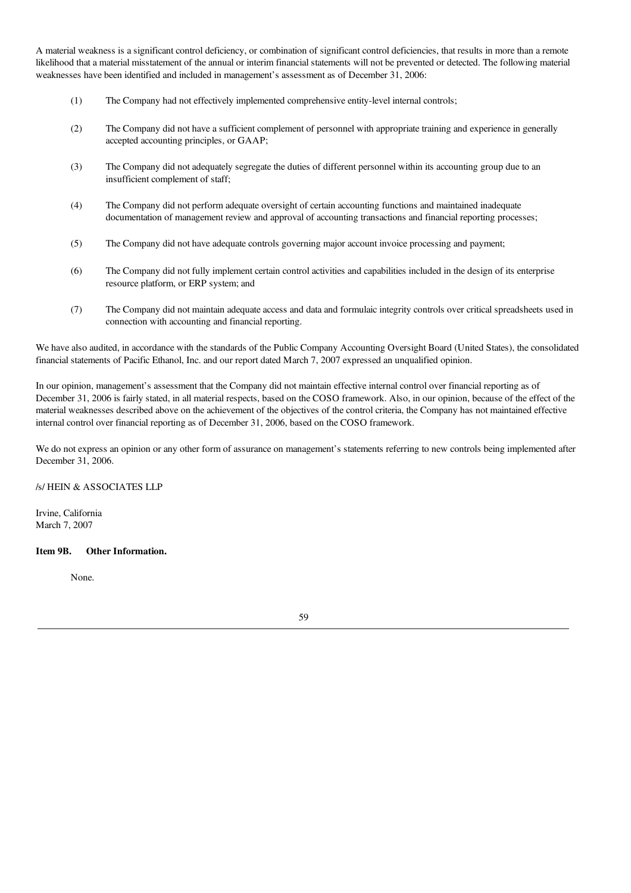A material weakness is a significant control deficiency, or combination of significant control deficiencies, that results in more than a remote likelihood that a material misstatement of the annual or interim financial statements will not be prevented or detected. The following material weaknesses have been identified and included in management's assessment as of December 31, 2006:

- (1) The Company had not effectively implemented comprehensive entity-level internal controls;
- (2) The Company did not have a sufficient complement of personnel with appropriate training and experience in generally accepted accounting principles, or GAAP;
- (3) The Company did not adequately segregate the duties of different personnel within its accounting group due to an insufficient complement of staff;
- (4) The Company did not perform adequate oversight of certain accounting functions and maintained inadequate documentation of management review and approval of accounting transactions and financial reporting processes;
- (5) The Company did not have adequate controls governing major account invoice processing and payment;
- (6) The Company did not fully implement certain control activities and capabilities included in the design of its enterprise resource platform, or ERP system; and
- (7) The Company did not maintain adequate access and data and formulaic integrity controls over critical spreadsheets used in connection with accounting and financial reporting.

We have also audited, in accordance with the standards of the Public Company Accounting Oversight Board (United States), the consolidated financial statements of Pacific Ethanol, Inc. and our report dated March 7, 2007 expressed an unqualified opinion.

In our opinion, management's assessment that the Company did not maintain effective internal control over financial reporting as of December 31, 2006 is fairly stated, in all material respects, based on the COSO framework. Also, in our opinion, because of the effect of the material weaknesses described above on the achievement of the objectives of the control criteria, the Company has not maintained effective internal control over financial reporting as of December 31, 2006, based on the COSO framework.

We do not express an opinion or any other form of assurance on management's statements referring to new controls being implemented after December 31, 2006.

/s/ HEIN & ASSOCIATES LLP

Irvine, California March 7, 2007

### Item 9B. Other Information.

None.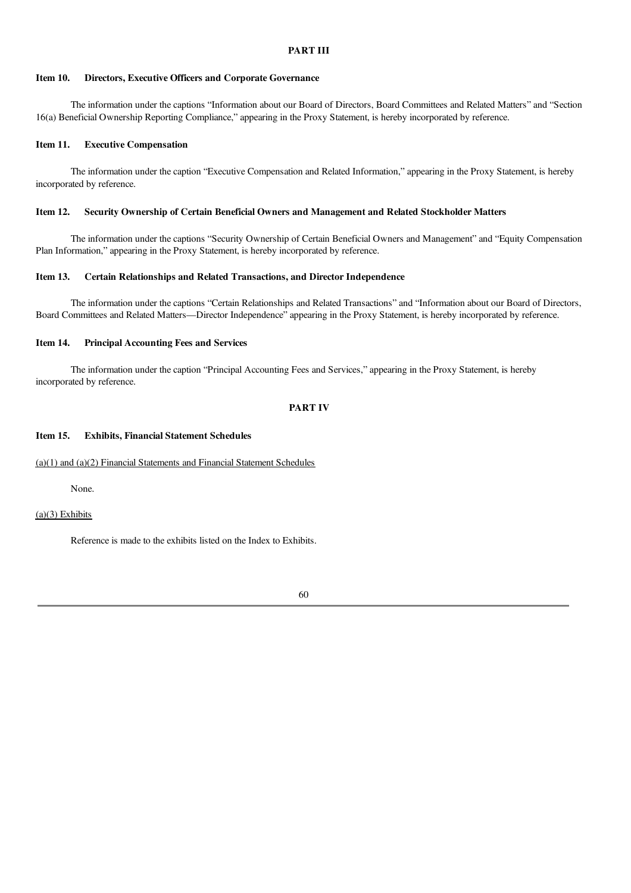### PART III

## Item 10. Directors, Executive Officers and Corporate Governance

The information under the captions "Information about our Board of Directors, Board Committees and Related Matters" and "Section 16(a) Beneficial Ownership Reporting Compliance," appearing in the Proxy Statement, is hereby incorporated by reference.

## Item 11. Executive Compensation

The information under the caption "Executive Compensation and Related Information," appearing in the Proxy Statement, is hereby incorporated by reference.

### Item 12. Security Ownership of Certain Beneficial Owners and Management and Related Stockholder Matters

The information under the captions "Security Ownership of Certain Beneficial Owners and Management" and "Equity Compensation Plan Information," appearing in the Proxy Statement, is hereby incorporated by reference.

### Item 13. Certain Relationships and Related Transactions, and Director Independence

The information under the captions "Certain Relationships and Related Transactions" and "Information about our Board of Directors, Board Committees and Related Matters—Director Independence" appearing in the Proxy Statement, is hereby incorporated by reference.

## Item 14. Principal Accounting Fees and Services

The information under the caption "Principal Accounting Fees and Services," appearing in the Proxy Statement, is hereby incorporated by reference.

### PART IV

## Item 15. Exhibits, Financial Statement Schedules

(a)(1) and (a)(2) Financial Statements and Financial Statement Schedules

None.

#### $(a)(3)$  Exhibits

Reference is made to the exhibits listed on the Index to Exhibits.

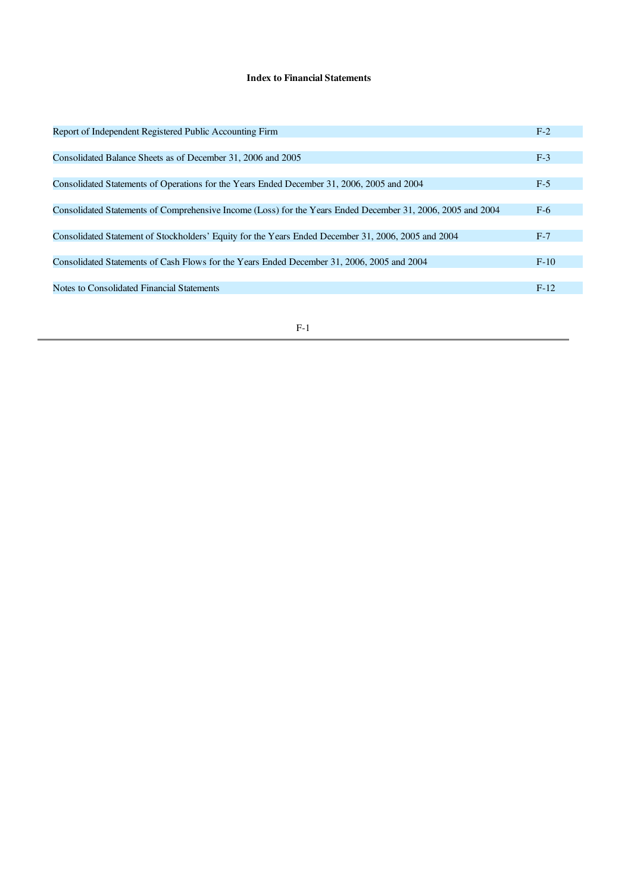## Index to Financial Statements

| Report of Independent Registered Public Accounting Firm                                                     | $F-2$  |
|-------------------------------------------------------------------------------------------------------------|--------|
|                                                                                                             |        |
| Consolidated Balance Sheets as of December 31, 2006 and 2005                                                | $F-3$  |
|                                                                                                             |        |
| Consolidated Statements of Operations for the Years Ended December 31, 2006, 2005 and 2004                  | $F-5$  |
|                                                                                                             |        |
| Consolidated Statements of Comprehensive Income (Loss) for the Years Ended December 31, 2006, 2005 and 2004 | $F-6$  |
| Consolidated Statement of Stockholders' Equity for the Years Ended December 31, 2006, 2005 and 2004         | $F-7$  |
|                                                                                                             |        |
| Consolidated Statements of Cash Flows for the Years Ended December 31, 2006, 2005 and 2004                  | $F-10$ |
|                                                                                                             |        |
| Notes to Consolidated Financial Statements                                                                  | $F-12$ |
|                                                                                                             |        |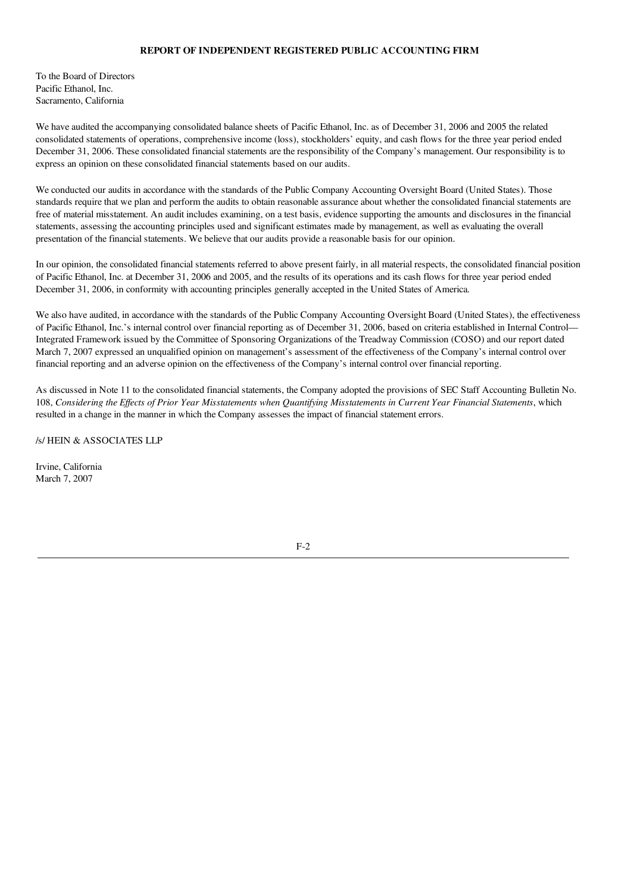### REPORT OF INDEPENDENT REGISTERED PUBLIC ACCOUNTING FIRM

To the Board of Directors Pacific Ethanol, Inc. Sacramento, California

We have audited the accompanying consolidated balance sheets of Pacific Ethanol, Inc. as of December 31, 2006 and 2005 the related consolidated statements of operations, comprehensive income (loss), stockholders' equity, and cash flows for the three year period ended December 31, 2006. These consolidated financial statements are the responsibility of the Company's management. Our responsibility is to express an opinion on these consolidated financial statements based on our audits.

We conducted our audits in accordance with the standards of the Public Company Accounting Oversight Board (United States). Those standards require that we plan and perform the audits to obtain reasonable assurance about whether the consolidated financial statements are free of material misstatement. An audit includes examining, on a test basis, evidence supporting the amounts and disclosures in the financial statements, assessing the accounting principles used and significant estimates made by management, as well as evaluating the overall presentation of the financial statements. We believe that our audits provide a reasonable basis for our opinion.

In our opinion, the consolidated financial statements referred to above present fairly, in all material respects, the consolidated financial position of Pacific Ethanol, Inc. at December 31, 2006 and 2005, and the results of its operations and its cash flows for three year period ended December 31, 2006, in conformity with accounting principles generally accepted in the United States of America.

We also have audited, in accordance with the standards of the Public Company Accounting Oversight Board (United States), the effectiveness of Pacific Ethanol, Inc.'s internal control over financial reporting as of December 31, 2006, based on criteria established in Internal Control— Integrated Framework issued by the Committee of Sponsoring Organizations of the Treadway Commission (COSO) and our report dated March 7, 2007 expressed an unqualified opinion on management's assessment of the effectiveness of the Company's internal control over financial reporting and an adverse opinion on the effectiveness of the Company's internal control over financial reporting.

As discussed in Note 11 to the consolidated financial statements, the Company adopted the provisions of SEC Staff Accounting Bulletin No. 108, Considering the Effects of Prior Year Misstatements when Quantifying Misstatements in Current Year Financial Statements, which resulted in a change in the manner in which the Company assesses the impact of financial statement errors.

/s/ HEIN & ASSOCIATES LLP

Irvine, California March 7, 2007

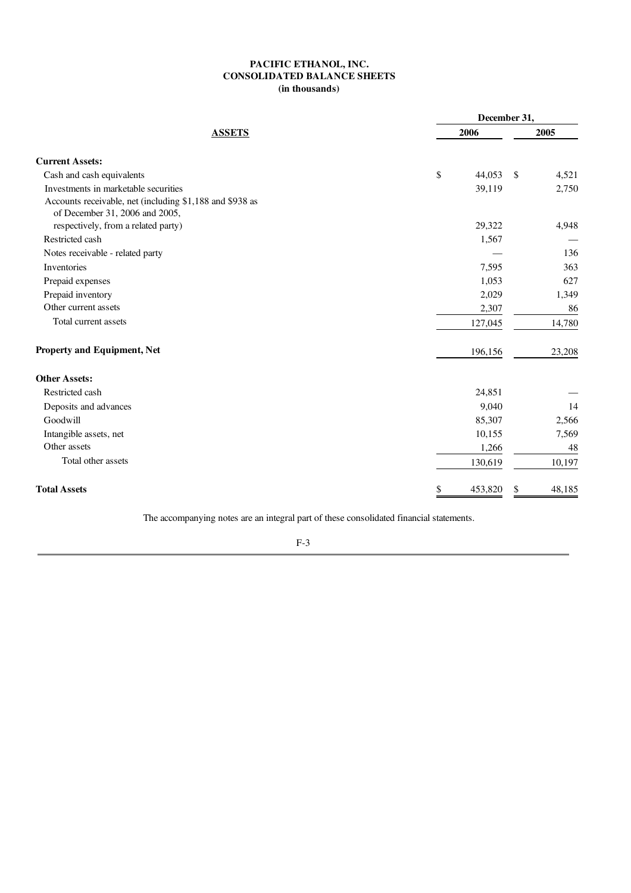## PACIFIC ETHANOL, INC. CONSOLIDATED BALANCE SHEETS (in thousands)

|                                                                                            | December 31,  |              |  |  |  |  |  |
|--------------------------------------------------------------------------------------------|---------------|--------------|--|--|--|--|--|
| <b>ASSETS</b>                                                                              | 2006          | 2005         |  |  |  |  |  |
| <b>Current Assets:</b>                                                                     |               |              |  |  |  |  |  |
| Cash and cash equivalents                                                                  | \$<br>44,053  | \$<br>4,521  |  |  |  |  |  |
| Investments in marketable securities                                                       | 39,119        | 2,750        |  |  |  |  |  |
| Accounts receivable, net (including \$1,188 and \$938 as<br>of December 31, 2006 and 2005, |               |              |  |  |  |  |  |
| respectively, from a related party)                                                        | 29,322        | 4,948        |  |  |  |  |  |
| Restricted cash                                                                            | 1,567         |              |  |  |  |  |  |
| Notes receivable - related party                                                           |               | 136          |  |  |  |  |  |
| Inventories                                                                                | 7,595         | 363          |  |  |  |  |  |
| Prepaid expenses                                                                           | 1,053         | 627          |  |  |  |  |  |
| Prepaid inventory                                                                          | 2,029         | 1,349        |  |  |  |  |  |
| Other current assets                                                                       | 2,307         | 86           |  |  |  |  |  |
| Total current assets                                                                       | 127,045       | 14,780       |  |  |  |  |  |
| Property and Equipment, Net                                                                | 196,156       | 23,208       |  |  |  |  |  |
| <b>Other Assets:</b>                                                                       |               |              |  |  |  |  |  |
| Restricted cash                                                                            | 24,851        |              |  |  |  |  |  |
| Deposits and advances                                                                      | 9,040         | 14           |  |  |  |  |  |
| Goodwill                                                                                   | 85,307        | 2,566        |  |  |  |  |  |
| Intangible assets, net                                                                     | 10,155        | 7,569        |  |  |  |  |  |
| Other assets                                                                               | 1,266         | 48           |  |  |  |  |  |
| Total other assets                                                                         | 130,619       | 10,197       |  |  |  |  |  |
| <b>Total Assets</b>                                                                        | 453,820<br>\$ | 48,185<br>\$ |  |  |  |  |  |

The accompanying notes are an integral part of these consolidated financial statements.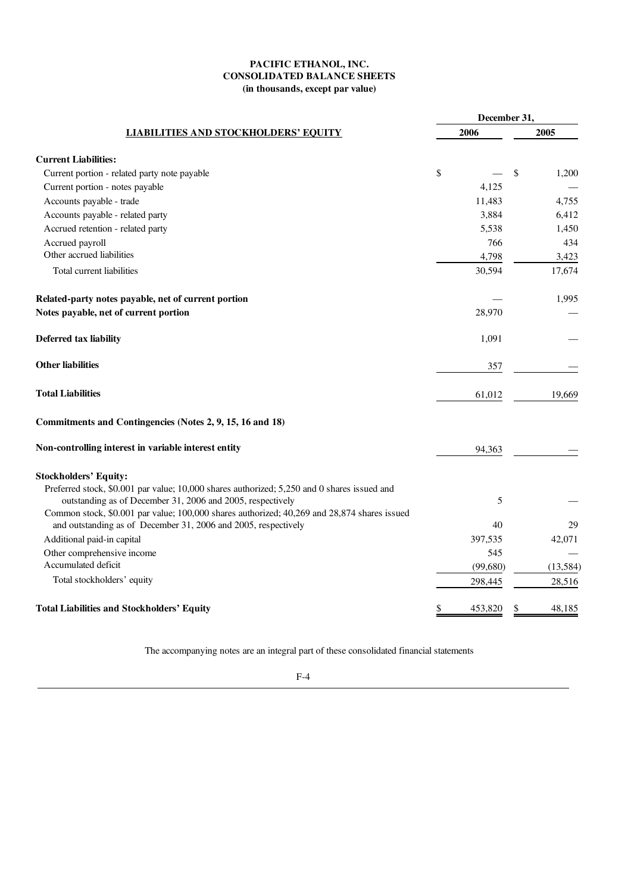## PACIFIC ETHANOL, INC. CONSOLIDATED BALANCE SHEETS (in thousands, except par value)

|                                                                                                                                                               | December 31, |           |    |           |  |  |  |
|---------------------------------------------------------------------------------------------------------------------------------------------------------------|--------------|-----------|----|-----------|--|--|--|
| <b>LIABILITIES AND STOCKHOLDERS' EQUITY</b>                                                                                                                   |              | 2006      |    | 2005      |  |  |  |
| <b>Current Liabilities:</b>                                                                                                                                   |              |           |    |           |  |  |  |
| Current portion - related party note payable                                                                                                                  | \$           |           | \$ | 1,200     |  |  |  |
| Current portion - notes payable                                                                                                                               |              | 4,125     |    |           |  |  |  |
| Accounts payable - trade                                                                                                                                      |              | 11,483    |    | 4,755     |  |  |  |
| Accounts payable - related party                                                                                                                              |              | 3,884     |    | 6,412     |  |  |  |
| Accrued retention - related party                                                                                                                             |              | 5,538     |    | 1,450     |  |  |  |
| Accrued payroll                                                                                                                                               |              | 766       |    | 434       |  |  |  |
| Other accrued liabilities                                                                                                                                     |              | 4,798     |    | 3,423     |  |  |  |
| Total current liabilities                                                                                                                                     |              | 30,594    |    | 17,674    |  |  |  |
| Related-party notes payable, net of current portion                                                                                                           |              |           |    | 1,995     |  |  |  |
| Notes payable, net of current portion                                                                                                                         |              | 28,970    |    |           |  |  |  |
| <b>Deferred tax liability</b>                                                                                                                                 |              | 1,091     |    |           |  |  |  |
| <b>Other liabilities</b>                                                                                                                                      |              | 357       |    |           |  |  |  |
| <b>Total Liabilities</b>                                                                                                                                      |              | 61,012    |    | 19.669    |  |  |  |
| Commitments and Contingencies (Notes 2, 9, 15, 16 and 18)                                                                                                     |              |           |    |           |  |  |  |
| Non-controlling interest in variable interest entity                                                                                                          |              | 94,363    |    |           |  |  |  |
| <b>Stockholders' Equity:</b>                                                                                                                                  |              |           |    |           |  |  |  |
| Preferred stock, \$0.001 par value; 10,000 shares authorized; 5,250 and 0 shares issued and<br>outstanding as of December 31, 2006 and 2005, respectively     |              | 5         |    |           |  |  |  |
| Common stock, \$0.001 par value; 100,000 shares authorized; 40,269 and 28,874 shares issued<br>and outstanding as of December 31, 2006 and 2005, respectively |              | 40        |    | 29        |  |  |  |
| Additional paid-in capital                                                                                                                                    |              | 397,535   |    | 42,071    |  |  |  |
| Other comprehensive income                                                                                                                                    |              | 545       |    |           |  |  |  |
| Accumulated deficit                                                                                                                                           |              | (99, 680) |    | (13, 584) |  |  |  |
| Total stockholders' equity                                                                                                                                    |              | 298,445   |    | 28,516    |  |  |  |
| <b>Total Liabilities and Stockholders' Equity</b>                                                                                                             | \$           | 453,820   |    | 48,185    |  |  |  |

The accompanying notes are an integral part of these consolidated financial statements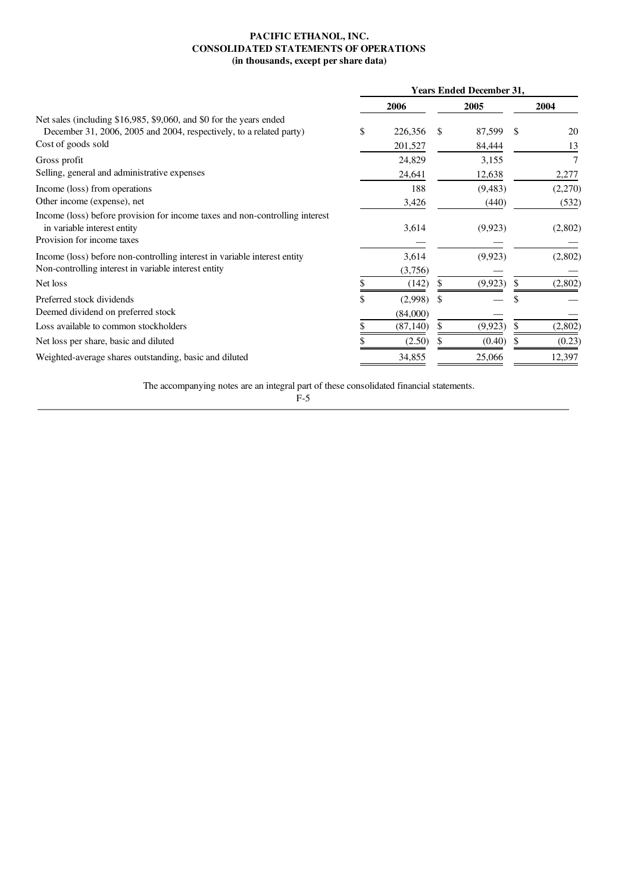## PACIFIC ETHANOL, INC. CONSOLIDATED STATEMENTS OF OPERATIONS (in thousands, except per share data)

|                                                                                                                                            | <b>Years Ended December 31,</b> |                  |     |                 |      |            |  |
|--------------------------------------------------------------------------------------------------------------------------------------------|---------------------------------|------------------|-----|-----------------|------|------------|--|
|                                                                                                                                            |                                 | 2006             |     | 2005            |      | 2004       |  |
| Net sales (including \$16,985, \$9,060, and \$0 for the years ended<br>December 31, 2006, 2005 and 2004, respectively, to a related party) | \$                              | 226,356          | \$  | 87,599          | - \$ | 20         |  |
| Cost of goods sold                                                                                                                         |                                 | 201,527          |     | 84,444          |      | 13         |  |
| Gross profit<br>Selling, general and administrative expenses                                                                               |                                 | 24,829<br>24,641 |     | 3,155<br>12,638 |      | 7<br>2,277 |  |
| Income (loss) from operations                                                                                                              |                                 | 188              |     | (9, 483)        |      | (2,270)    |  |
| Other income (expense), net                                                                                                                |                                 | 3,426            |     | (440)           |      | (532)      |  |
| Income (loss) before provision for income taxes and non-controlling interest<br>in variable interest entity<br>Provision for income taxes  |                                 | 3,614            |     | (9,923)         |      | (2,802)    |  |
| Income (loss) before non-controlling interest in variable interest entity<br>Non-controlling interest in variable interest entity          |                                 | 3,614<br>(3,756) |     | (9, 923)        |      | (2,802)    |  |
| Net loss                                                                                                                                   |                                 | (142)            | \$. | (9,923)         | \$.  | (2,802)    |  |
| Preferred stock dividends                                                                                                                  |                                 | (2,998)          | \$. |                 |      |            |  |
| Deemed dividend on preferred stock                                                                                                         |                                 | (84,000)         |     |                 |      |            |  |
| Loss available to common stockholders                                                                                                      |                                 | (87, 140)        |     | (9, 923)        |      | (2,802)    |  |
| Net loss per share, basic and diluted                                                                                                      |                                 | (2.50)           |     | (0.40)          |      | (0.23)     |  |
| Weighted-average shares outstanding, basic and diluted                                                                                     |                                 | 34,855           |     | 25,066          |      | 12,397     |  |

The accompanying notes are an integral part of these consolidated financial statements.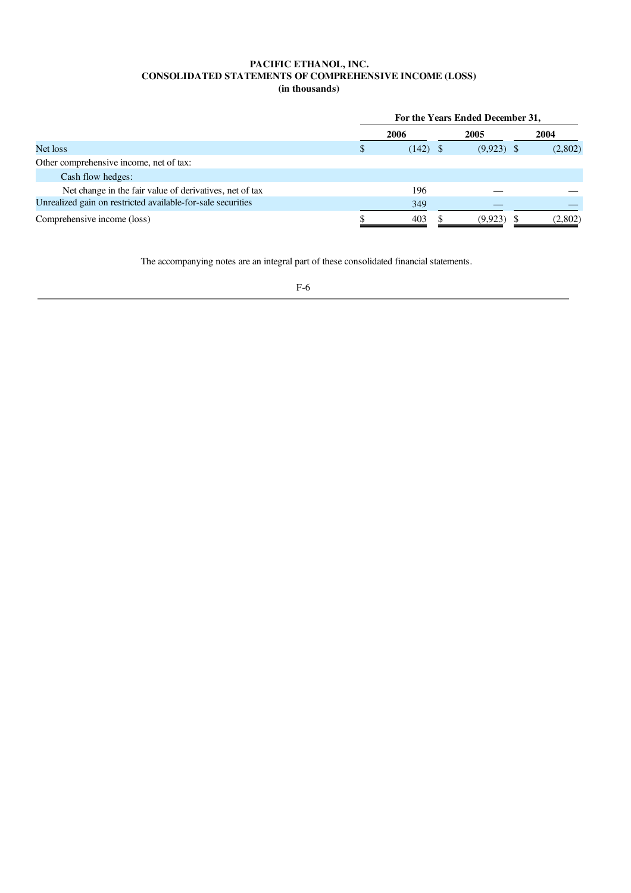## PACIFIC ETHANOL, INC. CONSOLIDATED STATEMENTS OF COMPREHENSIVE INCOME (LOSS) (in thousands)

|                                                             |   | For the Years Ended December 31, |  |              |  |         |  |  |  |
|-------------------------------------------------------------|---|----------------------------------|--|--------------|--|---------|--|--|--|
|                                                             |   | 2006                             |  | 2005         |  | 2004    |  |  |  |
| Net loss                                                    | S | $(142)$ \$                       |  | $(9.923)$ \$ |  | (2,802) |  |  |  |
| Other comprehensive income, net of tax:                     |   |                                  |  |              |  |         |  |  |  |
| Cash flow hedges:                                           |   |                                  |  |              |  |         |  |  |  |
| Net change in the fair value of derivatives, net of tax     |   | 196                              |  |              |  |         |  |  |  |
| Unrealized gain on restricted available-for-sale securities |   | 349                              |  |              |  |         |  |  |  |
| Comprehensive income (loss)                                 |   | 403                              |  | (9,923)      |  | (2,802) |  |  |  |

The accompanying notes are an integral part of these consolidated financial statements.

$$
F-6
$$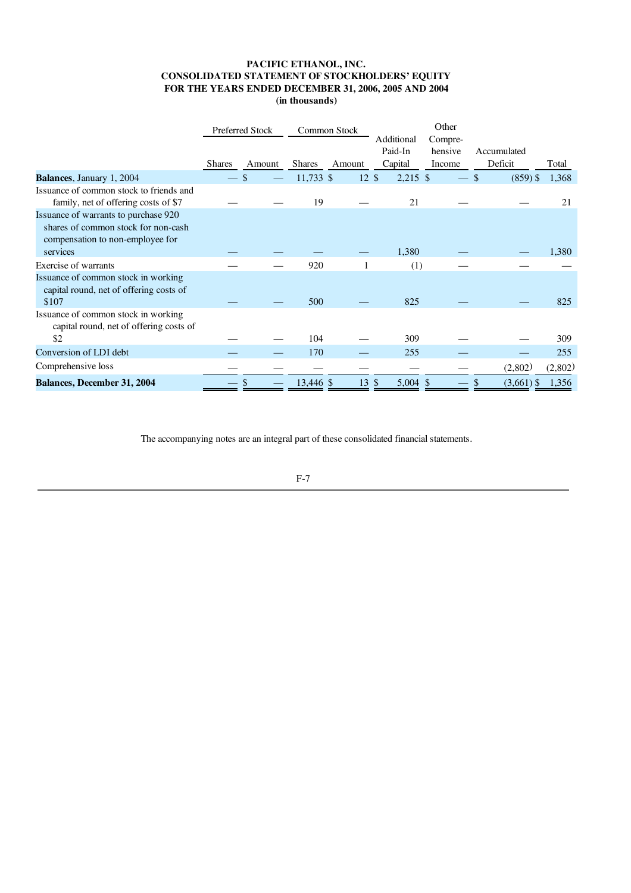## PACIFIC ETHANOL, INC. CONSOLIDATED STATEMENT OF STOCKHOLDERS' EQUITY FOR THE YEARS ENDED DECEMBER 31, 2006, 2005 AND 2004 (in thousands)

|                                                                                                                             | <b>Preferred Stock</b> |        | Common Stock  |               | Additional                  | Other<br>Compre-  |                        |         |
|-----------------------------------------------------------------------------------------------------------------------------|------------------------|--------|---------------|---------------|-----------------------------|-------------------|------------------------|---------|
|                                                                                                                             | <b>Shares</b>          | Amount | <b>Shares</b> | Amount        | Paid-In<br>Capital          | hensive<br>Income | Accumulated<br>Deficit | Total   |
| <b>Balances</b> , January 1, 2004                                                                                           |                        | \$     | $11,733$ \$   | $12 \text{ }$ | $2,215$ \$                  |                   | $(859)$ \$<br>\$.      | 1,368   |
| Issuance of common stock to friends and<br>family, net of offering costs of \$7                                             |                        |        | 19            |               | 21                          |                   |                        | 21      |
| Issuance of warrants to purchase 920<br>shares of common stock for non-cash<br>compensation to non-employee for<br>services |                        |        |               |               | 1,380                       |                   |                        | 1,380   |
| Exercise of warrants                                                                                                        |                        |        | 920           |               | (1)                         |                   |                        |         |
| Issuance of common stock in working<br>capital round, net of offering costs of<br>\$107                                     |                        |        | 500           |               | 825                         |                   |                        | 825     |
| Issuance of common stock in working<br>capital round, net of offering costs of<br>\$2                                       |                        |        | 104           |               | 309                         |                   |                        | 309     |
| Conversion of LDI debt                                                                                                      |                        |        | 170           |               | 255                         |                   |                        | 255     |
| Comprehensive loss                                                                                                          |                        |        |               |               |                             |                   | (2,802)                | (2,802) |
| <b>Balances, December 31, 2004</b>                                                                                          |                        |        | 13,446 \$     | 13            | $\mathcal{S}$<br>$5,004$ \$ |                   | $(3,661)$ \$           | 1,356   |

The accompanying notes are an integral part of these consolidated financial statements.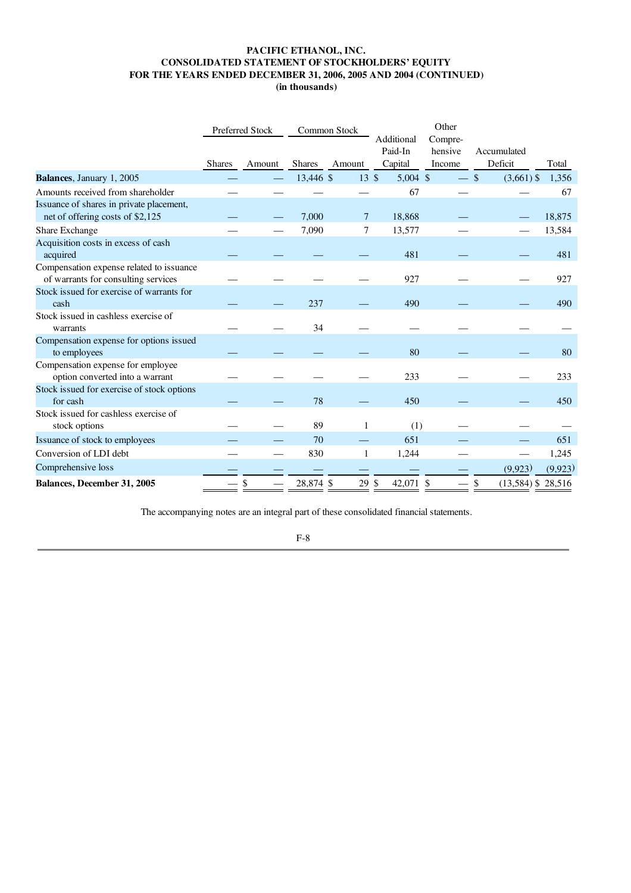# PACIFIC ETHANOL, INC. CONSOLIDATED STATEMENT OF STOCKHOLDERS' EQUITY FOR THE YEARS ENDED DECEMBER 31, 2006, 2005 AND 2004 (CONTINUED)

|                                                                                 | Preferred Stock |        | Common Stock  |                  | Additional<br>Paid-In | Other<br>Compre-  |                            |         |
|---------------------------------------------------------------------------------|-----------------|--------|---------------|------------------|-----------------------|-------------------|----------------------------|---------|
|                                                                                 | <b>Shares</b>   | Amount | <b>Shares</b> | Amount           | Capital               | hensive<br>Income | Accumulated<br>Deficit     | Total   |
| Balances, January 1, 2005                                                       |                 |        | 13,446 \$     | 13S              | $5,004$ \$            | $-$ \$            | $(3,661)$ \$               | 1,356   |
| Amounts received from shareholder                                               |                 |        |               |                  | 67                    |                   |                            | 67      |
| Issuance of shares in private placement,<br>net of offering costs of \$2,125    |                 |        | 7,000         | $\tau$           | 18,868                |                   |                            | 18,875  |
| Share Exchange                                                                  |                 |        | 7,090         | $\tau$           | 13,577                |                   |                            | 13,584  |
| Acquisition costs in excess of cash<br>acquired                                 |                 |        |               |                  | 481                   |                   |                            | 481     |
| Compensation expense related to issuance<br>of warrants for consulting services |                 |        |               |                  | 927                   |                   |                            | 927     |
| Stock issued for exercise of warrants for<br>cash                               |                 |        | 237           |                  | 490                   |                   |                            | 490     |
| Stock issued in cashless exercise of                                            |                 |        |               |                  |                       |                   |                            |         |
| warrants                                                                        |                 |        | 34            |                  |                       |                   |                            |         |
| Compensation expense for options issued<br>to employees                         |                 |        |               |                  | 80                    |                   |                            | 80      |
| Compensation expense for employee<br>option converted into a warrant            |                 |        |               |                  | 233                   |                   |                            | 233     |
| Stock issued for exercise of stock options<br>for cash                          |                 |        | 78            |                  | 450                   |                   |                            | 450     |
| Stock issued for cashless exercise of<br>stock options                          |                 |        | 89            | 1                | (1)                   |                   |                            |         |
| Issuance of stock to employees                                                  |                 |        | 70            |                  | 651                   |                   |                            | 651     |
| Conversion of LDI debt                                                          |                 |        | 830           | $\mathbf{1}$     | 1,244                 |                   |                            | 1,245   |
| Comprehensive loss                                                              |                 |        |               |                  |                       |                   | (9,923)                    | (9,923) |
| Balances, December 31, 2005                                                     |                 | \$     | 28,874 \$     | $29 \text{ }$ \$ | 42,071 \$             |                   | \$<br>$(13,584)$ \$ 28,516 |         |

(in thousands)

The accompanying notes are an integral part of these consolidated financial statements.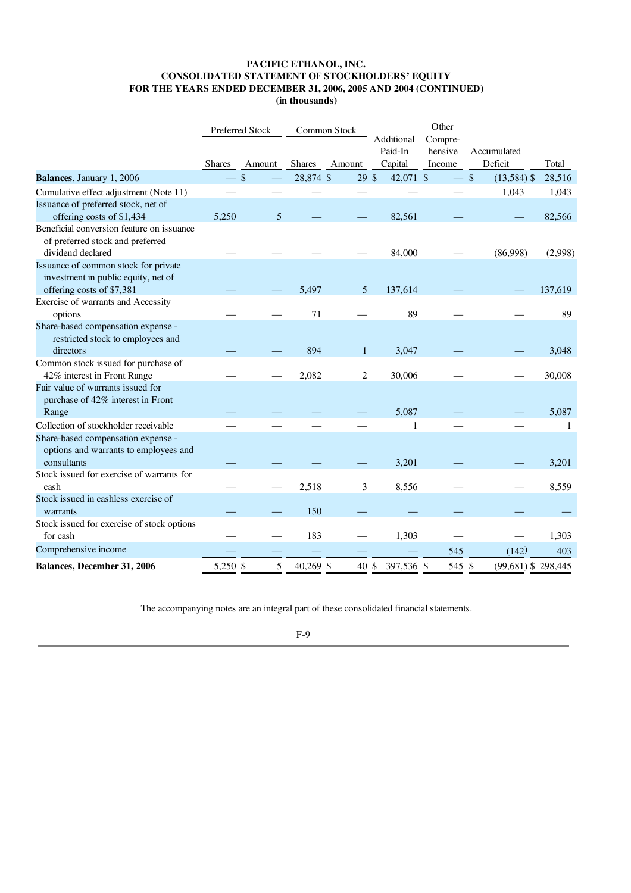## PACIFIC ETHANOL, INC. CONSOLIDATED STATEMENT OF STOCKHOLDERS' EQUITY FOR THE YEARS ENDED DECEMBER 31, 2006, 2005 AND 2004 (CONTINUED) (in thousands)

|                                                                                                          | Preferred Stock |        | Common Stock |              | Additional<br>Paid-In | Other<br>Compre-<br>hensive | Accumulated                 |         |
|----------------------------------------------------------------------------------------------------------|-----------------|--------|--------------|--------------|-----------------------|-----------------------------|-----------------------------|---------|
|                                                                                                          | <b>Shares</b>   | Amount | Shares       | Amount       | Capital               | Income                      | Deficit                     | Total   |
| Balances, January 1, 2006                                                                                |                 | \$     | 28,874 \$    | 29 \$        | 42,071 \$             |                             | $\sqrt{5}$<br>$(13,584)$ \$ | 28,516  |
| Cumulative effect adjustment (Note 11)                                                                   |                 |        |              |              |                       |                             | 1,043                       | 1,043   |
| Issuance of preferred stock, net of<br>offering costs of \$1,434                                         | 5,250           | 5      |              |              | 82,561                |                             |                             | 82,566  |
| Beneficial conversion feature on issuance<br>of preferred stock and preferred<br>dividend declared       |                 |        |              |              | 84,000                |                             | (86,998)                    | (2,998) |
| Issuance of common stock for private<br>investment in public equity, net of<br>offering costs of \$7,381 |                 |        | 5,497        | 5            | 137,614               |                             |                             | 137,619 |
| Exercise of warrants and Accessity<br>options                                                            |                 |        | 71           |              | 89                    |                             |                             | 89      |
| Share-based compensation expense -<br>restricted stock to employees and<br>directors                     |                 |        | 894          | $\mathbf{1}$ | 3,047                 |                             |                             | 3,048   |
| Common stock issued for purchase of<br>42% interest in Front Range                                       |                 |        | 2,082        | $\mathbf{2}$ | 30,006                |                             |                             | 30,008  |
| Fair value of warrants issued for<br>purchase of 42% interest in Front<br>Range                          |                 |        |              |              | 5,087                 |                             |                             | 5,087   |
| Collection of stockholder receivable                                                                     |                 |        |              |              | 1                     |                             |                             | 1       |
| Share-based compensation expense -<br>options and warrants to employees and<br>consultants               |                 |        |              |              | 3,201                 |                             |                             | 3,201   |
| Stock issued for exercise of warrants for<br>cash                                                        |                 |        | 2,518        | 3            | 8,556                 |                             |                             | 8,559   |
| Stock issued in cashless exercise of<br>warrants                                                         |                 |        | 150          |              |                       |                             |                             |         |
| Stock issued for exercise of stock options<br>for cash                                                   |                 |        | 183          |              | 1,303                 |                             |                             | 1,303   |
| Comprehensive income                                                                                     |                 |        |              |              |                       | 545                         | (142)                       | 403     |
| Balances, December 31, 2006                                                                              | 5,250 \$        | 5      | 40,269 \$    | 40 \$        | 397,536 \$            | 545 \$                      | $(99,681)$ \$ 298,445       |         |

The accompanying notes are an integral part of these consolidated financial statements.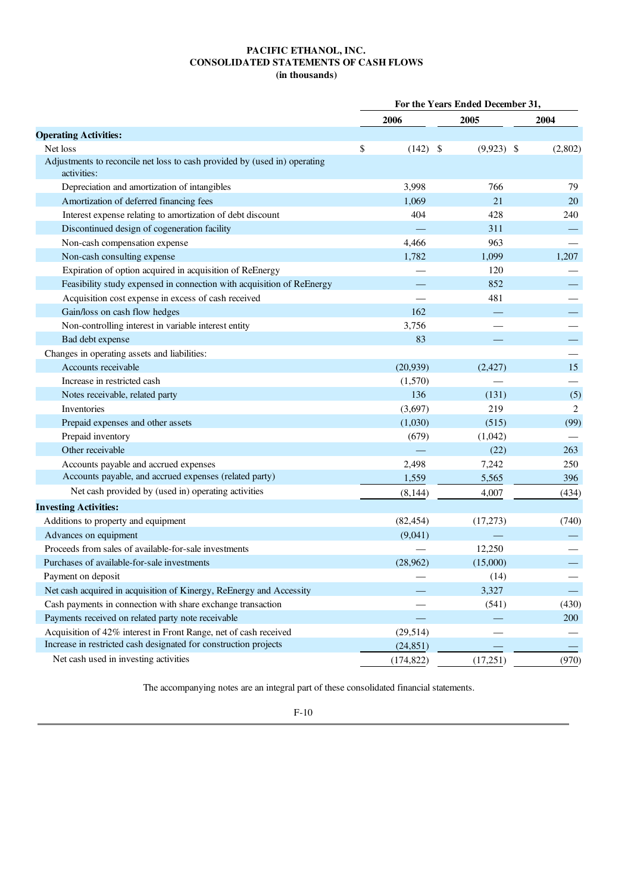# PACIFIC ETHANOL, INC. CONSOLIDATED STATEMENTS OF CASH FLOWS (in thousands)

|                                                                                          | For the Years Ended December 31, |              |                          |  |
|------------------------------------------------------------------------------------------|----------------------------------|--------------|--------------------------|--|
|                                                                                          | 2006                             | 2005         | 2004                     |  |
| <b>Operating Activities:</b>                                                             |                                  |              |                          |  |
| Net loss                                                                                 | \$<br>$(142)$ \$                 | $(9,923)$ \$ | (2,802)                  |  |
| Adjustments to reconcile net loss to cash provided by (used in) operating<br>activities: |                                  |              |                          |  |
| Depreciation and amortization of intangibles                                             | 3,998                            | 766          | 79                       |  |
| Amortization of deferred financing fees                                                  | 1,069                            | 21           | 20                       |  |
| Interest expense relating to amortization of debt discount                               | 404                              | 428          | 240                      |  |
| Discontinued design of cogeneration facility                                             |                                  | 311          |                          |  |
| Non-cash compensation expense                                                            | 4,466                            | 963          |                          |  |
| Non-cash consulting expense                                                              | 1,782                            | 1,099        | 1,207                    |  |
| Expiration of option acquired in acquisition of ReEnergy                                 |                                  | 120          |                          |  |
| Feasibility study expensed in connection with acquisition of ReEnergy                    |                                  | 852          |                          |  |
| Acquisition cost expense in excess of cash received                                      |                                  | 481          |                          |  |
| Gain/loss on cash flow hedges                                                            | 162                              |              |                          |  |
| Non-controlling interest in variable interest entity                                     | 3,756                            |              |                          |  |
| Bad debt expense                                                                         | 83                               |              |                          |  |
| Changes in operating assets and liabilities:                                             |                                  |              |                          |  |
| Accounts receivable                                                                      | (20,939)                         | (2, 427)     | 15                       |  |
| Increase in restricted cash                                                              | (1,570)                          |              |                          |  |
| Notes receivable, related party                                                          | 136                              | (131)        | (5)                      |  |
| Inventories                                                                              | (3,697)                          | 219          | 2                        |  |
| Prepaid expenses and other assets                                                        | (1,030)                          | (515)        | (99)                     |  |
| Prepaid inventory                                                                        | (679)                            | (1,042)      |                          |  |
| Other receivable                                                                         |                                  | (22)         | 263                      |  |
| Accounts payable and accrued expenses                                                    | 2,498                            | 7,242        | 250                      |  |
| Accounts payable, and accrued expenses (related party)                                   | 1,559                            | 5,565        | 396                      |  |
| Net cash provided by (used in) operating activities                                      | (8, 144)                         | 4,007        | (434)                    |  |
| <b>Investing Activities:</b>                                                             |                                  |              |                          |  |
| Additions to property and equipment                                                      | (82, 454)                        | (17,273)     | (740)                    |  |
| Advances on equipment                                                                    | (9,041)                          |              |                          |  |
| Proceeds from sales of available-for-sale investments                                    |                                  | 12,250       |                          |  |
| Purchases of available-for-sale investments                                              | (28,962)                         | (15,000)     |                          |  |
| Payment on deposit                                                                       |                                  | (14)         |                          |  |
| Net cash acquired in acquisition of Kinergy, ReEnergy and Accessity                      |                                  | 3,327        | $\overline{\phantom{0}}$ |  |
| Cash payments in connection with share exchange transaction                              |                                  | (541)        | (430)                    |  |
| Payments received on related party note receivable                                       |                                  |              | 200                      |  |
| Acquisition of 42% interest in Front Range, net of cash received                         | (29, 514)                        |              |                          |  |
| Increase in restricted cash designated for construction projects                         | (24, 851)                        |              |                          |  |
| Net cash used in investing activities                                                    | (174, 822)                       | (17,251)     | (970)                    |  |

The accompanying notes are an integral part of these consolidated financial statements.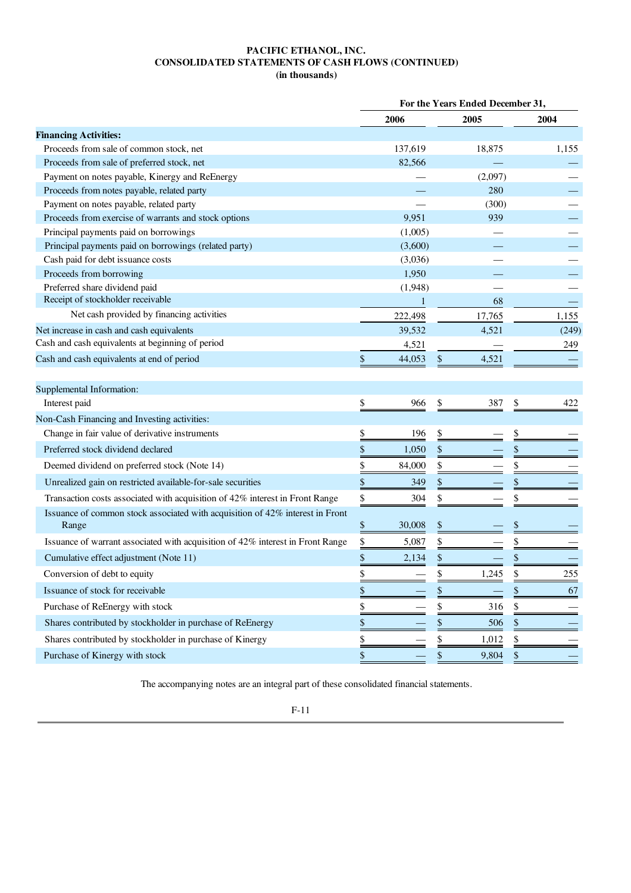# PACIFIC ETHANOL, INC. CONSOLIDATED STATEMENTS OF CASH FLOWS (CONTINUED) (in thousands)

|                                                                                        | For the Years Ended December 31, |              |         |      |       |
|----------------------------------------------------------------------------------------|----------------------------------|--------------|---------|------|-------|
|                                                                                        | 2006                             |              | 2005    |      | 2004  |
| <b>Financing Activities:</b>                                                           |                                  |              |         |      |       |
| Proceeds from sale of common stock, net                                                |                                  | 137,619      | 18,875  |      | 1,155 |
| Proceeds from sale of preferred stock, net                                             |                                  | 82,566       |         |      |       |
| Payment on notes payable, Kinergy and ReEnergy                                         |                                  |              | (2,097) |      |       |
| Proceeds from notes payable, related party                                             |                                  |              | 280     |      |       |
| Payment on notes payable, related party                                                |                                  |              | (300)   |      |       |
| Proceeds from exercise of warrants and stock options                                   |                                  | 9,951        | 939     |      |       |
| Principal payments paid on borrowings                                                  |                                  | (1,005)      |         |      |       |
| Principal payments paid on borrowings (related party)                                  |                                  | (3,600)      |         |      |       |
| Cash paid for debt issuance costs                                                      |                                  | (3,036)      |         |      |       |
| Proceeds from borrowing                                                                |                                  | 1,950        |         |      |       |
| Preferred share dividend paid                                                          |                                  | (1,948)      |         |      |       |
| Receipt of stockholder receivable                                                      |                                  |              | 68      |      |       |
| Net cash provided by financing activities                                              |                                  | 222,498      | 17,765  |      | 1,155 |
| Net increase in cash and cash equivalents                                              |                                  | 39,532       | 4,521   |      | (249) |
| Cash and cash equivalents at beginning of period                                       |                                  | 4,521        |         |      | 249   |
| Cash and cash equivalents at end of period                                             | \$                               | 44,053<br>\$ | 4,521   |      |       |
| Supplemental Information:                                                              |                                  |              |         |      |       |
| Interest paid                                                                          | \$                               | \$<br>966    | 387     | \$   | 422   |
| Non-Cash Financing and Investing activities:                                           |                                  |              |         |      |       |
| Change in fair value of derivative instruments                                         | \$                               | \$<br>196    |         |      |       |
| Preferred stock dividend declared                                                      | \$                               | \$<br>1,050  |         | \$   |       |
| Deemed dividend on preferred stock (Note 14)                                           | \$                               | \$<br>84,000 |         | \$   |       |
| Unrealized gain on restricted available-for-sale securities                            | \$                               | \$<br>349    |         | \$   |       |
| Transaction costs associated with acquisition of 42% interest in Front Range           | \$                               | \$<br>304    |         |      |       |
| Issuance of common stock associated with acquisition of 42% interest in Front<br>Range | \$                               | \$<br>30,008 |         | \$   |       |
| Issuance of warrant associated with acquisition of 42% interest in Front Range         | \$                               | \$<br>5,087  |         | \$   |       |
| Cumulative effect adjustment (Note 11)                                                 | \$                               | \$<br>2,134  |         | \$   |       |
| Conversion of debt to equity                                                           | \$                               | ¢<br>Φ       | 1,245   | \$   | 255   |
| Issuance of stock for receivable                                                       | \$                               | \$           |         | \$   | 67    |
| Purchase of ReEnergy with stock                                                        | \$                               | \$           | 316     | \$   |       |
| Shares contributed by stockholder in purchase of ReEnergy                              | \$                               | \$           | 506     | $\$$ |       |
| Shares contributed by stockholder in purchase of Kinergy                               | \$                               | \$           | 1,012   | \$   |       |
| Purchase of Kinergy with stock                                                         | \$                               | \$           | 9,804   | $\$$ |       |

The accompanying notes are an integral part of these consolidated financial statements.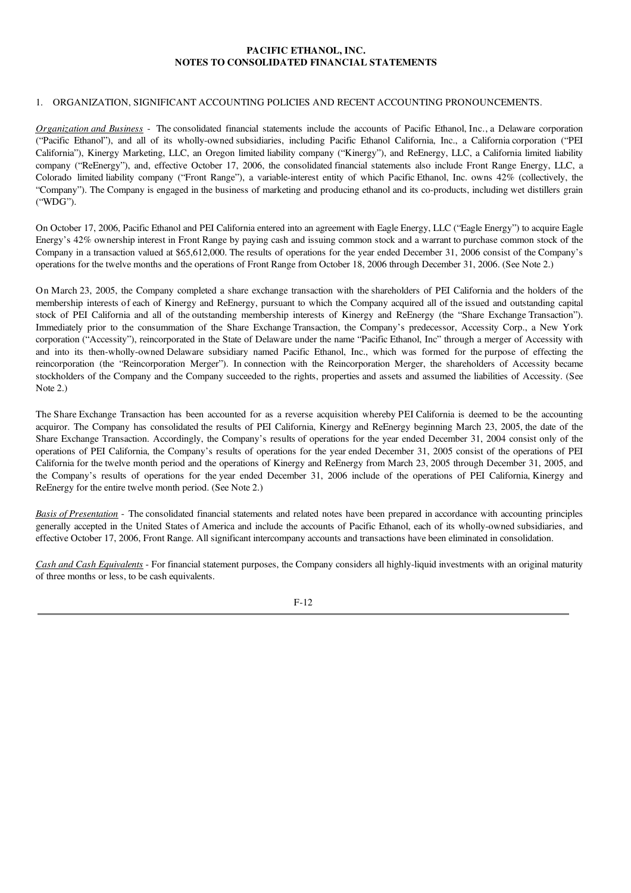## 1. ORGANIZATION, SIGNIFICANT ACCOUNTING POLICIES AND RECENT ACCOUNTING PRONOUNCEMENTS.

*Organization and Business* - The consolidated financial statements include the accounts of Pacific Ethanol, Inc., a Delaware corporation ("Pacific Ethanol"), and all of its wholly-owned subsidiaries, including Pacific Ethanol California, Inc., a California corporation ("PEI California"), Kinergy Marketing, LLC, an Oregon limited liability company ("Kinergy"), and ReEnergy, LLC, a California limited liability company ("ReEnergy"), and, effective October 17, 2006, the consolidated financial statements also include Front Range Energy, LLC, a Colorado limited liability company ("Front Range"), a variable-interest entity of which Pacific Ethanol, Inc. owns 42% (collectively, the "Company"). The Company is engaged in the business of marketing and producing ethanol and its co-products, including wet distillers grain ("WDG").

On October 17, 2006, Pacific Ethanol and PEI California entered into an agreement with Eagle Energy, LLC ("Eagle Energy") to acquire Eagle Energy's 42% ownership interest in Front Range by paying cash and issuing common stock and a warrant to purchase common stock of the Company in a transaction valued at \$65,612,000. The results of operations for the year ended December 31, 2006 consist of the Company's operations for the twelve months and the operations of Front Range from October 18, 2006 through December 31, 2006. (See Note 2.)

On March 23, 2005, the Company completed a share exchange transaction with the shareholders of PEI California and the holders of the membership interests of each of Kinergy and ReEnergy, pursuant to which the Company acquired all of the issued and outstanding capital stock of PEI California and all of the outstanding membership interests of Kinergy and ReEnergy (the "Share Exchange Transaction"). Immediately prior to the consummation of the Share Exchange Transaction, the Company's predecessor, Accessity Corp., a New York corporation ("Accessity"), reincorporated in the State of Delaware under the name "Pacific Ethanol, Inc" through a merger of Accessity with and into its then-wholly-owned Delaware subsidiary named Pacific Ethanol, Inc., which was formed for the purpose of effecting the reincorporation (the "Reincorporation Merger"). In connection with the Reincorporation Merger, the shareholders of Accessity became stockholders of the Company and the Company succeeded to the rights, properties and assets and assumed the liabilities of Accessity. (See Note 2.)

The Share Exchange Transaction has been accounted for as a reverse acquisition whereby PEI California is deemed to be the accounting acquiror. The Company has consolidated the results of PEI California, Kinergy and ReEnergy beginning March 23, 2005, the date of the Share Exchange Transaction. Accordingly, the Company's results of operations for the year ended December 31, 2004 consist only of the operations of PEI California, the Company's results of operations for the year ended December 31, 2005 consist of the operations of PEI California for the twelve month period and the operations of Kinergy and ReEnergy from March 23, 2005 through December 31, 2005, and the Company's results of operations for the year ended December 31, 2006 include of the operations of PEI California, Kinergy and ReEnergy for the entire twelve month period. (See Note 2.)

*Basis of Presentation* - The consolidated financial statements and related notes have been prepared in accordance with accounting principles generally accepted in the United States of America and include the accounts of Pacific Ethanol, each of its wholly-owned subsidiaries, and effective October 17, 2006, Front Range. All significant intercompany accounts and transactions have been eliminated in consolidation.

*Cash and Cash Equivalents* - For financial statement purposes, the Company considers all highly-liquid investments with an original maturity of three months or less, to be cash equivalents.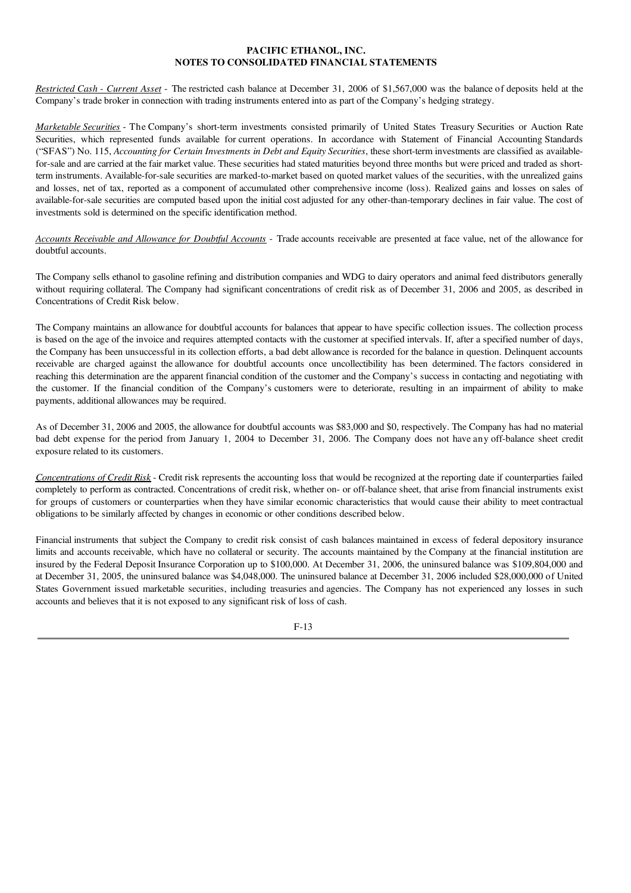*Restricted Cash - Current Asset* - The restricted cash balance at December 31, 2006 of \$1,567,000 was the balance of deposits held at the Company's trade broker in connection with trading instruments entered into as part of the Company's hedging strategy.

*Marketable Securities* - The Company's short-term investments consisted primarily of United States Treasury Securities or Auction Rate Securities, which represented funds available for current operations. In accordance with Statement of Financial Accounting Standards ("SFAS") No. 115, *Accounting for Certain Investments in Debt and Equity Securities*, these short-term investments are classified as availablefor-sale and are carried at the fair market value. These securities had stated maturities beyond three months but were priced and traded as shortterm instruments. Available-for-sale securities are marked-to-market based on quoted market values of the securities, with the unrealized gains and losses, net of tax, reported as a component of accumulated other comprehensive income (loss). Realized gains and losses on sales of available-for-sale securities are computed based upon the initial cost adjusted for any other-than-temporary declines in fair value. The cost of investments sold is determined on the specific identification method.

*Accounts Receivable and Allowance for Doubtful Accounts* - Trade accounts receivable are presented at face value, net of the allowance for doubtful accounts.

The Company sells ethanol to gasoline refining and distribution companies and WDG to dairy operators and animal feed distributors generally without requiring collateral. The Company had significant concentrations of credit risk as of December 31, 2006 and 2005, as described in Concentrations of Credit Risk below.

The Company maintains an allowance for doubtful accounts for balances that appear to have specific collection issues. The collection process is based on the age of the invoice and requires attempted contacts with the customer at specified intervals. If, after a specified number of days, the Company has been unsuccessful in its collection efforts, a bad debt allowance is recorded for the balance in question. Delinquent accounts receivable are charged against the allowance for doubtful accounts once uncollectibility has been determined. The factors considered in reaching this determination are the apparent financial condition of the customer and the Company's success in contacting and negotiating with the customer. If the financial condition of the Company's customers were to deteriorate, resulting in an impairment of ability to make payments, additional allowances may be required.

As of December 31, 2006 and 2005, the allowance for doubtful accounts was \$83,000 and \$0, respectively. The Company has had no material bad debt expense for the period from January 1, 2004 to December 31, 2006. The Company does not have any off-balance sheet credit exposure related to its customers.

*Concentrations of Credit Risk* - Credit risk represents the accounting loss that would be recognized at the reporting date if counterparties failed completely to perform as contracted. Concentrations of credit risk, whether on- or off-balance sheet, that arise from financial instruments exist for groups of customers or counterparties when they have similar economic characteristics that would cause their ability to meet contractual obligations to be similarly affected by changes in economic or other conditions described below.

Financial instruments that subject the Company to credit risk consist of cash balances maintained in excess of federal depository insurance limits and accounts receivable, which have no collateral or security. The accounts maintained by the Company at the financial institution are insured by the Federal Deposit Insurance Corporation up to \$100,000. At December 31, 2006, the uninsured balance was \$109,804,000 and at December 31, 2005, the uninsured balance was \$4,048,000. The uninsured balance at December 31, 2006 included \$28,000,000 of United States Government issued marketable securities, including treasuries and agencies. The Company has not experienced any losses in such accounts and believes that it is not exposed to any significant risk of loss of cash.

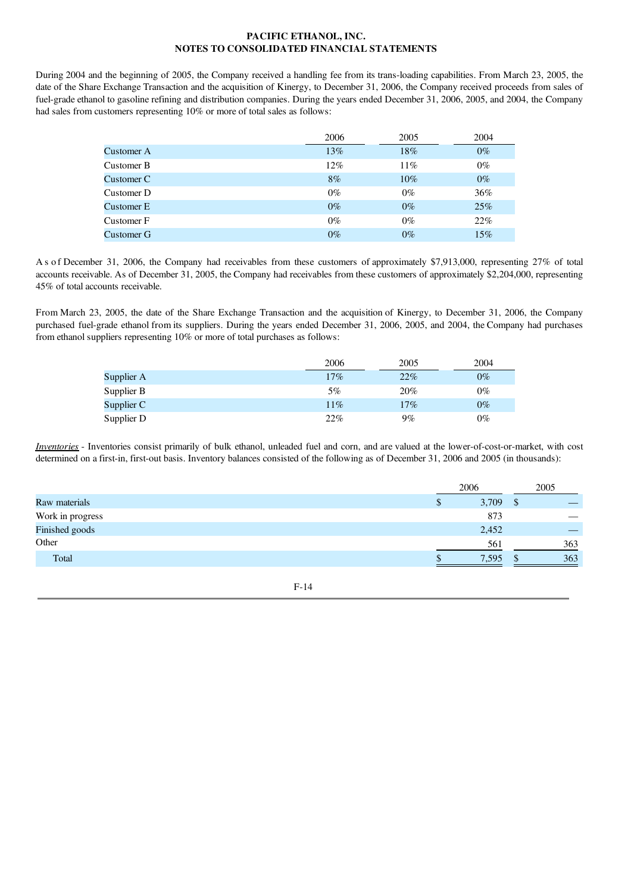During 2004 and the beginning of 2005, the Company received a handling fee from its trans-loading capabilities. From March 23, 2005, the date of the Share Exchange Transaction and the acquisition of Kinergy, to December 31, 2006, the Company received proceeds from sales of fuel-grade ethanol to gasoline refining and distribution companies. During the years ended December 31, 2006, 2005, and 2004, the Company had sales from customers representing 10% or more of total sales as follows:

|                   | 2006   | 2005   | 2004  |
|-------------------|--------|--------|-------|
| Customer A        | 13%    | 18%    | $0\%$ |
| Customer B        | $12\%$ | 11%    | $0\%$ |
| Customer C        | 8%     | $10\%$ | $0\%$ |
| Customer D        | $0\%$  | $0\%$  | 36%   |
| <b>Customer E</b> | $0\%$  | $0\%$  | 25%   |
| Customer F        | $0\%$  | $0\%$  | 22%   |
| Customer G        | $0\%$  | $0\%$  | 15%   |

A s of December 31, 2006, the Company had receivables from these customers of approximately \$7,913,000, representing 27% of total accounts receivable. As of December 31, 2005, the Company had receivables from these customers of approximately \$2,204,000, representing 45% of total accounts receivable.

From March 23, 2005, the date of the Share Exchange Transaction and the acquisition of Kinergy, to December 31, 2006, the Company purchased fuel-grade ethanol from its suppliers. During the years ended December 31, 2006, 2005, and 2004, the Company had purchases from ethanol suppliers representing 10% or more of total purchases as follows:

|            | 2006 | 2005 | 2004  |
|------------|------|------|-------|
| Supplier A | 17%  | 22%  | $0\%$ |
| Supplier B | 5%   | 20%  | $0\%$ |
| Supplier C | 11%  | 17%  | $0\%$ |
| Supplier D | 22%  | 9%   | 0%    |

*Inventories* - Inventories consist primarily of bulk ethanol, unleaded fuel and corn, and are valued at the lower-of-cost-or-market, with cost determined on a first-in, first-out basis. Inventory balances consisted of the following as of December 31, 2006 and 2005 (in thousands):

|                  | 2006        |          | 2005 |
|------------------|-------------|----------|------|
| Raw materials    | \$<br>3,709 | <b>S</b> |      |
| Work in progress | 873         |          |      |
| Finished goods   | 2,452       |          |      |
| Other            | 561         |          | 363  |
| Total            | 7,595       |          | 363  |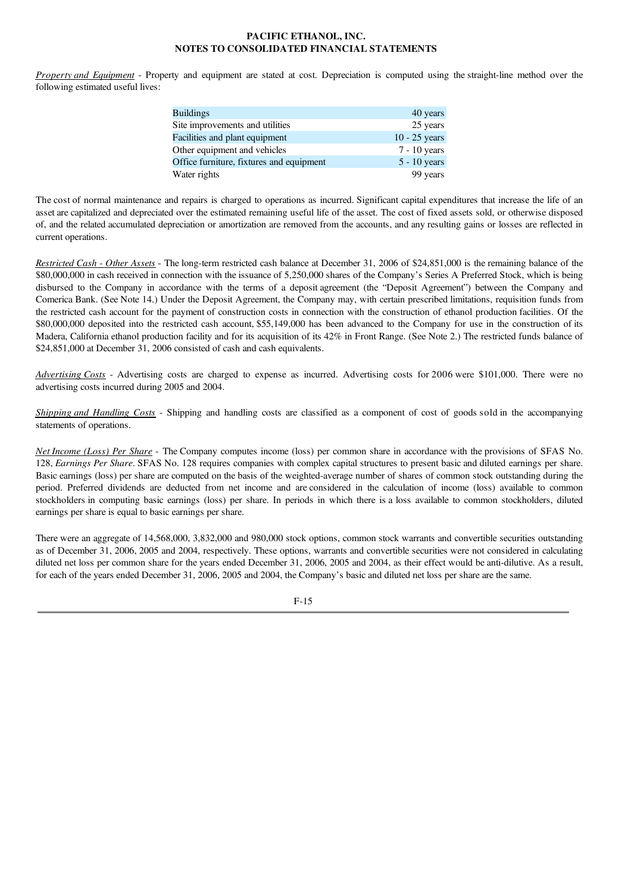*Property and Equipment* - Property and equipment are stated at cost. Depreciation is computed using the straight-line method over the following estimated useful lives:

| <b>Buildings</b>                         | 40 years        |
|------------------------------------------|-----------------|
| Site improvements and utilities          | 25 years        |
| Facilities and plant equipment           | $10 - 25$ years |
| Other equipment and vehicles             | $7 - 10$ years  |
| Office furniture, fixtures and equipment | $5 - 10$ years  |
| Water rights                             | 99 years        |

The cost of normal maintenance and repairs is charged to operations as incurred. Significant capital expenditures that increase the life of an asset are capitalized and depreciated over the estimated remaining useful life of the asset. The cost of fixed assets sold, or otherwise disposed of, and the related accumulated depreciation or amortization are removed from the accounts, and any resulting gains or losses are reflected in current operations.

*Restricted Cash - Other Assets* - The long-term restricted cash balance at December 31, 2006 of \$24,851,000 is the remaining balance of the \$80,000,000 in cash received in connection with the issuance of 5,250,000 shares of the Company's Series A Preferred Stock, which is being disbursed to the Company in accordance with the terms of a deposit agreement (the "Deposit Agreement") between the Company and Comerica Bank. (See Note 14.) Under the Deposit Agreement, the Company may, with certain prescribed limitations, requisition funds from the restricted cash account for the payment of construction costs in connection with the construction of ethanol production facilities. Of the \$80,000,000 deposited into the restricted cash account, \$55,149,000 has been advanced to the Company for use in the construction of its Madera, California ethanol production facility and for its acquisition of its 42% in Front Range. (See Note 2.) The restricted funds balance of \$24,851,000 at December 31, 2006 consisted of cash and cash equivalents.

*Advertising Costs* - Advertising costs are charged to expense as incurred. Advertising costs for 2006 were \$101,000. There were no advertising costs incurred during 2005 and 2004.

*Shipping and Handling Costs* - Shipping and handling costs are classified as a component of cost of goods sold in the accompanying statements of operations.

*Net Income (Loss) Per Share* - The Company computes income (loss) per common share in accordance with the provisions of SFAS No. 128, *Earnings Per Share*. SFAS No. 128 requires companies with complex capital structures to present basic and diluted earnings per share. Basic earnings (loss) per share are computed on the basis of the weighted-average number of shares of common stock outstanding during the period. Preferred dividends are deducted from net income and are considered in the calculation of income (loss) available to common stockholders in computing basic earnings (loss) per share. In periods in which there is a loss available to common stockholders, diluted earnings per share is equal to basic earnings per share.

There were an aggregate of 14,568,000, 3,832,000 and 980,000 stock options, common stock warrants and convertible securities outstanding as of December 31, 2006, 2005 and 2004, respectively. These options, warrants and convertible securities were not considered in calculating diluted net loss per common share for the years ended December 31, 2006, 2005 and 2004, as their effect would be anti-dilutive. As a result, for each of the years ended December 31, 2006, 2005 and 2004, the Company's basic and diluted net loss per share are the same.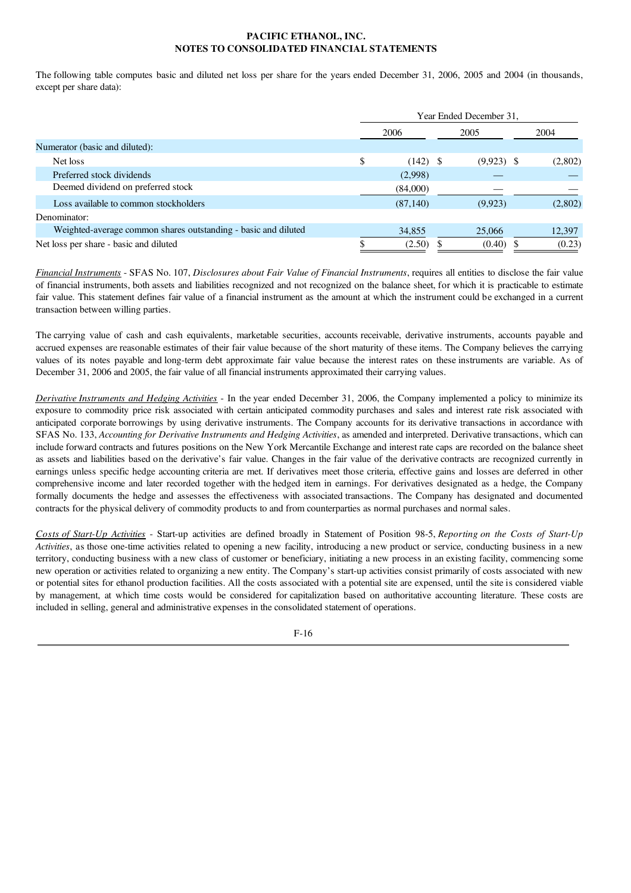The following table computes basic and diluted net loss per share for the years ended December 31, 2006, 2005 and 2004 (in thousands, except per share data):

|                                                                | Year Ended December 31, |            |  |              |  |         |
|----------------------------------------------------------------|-------------------------|------------|--|--------------|--|---------|
|                                                                |                         | 2006       |  | 2005         |  | 2004    |
| Numerator (basic and diluted):                                 |                         |            |  |              |  |         |
| Net loss                                                       | \$                      | $(142)$ \$ |  | $(9.923)$ \$ |  | (2,802) |
| Preferred stock dividends                                      |                         | (2,998)    |  |              |  |         |
| Deemed dividend on preferred stock                             |                         | (84,000)   |  |              |  |         |
| Loss available to common stockholders                          |                         | (87, 140)  |  | (9,923)      |  | (2,802) |
| Denominator:                                                   |                         |            |  |              |  |         |
| Weighted-average common shares outstanding - basic and diluted |                         | 34,855     |  | 25,066       |  | 12,397  |
| Net loss per share - basic and diluted                         |                         | (2.50)     |  | (0.40)       |  | (0.23)  |

*Financial Instruments* - SFAS No. 107, *Disclosures about Fair Value of Financial Instruments*, requires all entities to disclose the fair value of financial instruments, both assets and liabilities recognized and not recognized on the balance sheet, for which it is practicable to estimate fair value. This statement defines fair value of a financial instrument as the amount at which the instrument could be exchanged in a current transaction between willing parties.

The carrying value of cash and cash equivalents, marketable securities, accounts receivable, derivative instruments, accounts payable and accrued expenses are reasonable estimates of their fair value because of the short maturity of these items. The Company believes the carrying values of its notes payable and long-term debt approximate fair value because the interest rates on these instruments are variable. As of December 31, 2006 and 2005, the fair value of all financial instruments approximated their carrying values.

*Derivative Instruments and Hedging Activities* - In the year ended December 31, 2006, the Company implemented a policy to minimize its exposure to commodity price risk associated with certain anticipated commodity purchases and sales and interest rate risk associated with anticipated corporate borrowings by using derivative instruments. The Company accounts for its derivative transactions in accordance with SFAS No. 133, *Accounting for Derivative Instruments and Hedging Activities*, as amended and interpreted. Derivative transactions, which can include forward contracts and futures positions on the New York Mercantile Exchange and interest rate caps are recorded on the balance sheet as assets and liabilities based on the derivative's fair value. Changes in the fair value of the derivative contracts are recognized currently in earnings unless specific hedge accounting criteria are met. If derivatives meet those criteria, effective gains and losses are deferred in other comprehensive income and later recorded together with the hedged item in earnings. For derivatives designated as a hedge, the Company formally documents the hedge and assesses the effectiveness with associated transactions. The Company has designated and documented contracts for the physical delivery of commodity products to and from counterparties as normal purchases and normal sales.

*Costs of Start-Up Activities* - Start-up activities are defined broadly in Statement of Position 98-5, *Reporting on the Costs of Start-Up Activities*, as those one-time activities related to opening a new facility, introducing a new product or service, conducting business in a new territory, conducting business with a new class of customer or beneficiary, initiating a new process in an existing facility, commencing some new operation or activities related to organizing a new entity. The Company's start-up activities consist primarily of costs associated with new or potential sites for ethanol production facilities. All the costs associated with a potential site are expensed, until the site is considered viable by management, at which time costs would be considered for capitalization based on authoritative accounting literature. These costs are included in selling, general and administrative expenses in the consolidated statement of operations.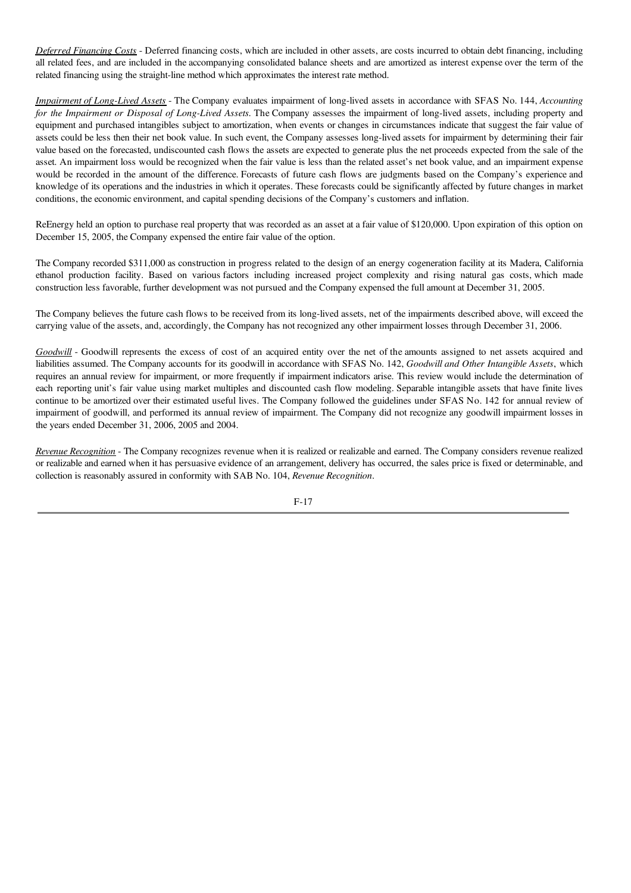*Deferred Financing Costs* - Deferred financing costs, which are included in other assets, are costs incurred to obtain debt financing, including all related fees, and are included in the accompanying consolidated balance sheets and are amortized as interest expense over the term of the related financing using the straight-line method which approximates the interest rate method.

*Impairment of Long-Lived Assets* - The Company evaluates impairment of long-lived assets in accordance with SFAS No. 144, *Accounting for the Impairment or Disposal of Long-Lived Assets.* The Company assesses the impairment of long-lived assets, including property and equipment and purchased intangibles subject to amortization, when events or changes in circumstances indicate that suggest the fair value of assets could be less then their net book value. In such event, the Company assesses long-lived assets for impairment by determining their fair value based on the forecasted, undiscounted cash flows the assets are expected to generate plus the net proceeds expected from the sale of the asset. An impairment loss would be recognized when the fair value is less than the related asset's net book value, and an impairment expense would be recorded in the amount of the difference. Forecasts of future cash flows are judgments based on the Company's experience and knowledge of its operations and the industries in which it operates. These forecasts could be significantly affected by future changes in market conditions, the economic environment, and capital spending decisions of the Company's customers and inflation.

ReEnergy held an option to purchase real property that was recorded as an asset at a fair value of \$120,000. Upon expiration of this option on December 15, 2005, the Company expensed the entire fair value of the option.

The Company recorded \$311,000 as construction in progress related to the design of an energy cogeneration facility at its Madera, California ethanol production facility. Based on various factors including increased project complexity and rising natural gas costs, which made construction less favorable, further development was not pursued and the Company expensed the full amount at December 31, 2005.

The Company believes the future cash flows to be received from its long-lived assets, net of the impairments described above, will exceed the carrying value of the assets, and, accordingly, the Company has not recognized any other impairment losses through December 31, 2006.

*Goodwill* - Goodwill represents the excess of cost of an acquired entity over the net of the amounts assigned to net assets acquired and liabilities assumed. The Company accounts for its goodwill in accordance with SFAS No. 142, *Goodwill and Other Intangible Assets*, which requires an annual review for impairment, or more frequently if impairment indicators arise. This review would include the determination of each reporting unit's fair value using market multiples and discounted cash flow modeling. Separable intangible assets that have finite lives continue to be amortized over their estimated useful lives. The Company followed the guidelines under SFAS No. 142 for annual review of impairment of goodwill, and performed its annual review of impairment. The Company did not recognize any goodwill impairment losses in the years ended December 31, 2006, 2005 and 2004.

*Revenue Recognition* - The Company recognizes revenue when it is realized or realizable and earned. The Company considers revenue realized or realizable and earned when it has persuasive evidence of an arrangement, delivery has occurred, the sales price is fixed or determinable, and collection is reasonably assured in conformity with SAB No. 104, *Revenue Recognition*.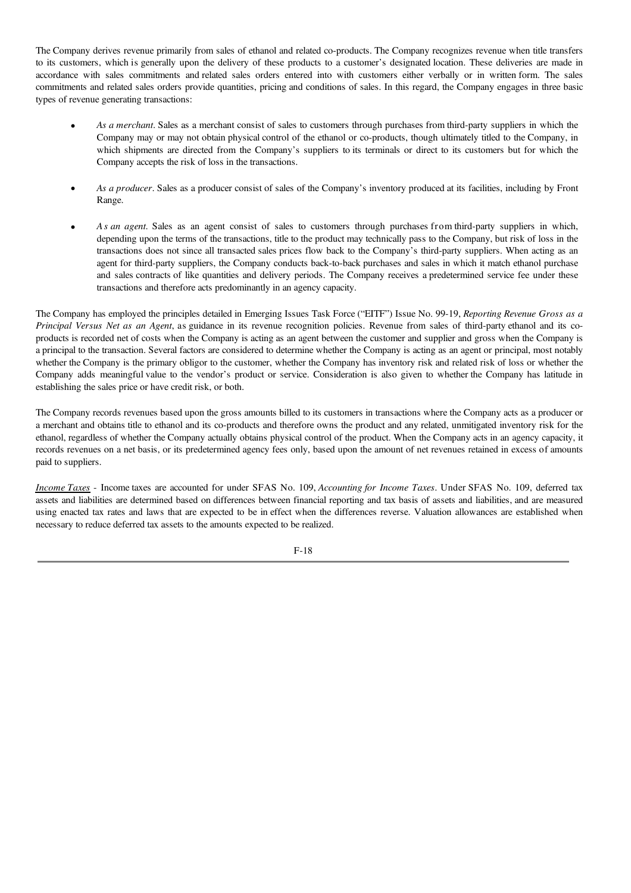The Company derives revenue primarily from sales of ethanol and related co-products. The Company recognizes revenue when title transfers to its customers, which is generally upon the delivery of these products to a customer's designated location. These deliveries are made in accordance with sales commitments and related sales orders entered into with customers either verbally or in written form. The sales commitments and related sales orders provide quantities, pricing and conditions of sales. In this regard, the Company engages in three basic types of revenue generating transactions:

- · *As a merchant*. Sales as a merchant consist of sales to customers through purchases from third-party suppliers in which the Company may or may not obtain physical control of the ethanol or co-products, though ultimately titled to the Company, in which shipments are directed from the Company's suppliers to its terminals or direct to its customers but for which the Company accepts the risk of loss in the transactions.
- · *As a producer*. Sales as a producer consist of sales of the Company's inventory produced at its facilities, including by Front Range.
- · *As an agent*. Sales as an agent consist of sales to customers through purchases from third-party suppliers in which, depending upon the terms of the transactions, title to the product may technically pass to the Company, but risk of loss in the transactions does not since all transacted sales prices flow back to the Company's third-party suppliers. When acting as an agent for third-party suppliers, the Company conducts back-to-back purchases and sales in which it match ethanol purchase and sales contracts of like quantities and delivery periods. The Company receives a predetermined service fee under these transactions and therefore acts predominantly in an agency capacity.

The Company has employed the principles detailed in Emerging Issues Task Force ("EITF") Issue No. 99-19, *Reporting Revenue Gross as a Principal Versus Net as an Agent*, as guidance in its revenue recognition policies. Revenue from sales of third-party ethanol and its coproducts is recorded net of costs when the Company is acting as an agent between the customer and supplier and gross when the Company is a principal to the transaction. Several factors are considered to determine whether the Company is acting as an agent or principal, most notably whether the Company is the primary obligor to the customer, whether the Company has inventory risk and related risk of loss or whether the Company adds meaningful value to the vendor's product or service. Consideration is also given to whether the Company has latitude in establishing the sales price or have credit risk, or both.

The Company records revenues based upon the gross amounts billed to its customers in transactions where the Company acts as a producer or a merchant and obtains title to ethanol and its co-products and therefore owns the product and any related, unmitigated inventory risk for the ethanol, regardless of whether the Company actually obtains physical control of the product. When the Company acts in an agency capacity, it records revenues on a net basis, or its predetermined agency fees only, based upon the amount of net revenues retained in excess of amounts paid to suppliers.

*Income Taxes* - Income taxes are accounted for under SFAS No. 109, *Accounting for Income Taxes*. Under SFAS No. 109, deferred tax assets and liabilities are determined based on differences between financial reporting and tax basis of assets and liabilities, and are measured using enacted tax rates and laws that are expected to be in effect when the differences reverse. Valuation allowances are established when necessary to reduce deferred tax assets to the amounts expected to be realized.

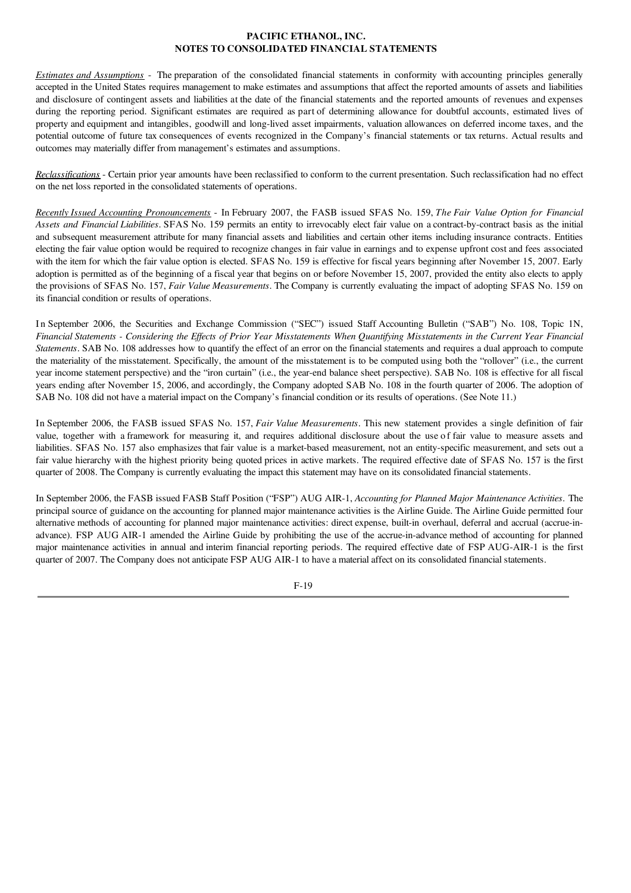*Estimates and Assumptions* - The preparation of the consolidated financial statements in conformity with accounting principles generally accepted in the United States requires management to make estimates and assumptions that affect the reported amounts of assets and liabilities and disclosure of contingent assets and liabilities at the date of the financial statements and the reported amounts of revenues and expenses during the reporting period. Significant estimates are required as part of determining allowance for doubtful accounts, estimated lives of property and equipment and intangibles, goodwill and long-lived asset impairments, valuation allowances on deferred income taxes, and the potential outcome of future tax consequences of events recognized in the Company's financial statements or tax returns. Actual results and outcomes may materially differ from management's estimates and assumptions.

*Reclassifications* - Certain prior year amounts have been reclassified to conform to the current presentation. Such reclassification had no effect on the net loss reported in the consolidated statements of operations.

*Recently Issued Accounting Pronouncements* - In February 2007, the FASB issued SFAS No. 159, *The Fair Value Option for Financial Assets and Financial Liabilities*. SFAS No. 159 permits an entity to irrevocably elect fair value on a contract-by-contract basis as the initial and subsequent measurement attribute for many financial assets and liabilities and certain other items including insurance contracts. Entities electing the fair value option would be required to recognize changes in fair value in earnings and to expense upfront cost and fees associated with the item for which the fair value option is elected. SFAS No. 159 is effective for fiscal years beginning after November 15, 2007. Early adoption is permitted as of the beginning of a fiscal year that begins on or before November 15, 2007, provided the entity also elects to apply the provisions of SFAS No. 157, *Fair Value Measurements*. The Company is currently evaluating the impact of adopting SFAS No. 159 on its financial condition or results of operations.

In September 2006, the Securities and Exchange Commission ("SEC") issued Staff Accounting Bulletin ("SAB") No. 108, Topic 1N, Financial Statements - Considering the Effects of Prior Year Misstatements When Ouantifying Misstatements in the Current Year Financial *Statements*. SAB No. 108 addresses how to quantify the effect of an error on the financial statements and requires a dual approach to compute the materiality of the misstatement. Specifically, the amount of the misstatement is to be computed using both the "rollover" (i.e., the current year income statement perspective) and the "iron curtain" (i.e., the year-end balance sheet perspective). SAB No. 108 is effective for all fiscal years ending after November 15, 2006, and accordingly, the Company adopted SAB No. 108 in the fourth quarter of 2006. The adoption of SAB No. 108 did not have a material impact on the Company's financial condition or its results of operations. (See Note 11.)

In September 2006, the FASB issued SFAS No. 157, *Fair Value Measurements*. This new statement provides a single definition of fair value, together with a framework for measuring it, and requires additional disclosure about the use of fair value to measure assets and liabilities. SFAS No. 157 also emphasizes that fair value is a market-based measurement, not an entity-specific measurement, and sets out a fair value hierarchy with the highest priority being quoted prices in active markets. The required effective date of SFAS No. 157 is the first quarter of 2008. The Company is currently evaluating the impact this statement may have on its consolidated financial statements.

In September 2006, the FASB issued FASB Staff Position ("FSP") AUG AIR-1, *Accounting for Planned Major Maintenance Activities*. The principal source of guidance on the accounting for planned major maintenance activities is the Airline Guide. The Airline Guide permitted four alternative methods of accounting for planned major maintenance activities: direct expense, built-in overhaul, deferral and accrual (accrue-inadvance). FSP AUG AIR-1 amended the Airline Guide by prohibiting the use of the accrue-in-advance method of accounting for planned major maintenance activities in annual and interim financial reporting periods. The required effective date of FSP AUG-AIR-1 is the first quarter of 2007. The Company does not anticipate FSP AUG AIR-1 to have a material affect on its consolidated financial statements.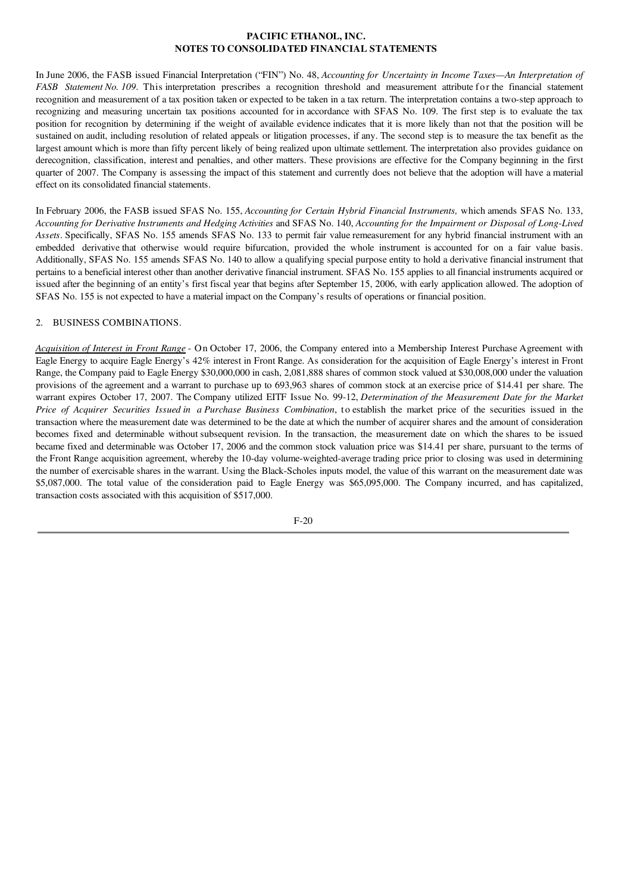In June 2006, the FASB issued Financial Interpretation ("FIN") No. 48, *Accounting for Uncertainty in Income Taxes—An Interpretation of FASB Statement No. 109*. This interpretation prescribes a recognition threshold and measurement attribute for the financial statement recognition and measurement of a tax position taken or expected to be taken in a tax return. The interpretation contains a two-step approach to recognizing and measuring uncertain tax positions accounted for in accordance with SFAS No. 109. The first step is to evaluate the tax position for recognition by determining if the weight of available evidence indicates that it is more likely than not that the position will be sustained on audit, including resolution of related appeals or litigation processes, if any. The second step is to measure the tax benefit as the largest amount which is more than fifty percent likely of being realized upon ultimate settlement. The interpretation also provides guidance on derecognition, classification, interest and penalties, and other matters. These provisions are effective for the Company beginning in the first quarter of 2007. The Company is assessing the impact of this statement and currently does not believe that the adoption will have a material effect on its consolidated financial statements.

In February 2006, the FASB issued SFAS No. 155, *Accounting for Certain Hybrid Financial Instruments,* which amends SFAS No. 133, Accounting for Derivative Instruments and Hedging Activities and SFAS No. 140, Accounting for the Impairment or Disposal of Long-Lived *Assets*. Specifically, SFAS No. 155 amends SFAS No. 133 to permit fair value remeasurement for any hybrid financial instrument with an embedded derivative that otherwise would require bifurcation, provided the whole instrument is accounted for on a fair value basis. Additionally, SFAS No. 155 amends SFAS No. 140 to allow a qualifying special purpose entity to hold a derivative financial instrument that pertains to a beneficial interest other than another derivative financial instrument. SFAS No. 155 applies to all financial instruments acquired or issued after the beginning of an entity's first fiscal year that begins after September 15, 2006, with early application allowed. The adoption of SFAS No. 155 is not expected to have a material impact on the Company's results of operations or financial position.

## 2. BUSINESS COMBINATIONS.

*Acquisition of Interest in Front Range* - On October 17, 2006, the Company entered into a Membership Interest Purchase Agreement with Eagle Energy to acquire Eagle Energy's 42% interest in Front Range. As consideration for the acquisition of Eagle Energy's interest in Front Range, the Company paid to Eagle Energy \$30,000,000 in cash, 2,081,888 shares of common stock valued at \$30,008,000 under the valuation provisions of the agreement and a warrant to purchase up to 693,963 shares of common stock at an exercise price of \$14.41 per share. The warrant expires October 17, 2007. The Company utilized EITF Issue No. 99-12, *Determination of the Measurement Date for the Market Price of Acquirer Securities Issued in a Purchase Business Combination*, to establish the market price of the securities issued in the transaction where the measurement date was determined to be the date at which the number of acquirer shares and the amount of consideration becomes fixed and determinable without subsequent revision. In the transaction, the measurement date on which the shares to be issued became fixed and determinable was October 17, 2006 and the common stock valuation price was \$14.41 per share, pursuant to the terms of the Front Range acquisition agreement, whereby the 10-day volume-weighted-average trading price prior to closing was used in determining the number of exercisable shares in the warrant. Using the Black-Scholes inputs model, the value of this warrant on the measurement date was \$5,087,000. The total value of the consideration paid to Eagle Energy was \$65,095,000. The Company incurred, and has capitalized, transaction costs associated with this acquisition of \$517,000.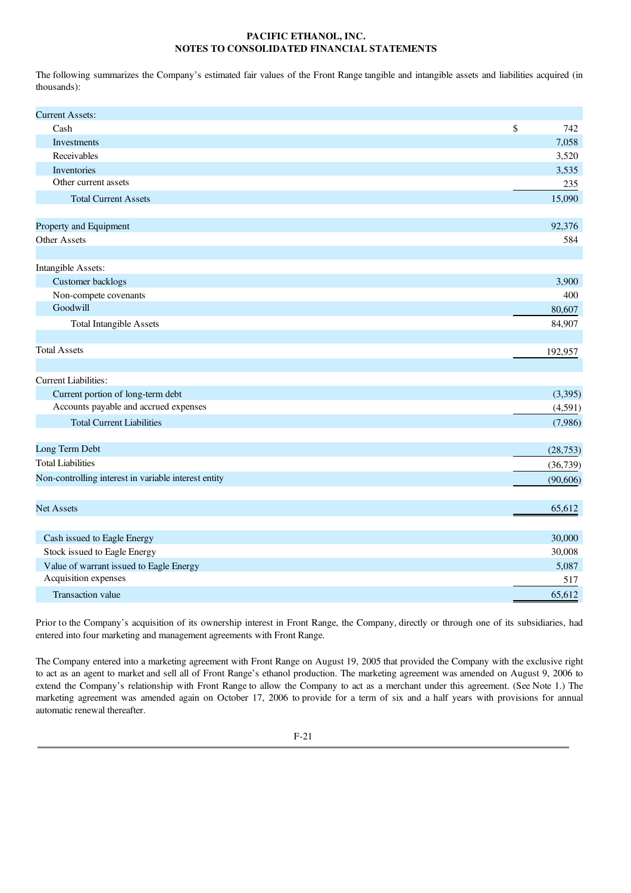The following summarizes the Company's estimated fair values of the Front Range tangible and intangible assets and liabilities acquired (in thousands):

| <b>Current Assets:</b>                               |           |
|------------------------------------------------------|-----------|
| Cash                                                 | \$<br>742 |
| Investments                                          | 7,058     |
| Receivables                                          | 3,520     |
| Inventories                                          | 3,535     |
| Other current assets                                 | 235       |
| <b>Total Current Assets</b>                          | 15,090    |
| Property and Equipment                               | 92,376    |
| Other Assets                                         | 584       |
| Intangible Assets:                                   |           |
| Customer backlogs                                    | 3,900     |
| Non-compete covenants                                | 400       |
| Goodwill                                             | 80,607    |
| <b>Total Intangible Assets</b>                       | 84,907    |
| <b>Total Assets</b>                                  | 192,957   |
| <b>Current Liabilities:</b>                          |           |
| Current portion of long-term debt                    | (3,395)   |
| Accounts payable and accrued expenses                | (4,591)   |
| <b>Total Current Liabilities</b>                     | (7,986)   |
| Long Term Debt                                       | (28, 753) |
| <b>Total Liabilities</b>                             | (36, 739) |
| Non-controlling interest in variable interest entity | (90,606)  |
| <b>Net Assets</b>                                    | 65,612    |
|                                                      |           |
| Cash issued to Eagle Energy                          | 30,000    |
| Stock issued to Eagle Energy                         | 30,008    |
| Value of warrant issued to Eagle Energy              | 5,087     |
| Acquisition expenses                                 | 517       |
| Transaction value                                    | 65,612    |

Prior to the Company's acquisition of its ownership interest in Front Range, the Company, directly or through one of its subsidiaries, had entered into four marketing and management agreements with Front Range.

The Company entered into a marketing agreement with Front Range on August 19, 2005 that provided the Company with the exclusive right to act as an agent to market and sell all of Front Range's ethanol production. The marketing agreement was amended on August 9, 2006 to extend the Company's relationship with Front Range to allow the Company to act as a merchant under this agreement. (See Note 1.) The marketing agreement was amended again on October 17, 2006 to provide for a term of six and a half years with provisions for annual automatic renewal thereafter.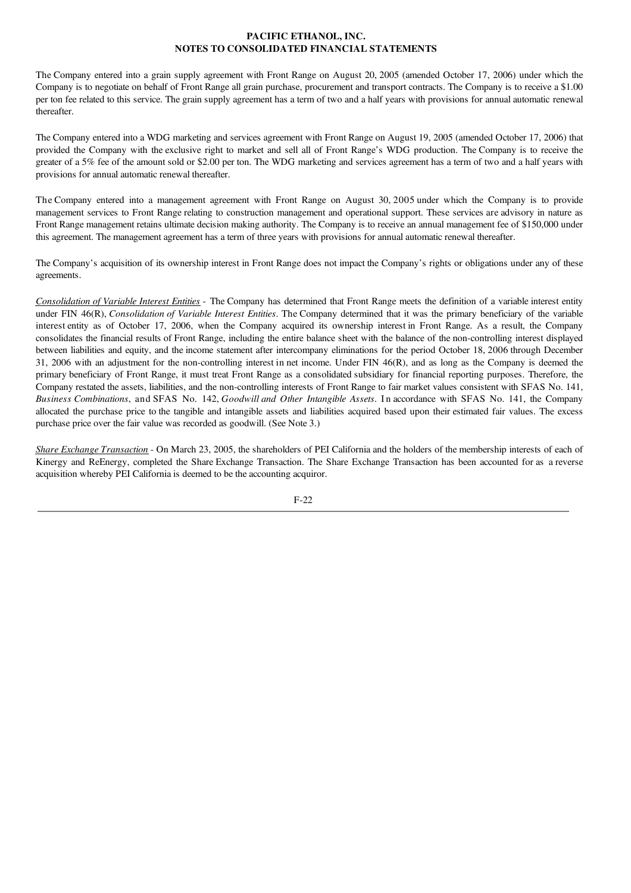The Company entered into a grain supply agreement with Front Range on August 20, 2005 (amended October 17, 2006) under which the Company is to negotiate on behalf of Front Range all grain purchase, procurement and transport contracts. The Company is to receive a \$1.00 per ton fee related to this service. The grain supply agreement has a term of two and a half years with provisions for annual automatic renewal thereafter.

The Company entered into a WDG marketing and services agreement with Front Range on August 19, 2005 (amended October 17, 2006) that provided the Company with the exclusive right to market and sell all of Front Range's WDG production. The Company is to receive the greater of a 5% fee of the amount sold or \$2.00 per ton. The WDG marketing and services agreement has a term of two and a half years with provisions for annual automatic renewal thereafter.

The Company entered into a management agreement with Front Range on August 30, 2005 under which the Company is to provide management services to Front Range relating to construction management and operational support. These services are advisory in nature as Front Range management retains ultimate decision making authority. The Company is to receive an annual management fee of \$150,000 under this agreement. The management agreement has a term of three years with provisions for annual automatic renewal thereafter.

The Company's acquisition of its ownership interest in Front Range does not impact the Company's rights or obligations under any of these agreements.

*Consolidation of Variable Interest Entities* - The Company has determined that Front Range meets the definition of a variable interest entity under FIN 46(R), *Consolidation of Variable Interest Entities*. The Company determined that it was the primary beneficiary of the variable interest entity as of October 17, 2006, when the Company acquired its ownership interest in Front Range. As a result, the Company consolidates the financial results of Front Range, including the entire balance sheet with the balance of the non-controlling interest displayed between liabilities and equity, and the income statement after intercompany eliminations for the period October 18, 2006 through December 31, 2006 with an adjustment for the non-controlling interest in net income. Under FIN 46(R), and as long as the Company is deemed the primary beneficiary of Front Range, it must treat Front Range as a consolidated subsidiary for financial reporting purposes. Therefore, the Company restated the assets, liabilities, and the non-controlling interests of Front Range to fair market values consistent with SFAS No. 141, *Business Combinations*, and SFAS No. 142, *Goodwill and Other Intangible Assets*. In accordance with SFAS No. 141, the Company allocated the purchase price to the tangible and intangible assets and liabilities acquired based upon their estimated fair values. The excess purchase price over the fair value was recorded as goodwill. (See Note 3.)

*Share Exchange Transaction* - On March 23, 2005, the shareholders of PEI California and the holders of the membership interests of each of Kinergy and ReEnergy, completed the Share Exchange Transaction. The Share Exchange Transaction has been accounted for as a reverse acquisition whereby PEI California is deemed to be the accounting acquiror.

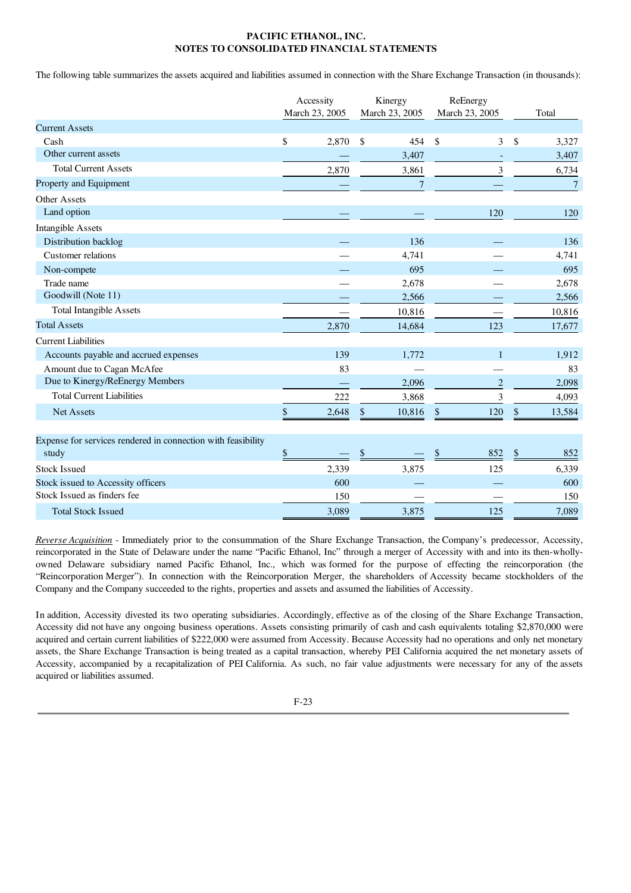The following table summarizes the assets acquired and liabilities assumed in connection with the Share Exchange Transaction (in thousands):

|                                                              | Accessity      | Kinergy        | ReEnergy       |                |
|--------------------------------------------------------------|----------------|----------------|----------------|----------------|
|                                                              | March 23, 2005 | March 23, 2005 | March 23, 2005 | Total          |
| <b>Current Assets</b>                                        |                |                |                |                |
| Cash                                                         | \$<br>2,870    | \$<br>454      | \$<br>3        | \$<br>3,327    |
| Other current assets                                         |                | 3,407          |                | 3,407          |
| <b>Total Current Assets</b>                                  | 2,870          | 3,861          | 3              | 6,734          |
| Property and Equipment                                       |                | 7              |                | $\overline{7}$ |
| Other Assets                                                 |                |                |                |                |
| Land option                                                  |                |                | 120            | 120            |
| <b>Intangible Assets</b>                                     |                |                |                |                |
| Distribution backlog                                         |                | 136            |                | 136            |
| Customer relations                                           |                | 4,741          |                | 4,741          |
| Non-compete                                                  |                | 695            |                | 695            |
| Trade name                                                   |                | 2,678          |                | 2,678          |
| Goodwill (Note 11)                                           |                | 2,566          |                | 2,566          |
| <b>Total Intangible Assets</b>                               |                | 10,816         |                | 10,816         |
| <b>Total Assets</b>                                          | 2,870          | 14,684         | 123            | 17,677         |
| <b>Current Liabilities</b>                                   |                |                |                |                |
| Accounts payable and accrued expenses                        | 139            | 1,772          |                | 1,912          |
| Amount due to Cagan McAfee                                   | 83             |                |                | 83             |
| Due to Kinergy/ReEnergy Members                              |                | 2,096          | $\overline{2}$ | 2,098          |
| <b>Total Current Liabilities</b>                             | 222            | 3,868          | $\overline{3}$ | 4,093          |
| Net Assets                                                   | \$<br>2,648    | $\$$<br>10,816 | $\$$<br>120    | $\$$<br>13,584 |
|                                                              |                |                |                |                |
| Expense for services rendered in connection with feasibility |                |                |                |                |
| study                                                        | \$             | \$             | \$<br>852      | \$<br>852      |
| <b>Stock Issued</b>                                          | 2,339          | 3,875          | 125            | 6,339          |
| Stock issued to Accessity officers                           | 600            |                |                | 600            |
| Stock Issued as finders fee                                  | 150            |                |                | 150            |
| <b>Total Stock Issued</b>                                    | 3,089          | 3,875          | 125            | 7,089          |

*Reverse Acquisition* - Immediately prior to the consummation of the Share Exchange Transaction, the Company's predecessor, Accessity, reincorporated in the State of Delaware under the name "Pacific Ethanol, Inc" through a merger of Accessity with and into its then-whollyowned Delaware subsidiary named Pacific Ethanol, Inc., which was formed for the purpose of effecting the reincorporation (the "Reincorporation Merger"). In connection with the Reincorporation Merger, the shareholders of Accessity became stockholders of the Company and the Company succeeded to the rights, properties and assets and assumed the liabilities of Accessity.

In addition, Accessity divested its two operating subsidiaries. Accordingly, effective as of the closing of the Share Exchange Transaction, Accessity did not have any ongoing business operations. Assets consisting primarily of cash and cash equivalents totaling \$2,870,000 were acquired and certain current liabilities of \$222,000 were assumed from Accessity. Because Accessity had no operations and only net monetary assets, the Share Exchange Transaction is being treated as a capital transaction, whereby PEI California acquired the net monetary assets of Accessity, accompanied by a recapitalization of PEI California. As such, no fair value adjustments were necessary for any of the assets acquired or liabilities assumed.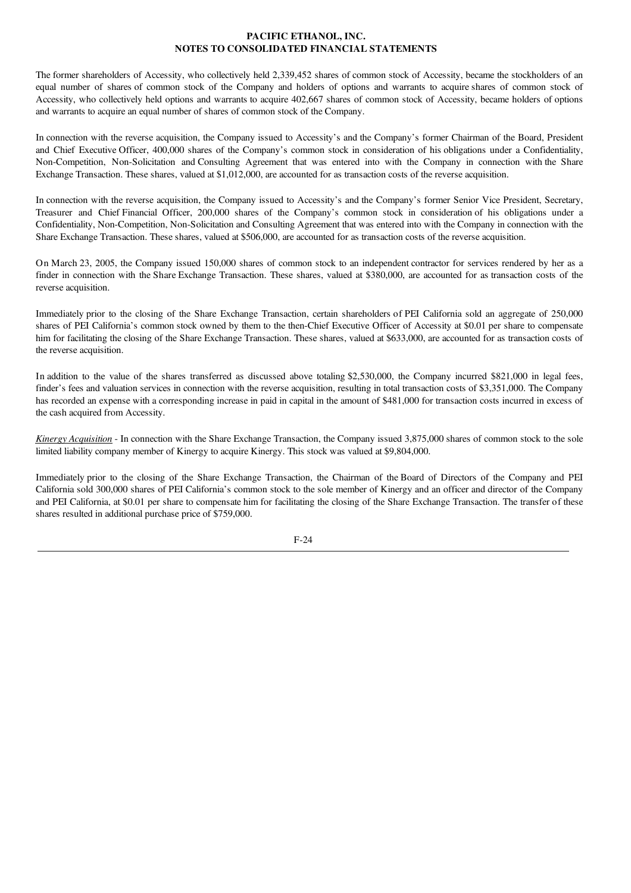The former shareholders of Accessity, who collectively held 2,339,452 shares of common stock of Accessity, became the stockholders of an equal number of shares of common stock of the Company and holders of options and warrants to acquire shares of common stock of Accessity, who collectively held options and warrants to acquire 402,667 shares of common stock of Accessity, became holders of options and warrants to acquire an equal number of shares of common stock of the Company.

In connection with the reverse acquisition, the Company issued to Accessity's and the Company's former Chairman of the Board, President and Chief Executive Officer, 400,000 shares of the Company's common stock in consideration of his obligations under a Confidentiality, Non-Competition, Non-Solicitation and Consulting Agreement that was entered into with the Company in connection with the Share Exchange Transaction. These shares, valued at \$1,012,000, are accounted for as transaction costs of the reverse acquisition.

In connection with the reverse acquisition, the Company issued to Accessity's and the Company's former Senior Vice President, Secretary, Treasurer and Chief Financial Officer, 200,000 shares of the Company's common stock in consideration of his obligations under a Confidentiality, Non-Competition, Non-Solicitation and Consulting Agreement that was entered into with the Company in connection with the Share Exchange Transaction. These shares, valued at \$506,000, are accounted for as transaction costs of the reverse acquisition.

On March 23, 2005, the Company issued 150,000 shares of common stock to an independent contractor for services rendered by her as a finder in connection with the Share Exchange Transaction. These shares, valued at \$380,000, are accounted for as transaction costs of the reverse acquisition.

Immediately prior to the closing of the Share Exchange Transaction, certain shareholders of PEI California sold an aggregate of 250,000 shares of PEI California's common stock owned by them to the then-Chief Executive Officer of Accessity at \$0.01 per share to compensate him for facilitating the closing of the Share Exchange Transaction. These shares, valued at \$633,000, are accounted for as transaction costs of the reverse acquisition.

In addition to the value of the shares transferred as discussed above totaling \$2,530,000, the Company incurred \$821,000 in legal fees, finder's fees and valuation services in connection with the reverse acquisition, resulting in total transaction costs of \$3,351,000. The Company has recorded an expense with a corresponding increase in paid in capital in the amount of \$481,000 for transaction costs incurred in excess of the cash acquired from Accessity.

*Kinergy Acquisition* - In connection with the Share Exchange Transaction, the Company issued 3,875,000 shares of common stock to the sole limited liability company member of Kinergy to acquire Kinergy. This stock was valued at \$9,804,000.

Immediately prior to the closing of the Share Exchange Transaction, the Chairman of the Board of Directors of the Company and PEI California sold 300,000 shares of PEI California's common stock to the sole member of Kinergy and an officer and director of the Company and PEI California, at \$0.01 per share to compensate him for facilitating the closing of the Share Exchange Transaction. The transfer of these shares resulted in additional purchase price of \$759,000.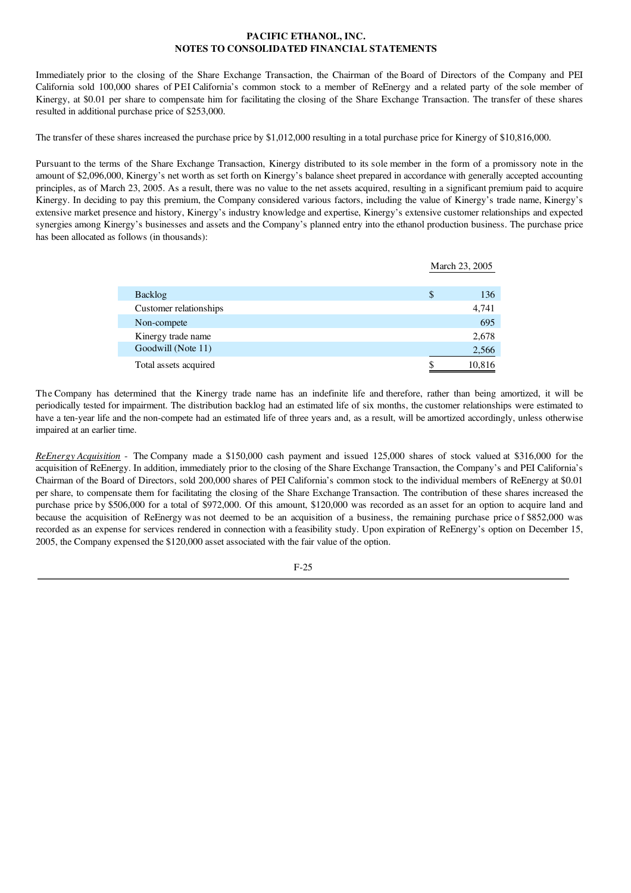Immediately prior to the closing of the Share Exchange Transaction, the Chairman of the Board of Directors of the Company and PEI California sold 100,000 shares of PEI California's common stock to a member of ReEnergy and a related party of the sole member of Kinergy, at \$0.01 per share to compensate him for facilitating the closing of the Share Exchange Transaction. The transfer of these shares resulted in additional purchase price of \$253,000.

The transfer of these shares increased the purchase price by \$1,012,000 resulting in a total purchase price for Kinergy of \$10,816,000.

Pursuant to the terms of the Share Exchange Transaction, Kinergy distributed to its sole member in the form of a promissory note in the amount of \$2,096,000, Kinergy's net worth as set forth on Kinergy's balance sheet prepared in accordance with generally accepted accounting principles, as of March 23, 2005. As a result, there was no value to the net assets acquired, resulting in a significant premium paid to acquire Kinergy. In deciding to pay this premium, the Company considered various factors, including the value of Kinergy's trade name, Kinergy's extensive market presence and history, Kinergy's industry knowledge and expertise, Kinergy's extensive customer relationships and expected synergies among Kinergy's businesses and assets and the Company's planned entry into the ethanol production business. The purchase price has been allocated as follows (in thousands):

|                        | March 23, 2005 |
|------------------------|----------------|
| <b>Backlog</b>         | \$<br>136      |
| Customer relationships | 4,741          |
| Non-compete            | 695            |
| Kinergy trade name     | 2,678          |
| Goodwill (Note 11)     | 2,566          |
| Total assets acquired  | 10,816         |

The Company has determined that the Kinergy trade name has an indefinite life and therefore, rather than being amortized, it will be periodically tested for impairment. The distribution backlog had an estimated life of six months, the customer relationships were estimated to have a ten-year life and the non-compete had an estimated life of three years and, as a result, will be amortized accordingly, unless otherwise impaired at an earlier time.

*ReEnergy Acquisition* - The Company made a \$150,000 cash payment and issued 125,000 shares of stock valued at \$316,000 for the acquisition of ReEnergy. In addition, immediately prior to the closing of the Share Exchange Transaction, the Company's and PEI California's Chairman of the Board of Directors, sold 200,000 shares of PEI California's common stock to the individual members of ReEnergy at \$0.01 per share, to compensate them for facilitating the closing of the Share Exchange Transaction. The contribution of these shares increased the purchase price by \$506,000 for a total of \$972,000. Of this amount, \$120,000 was recorded as an asset for an option to acquire land and because the acquisition of ReEnergy was not deemed to be an acquisition of a business, the remaining purchase price of \$852,000 was recorded as an expense for services rendered in connection with a feasibility study. Upon expiration of ReEnergy's option on December 15, 2005, the Company expensed the \$120,000 asset associated with the fair value of the option.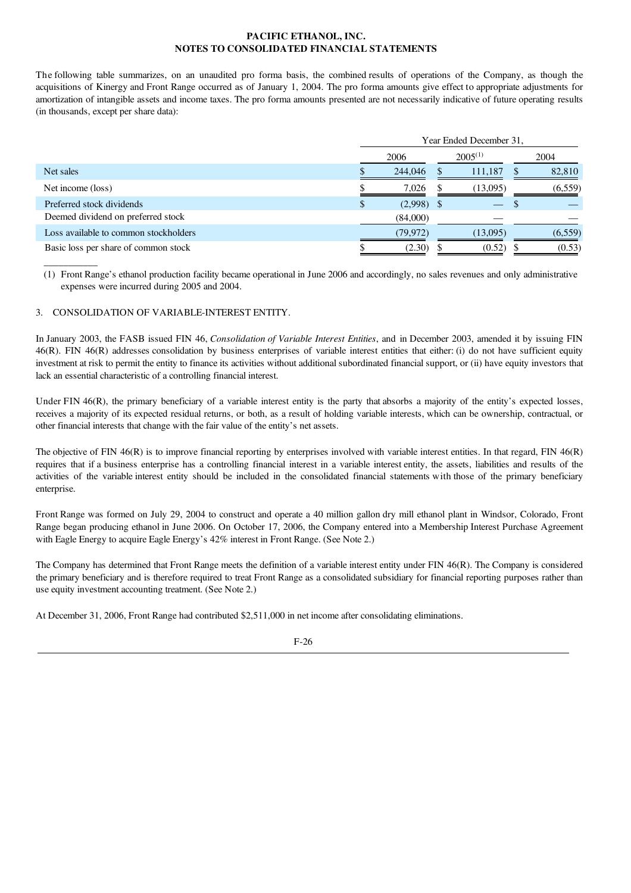The following table summarizes, on an unaudited pro forma basis, the combined results of operations of the Company, as though the acquisitions of Kinergy and Front Range occurred as of January 1, 2004. The pro forma amounts give effect to appropriate adjustments for amortization of intangible assets and income taxes. The pro forma amounts presented are not necessarily indicative of future operating results (in thousands, except per share data):

|                                       | Year Ended December 31, |  |              |  |          |  |
|---------------------------------------|-------------------------|--|--------------|--|----------|--|
|                                       | 2006                    |  | $2005^{(1)}$ |  | 2004     |  |
| Net sales                             | 244,046                 |  | 111,187      |  | 82,810   |  |
| Net income (loss)                     | 7,026                   |  | (13,095)     |  | (6, 559) |  |
| Preferred stock dividends             | \$<br>$(2,998)$ \$      |  |              |  |          |  |
| Deemed dividend on preferred stock    | (84,000)                |  |              |  |          |  |
| Loss available to common stockholders | (79, 972)               |  | (13,095)     |  | (6, 559) |  |
| Basic loss per share of common stock  | (2.30)                  |  | (0.52)       |  | (0.53)   |  |

(1) Front Range's ethanol production facility became operational in June 2006 and accordingly, no sales revenues and only administrative expenses were incurred during 2005 and 2004.

## 3. CONSOLIDATION OF VARIABLE-INTEREST ENTITY.

\_\_\_\_\_\_\_\_\_\_\_

In January 2003, the FASB issued FIN 46, *Consolidation of Variable Interest Entities*, and in December 2003, amended it by issuing FIN 46(R). FIN 46(R) addresses consolidation by business enterprises of variable interest entities that either: (i) do not have sufficient equity investment at risk to permit the entity to finance its activities without additional subordinated financial support, or (ii) have equity investors that lack an essential characteristic of a controlling financial interest.

Under FIN 46(R), the primary beneficiary of a variable interest entity is the party that absorbs a majority of the entity's expected losses, receives a majority of its expected residual returns, or both, as a result of holding variable interests, which can be ownership, contractual, or other financial interests that change with the fair value of the entity's net assets.

The objective of FIN  $46(R)$  is to improve financial reporting by enterprises involved with variable interest entities. In that regard, FIN  $46(R)$ requires that if a business enterprise has a controlling financial interest in a variable interest entity, the assets, liabilities and results of the activities of the variable interest entity should be included in the consolidated financial statements with those of the primary beneficiary enterprise.

Front Range was formed on July 29, 2004 to construct and operate a 40 million gallon dry mill ethanol plant in Windsor, Colorado, Front Range began producing ethanol in June 2006. On October 17, 2006, the Company entered into a Membership Interest Purchase Agreement with Eagle Energy to acquire Eagle Energy's 42% interest in Front Range. (See Note 2.)

The Company has determined that Front Range meets the definition of a variable interest entity under FIN 46(R). The Company is considered the primary beneficiary and is therefore required to treat Front Range as a consolidated subsidiary for financial reporting purposes rather than use equity investment accounting treatment. (See Note 2.)

At December 31, 2006, Front Range had contributed \$2,511,000 in net income after consolidating eliminations.

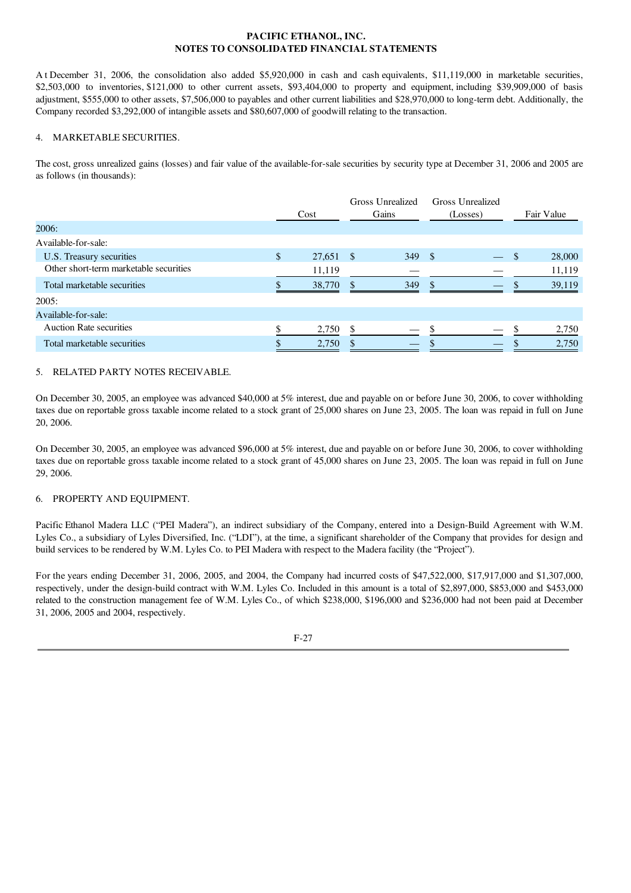A t December 31, 2006, the consolidation also added \$5,920,000 in cash and cash equivalents, \$11,119,000 in marketable securities, \$2,503,000 to inventories, \$121,000 to other current assets, \$93,404,000 to property and equipment, including \$39,909,000 of basis adjustment, \$555,000 to other assets, \$7,506,000 to payables and other current liabilities and \$28,970,000 to long-term debt. Additionally, the Company recorded \$3,292,000 of intangible assets and \$80,607,000 of goodwill relating to the transaction.

# 4. MARKETABLE SECURITIES.

The cost, gross unrealized gains (losses) and fair value of the available-for-sale securities by security type at December 31, 2006 and 2005 are as follows (in thousands):

|                                        | Cost            |    | Gross Unrealized<br>Gains | Gross Unrealized<br>(Losses) |      | Fair Value |
|----------------------------------------|-----------------|----|---------------------------|------------------------------|------|------------|
| 2006:                                  |                 |    |                           |                              |      |            |
| Available-for-sale:                    |                 |    |                           |                              |      |            |
| U.S. Treasury securities               | \$<br>27,651 \$ |    | 349S                      |                              | - \$ | 28,000     |
| Other short-term marketable securities | 11,119          |    |                           |                              |      | 11,119     |
| Total marketable securities            | 38,770          |    | 349                       |                              |      | 39,119     |
| 2005:                                  |                 |    |                           |                              |      |            |
| Available-for-sale:                    |                 |    |                           |                              |      |            |
| <b>Auction Rate securities</b>         | 2,750           | -S |                           |                              |      | 2,750      |
| Total marketable securities            | 2,750           |    |                           |                              |      | 2,750      |

## 5. RELATED PARTY NOTES RECEIVABLE.

On December 30, 2005, an employee was advanced \$40,000 at 5% interest, due and payable on or before June 30, 2006, to cover withholding taxes due on reportable gross taxable income related to a stock grant of 25,000 shares on June 23, 2005. The loan was repaid in full on June 20, 2006.

On December 30, 2005, an employee was advanced \$96,000 at 5% interest, due and payable on or before June 30, 2006, to cover withholding taxes due on reportable gross taxable income related to a stock grant of 45,000 shares on June 23, 2005. The loan was repaid in full on June 29, 2006.

# 6. PROPERTY AND EQUIPMENT.

Pacific Ethanol Madera LLC ("PEI Madera"), an indirect subsidiary of the Company, entered into a Design-Build Agreement with W.M. Lyles Co., a subsidiary of Lyles Diversified, Inc. ("LDI"), at the time, a significant shareholder of the Company that provides for design and build services to be rendered by W.M. Lyles Co. to PEI Madera with respect to the Madera facility (the "Project").

For the years ending December 31, 2006, 2005, and 2004, the Company had incurred costs of \$47,522,000, \$17,917,000 and \$1,307,000, respectively, under the design-build contract with W.M. Lyles Co. Included in this amount is a total of \$2,897,000, \$853,000 and \$453,000 related to the construction management fee of W.M. Lyles Co., of which \$238,000, \$196,000 and \$236,000 had not been paid at December 31, 2006, 2005 and 2004, respectively.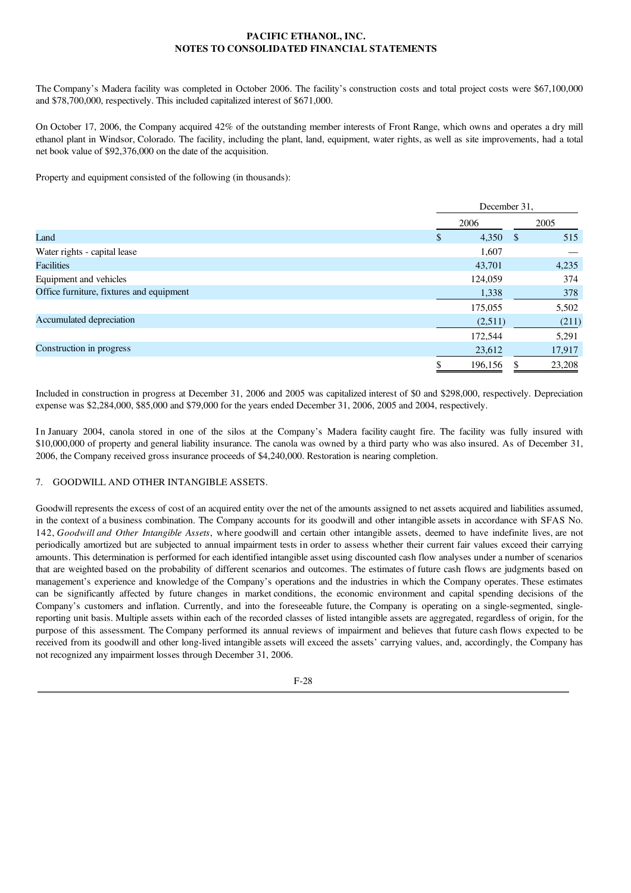The Company's Madera facility was completed in October 2006. The facility's construction costs and total project costs were \$67,100,000 and \$78,700,000, respectively. This included capitalized interest of \$671,000.

On October 17, 2006, the Company acquired 42% of the outstanding member interests of Front Range, which owns and operates a dry mill ethanol plant in Windsor, Colorado. The facility, including the plant, land, equipment, water rights, as well as site improvements, had a total net book value of \$92,376,000 on the date of the acquisition.

Property and equipment consisted of the following (in thousands):

|                                          |      | December 31, |      |        |  |
|------------------------------------------|------|--------------|------|--------|--|
|                                          | 2006 |              | 2005 |        |  |
| Land                                     | S    | 4,350        | - \$ | 515    |  |
| Water rights - capital lease             |      | 1,607        |      |        |  |
| <b>Facilities</b>                        |      | 43,701       |      | 4,235  |  |
| Equipment and vehicles                   |      | 124,059      |      | 374    |  |
| Office furniture, fixtures and equipment |      | 1,338        |      | 378    |  |
|                                          |      | 175,055      |      | 5,502  |  |
| Accumulated depreciation                 |      | (2,511)      |      | (211)  |  |
|                                          |      | 172,544      |      | 5,291  |  |
| Construction in progress                 |      | 23,612       |      | 17,917 |  |
|                                          |      | 196,156      |      | 23,208 |  |

Included in construction in progress at December 31, 2006 and 2005 was capitalized interest of \$0 and \$298,000, respectively. Depreciation expense was \$2,284,000, \$85,000 and \$79,000 for the years ended December 31, 2006, 2005 and 2004, respectively.

In January 2004, canola stored in one of the silos at the Company's Madera facility caught fire. The facility was fully insured with \$10,000,000 of property and general liability insurance. The canola was owned by a third party who was also insured. As of December 31, 2006, the Company received gross insurance proceeds of \$4,240,000. Restoration is nearing completion.

### 7. GOODWILL AND OTHER INTANGIBLE ASSETS.

Goodwill represents the excess of cost of an acquired entity over the net of the amounts assigned to net assets acquired and liabilities assumed, in the context of a business combination. The Company accounts for its goodwill and other intangible assets in accordance with SFAS No. 142, *Goodwill and Other Intangible Assets*, where goodwill and certain other intangible assets, deemed to have indefinite lives, are not periodically amortized but are subjected to annual impairment tests in order to assess whether their current fair values exceed their carrying amounts. This determination is performed for each identified intangible asset using discounted cash flow analyses under a number of scenarios that are weighted based on the probability of different scenarios and outcomes. The estimates of future cash flows are judgments based on management's experience and knowledge of the Company's operations and the industries in which the Company operates. These estimates can be significantly affected by future changes in market conditions, the economic environment and capital spending decisions of the Company's customers and inflation. Currently, and into the foreseeable future, the Company is operating on a single-segmented, singlereporting unit basis. Multiple assets within each of the recorded classes of listed intangible assets are aggregated, regardless of origin, for the purpose of this assessment. The Company performed its annual reviews of impairment and believes that future cash flows expected to be received from its goodwill and other long-lived intangible assets will exceed the assets' carrying values, and, accordingly, the Company has not recognized any impairment losses through December 31, 2006.

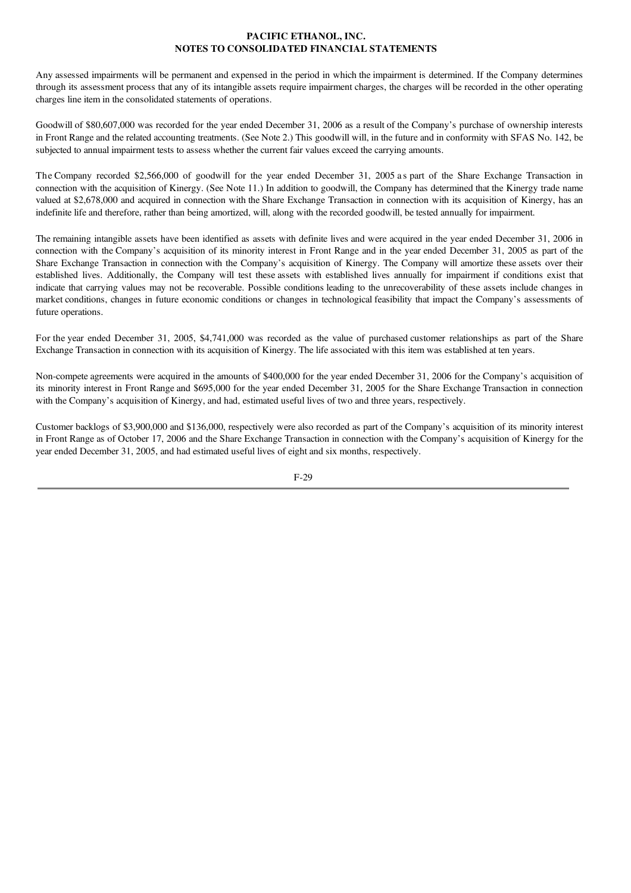Any assessed impairments will be permanent and expensed in the period in which the impairment is determined. If the Company determines through its assessment process that any of its intangible assets require impairment charges, the charges will be recorded in the other operating charges line item in the consolidated statements of operations.

Goodwill of \$80,607,000 was recorded for the year ended December 31, 2006 as a result of the Company's purchase of ownership interests in Front Range and the related accounting treatments. (See Note 2.) This goodwill will, in the future and in conformity with SFAS No. 142, be subjected to annual impairment tests to assess whether the current fair values exceed the carrying amounts.

The Company recorded \$2,566,000 of goodwill for the year ended December 31, 2005 a s part of the Share Exchange Transaction in connection with the acquisition of Kinergy. (See Note 11.) In addition to goodwill, the Company has determined that the Kinergy trade name valued at \$2,678,000 and acquired in connection with the Share Exchange Transaction in connection with its acquisition of Kinergy, has an indefinite life and therefore, rather than being amortized, will, along with the recorded goodwill, be tested annually for impairment.

The remaining intangible assets have been identified as assets with definite lives and were acquired in the year ended December 31, 2006 in connection with the Company's acquisition of its minority interest in Front Range and in the year ended December 31, 2005 as part of the Share Exchange Transaction in connection with the Company's acquisition of Kinergy. The Company will amortize these assets over their established lives. Additionally, the Company will test these assets with established lives annually for impairment if conditions exist that indicate that carrying values may not be recoverable. Possible conditions leading to the unrecoverability of these assets include changes in market conditions, changes in future economic conditions or changes in technological feasibility that impact the Company's assessments of future operations.

For the year ended December 31, 2005, \$4,741,000 was recorded as the value of purchased customer relationships as part of the Share Exchange Transaction in connection with its acquisition of Kinergy. The life associated with this item was established at ten years.

Non-compete agreements were acquired in the amounts of \$400,000 for the year ended December 31, 2006 for the Company's acquisition of its minority interest in Front Range and \$695,000 for the year ended December 31, 2005 for the Share Exchange Transaction in connection with the Company's acquisition of Kinergy, and had, estimated useful lives of two and three years, respectively.

Customer backlogs of \$3,900,000 and \$136,000, respectively were also recorded as part of the Company's acquisition of its minority interest in Front Range as of October 17, 2006 and the Share Exchange Transaction in connection with the Company's acquisition of Kinergy for the year ended December 31, 2005, and had estimated useful lives of eight and six months, respectively.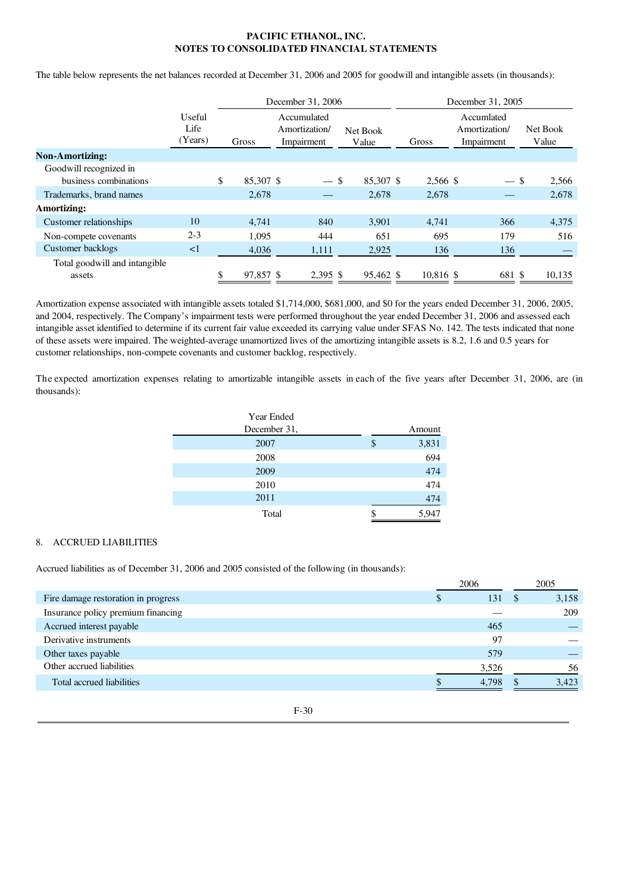The table below represents the net balances recorded at December 31, 2006 and 2005 for goodwill and intangible assets (in thousands):

|                                                 |                           |                 | December 31, 2006                          |                   |             | December 31, 2005                         |                   |
|-------------------------------------------------|---------------------------|-----------------|--------------------------------------------|-------------------|-------------|-------------------------------------------|-------------------|
|                                                 | Useful<br>Life<br>(Years) | Gross           | Accumulated<br>Amortization/<br>Impairment | Net Book<br>Value | Gross       | Accumlated<br>Amortization/<br>Impairment | Net Book<br>Value |
| <b>Non-Amortizing:</b>                          |                           |                 |                                            |                   |             |                                           |                   |
| Goodwill recognized in<br>business combinations |                           | \$<br>85,307 \$ | $-$ \$                                     | 85,307 \$         | 2,566 \$    | $-$ \$                                    | 2,566             |
| Trademarks, brand names                         |                           | 2,678           |                                            | 2.678             | 2.678       |                                           | 2,678             |
| Amortizing:                                     |                           |                 |                                            |                   |             |                                           |                   |
| Customer relationships                          | 10                        | 4,741           | 840                                        | 3,901             | 4,741       | 366                                       | 4,375             |
| Non-compete covenants                           | $2 - 3$                   | 1,095           | 444                                        | 651               | 695         | 179                                       | 516               |
| Customer backlogs                               | $\leq$ 1                  | 4,036           | 1,111                                      | 2,925             | 136         | 136                                       |                   |
| Total goodwill and intangible<br>assets         |                           | 97,857 \$       | $2,395$ \$                                 | 95,462 \$         | $10.816$ \$ | 681 \$                                    | 10,135            |

Amortization expense associated with intangible assets totaled \$1,714,000, \$681,000, and \$0 for the years ended December 31, 2006, 2005, and 2004, respectively. The Company's impairment tests were performed throughout the year ended December 31, 2006 and assessed each intangible asset identified to determine if its current fair value exceeded its carrying value under SFAS No. 142. The tests indicated that none of these assets were impaired. The weighted-average unamortized lives of the amortizing intangible assets is 8.2, 1.6 and 0.5 years for customer relationships, non-compete covenants and customer backlog, respectively.

The expected amortization expenses relating to amortizable intangible assets in each of the five years after December 31, 2006, are (in thousands):

| Year Ended   |             |
|--------------|-------------|
| December 31, | Amount      |
| 2007         | \$<br>3,831 |
| 2008         | 694         |
| 2009         | 474         |
| 2010         | 474         |
| 2011         | 474         |
| Total        | 5,947       |

#### 8. ACCRUED LIABILITIES

Accrued liabilities as of December 31, 2006 and 2005 consisted of the following (in thousands):

|                                     | 2006  | 2005  |
|-------------------------------------|-------|-------|
| Fire damage restoration in progress | 131   | 3,158 |
| Insurance policy premium financing  |       | 209   |
| Accrued interest payable            | 465   |       |
| Derivative instruments              | 97    |       |
| Other taxes payable                 | 579   |       |
| Other accrued liabilities           | 3,526 | 56    |
| Total accrued liabilities           | 4.798 | 3.423 |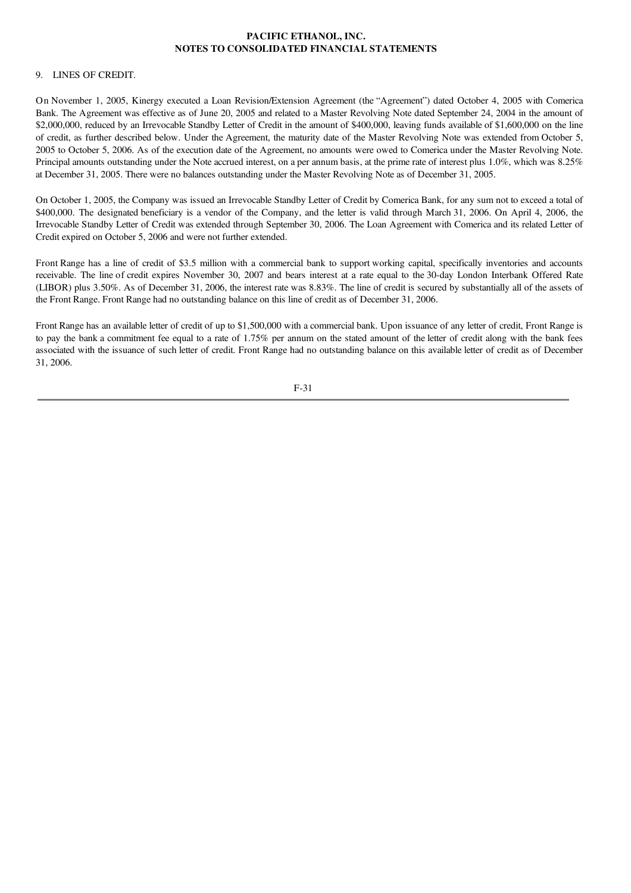# 9. LINES OF CREDIT.

On November 1, 2005, Kinergy executed a Loan Revision/Extension Agreement (the "Agreement") dated October 4, 2005 with Comerica Bank. The Agreement was effective as of June 20, 2005 and related to a Master Revolving Note dated September 24, 2004 in the amount of \$2,000,000, reduced by an Irrevocable Standby Letter of Credit in the amount of \$400,000, leaving funds available of \$1,600,000 on the line of credit, as further described below. Under the Agreement, the maturity date of the Master Revolving Note was extended from October 5, 2005 to October 5, 2006. As of the execution date of the Agreement, no amounts were owed to Comerica under the Master Revolving Note. Principal amounts outstanding under the Note accrued interest, on a per annum basis, at the prime rate of interest plus 1.0%, which was 8.25% at December 31, 2005. There were no balances outstanding under the Master Revolving Note as of December 31, 2005.

On October 1, 2005, the Company was issued an Irrevocable Standby Letter of Credit by Comerica Bank, for any sum not to exceed a total of \$400,000. The designated beneficiary is a vendor of the Company, and the letter is valid through March 31, 2006. On April 4, 2006, the Irrevocable Standby Letter of Credit was extended through September 30, 2006. The Loan Agreement with Comerica and its related Letter of Credit expired on October 5, 2006 and were not further extended.

Front Range has a line of credit of \$3.5 million with a commercial bank to support working capital, specifically inventories and accounts receivable. The line of credit expires November 30, 2007 and bears interest at a rate equal to the 30-day London Interbank Offered Rate (LIBOR) plus 3.50%. As of December 31, 2006, the interest rate was 8.83%. The line of credit is secured by substantially all of the assets of the Front Range. Front Range had no outstanding balance on this line of credit as of December 31, 2006.

Front Range has an available letter of credit of up to \$1,500,000 with a commercial bank. Upon issuance of any letter of credit, Front Range is to pay the bank a commitment fee equal to a rate of 1.75% per annum on the stated amount of the letter of credit along with the bank fees associated with the issuance of such letter of credit. Front Range had no outstanding balance on this available letter of credit as of December 31, 2006.

$$
F-31
$$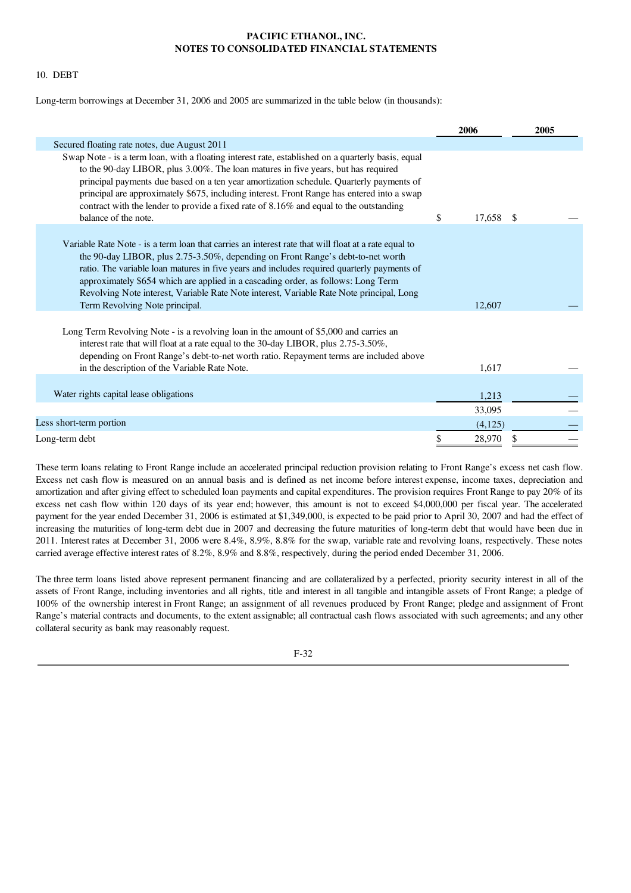## 10. DEBT

Long-term borrowings at December 31, 2006 and 2005 are summarized in the table below (in thousands):

|                                                                                                                                                                                                                                                                                                                                                                                                                                                                                                          | 2006         |    | 2005 |
|----------------------------------------------------------------------------------------------------------------------------------------------------------------------------------------------------------------------------------------------------------------------------------------------------------------------------------------------------------------------------------------------------------------------------------------------------------------------------------------------------------|--------------|----|------|
| Secured floating rate notes, due August 2011                                                                                                                                                                                                                                                                                                                                                                                                                                                             |              |    |      |
| Swap Note - is a term loan, with a floating interest rate, established on a quarterly basis, equal<br>to the 90-day LIBOR, plus 3.00%. The loan matures in five years, but has required<br>principal payments due based on a ten year amortization schedule. Quarterly payments of<br>principal are approximately \$675, including interest. Front Range has entered into a swap<br>contract with the lender to provide a fixed rate of 8.16% and equal to the outstanding<br>balance of the note.       | \$<br>17,658 | \$ |      |
| Variable Rate Note - is a term loan that carries an interest rate that will float at a rate equal to<br>the 90-day LIBOR, plus 2.75-3.50%, depending on Front Range's debt-to-net worth<br>ratio. The variable loan matures in five years and includes required quarterly payments of<br>approximately \$654 which are applied in a cascading order, as follows: Long Term<br>Revolving Note interest, Variable Rate Note interest, Variable Rate Note principal, Long<br>Term Revolving Note principal. | 12,607       |    |      |
| Long Term Revolving Note - is a revolving loan in the amount of \$5,000 and carries an<br>interest rate that will float at a rate equal to the 30-day LIBOR, plus 2.75-3.50%,<br>depending on Front Range's debt-to-net worth ratio. Repayment terms are included above<br>in the description of the Variable Rate Note.                                                                                                                                                                                 | 1,617        |    |      |
|                                                                                                                                                                                                                                                                                                                                                                                                                                                                                                          |              |    |      |
| Water rights capital lease obligations                                                                                                                                                                                                                                                                                                                                                                                                                                                                   | 1,213        |    |      |
|                                                                                                                                                                                                                                                                                                                                                                                                                                                                                                          | 33,095       |    |      |
| Less short-term portion                                                                                                                                                                                                                                                                                                                                                                                                                                                                                  | (4,125)      |    |      |
| Long-term debt                                                                                                                                                                                                                                                                                                                                                                                                                                                                                           | \$<br>28,970 | S  |      |

These term loans relating to Front Range include an accelerated principal reduction provision relating to Front Range's excess net cash flow. Excess net cash flow is measured on an annual basis and is defined as net income before interest expense, income taxes, depreciation and amortization and after giving effect to scheduled loan payments and capital expenditures. The provision requires Front Range to pay 20% of its excess net cash flow within 120 days of its year end; however, this amount is not to exceed \$4,000,000 per fiscal year. The accelerated payment for the year ended December 31, 2006 is estimated at \$1,349,000, is expected to be paid prior to April 30, 2007 and had the effect of increasing the maturities of long-term debt due in 2007 and decreasing the future maturities of long-term debt that would have been due in 2011. Interest rates at December 31, 2006 were 8.4%, 8.9%, 8.8% for the swap, variable rate and revolving loans, respectively. These notes carried average effective interest rates of 8.2%, 8.9% and 8.8%, respectively, during the period ended December 31, 2006.

The three term loans listed above represent permanent financing and are collateralized by a perfected, priority security interest in all of the assets of Front Range, including inventories and all rights, title and interest in all tangible and intangible assets of Front Range; a pledge of 100% of the ownership interest in Front Range; an assignment of all revenues produced by Front Range; pledge and assignment of Front Range's material contracts and documents, to the extent assignable; all contractual cash flows associated with such agreements; and any other collateral security as bank may reasonably request.

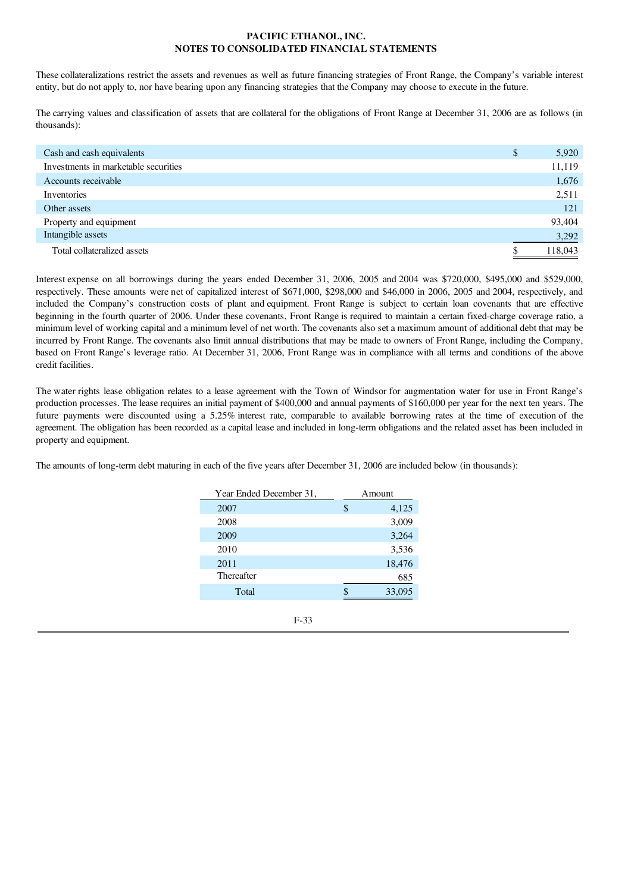These collateralizations restrict the assets and revenues as well as future financing strategies of Front Range, the Company's variable interest entity, but do not apply to, nor have bearing upon any financing strategies that the Company may choose to execute in the future.

The carrying values and classification of assets that are collateral for the obligations of Front Range at December 31, 2006 are as follows (in thousands):

| Cash and cash equivalents            | \$<br>5,920   |
|--------------------------------------|---------------|
| Investments in marketable securities | 11,119        |
| Accounts receivable                  | 1,676         |
| Inventories                          | 2,511         |
| Other assets                         | 121           |
| Property and equipment               | 93,404        |
| Intangible assets                    | 3,292         |
| Total collateralized assets          | \$<br>118,043 |

Interest expense on all borrowings during the years ended December 31, 2006, 2005 and 2004 was \$720,000, \$495,000 and \$529,000, respectively. These amounts were net of capitalized interest of \$671,000, \$298,000 and \$46,000 in 2006, 2005 and 2004, respectively, and included the Company's construction costs of plant and equipment. Front Range is subject to certain loan covenants that are effective beginning in the fourth quarter of 2006. Under these covenants, Front Range is required to maintain a certain fixed-charge coverage ratio, a minimum level of working capital and a minimum level of net worth. The covenants also set a maximum amount of additional debt that may be incurred by Front Range. The covenants also limit annual distributions that may be made to owners of Front Range, including the Company, based on Front Range's leverage ratio. At December 31, 2006, Front Range was in compliance with all terms and conditions of the above credit facilities.

The water rights lease obligation relates to a lease agreement with the Town of Windsor for augmentation water for use in Front Range's production processes. The lease requires an initial payment of \$400,000 and annual payments of \$160,000 per year for the next ten years. The future payments were discounted using a 5.25% interest rate, comparable to available borrowing rates at the time of execution of the agreement. The obligation has been recorded as a capital lease and included in long-term obligations and the related asset has been included in property and equipment.

The amounts of long-term debt maturing in each of the five years after December 31, 2006 are included below (in thousands):

| Year Ended December 31, | A mount     |
|-------------------------|-------------|
| 2007                    | \$<br>4,125 |
| 2008                    | 3,009       |
| 2009                    | 3,264       |
| 2010                    | 3,536       |
| 2011                    | 18,476      |
| Thereafter              | 685         |
| Total                   | 33,095      |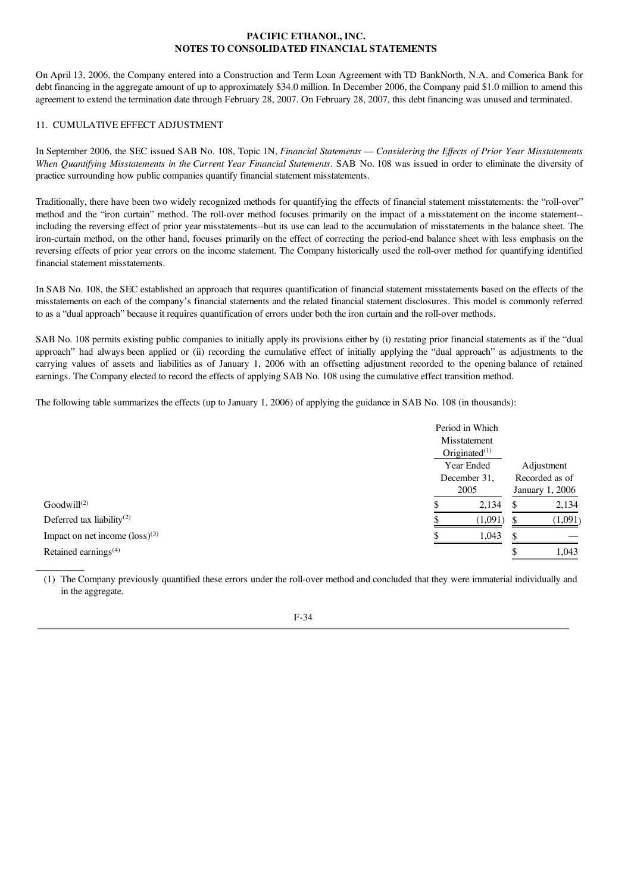On April 13, 2006, the Company entered into a Construction and Term Loan Agreement with TD BankNorth, N.A. and Comerica Bank for debt financing in the aggregate amount of up to approximately \$34.0 million. In December 2006, the Company paid \$1.0 million to amend this agreement to extend the termination date through February 28, 2007. On February 28, 2007, this debt financing was unused and terminated.

# 11. CUMULATIVE EFFECT ADJUSTMENT

\_\_\_\_\_\_\_\_\_\_

In September 2006, the SEC issued SAB No. 108, Topic 1N, *Financial Statements* — *Considering the Ef ects of Prior Year Misstatements When Quantifying Misstatements in the Current Year Financial Statements.* SAB No. 108 was issued in order to eliminate the diversity of practice surrounding how public companies quantify financial statement misstatements.

Traditionally, there have been two widely recognized methods for quantifying the effects of financial statement misstatements: the "roll-over" method and the "iron curtain" method. The roll-over method focuses primarily on the impact of a misstatement on the income statement- including the reversing effect of prior year misstatements--but its use can lead to the accumulation of misstatements in the balance sheet. The iron-curtain method, on the other hand, focuses primarily on the effect of correcting the period-end balance sheet with less emphasis on the reversing effects of prior year errors on the income statement. The Company historically used the roll-over method for quantifying identified financial statement misstatements.

In SAB No. 108, the SEC established an approach that requires quantification of financial statement misstatements based on the effects of the misstatements on each of the company's financial statements and the related financial statement disclosures. This model is commonly referred to as a "dual approach" because it requires quantification of errors under both the iron curtain and the roll-over methods.

SAB No. 108 permits existing public companies to initially apply its provisions either by (i) restating prior financial statements as if the "dual approach" had always been applied or (ii) recording the cumulative effect of initially applying the "dual approach" as adjustments to the carrying values of assets and liabilities as of January 1, 2006 with an offsetting adjustment recorded to the opening balance of retained earnings. The Company elected to record the effects of applying SAB No. 108 using the cumulative effect transition method.

The following table summarizes the effects (up to January 1, 2006) of applying the guidance in SAB No. 108 (in thousands):

|                                            | Period in Which<br>Misstatement<br>Originated $(1)$<br>Year Ended<br>December 31.<br>2005 | Adjustment<br>Recorded as of<br>January 1, 2006 |
|--------------------------------------------|-------------------------------------------------------------------------------------------|-------------------------------------------------|
| Goodwill <sup>(2)</sup>                    | 2,134                                                                                     | 2,134                                           |
| Deferred tax liability <sup>(2)</sup>      | (1,091)                                                                                   | (1,091)                                         |
| Impact on net income $(\text{loss})^{(3)}$ | 1,043                                                                                     |                                                 |
| Retained earnings <sup>(4)</sup>           | \$                                                                                        | 1,043                                           |

(1) The Company previously quantified these errors under the roll-over method and concluded that they were immaterial individually and in the aggregate.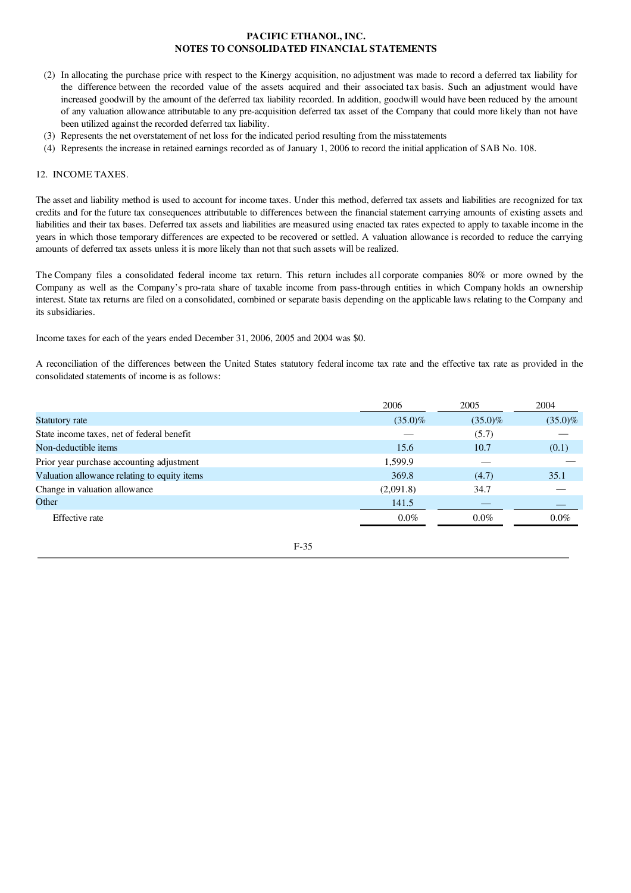- (2) In allocating the purchase price with respect to the Kinergy acquisition, no adjustment was made to record a deferred tax liability for the difference between the recorded value of the assets acquired and their associated tax basis. Such an adjustment would have increased goodwill by the amount of the deferred tax liability recorded. In addition, goodwill would have been reduced by the amount of any valuation allowance attributable to any pre-acquisition deferred tax asset of the Company that could more likely than not have been utilized against the recorded deferred tax liability.
- (3) Represents the net overstatement of net loss for the indicated period resulting from the misstatements
- (4) Represents the increase in retained earnings recorded as of January 1, 2006 to record the initial application of SAB No. 108.

## 12. INCOME TAXES.

The asset and liability method is used to account for income taxes. Under this method, deferred tax assets and liabilities are recognized for tax credits and for the future tax consequences attributable to differences between the financial statement carrying amounts of existing assets and liabilities and their tax bases. Deferred tax assets and liabilities are measured using enacted tax rates expected to apply to taxable income in the years in which those temporary differences are expected to be recovered or settled. A valuation allowance is recorded to reduce the carrying amounts of deferred tax assets unless it is more likely than not that such assets will be realized.

The Company files a consolidated federal income tax return. This return includes all corporate companies 80% or more owned by the Company as well as the Company's pro-rata share of taxable income from pass-through entities in which Company holds an ownership interest. State tax returns are filed on a consolidated, combined or separate basis depending on the applicable laws relating to the Company and its subsidiaries.

Income taxes for each of the years ended December 31, 2006, 2005 and 2004 was \$0.

A reconciliation of the differences between the United States statutory federal income tax rate and the effective tax rate as provided in the consolidated statements of income is as follows:

|                                              | 2006       | 2005       | 2004       |
|----------------------------------------------|------------|------------|------------|
| Statutory rate                               | $(35.0)\%$ | $(35.0)\%$ | $(35.0)\%$ |
| State income taxes, net of federal benefit   |            | (5.7)      |            |
| Non-deductible items                         | 15.6       | 10.7       | (0.1)      |
| Prior year purchase accounting adjustment    | 1,599.9    |            |            |
| Valuation allowance relating to equity items | 369.8      | (4.7)      | 35.1       |
| Change in valuation allowance                | (2,091.8)  | 34.7       |            |
| Other                                        | 141.5      |            |            |
| Effective rate                               | $0.0\%$    | $0.0\%$    | $0.0\%$    |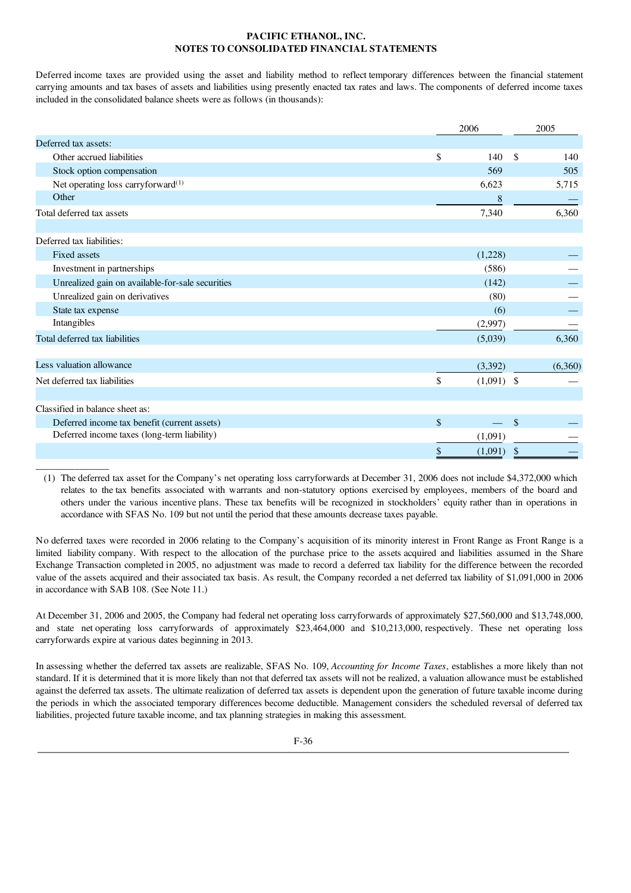Deferred income taxes are provided using the asset and liability method to reflect temporary differences between the financial statement carrying amounts and tax bases of assets and liabilities using presently enacted tax rates and laws. The components of deferred income taxes included in the consolidated balance sheets were as follows (in thousands):

|                                                  |    | 2006         |               | 2005    |
|--------------------------------------------------|----|--------------|---------------|---------|
| Deferred tax assets:                             |    |              |               |         |
| Other accrued liabilities                        | \$ | 140          | \$            | 140     |
| Stock option compensation                        |    | 569          |               | 505     |
| Net operating loss carryforward <sup>(1)</sup>   |    | 6,623        |               | 5,715   |
| Other                                            |    | 8            |               |         |
| Total deferred tax assets                        |    | 7,340        |               | 6,360   |
|                                                  |    |              |               |         |
| Deferred tax liabilities:                        |    |              |               |         |
| Fixed assets                                     |    | (1,228)      |               |         |
| Investment in partnerships                       |    | (586)        |               |         |
| Unrealized gain on available-for-sale securities |    | (142)        |               |         |
| Unrealized gain on derivatives                   |    | (80)         |               |         |
| State tax expense                                |    | (6)          |               |         |
| Intangibles                                      |    | (2,997)      |               |         |
| Total deferred tax liabilities                   |    | (5,039)      |               | 6,360   |
|                                                  |    |              |               |         |
| Less valuation allowance                         |    | (3,392)      |               | (6,360) |
| Net deferred tax liabilities                     | \$ | $(1,091)$ \$ |               |         |
|                                                  |    |              |               |         |
| Classified in balance sheet as:                  |    |              |               |         |
| Deferred income tax benefit (current assets)     | \$ |              | $\mathbf{\$}$ |         |
| Deferred income taxes (long-term liability)      |    | (1,091)      |               |         |
|                                                  | \$ | (1,091)      | $\mathbb{S}$  |         |

(1) The deferred tax asset for the Company's net operating loss carryforwards at December 31, 2006 does not include \$4,372,000 which relates to the tax benefits associated with warrants and non-statutory options exercised by employees, members of the board and others under the various incentive plans. These tax benefits will be recognized in stockholders' equity rather than in operations in accordance with SFAS No. 109 but not until the period that these amounts decrease taxes payable.

\_\_\_\_\_\_\_\_\_\_\_\_\_\_\_

No deferred taxes were recorded in 2006 relating to the Company's acquisition of its minority interest in Front Range as Front Range is a limited liability company. With respect to the allocation of the purchase price to the assets acquired and liabilities assumed in the Share Exchange Transaction completed in 2005, no adjustment was made to record a deferred tax liability for the difference between the recorded value of the assets acquired and their associated tax basis. As result, the Company recorded a net deferred tax liability of \$1,091,000 in 2006 in accordance with SAB 108. (See Note 11.)

At December 31, 2006 and 2005, the Company had federal net operating loss carryforwards of approximately \$27,560,000 and \$13,748,000, and state net operating loss carryforwards of approximately \$23,464,000 and \$10,213,000, respectively. These net operating loss carryforwards expire at various dates beginning in 2013.

In assessing whether the deferred tax assets are realizable, SFAS No. 109, *Accounting for Income Taxes*, establishes a more likely than not standard. If it is determined that it is more likely than not that deferred tax assets will not be realized, a valuation allowance must be established against the deferred tax assets. The ultimate realization of deferred tax assets is dependent upon the generation of future taxable income during the periods in which the associated temporary differences become deductible. Management considers the scheduled reversal of deferred tax liabilities, projected future taxable income, and tax planning strategies in making this assessment.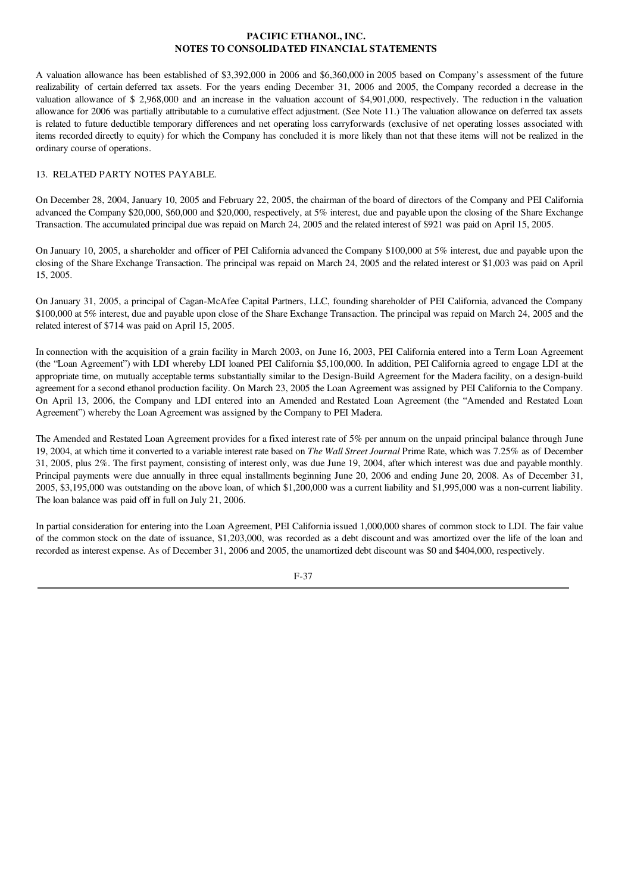A valuation allowance has been established of \$3,392,000 in 2006 and \$6,360,000 in 2005 based on Company's assessment of the future realizability of certain deferred tax assets. For the years ending December 31, 2006 and 2005, the Company recorded a decrease in the valuation allowance of \$ 2,968,000 and an increase in the valuation account of \$4,901,000, respectively. The reduction in the valuation allowance for 2006 was partially attributable to a cumulative effect adjustment. (See Note 11.) The valuation allowance on deferred tax assets is related to future deductible temporary differences and net operating loss carryforwards (exclusive of net operating losses associated with items recorded directly to equity) for which the Company has concluded it is more likely than not that these items will not be realized in the ordinary course of operations.

# 13. RELATED PARTY NOTES PAYABLE.

On December 28, 2004, January 10, 2005 and February 22, 2005, the chairman of the board of directors of the Company and PEI California advanced the Company \$20,000, \$60,000 and \$20,000, respectively, at 5% interest, due and payable upon the closing of the Share Exchange Transaction. The accumulated principal due was repaid on March 24, 2005 and the related interest of \$921 was paid on April 15, 2005.

On January 10, 2005, a shareholder and officer of PEI California advanced the Company \$100,000 at 5% interest, due and payable upon the closing of the Share Exchange Transaction. The principal was repaid on March 24, 2005 and the related interest or \$1,003 was paid on April 15, 2005.

On January 31, 2005, a principal of Cagan-McAfee Capital Partners, LLC, founding shareholder of PEI California, advanced the Company \$100,000 at 5% interest, due and payable upon close of the Share Exchange Transaction. The principal was repaid on March 24, 2005 and the related interest of \$714 was paid on April 15, 2005.

In connection with the acquisition of a grain facility in March 2003, on June 16, 2003, PEI California entered into a Term Loan Agreement (the "Loan Agreement") with LDI whereby LDI loaned PEI California \$5,100,000. In addition, PEI California agreed to engage LDI at the appropriate time, on mutually acceptable terms substantially similar to the Design-Build Agreement for the Madera facility, on a design-build agreement for a second ethanol production facility. On March 23, 2005 the Loan Agreement was assigned by PEI California to the Company. On April 13, 2006, the Company and LDI entered into an Amended and Restated Loan Agreement (the "Amended and Restated Loan Agreement") whereby the Loan Agreement was assigned by the Company to PEI Madera.

The Amended and Restated Loan Agreement provides for a fixed interest rate of 5% per annum on the unpaid principal balance through June 19, 2004, at which time it converted to a variable interest rate based on *The Wall Street Journal* Prime Rate, which was 7.25% as of December 31, 2005, plus 2%. The first payment, consisting of interest only, was due June 19, 2004, after which interest was due and payable monthly. Principal payments were due annually in three equal installments beginning June 20, 2006 and ending June 20, 2008. As of December 31, 2005, \$3,195,000 was outstanding on the above loan, of which \$1,200,000 was a current liability and \$1,995,000 was a non-current liability. The loan balance was paid off in full on July 21, 2006.

In partial consideration for entering into the Loan Agreement, PEI California issued 1,000,000 shares of common stock to LDI. The fair value of the common stock on the date of issuance, \$1,203,000, was recorded as a debt discount and was amortized over the life of the loan and recorded as interest expense. As of December 31, 2006 and 2005, the unamortized debt discount was \$0 and \$404,000, respectively.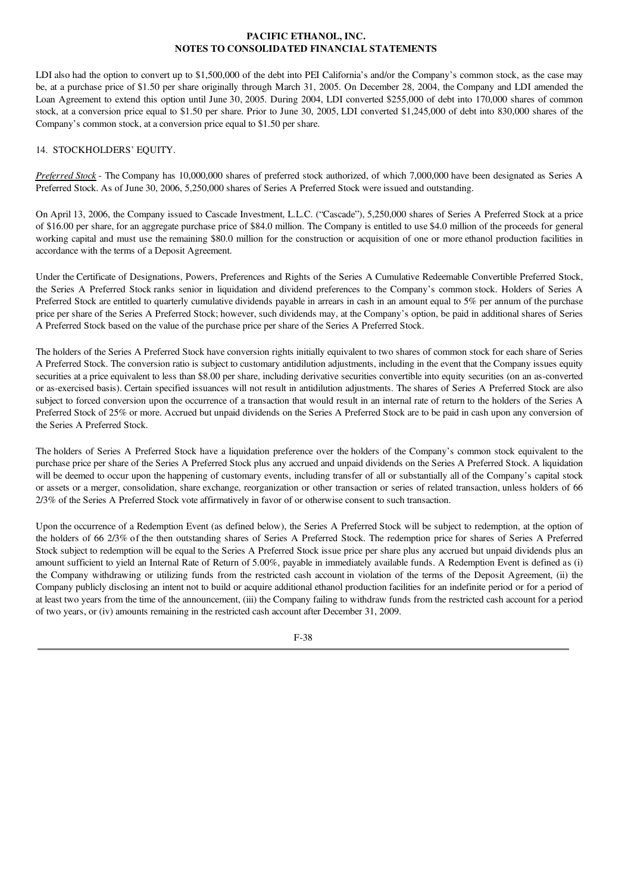LDI also had the option to convert up to \$1,500,000 of the debt into PEI California's and/or the Company's common stock, as the case may be, at a purchase price of \$1.50 per share originally through March 31, 2005. On December 28, 2004, the Company and LDI amended the Loan Agreement to extend this option until June 30, 2005. During 2004, LDI converted \$255,000 of debt into 170,000 shares of common stock, at a conversion price equal to \$1.50 per share. Prior to June 30, 2005, LDI converted \$1,245,000 of debt into 830,000 shares of the Company's common stock, at a conversion price equal to \$1.50 per share.

# 14. STOCKHOLDERS' EQUITY.

*Preferred Stock* - The Company has 10,000,000 shares of preferred stock authorized, of which 7,000,000 have been designated as Series A Preferred Stock. As of June 30, 2006, 5,250,000 shares of Series A Preferred Stock were issued and outstanding.

On April 13, 2006, the Company issued to Cascade Investment, L.L.C. ("Cascade"), 5,250,000 shares of Series A Preferred Stock at a price of \$16.00 per share, for an aggregate purchase price of \$84.0 million. The Company is entitled to use \$4.0 million of the proceeds for general working capital and must use the remaining \$80.0 million for the construction or acquisition of one or more ethanol production facilities in accordance with the terms of a Deposit Agreement.

Under the Certificate of Designations, Powers, Preferences and Rights of the Series A Cumulative Redeemable Convertible Preferred Stock, the Series A Preferred Stock ranks senior in liquidation and dividend preferences to the Company's common stock. Holders of Series A Preferred Stock are entitled to quarterly cumulative dividends payable in arrears in cash in an amount equal to 5% per annum of the purchase price per share of the Series A Preferred Stock; however, such dividends may, at the Company's option, be paid in additional shares of Series A Preferred Stock based on the value of the purchase price per share of the Series A Preferred Stock.

The holders of the Series A Preferred Stock have conversion rights initially equivalent to two shares of common stock for each share of Series A Preferred Stock. The conversion ratio is subject to customary antidilution adjustments, including in the event that the Company issues equity securities at a price equivalent to less than \$8.00 per share, including derivative securities convertible into equity securities (on an as-converted or as-exercised basis). Certain specified issuances will not result in antidilution adjustments. The shares of Series A Preferred Stock are also subject to forced conversion upon the occurrence of a transaction that would result in an internal rate of return to the holders of the Series A Preferred Stock of 25% or more. Accrued but unpaid dividends on the Series A Preferred Stock are to be paid in cash upon any conversion of the Series A Preferred Stock.

The holders of Series A Preferred Stock have a liquidation preference over the holders of the Company's common stock equivalent to the purchase price per share of the Series A Preferred Stock plus any accrued and unpaid dividends on the Series A Preferred Stock. A liquidation will be deemed to occur upon the happening of customary events, including transfer of all or substantially all of the Company's capital stock or assets or a merger, consolidation, share exchange, reorganization or other transaction or series of related transaction, unless holders of 66 2/3% of the Series A Preferred Stock vote affirmatively in favor of or otherwise consent to such transaction.

Upon the occurrence of a Redemption Event (as defined below), the Series A Preferred Stock will be subject to redemption, at the option of the holders of 66 2/3% of the then outstanding shares of Series A Preferred Stock. The redemption price for shares of Series A Preferred Stock subject to redemption will be equal to the Series A Preferred Stock issue price per share plus any accrued but unpaid dividends plus an amount sufficient to yield an Internal Rate of Return of 5.00%, payable in immediately available funds. A Redemption Event is defined as (i) the Company withdrawing or utilizing funds from the restricted cash account in violation of the terms of the Deposit Agreement, (ii) the Company publicly disclosing an intent not to build or acquire additional ethanol production facilities for an indefinite period or for a period of at least two years from the time of the announcement, (iii) the Company failing to withdraw funds from the restricted cash account for a period of two years, or (iv) amounts remaining in the restricted cash account after December 31, 2009.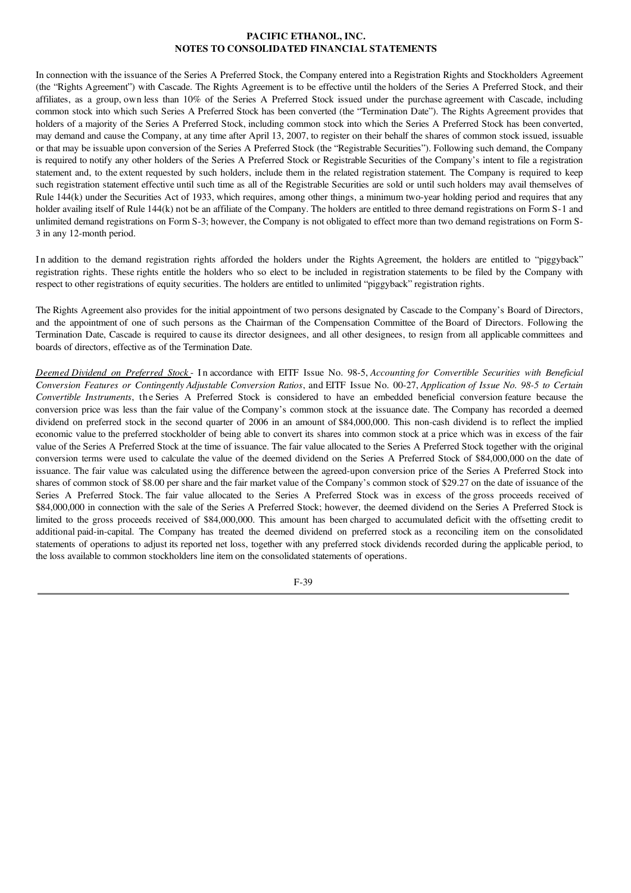In connection with the issuance of the Series A Preferred Stock, the Company entered into a Registration Rights and Stockholders Agreement (the "Rights Agreement") with Cascade. The Rights Agreement is to be effective until the holders of the Series A Preferred Stock, and their affiliates, as a group, own less than 10% of the Series A Preferred Stock issued under the purchase agreement with Cascade, including common stock into which such Series A Preferred Stock has been converted (the "Termination Date"). The Rights Agreement provides that holders of a majority of the Series A Preferred Stock, including common stock into which the Series A Preferred Stock has been converted, may demand and cause the Company, at any time after April 13, 2007, to register on their behalf the shares of common stock issued, issuable or that may be issuable upon conversion of the Series A Preferred Stock (the "Registrable Securities"). Following such demand, the Company is required to notify any other holders of the Series A Preferred Stock or Registrable Securities of the Company's intent to file a registration statement and, to the extent requested by such holders, include them in the related registration statement. The Company is required to keep such registration statement effective until such time as all of the Registrable Securities are sold or until such holders may avail themselves of Rule 144(k) under the Securities Act of 1933, which requires, among other things, a minimum two-year holding period and requires that any holder availing itself of Rule 144(k) not be an affiliate of the Company. The holders are entitled to three demand registrations on Form S-1 and unlimited demand registrations on Form S-3; however, the Company is not obligated to effect more than two demand registrations on Form S-3 in any 12-month period.

In addition to the demand registration rights afforded the holders under the Rights Agreement, the holders are entitled to "piggyback" registration rights. These rights entitle the holders who so elect to be included in registration statements to be filed by the Company with respect to other registrations of equity securities. The holders are entitled to unlimited "piggyback" registration rights.

The Rights Agreement also provides for the initial appointment of two persons designated by Cascade to the Company's Board of Directors, and the appointment of one of such persons as the Chairman of the Compensation Committee of the Board of Directors. Following the Termination Date, Cascade is required to cause its director designees, and all other designees, to resign from all applicable committees and boards of directors, effective as of the Termination Date.

*Deemed Dividend on Preferred Stock* - In accordance with EITF Issue No. 98-5, *Accounting for Convertible Securities with Beneficial* Conversion Features or Contingently Adjustable Conversion Ratios, and EITF Issue No. 00-27, Application of Issue No. 98-5 to Certain *Convertible Instruments*, the Series A Preferred Stock is considered to have an embedded beneficial conversion feature because the conversion price was less than the fair value of the Company's common stock at the issuance date. The Company has recorded a deemed dividend on preferred stock in the second quarter of 2006 in an amount of \$84,000,000. This non-cash dividend is to reflect the implied economic value to the preferred stockholder of being able to convert its shares into common stock at a price which was in excess of the fair value of the Series A Preferred Stock at the time of issuance. The fair value allocated to the Series A Preferred Stock together with the original conversion terms were used to calculate the value of the deemed dividend on the Series A Preferred Stock of \$84,000,000 on the date of issuance. The fair value was calculated using the difference between the agreed-upon conversion price of the Series A Preferred Stock into shares of common stock of \$8.00 per share and the fair market value of the Company's common stock of \$29.27 on the date of issuance of the Series A Preferred Stock. The fair value allocated to the Series A Preferred Stock was in excess of the gross proceeds received of \$84,000,000 in connection with the sale of the Series A Preferred Stock; however, the deemed dividend on the Series A Preferred Stock is limited to the gross proceeds received of \$84,000,000. This amount has been charged to accumulated deficit with the offsetting credit to additional paid-in-capital. The Company has treated the deemed dividend on preferred stock as a reconciling item on the consolidated statements of operations to adjust its reported net loss, together with any preferred stock dividends recorded during the applicable period, to the loss available to common stockholders line item on the consolidated statements of operations.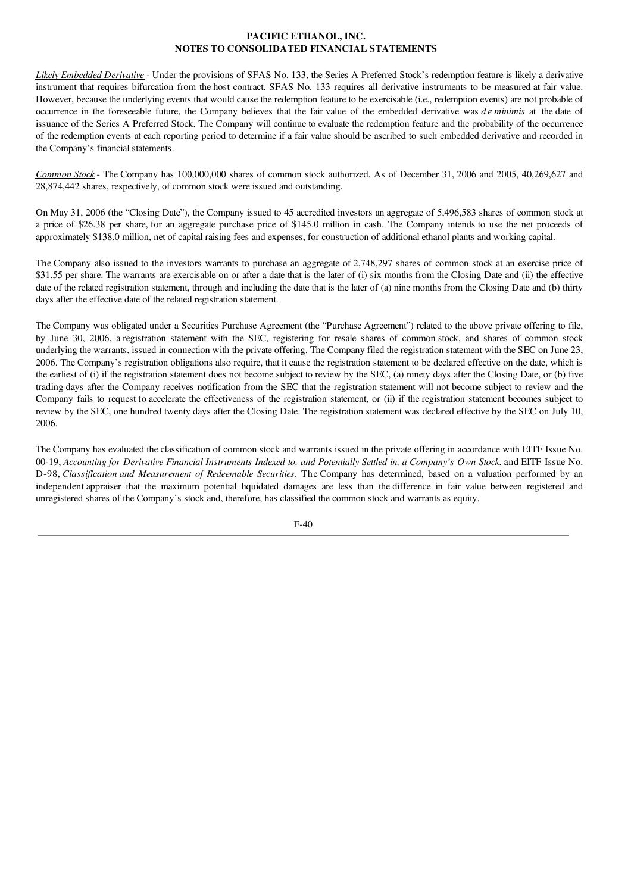*Likely Embedded Derivative* - Under the provisions of SFAS No. 133, the Series A Preferred Stock's redemption feature is likely a derivative instrument that requires bifurcation from the host contract. SFAS No. 133 requires all derivative instruments to be measured at fair value. However, because the underlying events that would cause the redemption feature to be exercisable (i.e., redemption events) are not probable of occurrence in the foreseeable future, the Company believes that the fair value of the embedded derivative was *de minimis* at the date of issuance of the Series A Preferred Stock. The Company will continue to evaluate the redemption feature and the probability of the occurrence of the redemption events at each reporting period to determine if a fair value should be ascribed to such embedded derivative and recorded in the Company's financial statements.

*Common Stock* - The Company has 100,000,000 shares of common stock authorized. As of December 31, 2006 and 2005, 40,269,627 and 28,874,442 shares, respectively, of common stock were issued and outstanding.

On May 31, 2006 (the "Closing Date"), the Company issued to 45 accredited investors an aggregate of 5,496,583 shares of common stock at a price of \$26.38 per share, for an aggregate purchase price of \$145.0 million in cash. The Company intends to use the net proceeds of approximately \$138.0 million, net of capital raising fees and expenses, for construction of additional ethanol plants and working capital.

The Company also issued to the investors warrants to purchase an aggregate of 2,748,297 shares of common stock at an exercise price of \$31.55 per share. The warrants are exercisable on or after a date that is the later of (i) six months from the Closing Date and (ii) the effective date of the related registration statement, through and including the date that is the later of (a) nine months from the Closing Date and (b) thirty days after the effective date of the related registration statement.

The Company was obligated under a Securities Purchase Agreement (the "Purchase Agreement") related to the above private offering to file, by June 30, 2006, a registration statement with the SEC, registering for resale shares of common stock, and shares of common stock underlying the warrants, issued in connection with the private offering. The Company filed the registration statement with the SEC on June 23, 2006. The Company's registration obligations also require, that it cause the registration statement to be declared effective on the date, which is the earliest of (i) if the registration statement does not become subject to review by the SEC, (a) ninety days after the Closing Date, or (b) five trading days after the Company receives notification from the SEC that the registration statement will not become subject to review and the Company fails to request to accelerate the effectiveness of the registration statement, or (ii) if the registration statement becomes subject to review by the SEC, one hundred twenty days after the Closing Date. The registration statement was declared effective by the SEC on July 10, 2006.

The Company has evaluated the classification of common stock and warrants issued in the private offering in accordance with EITF Issue No. 00-19. Accounting for Derivative Financial Instruments Indexed to, and Potentially Settled in, a Company's Own Stock, and EITF Issue No. D-98, *Classification and Measurement of Redeemable Securities*. The Company has determined, based on a valuation performed by an independent appraiser that the maximum potential liquidated damages are less than the difference in fair value between registered and unregistered shares of the Company's stock and, therefore, has classified the common stock and warrants as equity.

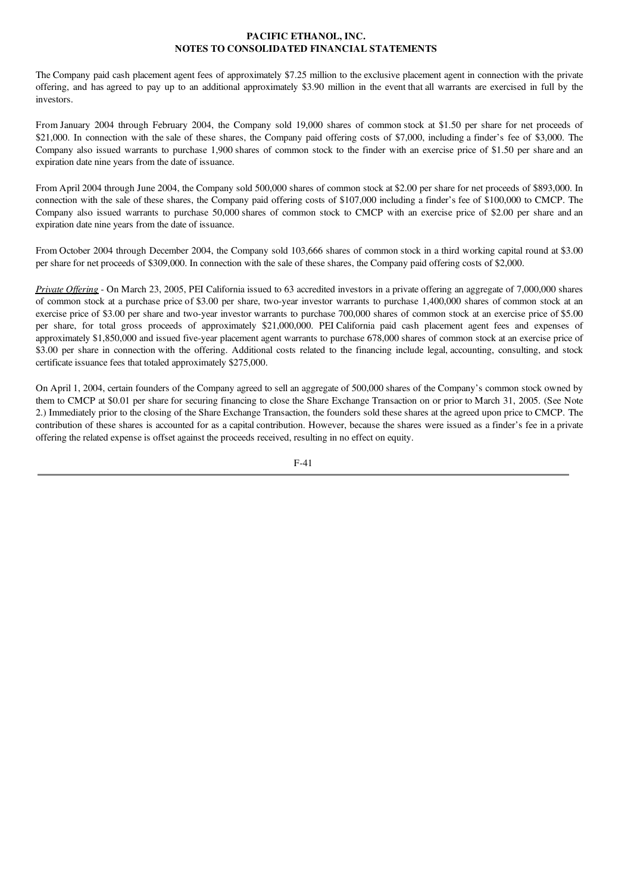The Company paid cash placement agent fees of approximately \$7.25 million to the exclusive placement agent in connection with the private offering, and has agreed to pay up to an additional approximately \$3.90 million in the event that all warrants are exercised in full by the investors.

From January 2004 through February 2004, the Company sold 19,000 shares of common stock at \$1.50 per share for net proceeds of \$21,000. In connection with the sale of these shares, the Company paid offering costs of \$7,000, including a finder's fee of \$3,000. The Company also issued warrants to purchase 1,900 shares of common stock to the finder with an exercise price of \$1.50 per share and an expiration date nine years from the date of issuance.

From April 2004 through June 2004, the Company sold 500,000 shares of common stock at \$2.00 per share for net proceeds of \$893,000. In connection with the sale of these shares, the Company paid offering costs of \$107,000 including a finder's fee of \$100,000 to CMCP. The Company also issued warrants to purchase 50,000 shares of common stock to CMCP with an exercise price of \$2.00 per share and an expiration date nine years from the date of issuance.

From October 2004 through December 2004, the Company sold 103,666 shares of common stock in a third working capital round at \$3.00 per share for net proceeds of \$309,000. In connection with the sale of these shares, the Company paid offering costs of \$2,000.

*Private Offering* - On March 23, 2005, PEI California issued to 63 accredited investors in a private offering an aggregate of 7,000,000 shares of common stock at a purchase price of \$3.00 per share, two-year investor warrants to purchase 1,400,000 shares of common stock at an exercise price of \$3.00 per share and two-year investor warrants to purchase 700,000 shares of common stock at an exercise price of \$5.00 per share, for total gross proceeds of approximately \$21,000,000. PEI California paid cash placement agent fees and expenses of approximately \$1,850,000 and issued five-year placement agent warrants to purchase 678,000 shares of common stock at an exercise price of \$3.00 per share in connection with the offering. Additional costs related to the financing include legal, accounting, consulting, and stock certificate issuance fees that totaled approximately \$275,000.

On April 1, 2004, certain founders of the Company agreed to sell an aggregate of 500,000 shares of the Company's common stock owned by them to CMCP at \$0.01 per share for securing financing to close the Share Exchange Transaction on or prior to March 31, 2005. (See Note 2.) Immediately prior to the closing of the Share Exchange Transaction, the founders sold these shares at the agreed upon price to CMCP. The contribution of these shares is accounted for as a capital contribution. However, because the shares were issued as a finder's fee in a private offering the related expense is offset against the proceeds received, resulting in no effect on equity.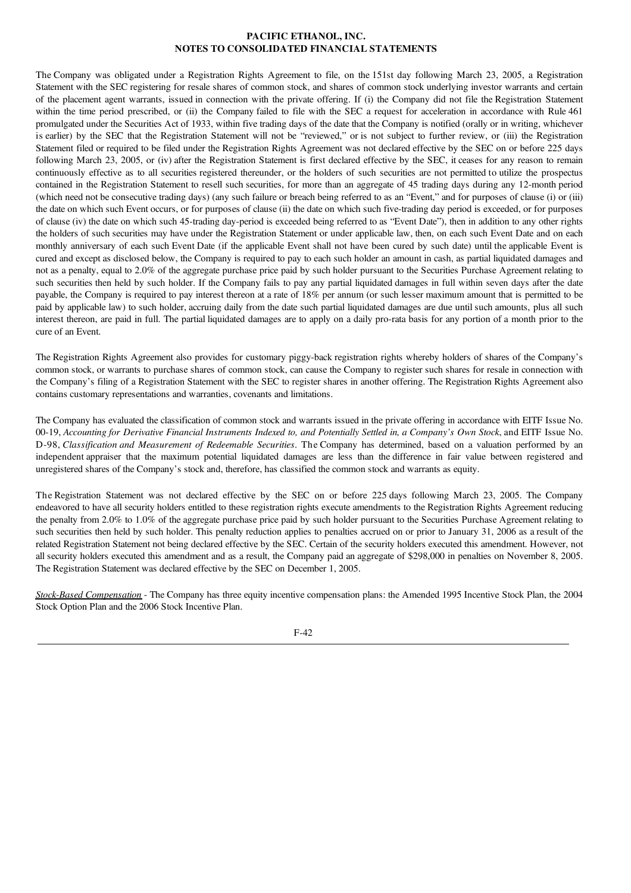The Company was obligated under a Registration Rights Agreement to file, on the 151st day following March 23, 2005, a Registration Statement with the SEC registering for resale shares of common stock, and shares of common stock underlying investor warrants and certain of the placement agent warrants, issued in connection with the private offering. If (i) the Company did not file the Registration Statement within the time period prescribed, or (ii) the Company failed to file with the SEC a request for acceleration in accordance with Rule 461 promulgated under the Securities Act of 1933, within five trading days of the date that the Company is notified (orally or in writing, whichever is earlier) by the SEC that the Registration Statement will not be "reviewed," or is not subject to further review, or (iii) the Registration Statement filed or required to be filed under the Registration Rights Agreement was not declared effective by the SEC on or before 225 days following March 23, 2005, or (iv) after the Registration Statement is first declared effective by the SEC, it ceases for any reason to remain continuously effective as to all securities registered thereunder, or the holders of such securities are not permitted to utilize the prospectus contained in the Registration Statement to resell such securities, for more than an aggregate of 45 trading days during any 12-month period (which need not be consecutive trading days) (any such failure or breach being referred to as an "Event," and for purposes of clause (i) or (iii) the date on which such Event occurs, or for purposes of clause (ii) the date on which such five-trading day period is exceeded, or for purposes of clause (iv) the date on which such 45-trading day-period is exceeded being referred to as "Event Date"), then in addition to any other rights the holders of such securities may have under the Registration Statement or under applicable law, then, on each such Event Date and on each monthly anniversary of each such Event Date (if the applicable Event shall not have been cured by such date) until the applicable Event is cured and except as disclosed below, the Company is required to pay to each such holder an amount in cash, as partial liquidated damages and not as a penalty, equal to 2.0% of the aggregate purchase price paid by such holder pursuant to the Securities Purchase Agreement relating to such securities then held by such holder. If the Company fails to pay any partial liquidated damages in full within seven days after the date payable, the Company is required to pay interest thereon at a rate of 18% per annum (or such lesser maximum amount that is permitted to be paid by applicable law) to such holder, accruing daily from the date such partial liquidated damages are due until such amounts, plus all such interest thereon, are paid in full. The partial liquidated damages are to apply on a daily pro-rata basis for any portion of a month prior to the cure of an Event.

The Registration Rights Agreement also provides for customary piggy-back registration rights whereby holders of shares of the Company's common stock, or warrants to purchase shares of common stock, can cause the Company to register such shares for resale in connection with the Company's filing of a Registration Statement with the SEC to register shares in another offering. The Registration Rights Agreement also contains customary representations and warranties, covenants and limitations.

The Company has evaluated the classification of common stock and warrants issued in the private offering in accordance with EITF Issue No. 00-19, Accounting for Derivative Financial Instruments Indexed to, and Potentially Settled in, a Company's Own Stock, and EITF Issue No. D-98, *Classification and Measurement of Redeemable Securities*. The Company has determined, based on a valuation performed by an independent appraiser that the maximum potential liquidated damages are less than the difference in fair value between registered and unregistered shares of the Company's stock and, therefore, has classified the common stock and warrants as equity.

The Registration Statement was not declared effective by the SEC on or before 225 days following March 23, 2005. The Company endeavored to have all security holders entitled to these registration rights execute amendments to the Registration Rights Agreement reducing the penalty from 2.0% to 1.0% of the aggregate purchase price paid by such holder pursuant to the Securities Purchase Agreement relating to such securities then held by such holder. This penalty reduction applies to penalties accrued on or prior to January 31, 2006 as a result of the related Registration Statement not being declared effective by the SEC. Certain of the security holders executed this amendment. However, not all security holders executed this amendment and as a result, the Company paid an aggregate of \$298,000 in penalties on November 8, 2005. The Registration Statement was declared effective by the SEC on December 1, 2005.

*Stock-Based Compensation* - The Company has three equity incentive compensation plans: the Amended 1995 Incentive Stock Plan, the 2004 Stock Option Plan and the 2006 Stock Incentive Plan.

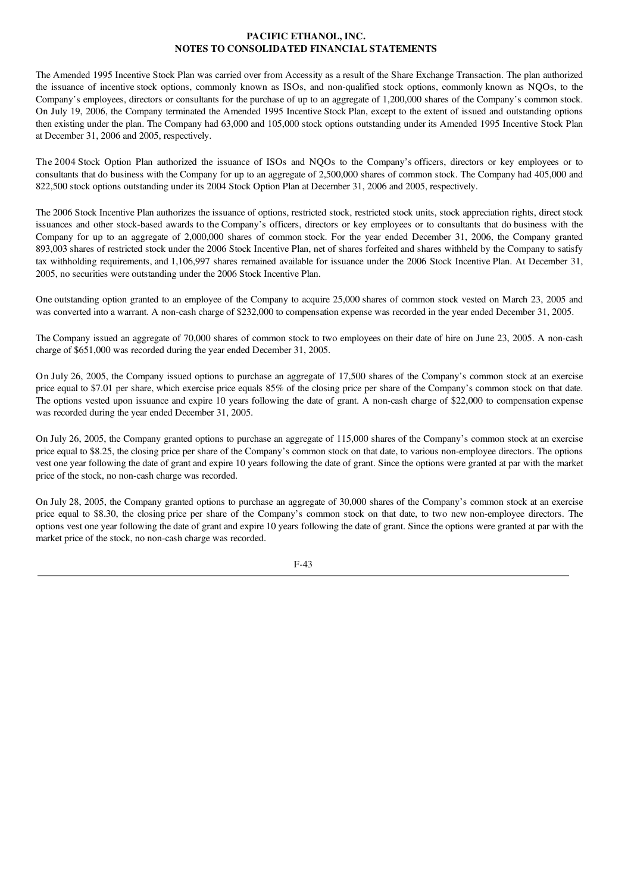The Amended 1995 Incentive Stock Plan was carried over from Accessity as a result of the Share Exchange Transaction. The plan authorized the issuance of incentive stock options, commonly known as ISOs, and non-qualified stock options, commonly known as NQOs, to the Company's employees, directors or consultants for the purchase of up to an aggregate of 1,200,000 shares of the Company's common stock. On July 19, 2006, the Company terminated the Amended 1995 Incentive Stock Plan, except to the extent of issued and outstanding options then existing under the plan. The Company had 63,000 and 105,000 stock options outstanding under its Amended 1995 Incentive Stock Plan at December 31, 2006 and 2005, respectively.

The 2004 Stock Option Plan authorized the issuance of ISOs and NQOs to the Company's officers, directors or key employees or to consultants that do business with the Company for up to an aggregate of 2,500,000 shares of common stock. The Company had 405,000 and 822,500 stock options outstanding under its 2004 Stock Option Plan at December 31, 2006 and 2005, respectively.

The 2006 Stock Incentive Plan authorizes the issuance of options, restricted stock, restricted stock units, stock appreciation rights, direct stock issuances and other stock-based awards to the Company's officers, directors or key employees or to consultants that do business with the Company for up to an aggregate of 2,000,000 shares of common stock. For the year ended December 31, 2006, the Company granted 893,003 shares of restricted stock under the 2006 Stock Incentive Plan, net of shares forfeited and shares withheld by the Company to satisfy tax withholding requirements, and 1,106,997 shares remained available for issuance under the 2006 Stock Incentive Plan. At December 31, 2005, no securities were outstanding under the 2006 Stock Incentive Plan.

One outstanding option granted to an employee of the Company to acquire 25,000 shares of common stock vested on March 23, 2005 and was converted into a warrant. A non-cash charge of \$232,000 to compensation expense was recorded in the year ended December 31, 2005.

The Company issued an aggregate of 70,000 shares of common stock to two employees on their date of hire on June 23, 2005. A non-cash charge of \$651,000 was recorded during the year ended December 31, 2005.

On July 26, 2005, the Company issued options to purchase an aggregate of 17,500 shares of the Company's common stock at an exercise price equal to \$7.01 per share, which exercise price equals 85% of the closing price per share of the Company's common stock on that date. The options vested upon issuance and expire 10 years following the date of grant. A non-cash charge of \$22,000 to compensation expense was recorded during the year ended December 31, 2005.

On July 26, 2005, the Company granted options to purchase an aggregate of 115,000 shares of the Company's common stock at an exercise price equal to \$8.25, the closing price per share of the Company's common stock on that date, to various non-employee directors. The options vest one year following the date of grant and expire 10 years following the date of grant. Since the options were granted at par with the market price of the stock, no non-cash charge was recorded.

On July 28, 2005, the Company granted options to purchase an aggregate of 30,000 shares of the Company's common stock at an exercise price equal to \$8.30, the closing price per share of the Company's common stock on that date, to two new non-employee directors. The options vest one year following the date of grant and expire 10 years following the date of grant. Since the options were granted at par with the market price of the stock, no non-cash charge was recorded.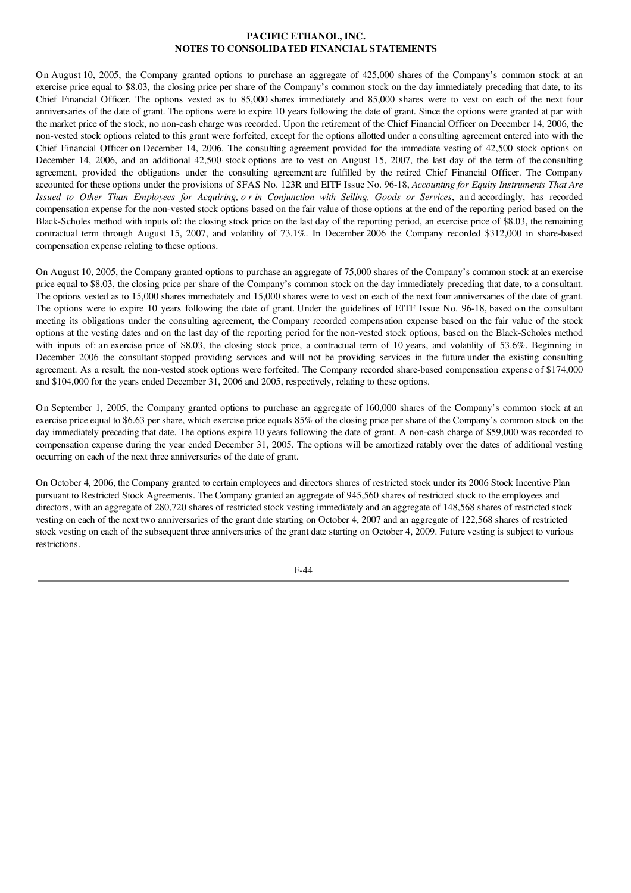On August 10, 2005, the Company granted options to purchase an aggregate of 425,000 shares of the Company's common stock at an exercise price equal to \$8.03, the closing price per share of the Company's common stock on the day immediately preceding that date, to its Chief Financial Officer. The options vested as to 85,000 shares immediately and 85,000 shares were to vest on each of the next four anniversaries of the date of grant. The options were to expire 10 years following the date of grant. Since the options were granted at par with the market price of the stock, no non-cash charge was recorded. Upon the retirement of the Chief Financial Officer on December 14, 2006, the non-vested stock options related to this grant were forfeited, except for the options allotted under a consulting agreement entered into with the Chief Financial Officer on December 14, 2006. The consulting agreement provided for the immediate vesting of 42,500 stock options on December 14, 2006, and an additional 42,500 stock options are to vest on August 15, 2007, the last day of the term of the consulting agreement, provided the obligations under the consulting agreement are fulfilled by the retired Chief Financial Officer. The Company accounted for these options under the provisions of SFAS No. 123R and EITF Issue No. 96-18, *Accounting for Equity Instruments That Are* Issued to Other Than Employees for Acquiring, o r in Conjunction with Selling, Goods or Services, and accordingly, has recorded compensation expense for the non-vested stock options based on the fair value of those options at the end of the reporting period based on the Black-Scholes method with inputs of: the closing stock price on the last day of the reporting period, an exercise price of \$8.03, the remaining contractual term through August 15, 2007, and volatility of 73.1%. In December 2006 the Company recorded \$312,000 in share-based compensation expense relating to these options.

On August 10, 2005, the Company granted options to purchase an aggregate of 75,000 shares of the Company's common stock at an exercise price equal to \$8.03, the closing price per share of the Company's common stock on the day immediately preceding that date, to a consultant. The options vested as to 15,000 shares immediately and 15,000 shares were to vest on each of the next four anniversaries of the date of grant. The options were to expire 10 years following the date of grant. Under the guidelines of EITF Issue No. 96-18, based on the consultant meeting its obligations under the consulting agreement, the Company recorded compensation expense based on the fair value of the stock options at the vesting dates and on the last day of the reporting period for the non-vested stock options, based on the Black-Scholes method with inputs of: an exercise price of \$8.03, the closing stock price, a contractual term of 10 years, and volatility of 53.6%. Beginning in December 2006 the consultant stopped providing services and will not be providing services in the future under the existing consulting agreement. As a result, the non-vested stock options were forfeited. The Company recorded share-based compensation expense of \$174,000 and \$104,000 for the years ended December 31, 2006 and 2005, respectively, relating to these options.

On September 1, 2005, the Company granted options to purchase an aggregate of 160,000 shares of the Company's common stock at an exercise price equal to \$6.63 per share, which exercise price equals 85% of the closing price per share of the Company's common stock on the day immediately preceding that date. The options expire 10 years following the date of grant. A non-cash charge of \$59,000 was recorded to compensation expense during the year ended December 31, 2005. The options will be amortized ratably over the dates of additional vesting occurring on each of the next three anniversaries of the date of grant.

On October 4, 2006, the Company granted to certain employees and directors shares of restricted stock under its 2006 Stock Incentive Plan pursuant to Restricted Stock Agreements. The Company granted an aggregate of 945,560 shares of restricted stock to the employees and directors, with an aggregate of 280,720 shares of restricted stock vesting immediately and an aggregate of 148,568 shares of restricted stock vesting on each of the next two anniversaries of the grant date starting on October 4, 2007 and an aggregate of 122,568 shares of restricted stock vesting on each of the subsequent three anniversaries of the grant date starting on October 4, 2009. Future vesting is subject to various restrictions.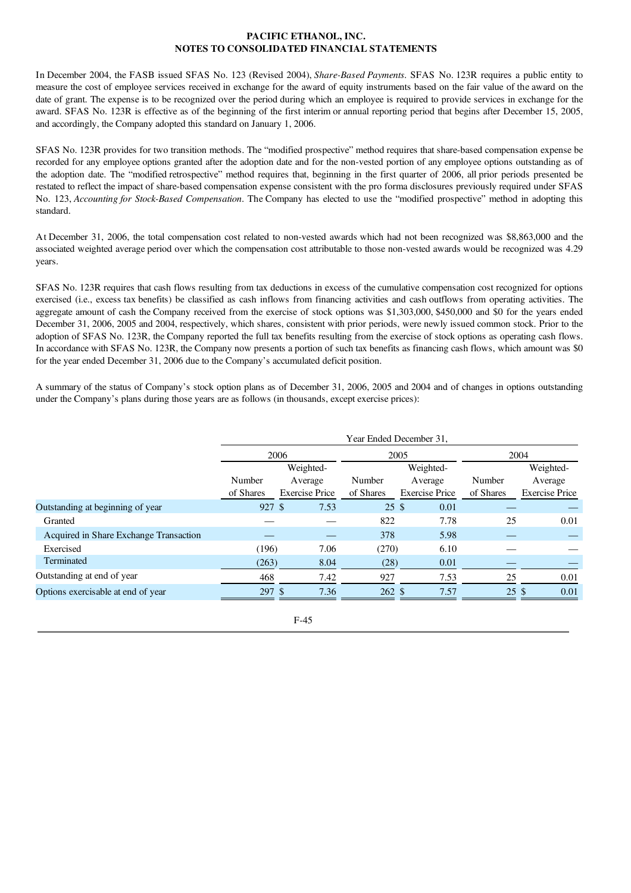In December 2004, the FASB issued SFAS No. 123 (Revised 2004), *Share-Based Payments.* SFAS No. 123R requires a public entity to measure the cost of employee services received in exchange for the award of equity instruments based on the fair value of the award on the date of grant. The expense is to be recognized over the period during which an employee is required to provide services in exchange for the award. SFAS No. 123R is effective as of the beginning of the first interim or annual reporting period that begins after December 15, 2005, and accordingly, the Company adopted this standard on January 1, 2006.

SFAS No. 123R provides for two transition methods. The "modified prospective" method requires that share-based compensation expense be recorded for any employee options granted after the adoption date and for the non-vested portion of any employee options outstanding as of the adoption date. The "modified retrospective" method requires that, beginning in the first quarter of 2006, all prior periods presented be restated to reflect the impact of share-based compensation expense consistent with the pro forma disclosures previously required under SFAS No. 123, *Accounting for Stock-Based Compensation*. The Company has elected to use the "modified prospective" method in adopting this standard.

At December 31, 2006, the total compensation cost related to non-vested awards which had not been recognized was \$8,863,000 and the associated weighted average period over which the compensation cost attributable to those non-vested awards would be recognized was 4.29 years.

SFAS No. 123R requires that cash flows resulting from tax deductions in excess of the cumulative compensation cost recognized for options exercised (i.e., excess tax benefits) be classified as cash inflows from financing activities and cash outflows from operating activities. The aggregate amount of cash the Company received from the exercise of stock options was \$1,303,000, \$450,000 and \$0 for the years ended December 31, 2006, 2005 and 2004, respectively, which shares, consistent with prior periods, were newly issued common stock. Prior to the adoption of SFAS No. 123R, the Company reported the full tax benefits resulting from the exercise of stock options as operating cash flows. In accordance with SFAS No. 123R, the Company now presents a portion of such tax benefits as financing cash flows, which amount was \$0 for the year ended December 31, 2006 due to the Company's accumulated deficit position.

A summary of the status of Company's stock option plans as of December 31, 2006, 2005 and 2004 and of changes in options outstanding under the Company's plans during those years are as follows (in thousands, except exercise prices):

| Year Ended December 31, |                                  |                                            |                                  |                                                     |                                  |
|-------------------------|----------------------------------|--------------------------------------------|----------------------------------|-----------------------------------------------------|----------------------------------|
|                         |                                  |                                            |                                  |                                                     | 2004                             |
|                         | Weighted-                        |                                            | Weighted-                        |                                                     | Weighted-                        |
| Number<br>of Shares     | Average<br><b>Exercise Price</b> | Number<br>of Shares                        | Average<br><b>Exercise Price</b> | Number<br>of Shares                                 | Average<br><b>Exercise Price</b> |
|                         | 7.53                             |                                            | 0.01                             |                                                     |                                  |
|                         |                                  | 822                                        | 7.78                             | 25                                                  | 0.01                             |
|                         |                                  | 378                                        | 5.98                             |                                                     |                                  |
|                         | 7.06                             |                                            | 6.10                             |                                                     |                                  |
|                         | 8.04                             |                                            | 0.01                             |                                                     |                                  |
| 468                     | 7.42                             | 927                                        | 7.53                             | 25                                                  | 0.01                             |
|                         | 7.36                             |                                            | 7.57                             | 25 \$                                               | 0.01                             |
|                         |                                  | 2006<br>927 \$<br>(196)<br>(263)<br>297 \$ |                                  | 2005<br>$25 \text{ }$ \$<br>(270)<br>(28)<br>262 \$ |                                  |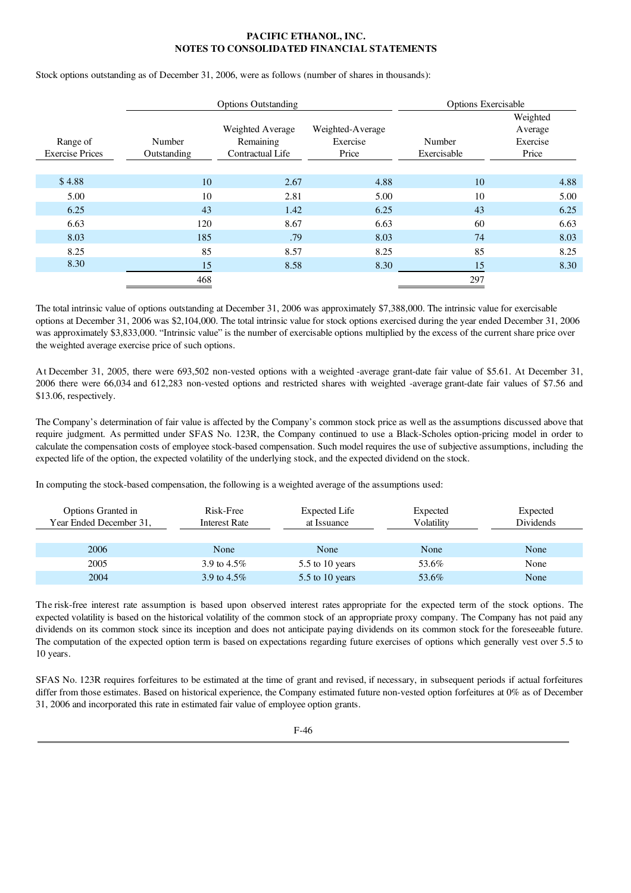|                                    | <b>Options Outstanding</b> | Options Exercisable                               |                                       |                       |                                          |
|------------------------------------|----------------------------|---------------------------------------------------|---------------------------------------|-----------------------|------------------------------------------|
| Range of<br><b>Exercise Prices</b> | Number<br>Outstanding      | Weighted Average<br>Remaining<br>Contractual Life | Weighted-Average<br>Exercise<br>Price | Number<br>Exercisable | Weighted<br>Average<br>Exercise<br>Price |
| \$4.88                             | 10                         | 2.67                                              | 4.88                                  | 10                    | 4.88                                     |
| 5.00                               | 10                         | 2.81                                              | 5.00                                  | 10                    | 5.00                                     |
| 6.25                               | 43                         | 1.42                                              | 6.25                                  | 43                    | 6.25                                     |
| 6.63                               | 120                        | 8.67                                              | 6.63                                  | 60                    | 6.63                                     |
| 8.03                               | 185                        | .79                                               | 8.03                                  | 74                    | 8.03                                     |
| 8.25                               | 85                         | 8.57                                              | 8.25                                  | 85                    | 8.25                                     |
| 8.30                               | 15                         | 8.58                                              | 8.30                                  | 15                    | 8.30                                     |
|                                    | 468                        |                                                   |                                       | 297                   |                                          |

Stock options outstanding as of December 31, 2006, were as follows (number of shares in thousands):

The total intrinsic value of options outstanding at December 31, 2006 was approximately \$7,388,000. The intrinsic value for exercisable options at December 31, 2006 was \$2,104,000. The total intrinsic value for stock options exercised during the year ended December 31, 2006 was approximately \$3,833,000. "Intrinsic value" is the number of exercisable options multiplied by the excess of the current share price over the weighted average exercise price of such options.

At December 31, 2005, there were 693,502 non-vested options with a weighted -average grant-date fair value of \$5.61. At December 31, 2006 there were 66,034 and 612,283 non-vested options and restricted shares with weighted -average grant-date fair values of \$7.56 and \$13.06, respectively.

The Company's determination of fair value is affected by the Company's common stock price as well as the assumptions discussed above that require judgment. As permitted under SFAS No. 123R, the Company continued to use a Black-Scholes option-pricing model in order to calculate the compensation costs of employee stock-based compensation. Such model requires the use of subjective assumptions, including the expected life of the option, the expected volatility of the underlying stock, and the expected dividend on the stock.

In computing the stock-based compensation, the following is a weighted average of the assumptions used:

| Options Granted in<br>Year Ended December 31, | Risk-Free<br>Interest Rate | Expected Life<br>at Issuance | Expected<br>Volatility | Expected<br>Dividends |
|-----------------------------------------------|----------------------------|------------------------------|------------------------|-----------------------|
| 2006                                          | None                       | None                         | None                   | None                  |
| 2005                                          | 3.9 to $4.5\%$             | $5.5$ to 10 years            | 53.6%                  | None                  |
| 2004                                          | 3.9 to $4.5\%$             | $5.5$ to 10 years            | 53.6%                  | None                  |

The risk-free interest rate assumption is based upon observed interest rates appropriate for the expected term of the stock options. The expected volatility is based on the historical volatility of the common stock of an appropriate proxy company. The Company has not paid any dividends on its common stock since its inception and does not anticipate paying dividends on its common stock for the foreseeable future. The computation of the expected option term is based on expectations regarding future exercises of options which generally vest over 5.5 to 10 years.

SFAS No. 123R requires forfeitures to be estimated at the time of grant and revised, if necessary, in subsequent periods if actual forfeitures differ from those estimates. Based on historical experience, the Company estimated future non-vested option forfeitures at 0% as of December 31, 2006 and incorporated this rate in estimated fair value of employee option grants.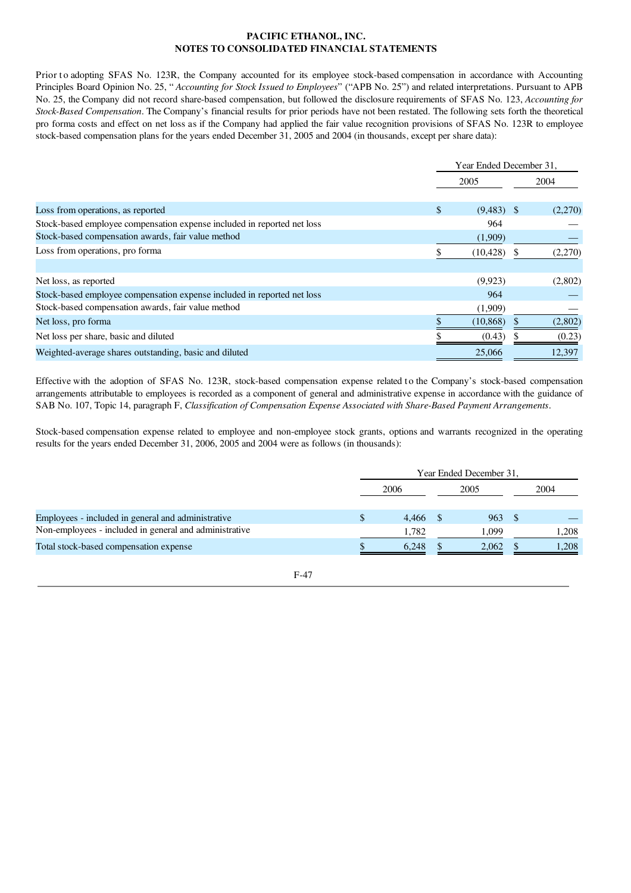Prior to adopting SFAS No. 123R, the Company accounted for its employee stock-based compensation in accordance with Accounting Principles Board Opinion No. 25, " *Accounting for Stock Issued to Employees*" ("APB No. 25") and related interpretations. Pursuant to APB No. 25, the Company did not record share-based compensation, but followed the disclosure requirements of SFAS No. 123, *Accounting for Stock-Based Compensation*. The Company's financial results for prior periods have not been restated. The following sets forth the theoretical pro forma costs and effect on net loss as if the Company had applied the fair value recognition provisions of SFAS No. 123R to employee stock-based compensation plans for the years ended December 31, 2005 and 2004 (in thousands, except per share data):

|                                                                         | Year Ended December 31, |              |      |         |
|-------------------------------------------------------------------------|-------------------------|--------------|------|---------|
|                                                                         | 2005                    |              | 2004 |         |
|                                                                         |                         |              |      |         |
| Loss from operations, as reported                                       | \$                      | $(9,483)$ \$ |      | (2,270) |
| Stock-based employee compensation expense included in reported net loss |                         | 964          |      |         |
| Stock-based compensation awards, fair value method                      |                         | (1,909)      |      |         |
| Loss from operations, pro forma                                         |                         | (10, 428)    |      | (2,270) |
| Net loss, as reported                                                   |                         | (9,923)      |      | (2,802) |
| Stock-based employee compensation expense included in reported net loss |                         | 964          |      |         |
| Stock-based compensation awards, fair value method                      |                         | (1,909)      |      |         |
| Net loss, pro forma                                                     |                         | (10, 868)    |      | (2,802) |
| Net loss per share, basic and diluted                                   |                         | (0.43)       |      | (0.23)  |
| Weighted-average shares outstanding, basic and diluted                  |                         | 25,066       |      | 12,397  |

Effective with the adoption of SFAS No. 123R, stock-based compensation expense related to the Company's stock-based compensation arrangements attributable to employees is recorded as a component of general and administrative expense in accordance with the guidance of SAB No. 107, Topic 14, paragraph F, *Classification of Compensation Expense Associated with Share-Based Payment Arrangements*.

Stock-based compensation expense related to employee and non-employee stock grants, options and warrants recognized in the operating results for the years ended December 31, 2006, 2005 and 2004 were as follows (in thousands):

|                                                        | Year Ended December 31. |       |      |        |  |       |
|--------------------------------------------------------|-------------------------|-------|------|--------|--|-------|
|                                                        | 2006                    |       | 2005 |        |  | 2004  |
| Employees - included in general and administrative     |                         | 4.466 |      | 963 \$ |  |       |
| Non-employees - included in general and administrative |                         | 1,782 |      | 1.099  |  | 1,208 |
| Total stock-based compensation expense                 |                         | 6.248 |      | 2.062  |  | 1.208 |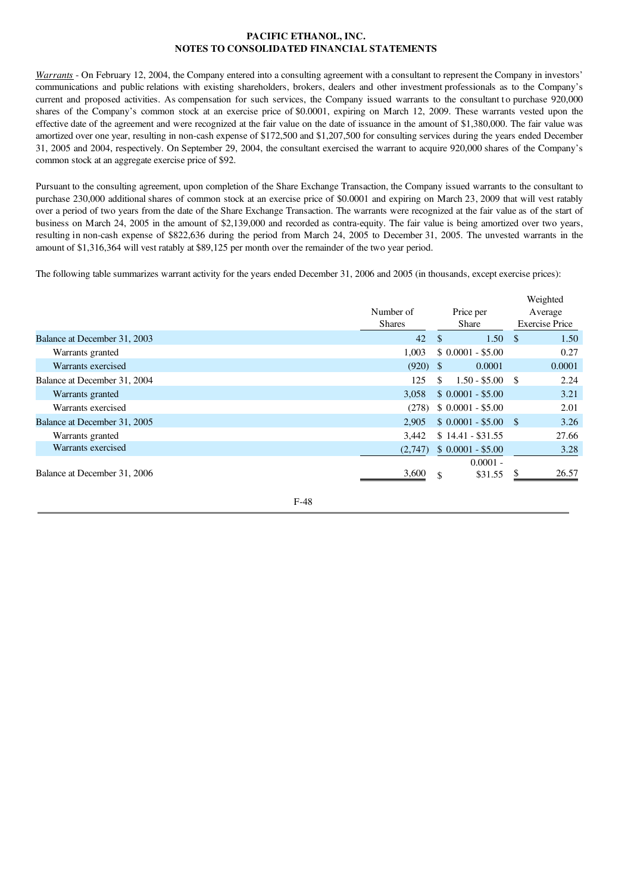*Warrants* - On February 12, 2004, the Company entered into a consulting agreement with a consultant to represent the Company in investors' communications and public relations with existing shareholders, brokers, dealers and other investment professionals as to the Company's current and proposed activities. As compensation for such services, the Company issued warrants to the consultant to purchase 920,000 shares of the Company's common stock at an exercise price of \$0.0001, expiring on March 12, 2009. These warrants vested upon the effective date of the agreement and were recognized at the fair value on the date of issuance in the amount of \$1,380,000. The fair value was amortized over one year, resulting in non-cash expense of \$172,500 and \$1,207,500 for consulting services during the years ended December 31, 2005 and 2004, respectively. On September 29, 2004, the consultant exercised the warrant to acquire 920,000 shares of the Company's common stock at an aggregate exercise price of \$92.

Pursuant to the consulting agreement, upon completion of the Share Exchange Transaction, the Company issued warrants to the consultant to purchase 230,000 additional shares of common stock at an exercise price of \$0.0001 and expiring on March 23, 2009 that will vest ratably over a period of two years from the date of the Share Exchange Transaction. The warrants were recognized at the fair value as of the start of business on March 24, 2005 in the amount of \$2,139,000 and recorded as contra-equity. The fair value is being amortized over two years, resulting in non-cash expense of \$822,636 during the period from March 24, 2005 to December 31, 2005. The unvested warrants in the amount of \$1,316,364 will vest ratably at \$89,125 per month over the remainder of the two year period.

The following table summarizes warrant activity for the years ended December 31, 2006 and 2005 (in thousands, except exercise prices):

|                              |               |                             | Weighted              |
|------------------------------|---------------|-----------------------------|-----------------------|
|                              | Number of     | Price per                   | Average               |
|                              | <b>Shares</b> | <b>Share</b>                | <b>Exercise Price</b> |
| Balance at December 31, 2003 | 42            | 1.50<br>\$                  | 1.50<br><b>S</b>      |
| Warrants granted             | 1,003         | $$0.0001 - $5.00$           | 0.27                  |
| Warrants exercised           | (920)         | 0.0001<br>- \$              | 0.0001                |
| Balance at December 31, 2004 | 125           | \$<br>$1.50 - $5.00$ \$     | 2.24                  |
| Warrants granted             | 3,058         | $$0.0001 - $5.00$           | 3.21                  |
| Warrants exercised           | (278)         | $$0.0001 - $5.00$           | 2.01                  |
| Balance at December 31, 2005 | 2.905         | $$0.0001 - $5.00$ \ \$      | 3.26                  |
| Warrants granted             | 3.442         | $$14.41 - $31.55$           | 27.66                 |
| Warrants exercised           | (2,747)       | $$0.0001 - $5.00$           | 3.28                  |
| Balance at December 31, 2006 | 3,600         | $0.0001 -$<br>\$31.55<br>\$ | 26.57                 |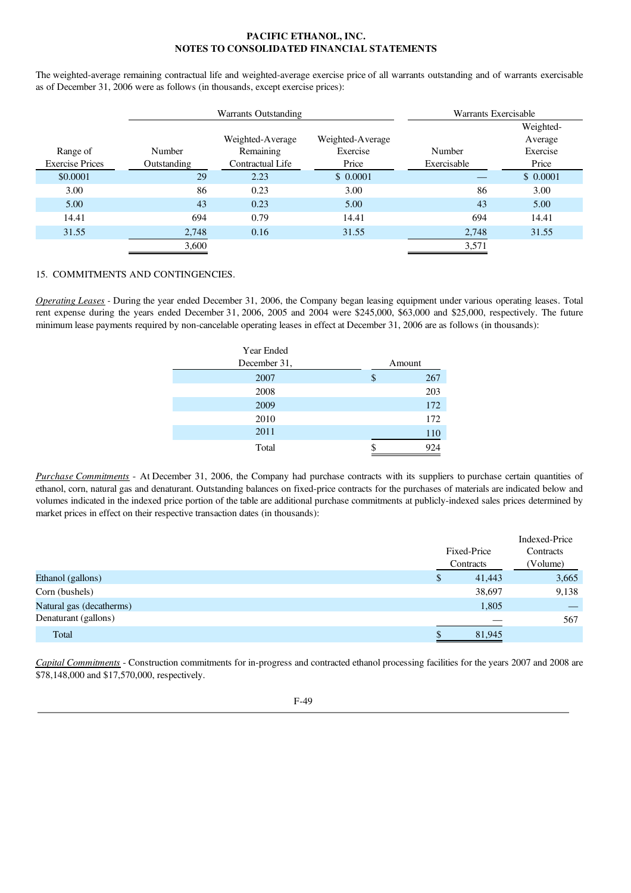|                                    | Warrants Outstanding  |                                                   |                                       | Warrants Exercisable  |                                           |
|------------------------------------|-----------------------|---------------------------------------------------|---------------------------------------|-----------------------|-------------------------------------------|
| Range of<br><b>Exercise Prices</b> | Number<br>Outstanding | Weighted-Average<br>Remaining<br>Contractual Life | Weighted-Average<br>Exercise<br>Price | Number<br>Exercisable | Weighted-<br>Average<br>Exercise<br>Price |
| \$0.0001                           | 29                    | 2.23                                              | \$ 0.0001                             |                       | \$0.0001                                  |
| 3.00                               | 86                    | 0.23                                              | 3.00                                  | 86                    | 3.00                                      |
| 5.00                               | 43                    | 0.23                                              | 5.00                                  | 43                    | 5.00                                      |
| 14.41                              | 694                   | 0.79                                              | 14.41                                 | 694                   | 14.41                                     |
| 31.55                              | 2,748                 | 0.16                                              | 31.55                                 | 2,748                 | 31.55                                     |
|                                    | 3,600                 |                                                   |                                       | 3,571                 |                                           |

The weighted-average remaining contractual life and weighted-average exercise price of all warrants outstanding and of warrants exercisable as of December 31, 2006 were as follows (in thousands, except exercise prices):

## 15. COMMITMENTS AND CONTINGENCIES.

*Operating Leases -* During the year ended December 31, 2006, the Company began leasing equipment under various operating leases. Total rent expense during the years ended December 31, 2006, 2005 and 2004 were \$245,000, \$63,000 and \$25,000, respectively. The future minimum lease payments required by non-cancelable operating leases in effect at December 31, 2006 are as follows (in thousands):

| Year Ended<br>December 31, |    | Amount |
|----------------------------|----|--------|
| 2007                       | S. | 267    |
| 2008                       |    | 203    |
| 2009                       |    | 172    |
| 2010                       |    | 172    |
| 2011                       |    | 110    |
| Total                      |    | 924    |

*Purchase Commitments* - At December 31, 2006, the Company had purchase contracts with its suppliers to purchase certain quantities of ethanol, corn, natural gas and denaturant. Outstanding balances on fixed-price contracts for the purchases of materials are indicated below and volumes indicated in the indexed price portion of the table are additional purchase commitments at publicly-indexed sales prices determined by market prices in effect on their respective transaction dates (in thousands):

|                          |             |        | <b>Indexed-Price</b> |
|--------------------------|-------------|--------|----------------------|
|                          | Fixed-Price |        | Contracts            |
|                          | Contracts   |        | (Volume)             |
| Ethanol (gallons)        | \$          | 41,443 | 3,665                |
| Corn (bushels)           |             | 38,697 | 9,138                |
| Natural gas (decatherms) |             | 1,805  |                      |
| Denaturant (gallons)     |             |        | 567                  |
| Total                    |             | 81,945 |                      |

*Capital Commitments* - Construction commitments for in-progress and contracted ethanol processing facilities for the years 2007 and 2008 are \$78,148,000 and \$17,570,000, respectively.

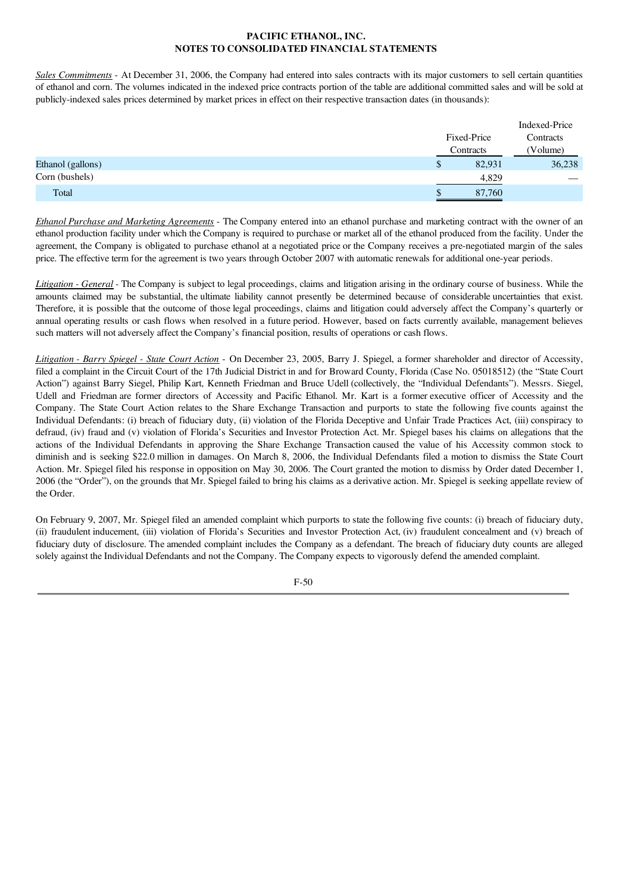*Sales Commitments* - At December 31, 2006, the Company had entered into sales contracts with its major customers to sell certain quantities of ethanol and corn. The volumes indicated in the indexed price contracts portion of the table are additional committed sales and will be sold at publicly-indexed sales prices determined by market prices in effect on their respective transaction dates (in thousands):

|                   |           |             | Indexed-Price                  |
|-------------------|-----------|-------------|--------------------------------|
|                   |           | Fixed-Price | Contracts                      |
|                   | Contracts |             | (Volume)                       |
| Ethanol (gallons) | \$        | 82,931      | 36,238                         |
| Corn (bushels)    |           | 4,829       | $\overbrace{\hspace{25mm}}^{}$ |
| Total             | \$        | 87,760      |                                |

*Ethanol Purchase and Marketing Agreements* - The Company entered into an ethanol purchase and marketing contract with the owner of an ethanol production facility under which the Company is required to purchase or market all of the ethanol produced from the facility. Under the agreement, the Company is obligated to purchase ethanol at a negotiated price or the Company receives a pre-negotiated margin of the sales price. The effective term for the agreement is two years through October 2007 with automatic renewals for additional one-year periods.

*Litigation - General -* The Company is subject to legal proceedings, claims and litigation arising in the ordinary course of business. While the amounts claimed may be substantial, the ultimate liability cannot presently be determined because of considerable uncertainties that exist. Therefore, it is possible that the outcome of those legal proceedings, claims and litigation could adversely affect the Company's quarterly or annual operating results or cash flows when resolved in a future period. However, based on facts currently available, management believes such matters will not adversely affect the Company's financial position, results of operations or cash flows.

*Litigation - Barry Spiegel - State Court Action* - On December 23, 2005, Barry J. Spiegel, a former shareholder and director of Accessity, filed a complaint in the Circuit Court of the 17th Judicial District in and for Broward County, Florida (Case No. 05018512) (the "State Court Action") against Barry Siegel, Philip Kart, Kenneth Friedman and Bruce Udell (collectively, the "Individual Defendants"). Messrs. Siegel, Udell and Friedman are former directors of Accessity and Pacific Ethanol. Mr. Kart is a former executive officer of Accessity and the Company. The State Court Action relates to the Share Exchange Transaction and purports to state the following five counts against the Individual Defendants: (i) breach of fiduciary duty, (ii) violation of the Florida Deceptive and Unfair Trade Practices Act, (iii) conspiracy to defraud, (iv) fraud and (v) violation of Florida's Securities and Investor Protection Act. Mr. Spiegel bases his claims on allegations that the actions of the Individual Defendants in approving the Share Exchange Transaction caused the value of his Accessity common stock to diminish and is seeking \$22.0 million in damages. On March 8, 2006, the Individual Defendants filed a motion to dismiss the State Court Action. Mr. Spiegel filed his response in opposition on May 30, 2006. The Court granted the motion to dismiss by Order dated December 1, 2006 (the "Order"), on the grounds that Mr. Spiegel failed to bring his claims as a derivative action. Mr. Spiegel is seeking appellate review of the Order.

On February 9, 2007, Mr. Spiegel filed an amended complaint which purports to state the following five counts: (i) breach of fiduciary duty, (ii) fraudulent inducement, (iii) violation of Florida's Securities and Investor Protection Act, (iv) fraudulent concealment and (v) breach of fiduciary duty of disclosure. The amended complaint includes the Company as a defendant. The breach of fiduciary duty counts are alleged solely against the Individual Defendants and not the Company. The Company expects to vigorously defend the amended complaint.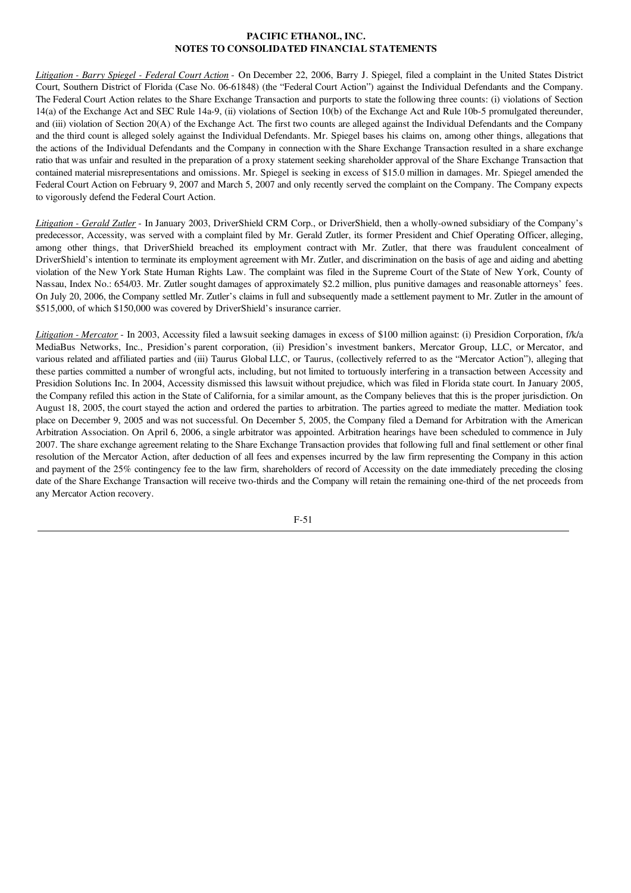*Litigation - Barry Spiegel - Federal Court Action* - On December 22, 2006, Barry J. Spiegel, filed a complaint in the United States District Court, Southern District of Florida (Case No. 06-61848) (the "Federal Court Action") against the Individual Defendants and the Company. The Federal Court Action relates to the Share Exchange Transaction and purports to state the following three counts: (i) violations of Section 14(a) of the Exchange Act and SEC Rule 14a-9, (ii) violations of Section 10(b) of the Exchange Act and Rule 10b-5 promulgated thereunder, and (iii) violation of Section 20(A) of the Exchange Act. The first two counts are alleged against the Individual Defendants and the Company and the third count is alleged solely against the Individual Defendants. Mr. Spiegel bases his claims on, among other things, allegations that the actions of the Individual Defendants and the Company in connection with the Share Exchange Transaction resulted in a share exchange ratio that was unfair and resulted in the preparation of a proxy statement seeking shareholder approval of the Share Exchange Transaction that contained material misrepresentations and omissions. Mr. Spiegel is seeking in excess of \$15.0 million in damages. Mr. Spiegel amended the Federal Court Action on February 9, 2007 and March 5, 2007 and only recently served the complaint on the Company. The Company expects to vigorously defend the Federal Court Action.

*Litigation - Gerald Zutler* - In January 2003, DriverShield CRM Corp., or DriverShield, then a wholly-owned subsidiary of the Company's predecessor, Accessity, was served with a complaint filed by Mr. Gerald Zutler, its former President and Chief Operating Officer, alleging, among other things, that DriverShield breached its employment contract with Mr. Zutler, that there was fraudulent concealment of DriverShield's intention to terminate its employment agreement with Mr. Zutler, and discrimination on the basis of age and aiding and abetting violation of the New York State Human Rights Law. The complaint was filed in the Supreme Court of the State of New York, County of Nassau, Index No.: 654/03. Mr. Zutler sought damages of approximately \$2.2 million, plus punitive damages and reasonable attorneys' fees. On July 20, 2006, the Company settled Mr. Zutler's claims in full and subsequently made a settlement payment to Mr. Zutler in the amount of \$515,000, of which \$150,000 was covered by DriverShield's insurance carrier.

*Litigation - Mercator* - In 2003, Accessity filed a lawsuit seeking damages in excess of \$100 million against: (i) Presidion Corporation, f/k/a MediaBus Networks, Inc., Presidion's parent corporation, (ii) Presidion's investment bankers, Mercator Group, LLC, or Mercator, and various related and affiliated parties and (iii) Taurus Global LLC, or Taurus, (collectively referred to as the "Mercator Action"), alleging that these parties committed a number of wrongful acts, including, but not limited to tortuously interfering in a transaction between Accessity and Presidion Solutions Inc. In 2004, Accessity dismissed this lawsuit without prejudice, which was filed in Florida state court. In January 2005, the Company refiled this action in the State of California, for a similar amount, as the Company believes that this is the proper jurisdiction. On August 18, 2005, the court stayed the action and ordered the parties to arbitration. The parties agreed to mediate the matter. Mediation took place on December 9, 2005 and was not successful. On December 5, 2005, the Company filed a Demand for Arbitration with the American Arbitration Association. On April 6, 2006, a single arbitrator was appointed. Arbitration hearings have been scheduled to commence in July 2007. The share exchange agreement relating to the Share Exchange Transaction provides that following full and final settlement or other final resolution of the Mercator Action, after deduction of all fees and expenses incurred by the law firm representing the Company in this action and payment of the 25% contingency fee to the law firm, shareholders of record of Accessity on the date immediately preceding the closing date of the Share Exchange Transaction will receive two-thirds and the Company will retain the remaining one-third of the net proceeds from any Mercator Action recovery.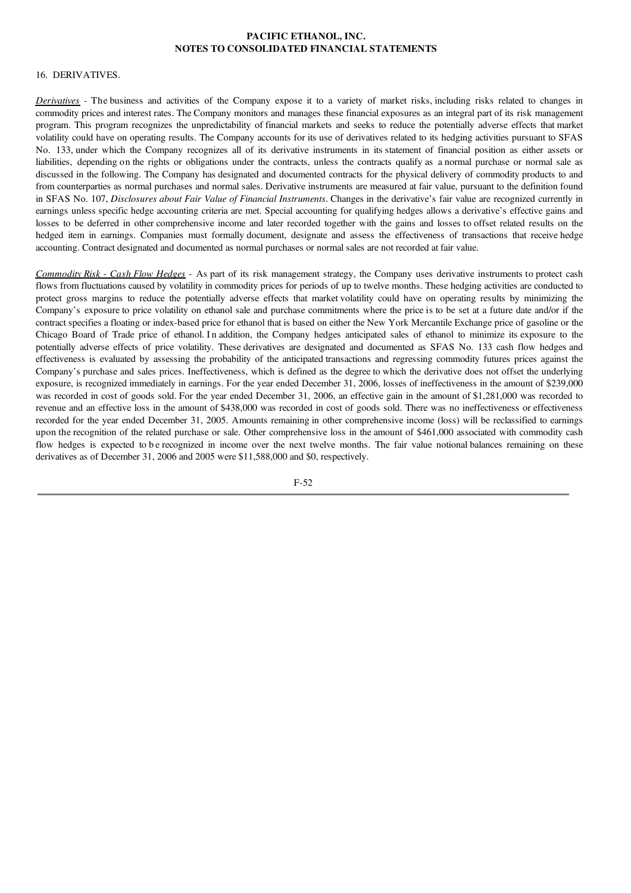### 16. DERIVATIVES.

*Derivatives* - The business and activities of the Company expose it to a variety of market risks, including risks related to changes in commodity prices and interest rates. The Company monitors and manages these financial exposures as an integral part of its risk management program. This program recognizes the unpredictability of financial markets and seeks to reduce the potentially adverse effects that market volatility could have on operating results. The Company accounts for its use of derivatives related to its hedging activities pursuant to SFAS No. 133, under which the Company recognizes all of its derivative instruments in its statement of financial position as either assets or liabilities, depending on the rights or obligations under the contracts, unless the contracts qualify as a normal purchase or normal sale as discussed in the following. The Company has designated and documented contracts for the physical delivery of commodity products to and from counterparties as normal purchases and normal sales. Derivative instruments are measured at fair value, pursuant to the definition found in SFAS No. 107, *Disclosures about Fair Value of Financial Instruments*. Changes in the derivative's fair value are recognized currently in earnings unless specific hedge accounting criteria are met. Special accounting for qualifying hedges allows a derivative's effective gains and losses to be deferred in other comprehensive income and later recorded together with the gains and losses to offset related results on the hedged item in earnings. Companies must formally document, designate and assess the effectiveness of transactions that receive hedge accounting. Contract designated and documented as normal purchases or normal sales are not recorded at fair value.

*Commodity Risk* - *Cash Flow Hedges* - As part of its risk management strategy, the Company uses derivative instruments to protect cash flows from fluctuations caused by volatility in commodity prices for periods of up to twelve months. These hedging activities are conducted to protect gross margins to reduce the potentially adverse effects that market volatility could have on operating results by minimizing the Company's exposure to price volatility on ethanol sale and purchase commitments where the price is to be set at a future date and/or if the contract specifies a floating or index-based price for ethanol that is based on either the New York Mercantile Exchange price of gasoline or the Chicago Board of Trade price of ethanol. In addition, the Company hedges anticipated sales of ethanol to minimize its exposure to the potentially adverse effects of price volatility. These derivatives are designated and documented as SFAS No. 133 cash flow hedges and effectiveness is evaluated by assessing the probability of the anticipated transactions and regressing commodity futures prices against the Company's purchase and sales prices. Ineffectiveness, which is defined as the degree to which the derivative does not offset the underlying exposure, is recognized immediately in earnings. For the year ended December 31, 2006, losses of ineffectiveness in the amount of \$239,000 was recorded in cost of goods sold. For the year ended December 31, 2006, an effective gain in the amount of \$1,281,000 was recorded to revenue and an effective loss in the amount of \$438,000 was recorded in cost of goods sold. There was no ineffectiveness or effectiveness recorded for the year ended December 31, 2005. Amounts remaining in other comprehensive income (loss) will be reclassified to earnings upon the recognition of the related purchase or sale. Other comprehensive loss in the amount of \$461,000 associated with commodity cash flow hedges is expected to be recognized in income over the next twelve months. The fair value notional balances remaining on these derivatives as of December 31, 2006 and 2005 were \$11,588,000 and \$0, respectively.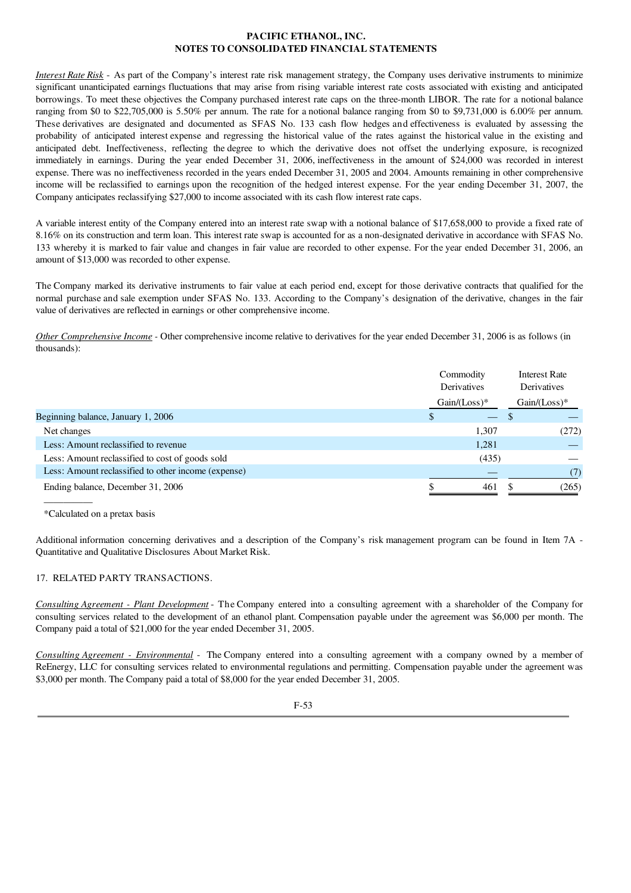*Interest Rate Risk* - As part of the Company's interest rate risk management strategy, the Company uses derivative instruments to minimize significant unanticipated earnings fluctuations that may arise from rising variable interest rate costs associated with existing and anticipated borrowings. To meet these objectives the Company purchased interest rate caps on the three-month LIBOR. The rate for a notional balance ranging from \$0 to \$22,705,000 is 5.50% per annum. The rate for a notional balance ranging from \$0 to \$9,731,000 is 6.00% per annum. These derivatives are designated and documented as SFAS No. 133 cash flow hedges and effectiveness is evaluated by assessing the probability of anticipated interest expense and regressing the historical value of the rates against the historical value in the existing and anticipated debt. Ineffectiveness, reflecting the degree to which the derivative does not offset the underlying exposure, is recognized immediately in earnings. During the year ended December 31, 2006, ineffectiveness in the amount of \$24,000 was recorded in interest expense. There was no ineffectiveness recorded in the years ended December 31, 2005 and 2004. Amounts remaining in other comprehensive income will be reclassified to earnings upon the recognition of the hedged interest expense. For the year ending December 31, 2007, the Company anticipates reclassifying \$27,000 to income associated with its cash flow interest rate caps.

A variable interest entity of the Company entered into an interest rate swap with a notional balance of \$17,658,000 to provide a fixed rate of 8.16% on its construction and term loan. This interest rate swap is accounted for as a non-designated derivative in accordance with SFAS No. 133 whereby it is marked to fair value and changes in fair value are recorded to other expense. For the year ended December 31, 2006, an amount of \$13,000 was recorded to other expense.

The Company marked its derivative instruments to fair value at each period end, except for those derivative contracts that qualified for the normal purchase and sale exemption under SFAS No. 133. According to the Company's designation of the derivative, changes in the fair value of derivatives are reflected in earnings or other comprehensive income.

*Other Comprehensive <i>Income* - Other comprehensive income relative to derivatives for the year ended December 31, 2006 is as follows (in thousands):

|                                                     |   | Commodity<br>Derivatives |  | <b>Interest Rate</b><br>Derivatives |
|-----------------------------------------------------|---|--------------------------|--|-------------------------------------|
|                                                     |   | $Gain / (Loss)*$         |  | $Gain / (Loss)*$                    |
| Beginning balance, January 1, 2006                  | S | $\qquad \qquad =$        |  |                                     |
| Net changes                                         |   | 1,307                    |  | (272)                               |
| Less: Amount reclassified to revenue                |   | 1,281                    |  |                                     |
| Less: Amount reclassified to cost of goods sold     |   | (435)                    |  |                                     |
| Less: Amount reclassified to other income (expense) |   |                          |  | (7)                                 |
| Ending balance, December 31, 2006                   |   | 461                      |  | (265)                               |
|                                                     |   |                          |  |                                     |

\*Calculated on a pretax basis

Additional information concerning derivatives and a description of the Company's risk management program can be found in Item 7A - Quantitative and Qualitative Disclosures About Market Risk.

## 17. RELATED PARTY TRANSACTIONS.

*Consulting Agreement - Plant Development* - The Company entered into a consulting agreement with a shareholder of the Company for consulting services related to the development of an ethanol plant. Compensation payable under the agreement was \$6,000 per month. The Company paid a total of \$21,000 for the year ended December 31, 2005.

*Consulting Agreement - Environmental* - The Company entered into a consulting agreement with a company owned by a member of ReEnergy, LLC for consulting services related to environmental regulations and permitting. Compensation payable under the agreement was \$3,000 per month. The Company paid a total of \$8,000 for the year ended December 31, 2005.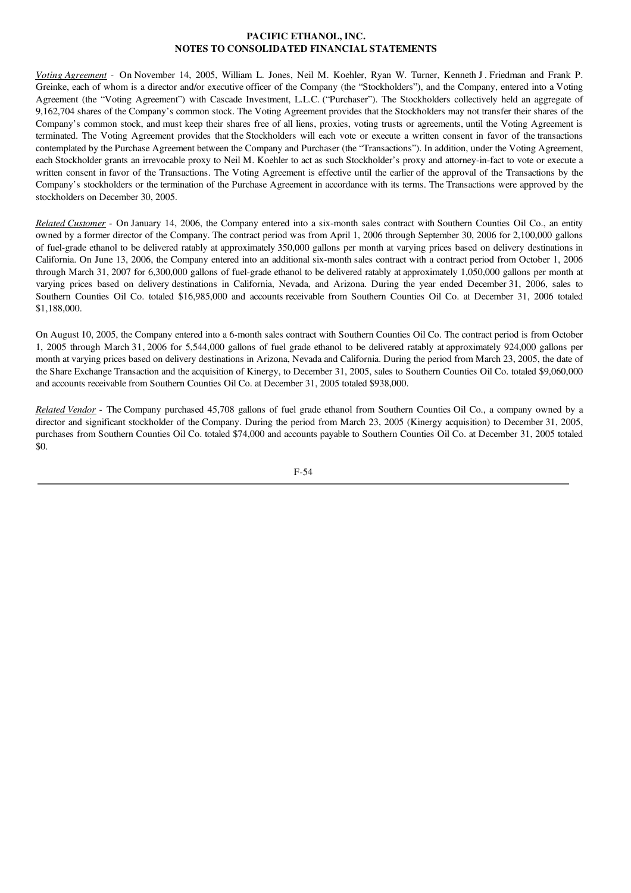*Voting Agreement* - On November 14, 2005, William L. Jones, Neil M. Koehler, Ryan W. Turner, Kenneth J . Friedman and Frank P. Greinke, each of whom is a director and/or executive officer of the Company (the "Stockholders"), and the Company, entered into a Voting Agreement (the "Voting Agreement") with Cascade Investment, L.L.C. ("Purchaser"). The Stockholders collectively held an aggregate of 9,162,704 shares of the Company's common stock. The Voting Agreement provides that the Stockholders may not transfer their shares of the Company's common stock, and must keep their shares free of all liens, proxies, voting trusts or agreements, until the Voting Agreement is terminated. The Voting Agreement provides that the Stockholders will each vote or execute a written consent in favor of the transactions contemplated by the Purchase Agreement between the Company and Purchaser (the "Transactions"). In addition, under the Voting Agreement, each Stockholder grants an irrevocable proxy to Neil M. Koehler to act as such Stockholder's proxy and attorney-in-fact to vote or execute a written consent in favor of the Transactions. The Voting Agreement is effective until the earlier of the approval of the Transactions by the Company's stockholders or the termination of the Purchase Agreement in accordance with its terms. The Transactions were approved by the stockholders on December 30, 2005.

*Related Customer* - On January 14, 2006, the Company entered into a six-month sales contract with Southern Counties Oil Co., an entity owned by a former director of the Company. The contract period was from April 1, 2006 through September 30, 2006 for 2,100,000 gallons of fuel-grade ethanol to be delivered ratably at approximately 350,000 gallons per month at varying prices based on delivery destinations in California. On June 13, 2006, the Company entered into an additional six-month sales contract with a contract period from October 1, 2006 through March 31, 2007 for 6,300,000 gallons of fuel-grade ethanol to be delivered ratably at approximately 1,050,000 gallons per month at varying prices based on delivery destinations in California, Nevada, and Arizona. During the year ended December 31, 2006, sales to Southern Counties Oil Co. totaled \$16,985,000 and accounts receivable from Southern Counties Oil Co. at December 31, 2006 totaled \$1,188,000.

On August 10, 2005, the Company entered into a 6-month sales contract with Southern Counties Oil Co. The contract period is from October 1, 2005 through March 31, 2006 for 5,544,000 gallons of fuel grade ethanol to be delivered ratably at approximately 924,000 gallons per month at varying prices based on delivery destinations in Arizona, Nevada and California. During the period from March 23, 2005, the date of the Share Exchange Transaction and the acquisition of Kinergy, to December 31, 2005, sales to Southern Counties Oil Co. totaled \$9,060,000 and accounts receivable from Southern Counties Oil Co. at December 31, 2005 totaled \$938,000.

*Related Vendor* - The Company purchased 45,708 gallons of fuel grade ethanol from Southern Counties Oil Co., a company owned by a director and significant stockholder of the Company. During the period from March 23, 2005 (Kinergy acquisition) to December 31, 2005, purchases from Southern Counties Oil Co. totaled \$74,000 and accounts payable to Southern Counties Oil Co. at December 31, 2005 totaled \$0.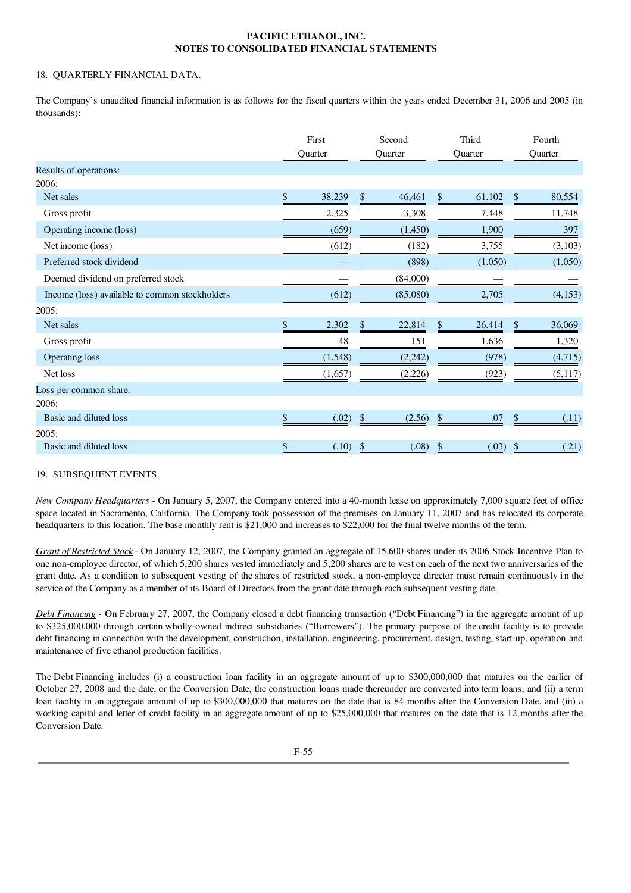## 18. QUARTERLY FINANCIAL DATA.

The Company's unaudited financial information is as follows for the fiscal quarters within the years ended December 31, 2006 and 2005 (in thousands):

|                                                | First<br>Quarter |     | Second<br>Quarter |                         | Third<br><b>Ouarter</b> |               | Fourth<br><b>Ouarter</b> |
|------------------------------------------------|------------------|-----|-------------------|-------------------------|-------------------------|---------------|--------------------------|
| Results of operations:                         |                  |     |                   |                         |                         |               |                          |
| 2006:                                          |                  |     |                   |                         |                         |               |                          |
| Net sales                                      | \$<br>38,239     | \$  | 46,461            | $\mathbb{S}$            | 61,102                  | $\mathbb{S}$  | 80,554                   |
| Gross profit                                   | 2,325            |     | 3,308             |                         | 7,448                   |               | 11,748                   |
| Operating income (loss)                        | (659)            |     | (1,450)           |                         | 1,900                   |               | 397                      |
| Net income (loss)                              | (612)            |     | (182)             |                         | 3,755                   |               | (3,103)                  |
| Preferred stock dividend                       |                  |     | (898)             |                         | (1,050)                 |               | (1,050)                  |
| Deemed dividend on preferred stock             |                  |     | (84,000)          |                         |                         |               |                          |
| Income (loss) available to common stockholders | (612)            |     | (85,080)          |                         | 2,705                   |               | (4, 153)                 |
| 2005:                                          |                  |     |                   |                         |                         |               |                          |
| Net sales                                      | \$<br>2,302      | \$  | 22,814            | \$                      | 26,414                  | \$            | 36,069                   |
| Gross profit                                   | 48               |     | 151               |                         | 1,636                   |               | 1,320                    |
| Operating loss                                 | (1,548)          |     | (2, 242)          |                         | (978)                   |               | (4,715)                  |
| Net loss                                       | (1,657)          |     | (2,226)           |                         | (923)                   |               | (5,117)                  |
| Loss per common share:                         |                  |     |                   |                         |                         |               |                          |
| 2006:                                          |                  |     |                   |                         |                         |               |                          |
| Basic and diluted loss                         | \$<br>(.02)      | -\$ | (2.56)            | $\sqrt[6]{\frac{1}{2}}$ | .07                     | $\mathbb{S}$  | (.11)                    |
| 2005:                                          |                  |     |                   |                         |                         |               |                          |
| Basic and diluted loss                         | \$<br>(.10)      | S   | (.08)             | S                       | (.03)                   | <sup>\$</sup> | (.21)                    |

### 19. SUBSEQUENT EVENTS.

*New Company Headquarters* - On January 5, 2007, the Company entered into a 40-month lease on approximately 7,000 square feet of office space located in Sacramento, California. The Company took possession of the premises on January 11, 2007 and has relocated its corporate headquarters to this location. The base monthly rent is \$21,000 and increases to \$22,000 for the final twelve months of the term.

*Grant of Restricted Stock* - On January 12, 2007, the Company granted an aggregate of 15,600 shares under its 2006 Stock Incentive Plan to one non-employee director, of which 5,200 shares vested immediately and 5,200 shares are to vest on each of the next two anniversaries of the grant date. As a condition to subsequent vesting of the shares of restricted stock, a non-employee director must remain continuously in the service of the Company as a member of its Board of Directors from the grant date through each subsequent vesting date.

*Debt Financing* - On February 27, 2007, the Company closed a debt financing transaction ("Debt Financing") in the aggregate amount of up to \$325,000,000 through certain wholly-owned indirect subsidiaries ("Borrowers"). The primary purpose of the credit facility is to provide debt financing in connection with the development, construction, installation, engineering, procurement, design, testing, start-up, operation and maintenance of five ethanol production facilities.

The Debt Financing includes (i) a construction loan facility in an aggregate amount of up to \$300,000,000 that matures on the earlier of October 27, 2008 and the date, or the Conversion Date, the construction loans made thereunder are converted into term loans, and (ii) a term loan facility in an aggregate amount of up to \$300,000,000 that matures on the date that is 84 months after the Conversion Date, and (iii) a working capital and letter of credit facility in an aggregate amount of up to \$25,000,000 that matures on the date that is 12 months after the Conversion Date.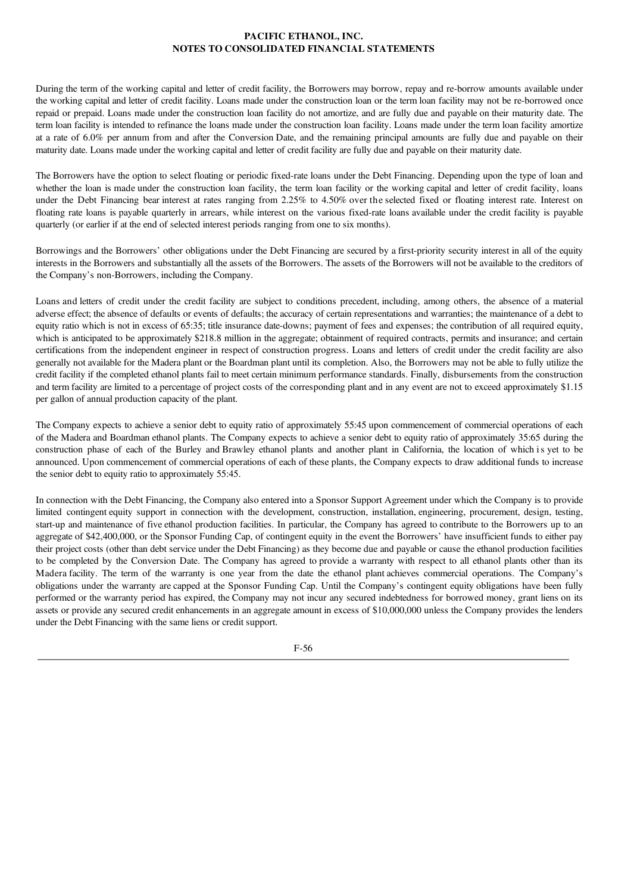During the term of the working capital and letter of credit facility, the Borrowers may borrow, repay and re-borrow amounts available under the working capital and letter of credit facility. Loans made under the construction loan or the term loan facility may not be re-borrowed once repaid or prepaid. Loans made under the construction loan facility do not amortize, and are fully due and payable on their maturity date. The term loan facility is intended to refinance the loans made under the construction loan facility. Loans made under the term loan facility amortize at a rate of 6.0% per annum from and after the Conversion Date, and the remaining principal amounts are fully due and payable on their maturity date. Loans made under the working capital and letter of credit facility are fully due and payable on their maturity date.

The Borrowers have the option to select floating or periodic fixed-rate loans under the Debt Financing. Depending upon the type of loan and whether the loan is made under the construction loan facility, the term loan facility or the working capital and letter of credit facility, loans under the Debt Financing bear interest at rates ranging from 2.25% to 4.50% over the selected fixed or floating interest rate. Interest on floating rate loans is payable quarterly in arrears, while interest on the various fixed-rate loans available under the credit facility is payable quarterly (or earlier if at the end of selected interest periods ranging from one to six months).

Borrowings and the Borrowers' other obligations under the Debt Financing are secured by a first-priority security interest in all of the equity interests in the Borrowers and substantially all the assets of the Borrowers. The assets of the Borrowers will not be available to the creditors of the Company's non-Borrowers, including the Company.

Loans and letters of credit under the credit facility are subject to conditions precedent, including, among others, the absence of a material adverse effect; the absence of defaults or events of defaults; the accuracy of certain representations and warranties; the maintenance of a debt to equity ratio which is not in excess of 65:35; title insurance date-downs; payment of fees and expenses; the contribution of all required equity, which is anticipated to be approximately \$218.8 million in the aggregate; obtainment of required contracts, permits and insurance; and certain certifications from the independent engineer in respect of construction progress. Loans and letters of credit under the credit facility are also generally not available for the Madera plant or the Boardman plant until its completion. Also, the Borrowers may not be able to fully utilize the credit facility if the completed ethanol plants fail to meet certain minimum performance standards. Finally, disbursements from the construction and term facility are limited to a percentage of project costs of the corresponding plant and in any event are not to exceed approximately \$1.15 per gallon of annual production capacity of the plant.

The Company expects to achieve a senior debt to equity ratio of approximately 55:45 upon commencement of commercial operations of each of the Madera and Boardman ethanol plants. The Company expects to achieve a senior debt to equity ratio of approximately 35:65 during the construction phase of each of the Burley and Brawley ethanol plants and another plant in California, the location of which is yet to be announced. Upon commencement of commercial operations of each of these plants, the Company expects to draw additional funds to increase the senior debt to equity ratio to approximately 55:45.

In connection with the Debt Financing, the Company also entered into a Sponsor Support Agreement under which the Company is to provide limited contingent equity support in connection with the development, construction, installation, engineering, procurement, design, testing, start-up and maintenance of five ethanol production facilities. In particular, the Company has agreed to contribute to the Borrowers up to an aggregate of \$42,400,000, or the Sponsor Funding Cap, of contingent equity in the event the Borrowers' have insufficient funds to either pay their project costs (other than debt service under the Debt Financing) as they become due and payable or cause the ethanol production facilities to be completed by the Conversion Date. The Company has agreed to provide a warranty with respect to all ethanol plants other than its Madera facility. The term of the warranty is one year from the date the ethanol plant achieves commercial operations. The Company's obligations under the warranty are capped at the Sponsor Funding Cap. Until the Company's contingent equity obligations have been fully performed or the warranty period has expired, the Company may not incur any secured indebtedness for borrowed money, grant liens on its assets or provide any secured credit enhancements in an aggregate amount in excess of \$10,000,000 unless the Company provides the lenders under the Debt Financing with the same liens or credit support.

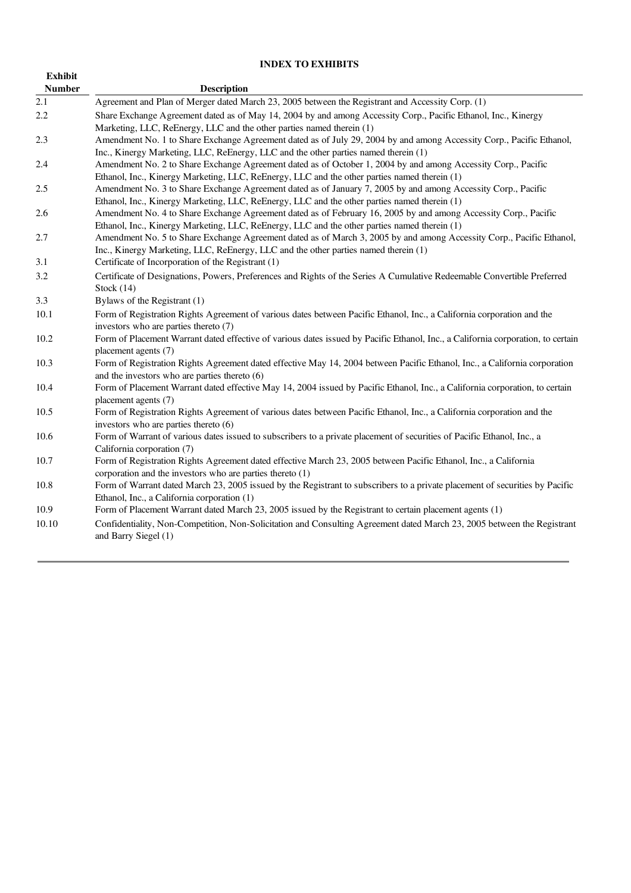# INDEX TO EXHIBITS

| <b>Exhibit</b> |                                                                                                                                                                                                               |
|----------------|---------------------------------------------------------------------------------------------------------------------------------------------------------------------------------------------------------------|
| <b>Number</b>  | <b>Description</b>                                                                                                                                                                                            |
| 2.1            | Agreement and Plan of Merger dated March 23, 2005 between the Registrant and Accessity Corp. (1)                                                                                                              |
| 2.2            | Share Exchange Agreement dated as of May 14, 2004 by and among Accessity Corp., Pacific Ethanol, Inc., Kinergy                                                                                                |
|                | Marketing, LLC, ReEnergy, LLC and the other parties named therein (1)                                                                                                                                         |
| 2.3            | Amendment No. 1 to Share Exchange Agreement dated as of July 29, 2004 by and among Accessity Corp., Pacific Ethanol,                                                                                          |
|                | Inc., Kinergy Marketing, LLC, ReEnergy, LLC and the other parties named therein (1)                                                                                                                           |
| 2.4            | Amendment No. 2 to Share Exchange Agreement dated as of October 1, 2004 by and among Accessity Corp., Pacific<br>Ethanol, Inc., Kinergy Marketing, LLC, ReEnergy, LLC and the other parties named therein (1) |
| 2.5            | Amendment No. 3 to Share Exchange Agreement dated as of January 7, 2005 by and among Accessity Corp., Pacific                                                                                                 |
|                | Ethanol, Inc., Kinergy Marketing, LLC, ReEnergy, LLC and the other parties named therein (1)                                                                                                                  |
| 2.6            | Amendment No. 4 to Share Exchange Agreement dated as of February 16, 2005 by and among Accessity Corp., Pacific                                                                                               |
|                | Ethanol, Inc., Kinergy Marketing, LLC, ReEnergy, LLC and the other parties named therein (1)                                                                                                                  |
| 2.7            | Amendment No. 5 to Share Exchange Agreement dated as of March 3, 2005 by and among Accessity Corp., Pacific Ethanol,                                                                                          |
|                | Inc., Kinergy Marketing, LLC, ReEnergy, LLC and the other parties named therein (1)                                                                                                                           |
| 3.1            | Certificate of Incorporation of the Registrant (1)                                                                                                                                                            |
| 3.2            | Certificate of Designations, Powers, Preferences and Rights of the Series A Cumulative Redeemable Convertible Preferred                                                                                       |
|                | Stock $(14)$                                                                                                                                                                                                  |
| 3.3            | Bylaws of the Registrant (1)                                                                                                                                                                                  |
| 10.1           | Form of Registration Rights Agreement of various dates between Pacific Ethanol, Inc., a California corporation and the<br>investors who are parties thereto (7)                                               |
| 10.2           | Form of Placement Warrant dated effective of various dates issued by Pacific Ethanol, Inc., a California corporation, to certain                                                                              |
|                | placement agents (7)                                                                                                                                                                                          |
| 10.3           | Form of Registration Rights Agreement dated effective May 14, 2004 between Pacific Ethanol, Inc., a California corporation<br>and the investors who are parties thereto (6)                                   |
| 10.4           | Form of Placement Warrant dated effective May 14, 2004 issued by Pacific Ethanol, Inc., a California corporation, to certain<br>placement agents (7)                                                          |
| 10.5           | Form of Registration Rights Agreement of various dates between Pacific Ethanol, Inc., a California corporation and the<br>investors who are parties thereto $(6)$                                             |
| 10.6           | Form of Warrant of various dates issued to subscribers to a private placement of securities of Pacific Ethanol, Inc., a                                                                                       |
|                | California corporation (7)                                                                                                                                                                                    |
| 10.7           | Form of Registration Rights Agreement dated effective March 23, 2005 between Pacific Ethanol, Inc., a California<br>corporation and the investors who are parties thereto $(1)$                               |
| 10.8           | Form of Warrant dated March 23, 2005 issued by the Registrant to subscribers to a private placement of securities by Pacific                                                                                  |
|                | Ethanol, Inc., a California corporation (1)                                                                                                                                                                   |
| 10.9           | Form of Placement Warrant dated March 23, 2005 issued by the Registrant to certain placement agents (1)                                                                                                       |
| 10.10          | Confidentiality, Non-Competition, Non-Solicitation and Consulting Agreement dated March 23, 2005 between the Registrant<br>and Barry Siegel (1)                                                               |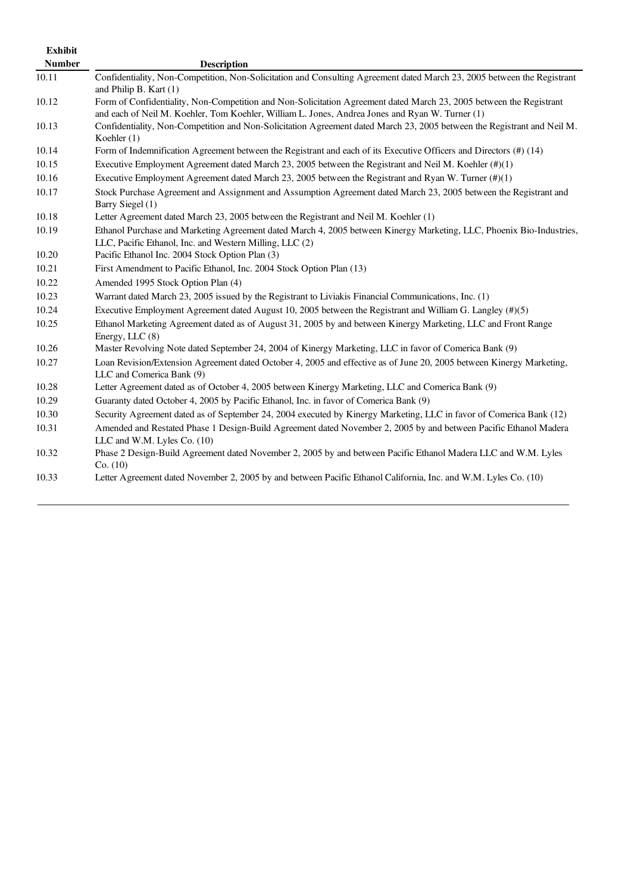| <b>Exhibit</b> |                                                                                                                                                                                                                        |  |  |
|----------------|------------------------------------------------------------------------------------------------------------------------------------------------------------------------------------------------------------------------|--|--|
| <b>Number</b>  | <b>Description</b>                                                                                                                                                                                                     |  |  |
| 10.11          | Confidentiality, Non-Competition, Non-Solicitation and Consulting Agreement dated March 23, 2005 between the Registrant<br>and Philip B. Kart $(1)$                                                                    |  |  |
| 10.12          | Form of Confidentiality, Non-Competition and Non-Solicitation Agreement dated March 23, 2005 between the Registrant<br>and each of Neil M. Koehler, Tom Koehler, William L. Jones, Andrea Jones and Ryan W. Turner (1) |  |  |
| 10.13          | Confidentiality, Non-Competition and Non-Solicitation Agreement dated March 23, 2005 between the Registrant and Neil M.<br>Koehler $(1)$                                                                               |  |  |
| 10.14          | Form of Indemnification Agreement between the Registrant and each of its Executive Officers and Directors (#) (14)                                                                                                     |  |  |
| 10.15          | Executive Employment Agreement dated March 23, 2005 between the Registrant and Neil M. Koehler $(\#)(1)$                                                                                                               |  |  |
| 10.16          | Executive Employment Agreement dated March 23, 2005 between the Registrant and Ryan W. Turner $(\#)(1)$                                                                                                                |  |  |
| 10.17          | Stock Purchase Agreement and Assignment and Assumption Agreement dated March 23, 2005 between the Registrant and<br>Barry Siegel (1)                                                                                   |  |  |
| 10.18          | Letter Agreement dated March 23, 2005 between the Registrant and Neil M. Koehler (1)                                                                                                                                   |  |  |
| 10.19          | Ethanol Purchase and Marketing Agreement dated March 4, 2005 between Kinergy Marketing, LLC, Phoenix Bio-Industries,<br>LLC, Pacific Ethanol, Inc. and Western Milling, LLC (2)                                        |  |  |
| 10.20          | Pacific Ethanol Inc. 2004 Stock Option Plan (3)                                                                                                                                                                        |  |  |
| 10.21          | First Amendment to Pacific Ethanol, Inc. 2004 Stock Option Plan (13)                                                                                                                                                   |  |  |
| 10.22          | Amended 1995 Stock Option Plan (4)                                                                                                                                                                                     |  |  |
| 10.23          | Warrant dated March 23, 2005 issued by the Registrant to Liviakis Financial Communications, Inc. (1)                                                                                                                   |  |  |
| 10.24          | Executive Employment Agreement dated August 10, 2005 between the Registrant and William G. Langley (#)(5)                                                                                                              |  |  |
| 10.25          | Ethanol Marketing Agreement dated as of August 31, 2005 by and between Kinergy Marketing, LLC and Front Range<br>Energy, LLC (8)                                                                                       |  |  |
| 10.26          | Master Revolving Note dated September 24, 2004 of Kinergy Marketing, LLC in favor of Comerica Bank (9)                                                                                                                 |  |  |
| 10.27          | Loan Revision/Extension Agreement dated October 4, 2005 and effective as of June 20, 2005 between Kinergy Marketing,<br>LLC and Comerica Bank (9)                                                                      |  |  |
| 10.28          | Letter Agreement dated as of October 4, 2005 between Kinergy Marketing, LLC and Comerica Bank (9)                                                                                                                      |  |  |
| 10.29          | Guaranty dated October 4, 2005 by Pacific Ethanol, Inc. in favor of Comerica Bank (9)                                                                                                                                  |  |  |
| 10.30          | Security Agreement dated as of September 24, 2004 executed by Kinergy Marketing, LLC in favor of Comerica Bank (12)                                                                                                    |  |  |
| 10.31          | Amended and Restated Phase 1 Design-Build Agreement dated November 2, 2005 by and between Pacific Ethanol Madera<br>LLC and W.M. Lyles Co. (10)                                                                        |  |  |
| 10.32          | Phase 2 Design-Build Agreement dated November 2, 2005 by and between Pacific Ethanol Madera LLC and W.M. Lyles<br>Co. (10)                                                                                             |  |  |
| 10.33          | Letter Agreement dated November 2, 2005 by and between Pacific Ethanol California, Inc. and W.M. Lyles Co. (10)                                                                                                        |  |  |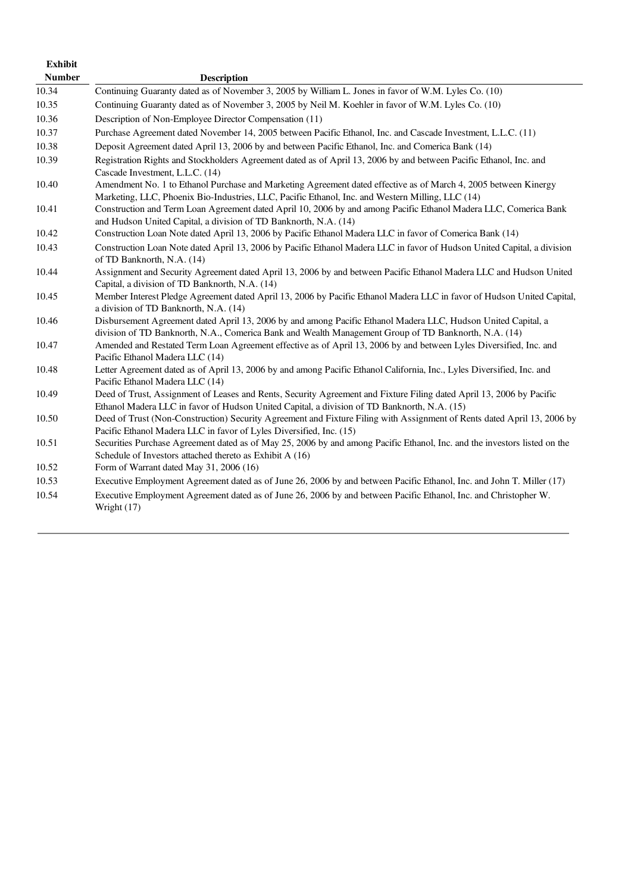| <b>Exhibit</b> |                                                                                                                                                                                                                       |
|----------------|-----------------------------------------------------------------------------------------------------------------------------------------------------------------------------------------------------------------------|
| <b>Number</b>  | <b>Description</b>                                                                                                                                                                                                    |
| 10.34          | Continuing Guaranty dated as of November 3, 2005 by William L. Jones in favor of W.M. Lyles Co. (10)                                                                                                                  |
| 10.35          | Continuing Guaranty dated as of November 3, 2005 by Neil M. Koehler in favor of W.M. Lyles Co. (10)                                                                                                                   |
| 10.36          | Description of Non-Employee Director Compensation (11)                                                                                                                                                                |
| 10.37          | Purchase Agreement dated November 14, 2005 between Pacific Ethanol, Inc. and Cascade Investment, L.L.C. (11)                                                                                                          |
| 10.38          | Deposit Agreement dated April 13, 2006 by and between Pacific Ethanol, Inc. and Comerica Bank (14)                                                                                                                    |
| 10.39          | Registration Rights and Stockholders Agreement dated as of April 13, 2006 by and between Pacific Ethanol, Inc. and<br>Cascade Investment, L.L.C. (14)                                                                 |
| 10.40          | Amendment No. 1 to Ethanol Purchase and Marketing Agreement dated effective as of March 4, 2005 between Kinergy<br>Marketing, LLC, Phoenix Bio-Industries, LLC, Pacific Ethanol, Inc. and Western Milling, LLC (14)   |
| 10.41          | Construction and Term Loan Agreement dated April 10, 2006 by and among Pacific Ethanol Madera LLC, Comerica Bank<br>and Hudson United Capital, a division of TD Banknorth, N.A. (14)                                  |
| 10.42          | Construction Loan Note dated April 13, 2006 by Pacific Ethanol Madera LLC in favor of Comerica Bank (14)                                                                                                              |
| 10.43          | Construction Loan Note dated April 13, 2006 by Pacific Ethanol Madera LLC in favor of Hudson United Capital, a division<br>of TD Banknorth, N.A. (14)                                                                 |
| 10.44          | Assignment and Security Agreement dated April 13, 2006 by and between Pacific Ethanol Madera LLC and Hudson United<br>Capital, a division of TD Banknorth, N.A. (14)                                                  |
| 10.45          | Member Interest Pledge Agreement dated April 13, 2006 by Pacific Ethanol Madera LLC in favor of Hudson United Capital,<br>a division of TD Banknorth, N.A. (14)                                                       |
| 10.46          | Disbursement Agreement dated April 13, 2006 by and among Pacific Ethanol Madera LLC, Hudson United Capital, a<br>division of TD Banknorth, N.A., Comerica Bank and Wealth Management Group of TD Banknorth, N.A. (14) |
| 10.47          | Amended and Restated Term Loan Agreement effective as of April 13, 2006 by and between Lyles Diversified, Inc. and<br>Pacific Ethanol Madera LLC (14)                                                                 |
| 10.48          | Letter Agreement dated as of April 13, 2006 by and among Pacific Ethanol California, Inc., Lyles Diversified, Inc. and<br>Pacific Ethanol Madera LLC (14)                                                             |
| 10.49          | Deed of Trust, Assignment of Leases and Rents, Security Agreement and Fixture Filing dated April 13, 2006 by Pacific<br>Ethanol Madera LLC in favor of Hudson United Capital, a division of TD Banknorth, N.A. (15)   |
| 10.50          | Deed of Trust (Non-Construction) Security Agreement and Fixture Filing with Assignment of Rents dated April 13, 2006 by<br>Pacific Ethanol Madera LLC in favor of Lyles Diversified, Inc. (15)                        |
| 10.51          | Securities Purchase Agreement dated as of May 25, 2006 by and among Pacific Ethanol, Inc. and the investors listed on the<br>Schedule of Investors attached thereto as Exhibit A (16)                                 |
| 10.52          | Form of Warrant dated May 31, 2006 (16)                                                                                                                                                                               |
| 10.53          | Executive Employment Agreement dated as of June 26, 2006 by and between Pacific Ethanol, Inc. and John T. Miller (17)                                                                                                 |
| 10.54          | Executive Employment Agreement dated as of June 26, 2006 by and between Pacific Ethanol, Inc. and Christopher W.<br>Wright $(17)$                                                                                     |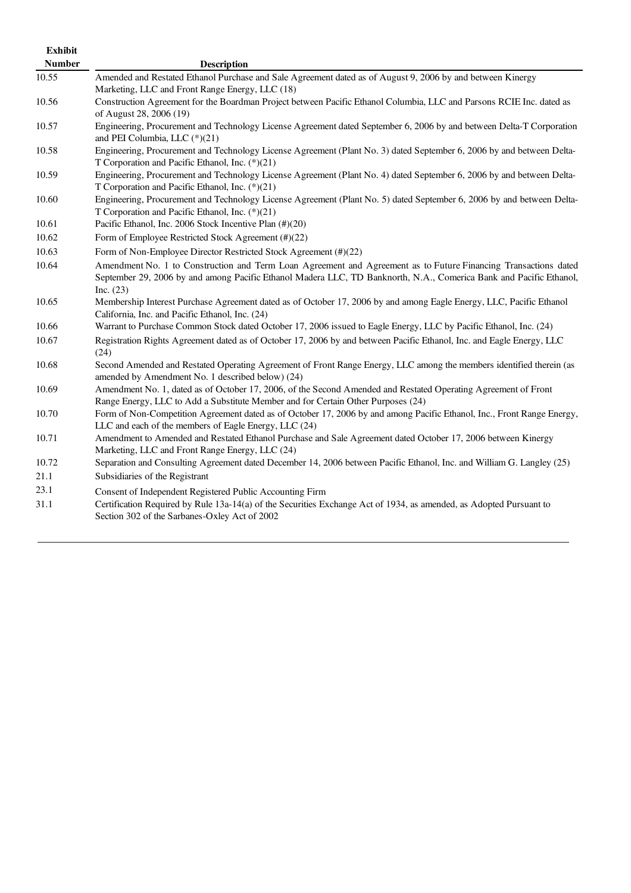| Exhibit       |                                                                                                                                                                                                                                                      |
|---------------|------------------------------------------------------------------------------------------------------------------------------------------------------------------------------------------------------------------------------------------------------|
| <b>Number</b> | <b>Description</b>                                                                                                                                                                                                                                   |
| 10.55         | Amended and Restated Ethanol Purchase and Sale Agreement dated as of August 9, 2006 by and between Kinergy<br>Marketing, LLC and Front Range Energy, LLC (18)                                                                                        |
| 10.56         | Construction Agreement for the Boardman Project between Pacific Ethanol Columbia, LLC and Parsons RCIE Inc. dated as<br>of August 28, 2006 (19)                                                                                                      |
| 10.57         | Engineering, Procurement and Technology License Agreement dated September 6, 2006 by and between Delta-T Corporation<br>and PEI Columbia, LLC (*)(21)                                                                                                |
| 10.58         | Engineering, Procurement and Technology License Agreement (Plant No. 3) dated September 6, 2006 by and between Delta-<br>T Corporation and Pacific Ethanol, Inc. (*)(21)                                                                             |
| 10.59         | Engineering, Procurement and Technology License Agreement (Plant No. 4) dated September 6, 2006 by and between Delta-<br>T Corporation and Pacific Ethanol, Inc. (*)(21)                                                                             |
| 10.60         | Engineering, Procurement and Technology License Agreement (Plant No. 5) dated September 6, 2006 by and between Delta-<br>T Corporation and Pacific Ethanol, Inc. (*)(21)                                                                             |
| 10.61         | Pacific Ethanol, Inc. 2006 Stock Incentive Plan (#)(20)                                                                                                                                                                                              |
| 10.62         | Form of Employee Restricted Stock Agreement (#)(22)                                                                                                                                                                                                  |
| 10.63         | Form of Non-Employee Director Restricted Stock Agreement (#)(22)                                                                                                                                                                                     |
| 10.64         | Amendment No. 1 to Construction and Term Loan Agreement and Agreement as to Future Financing Transactions dated<br>September 29, 2006 by and among Pacific Ethanol Madera LLC, TD Banknorth, N.A., Comerica Bank and Pacific Ethanol,<br>Inc. $(23)$ |
| 10.65         | Membership Interest Purchase Agreement dated as of October 17, 2006 by and among Eagle Energy, LLC, Pacific Ethanol<br>California, Inc. and Pacific Ethanol, Inc. (24)                                                                               |
| 10.66         | Warrant to Purchase Common Stock dated October 17, 2006 issued to Eagle Energy, LLC by Pacific Ethanol, Inc. (24)                                                                                                                                    |
| 10.67         | Registration Rights Agreement dated as of October 17, 2006 by and between Pacific Ethanol, Inc. and Eagle Energy, LLC<br>(24)                                                                                                                        |
| 10.68         | Second Amended and Restated Operating Agreement of Front Range Energy, LLC among the members identified therein (as<br>amended by Amendment No. 1 described below) (24)                                                                              |
| 10.69         | Amendment No. 1, dated as of October 17, 2006, of the Second Amended and Restated Operating Agreement of Front<br>Range Energy, LLC to Add a Substitute Member and for Certain Other Purposes (24)                                                   |
| 10.70         | Form of Non-Competition Agreement dated as of October 17, 2006 by and among Pacific Ethanol, Inc., Front Range Energy,<br>LLC and each of the members of Eagle Energy, LLC (24)                                                                      |
| 10.71         | Amendment to Amended and Restated Ethanol Purchase and Sale Agreement dated October 17, 2006 between Kinergy<br>Marketing, LLC and Front Range Energy, LLC (24)                                                                                      |
| 10.72         | Separation and Consulting Agreement dated December 14, 2006 between Pacific Ethanol, Inc. and William G. Langley (25)                                                                                                                                |
| 21.1          | Subsidiaries of the Registrant                                                                                                                                                                                                                       |
| 23.1          | Consent of Independent Registered Public Accounting Firm                                                                                                                                                                                             |
| 31.1          | Certification Required by Rule 13a-14(a) of the Securities Exchange Act of 1934, as amended, as Adopted Pursuant to<br>Section 302 of the Sarbanes-Oxley Act of 2002                                                                                 |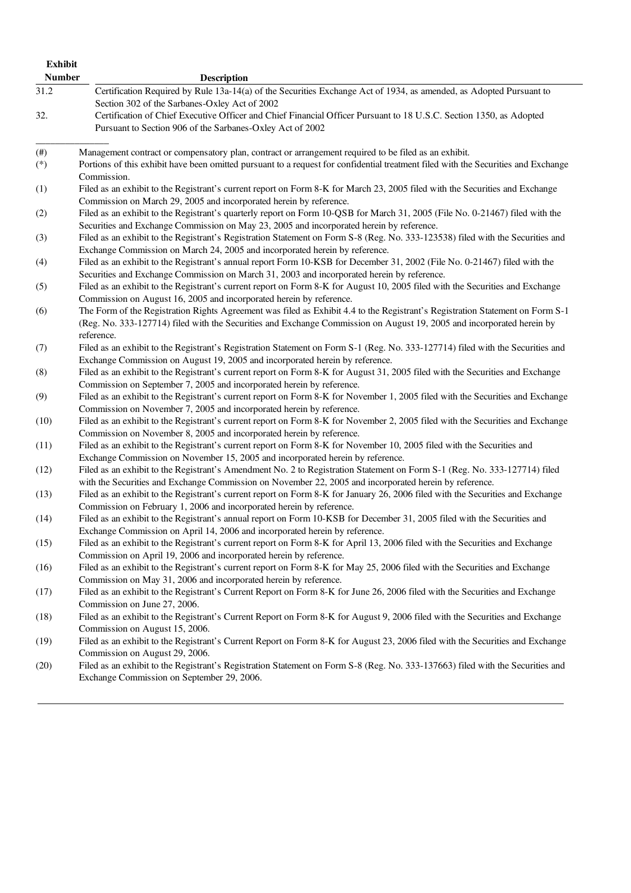| Exhibit       |                                                                                                                                                                                                                                                                      |  |  |  |
|---------------|----------------------------------------------------------------------------------------------------------------------------------------------------------------------------------------------------------------------------------------------------------------------|--|--|--|
| <b>Number</b> | <b>Description</b>                                                                                                                                                                                                                                                   |  |  |  |
| 31.2          | Certification Required by Rule 13a-14(a) of the Securities Exchange Act of 1934, as amended, as Adopted Pursuant to                                                                                                                                                  |  |  |  |
|               | Section 302 of the Sarbanes-Oxley Act of 2002                                                                                                                                                                                                                        |  |  |  |
| 32.           | Certification of Chief Executive Officer and Chief Financial Officer Pursuant to 18 U.S.C. Section 1350, as Adopted                                                                                                                                                  |  |  |  |
|               | Pursuant to Section 906 of the Sarbanes-Oxley Act of 2002                                                                                                                                                                                                            |  |  |  |
| $(\#)$        | Management contract or compensatory plan, contract or arrangement required to be filed as an exhibit.                                                                                                                                                                |  |  |  |
| $(\ast)$      | Portions of this exhibit have been omitted pursuant to a request for confidential treatment filed with the Securities and Exchange<br>Commission.                                                                                                                    |  |  |  |
| (1)           | Filed as an exhibit to the Registrant's current report on Form 8-K for March 23, 2005 filed with the Securities and Exchange<br>Commission on March 29, 2005 and incorporated herein by reference.                                                                   |  |  |  |
| (2)           | Filed as an exhibit to the Registrant's quarterly report on Form 10-QSB for March 31, 2005 (File No. 0-21467) filed with the<br>Securities and Exchange Commission on May 23, 2005 and incorporated herein by reference.                                             |  |  |  |
| (3)           | Filed as an exhibit to the Registrant's Registration Statement on Form S-8 (Reg. No. 333-123538) filed with the Securities and<br>Exchange Commission on March 24, 2005 and incorporated herein by reference.                                                        |  |  |  |
| (4)           | Filed as an exhibit to the Registrant's annual report Form 10-KSB for December 31, 2002 (File No. 0-21467) filed with the<br>Securities and Exchange Commission on March 31, 2003 and incorporated herein by reference.                                              |  |  |  |
| (5)           | Filed as an exhibit to the Registrant's current report on Form 8-K for August 10, 2005 filed with the Securities and Exchange<br>Commission on August 16, 2005 and incorporated herein by reference.                                                                 |  |  |  |
| (6)           | The Form of the Registration Rights Agreement was filed as Exhibit 4.4 to the Registrant's Registration Statement on Form S-1<br>(Reg. No. 333-127714) filed with the Securities and Exchange Commission on August 19, 2005 and incorporated herein by<br>reference. |  |  |  |
| (7)           | Filed as an exhibit to the Registrant's Registration Statement on Form S-1 (Reg. No. 333-127714) filed with the Securities and<br>Exchange Commission on August 19, 2005 and incorporated herein by reference.                                                       |  |  |  |
| (8)           | Filed as an exhibit to the Registrant's current report on Form 8-K for August 31, 2005 filed with the Securities and Exchange<br>Commission on September 7, 2005 and incorporated herein by reference.                                                               |  |  |  |
| (9)           | Filed as an exhibit to the Registrant's current report on Form 8-K for November 1, 2005 filed with the Securities and Exchange<br>Commission on November 7, 2005 and incorporated herein by reference.                                                               |  |  |  |
| (10)          | Filed as an exhibit to the Registrant's current report on Form 8-K for November 2, 2005 filed with the Securities and Exchange<br>Commission on November 8, 2005 and incorporated herein by reference.                                                               |  |  |  |
| (11)          | Filed as an exhibit to the Registrant's current report on Form 8-K for November 10, 2005 filed with the Securities and<br>Exchange Commission on November 15, 2005 and incorporated herein by reference.                                                             |  |  |  |
| (12)          | Filed as an exhibit to the Registrant's Amendment No. 2 to Registration Statement on Form S-1 (Reg. No. 333-127714) filed<br>with the Securities and Exchange Commission on November 22, 2005 and incorporated herein by reference.                                  |  |  |  |
| (13)          | Filed as an exhibit to the Registrant's current report on Form 8-K for January 26, 2006 filed with the Securities and Exchange<br>Commission on February 1, 2006 and incorporated herein by reference.                                                               |  |  |  |
| (14)          | Filed as an exhibit to the Registrant's annual report on Form 10-KSB for December 31, 2005 filed with the Securities and<br>Exchange Commission on April 14, 2006 and incorporated herein by reference.                                                              |  |  |  |
| (15)          | Filed as an exhibit to the Registrant's current report on Form 8-K for April 13, 2006 filed with the Securities and Exchange<br>Commission on April 19, 2006 and incorporated herein by reference.                                                                   |  |  |  |
| (16)          | Filed as an exhibit to the Registrant's current report on Form 8-K for May 25, 2006 filed with the Securities and Exchange<br>Commission on May 31, 2006 and incorporated herein by reference.                                                                       |  |  |  |
| (17)          | Filed as an exhibit to the Registrant's Current Report on Form 8-K for June 26, 2006 filed with the Securities and Exchange<br>Commission on June 27, 2006.                                                                                                          |  |  |  |
| (18)          | Filed as an exhibit to the Registrant's Current Report on Form 8-K for August 9, 2006 filed with the Securities and Exchange<br>Commission on August 15, 2006.                                                                                                       |  |  |  |
| (19)          | Filed as an exhibit to the Registrant's Current Report on Form 8-K for August 23, 2006 filed with the Securities and Exchange<br>Commission on August 29, 2006.                                                                                                      |  |  |  |
| (20)          | Filed as an exhibit to the Registrant's Registration Statement on Form S-8 (Reg. No. 333-137663) filed with the Securities and<br>Exchange Commission on September 29, 2006.                                                                                         |  |  |  |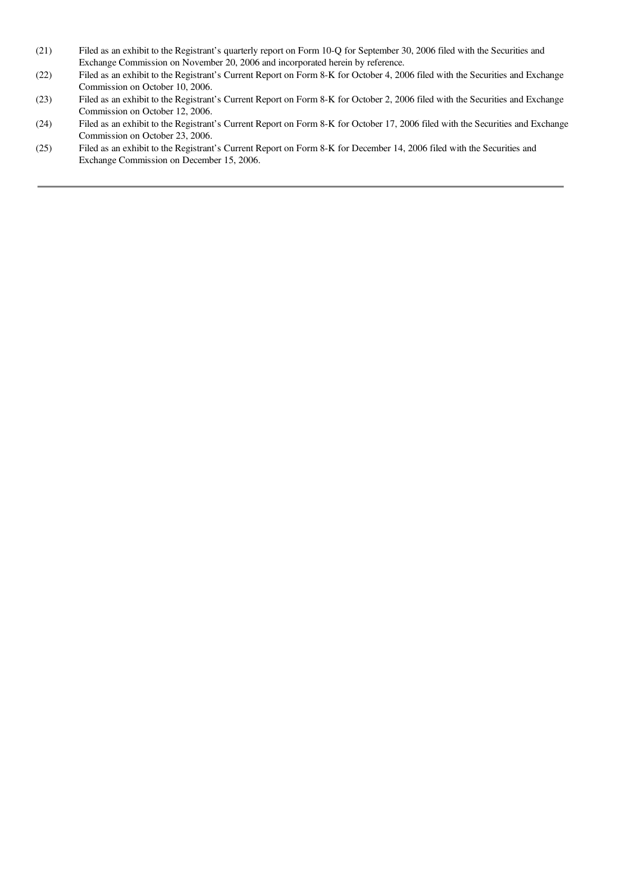- (21) Filed as an exhibit to the Registrant's quarterly report on Form 10-Q for September 30, 2006 filed with the Securities and Exchange Commission on November 20, 2006 and incorporated herein by reference.
- (22) Filed as an exhibit to the Registrant's Current Report on Form 8-K for October 4, 2006 filed with the Securities and Exchange Commission on October 10, 2006.
- (23) Filed as an exhibit to the Registrant's Current Report on Form 8-K for October 2, 2006 filed with the Securities and Exchange Commission on October 12, 2006.
- (24) Filed as an exhibit to the Registrant's Current Report on Form 8-K for October 17, 2006 filed with the Securities and Exchange Commission on October 23, 2006.
- (25) Filed as an exhibit to the Registrant's Current Report on Form 8-K for December 14, 2006 filed with the Securities and Exchange Commission on December 15, 2006.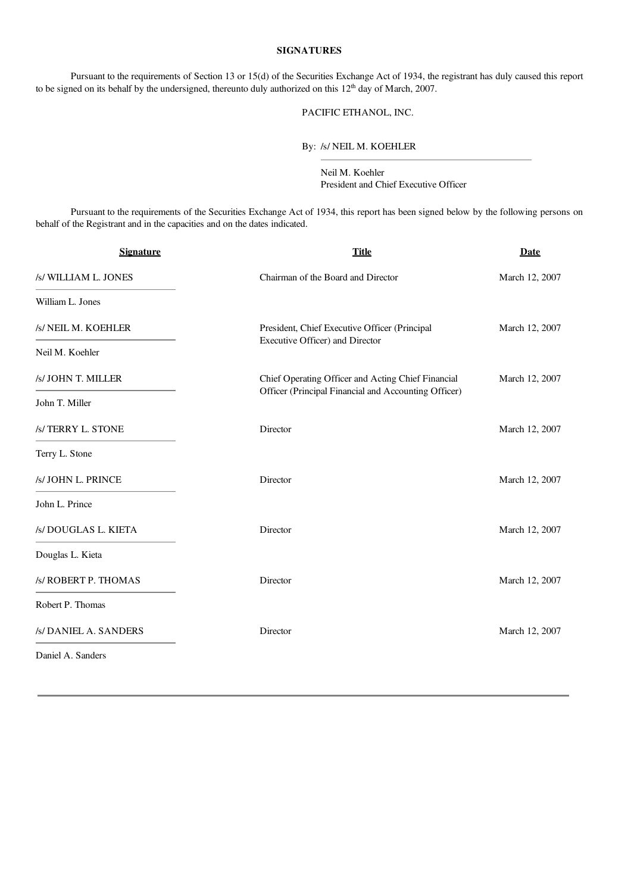### SIGNATURES

Pursuant to the requirements of Section 13 or 15(d) of the Securities Exchange Act of 1934, the registrant has duly caused this report to be signed on its behalf by the undersigned, thereunto duly authorized on this  $12<sup>th</sup>$  day of March, 2007.

## PACIFIC ETHANOL, INC.

By: /s/ NEIL M. KOEHLER

Neil M. Koehler President and Chief Executive Officer

Pursuant to the requirements of the Securities Exchange Act of 1934, this report has been signed below by the following persons on behalf of the Registrant and in the capacities and on the dates indicated.

| <b>Signature</b>      | <b>Title</b>                                                                                               | Date           |
|-----------------------|------------------------------------------------------------------------------------------------------------|----------------|
| /s/ WILLIAM L. JONES  | Chairman of the Board and Director                                                                         | March 12, 2007 |
| William L. Jones      |                                                                                                            |                |
| /s/ NEIL M. KOEHLER   | President, Chief Executive Officer (Principal<br>Executive Officer) and Director                           | March 12, 2007 |
| Neil M. Koehler       |                                                                                                            |                |
| /s/ JOHN T. MILLER    | Chief Operating Officer and Acting Chief Financial<br>Officer (Principal Financial and Accounting Officer) | March 12, 2007 |
| John T. Miller        |                                                                                                            |                |
| /s/ TERRY L. STONE    | Director                                                                                                   | March 12, 2007 |
| Terry L. Stone        |                                                                                                            |                |
| /s/ JOHN L. PRINCE    | Director                                                                                                   | March 12, 2007 |
| John L. Prince        |                                                                                                            |                |
| /s/ DOUGLAS L. KIETA  | Director                                                                                                   | March 12, 2007 |
| Douglas L. Kieta      |                                                                                                            |                |
| /s/ ROBERT P. THOMAS  | Director                                                                                                   | March 12, 2007 |
| Robert P. Thomas      |                                                                                                            |                |
| /s/ DANIEL A. SANDERS | Director                                                                                                   | March 12, 2007 |
| Daniel A. Sanders     |                                                                                                            |                |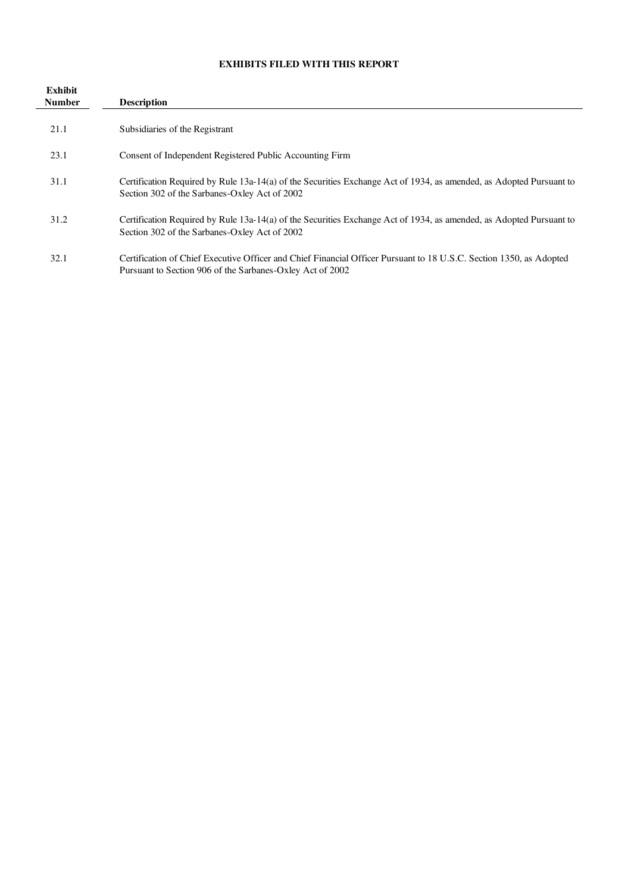## EXHIBITS FILED WITH THIS REPORT

| <b>Exhibit</b> |                                                                                                                                                                                  |
|----------------|----------------------------------------------------------------------------------------------------------------------------------------------------------------------------------|
| <b>Number</b>  | <b>Description</b>                                                                                                                                                               |
| 21.1           | Subsidiaries of the Registrant                                                                                                                                                   |
|                |                                                                                                                                                                                  |
| 23.1           | Consent of Independent Registered Public Accounting Firm                                                                                                                         |
| 31.1           | Certification Required by Rule 13a-14(a) of the Securities Exchange Act of 1934, as amended, as Adopted Pursuant to<br>Section 302 of the Sarbanes-Oxley Act of 2002             |
| 31.2           | Certification Required by Rule 13a-14(a) of the Securities Exchange Act of 1934, as amended, as Adopted Pursuant to<br>Section 302 of the Sarbanes-Oxley Act of 2002             |
| 32.1           | Certification of Chief Executive Officer and Chief Financial Officer Pursuant to 18 U.S.C. Section 1350, as Adopted<br>Pursuant to Section 906 of the Sarbanes-Oxley Act of 2002 |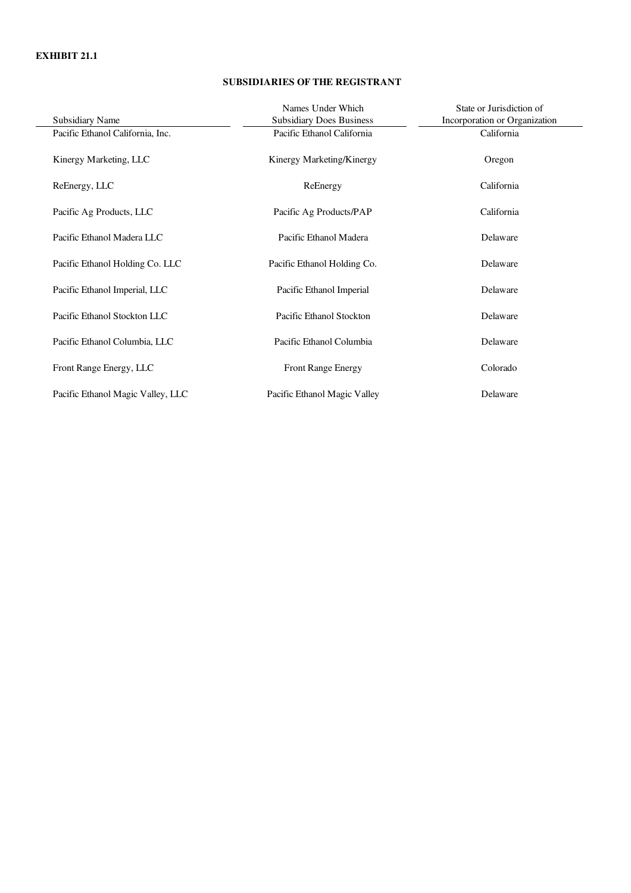# EXHIBIT 21.1

## SUBSIDIARIES OF THE REGISTRANT

|                                   | Names Under Which               | State or Jurisdiction of      |
|-----------------------------------|---------------------------------|-------------------------------|
| Subsidiary Name                   | <b>Subsidiary Does Business</b> | Incorporation or Organization |
| Pacific Ethanol California, Inc.  | Pacific Ethanol California      | California                    |
| Kinergy Marketing, LLC            | Kinergy Marketing/Kinergy       | Oregon                        |
| ReEnergy, LLC                     | ReEnergy                        | California                    |
| Pacific Ag Products, LLC          | Pacific Ag Products/PAP         | California                    |
| Pacific Ethanol Madera LLC        | Pacific Ethanol Madera          | Delaware                      |
| Pacific Ethanol Holding Co. LLC   | Pacific Ethanol Holding Co.     | Delaware                      |
| Pacific Ethanol Imperial, LLC     | Pacific Ethanol Imperial        | Delaware                      |
| Pacific Ethanol Stockton LLC      | Pacific Ethanol Stockton        | Delaware                      |
| Pacific Ethanol Columbia, LLC     | Pacific Ethanol Columbia        | Delaware                      |
| Front Range Energy, LLC           | <b>Front Range Energy</b>       | Colorado                      |
| Pacific Ethanol Magic Valley, LLC | Pacific Ethanol Magic Valley    | Delaware                      |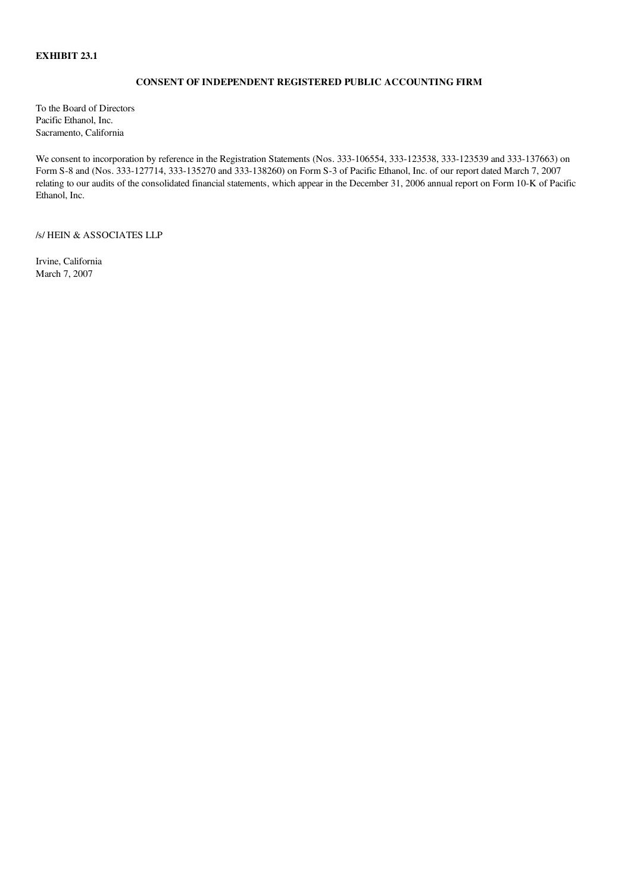## EXHIBIT 23.1

### CONSENT OF INDEPENDENT REGISTERED PUBLIC ACCOUNTING FIRM

To the Board of Directors Pacific Ethanol, Inc. Sacramento, California

We consent to incorporation by reference in the Registration Statements (Nos. 333-106554, 333-123538, 333-123539 and 333-137663) on Form S-8 and (Nos. 333-127714, 333-135270 and 333-138260) on Form S-3 of Pacific Ethanol, Inc. of our report dated March 7, 2007 relating to our audits of the consolidated financial statements, which appear in the December 31, 2006 annual report on Form 10-K of Pacific Ethanol, Inc.

/s/ HEIN & ASSOCIATES LLP

Irvine, California March 7, 2007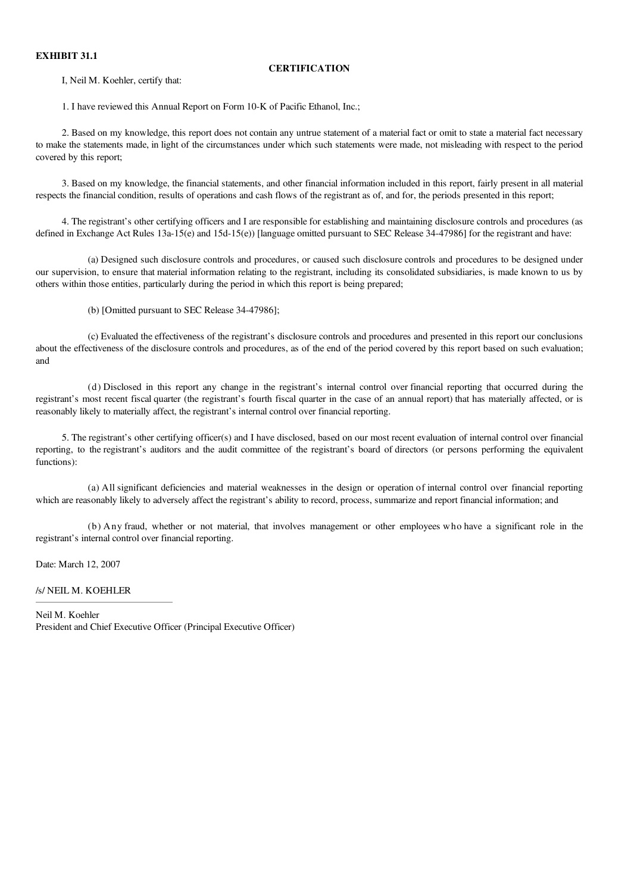### EXHIBIT 31.1

#### **CERTIFICATION**

I, Neil M. Koehler, certify that:

1. I have reviewed this Annual Report on Form 10-K of Pacific Ethanol, Inc.;

2. Based on my knowledge, this report does not contain any untrue statement of a material fact or omit to state a material fact necessary to make the statements made, in light of the circumstances under which such statements were made, not misleading with respect to the period covered by this report;

3. Based on my knowledge, the financial statements, and other financial information included in this report, fairly present in all material respects the financial condition, results of operations and cash flows of the registrant as of, and for, the periods presented in this report;

4. The registrant's other certifying officers and I are responsible for establishing and maintaining disclosure controls and procedures (as defined in Exchange Act Rules 13a-15(e) and 15d-15(e)) [language omitted pursuant to SEC Release 34-47986] for the registrant and have:

(a) Designed such disclosure controls and procedures, or caused such disclosure controls and procedures to be designed under our supervision, to ensure that material information relating to the registrant, including its consolidated subsidiaries, is made known to us by others within those entities, particularly during the period in which this report is being prepared;

(b) [Omitted pursuant to SEC Release 34-47986];

(c) Evaluated the effectiveness of the registrant's disclosure controls and procedures and presented in this report our conclusions about the effectiveness of the disclosure controls and procedures, as of the end of the period covered by this report based on such evaluation; and

(d) Disclosed in this report any change in the registrant's internal control over financial reporting that occurred during the registrant's most recent fiscal quarter (the registrant's fourth fiscal quarter in the case of an annual report) that has materially affected, or is reasonably likely to materially affect, the registrant's internal control over financial reporting.

5. The registrant's other certifying officer(s) and I have disclosed, based on our most recent evaluation of internal control over financial reporting, to the registrant's auditors and the audit committee of the registrant's board of directors (or persons performing the equivalent functions):

(a) All significant deficiencies and material weaknesses in the design or operation of internal control over financial reporting which are reasonably likely to adversely affect the registrant's ability to record, process, summarize and report financial information; and

(b) Any fraud, whether or not material, that involves management or other employees who have a significant role in the registrant's internal control over financial reporting.

Date: March 12, 2007

/s/ NEIL M. KOEHLER

Neil M. Koehler President and Chief Executive Officer (Principal Executive Officer)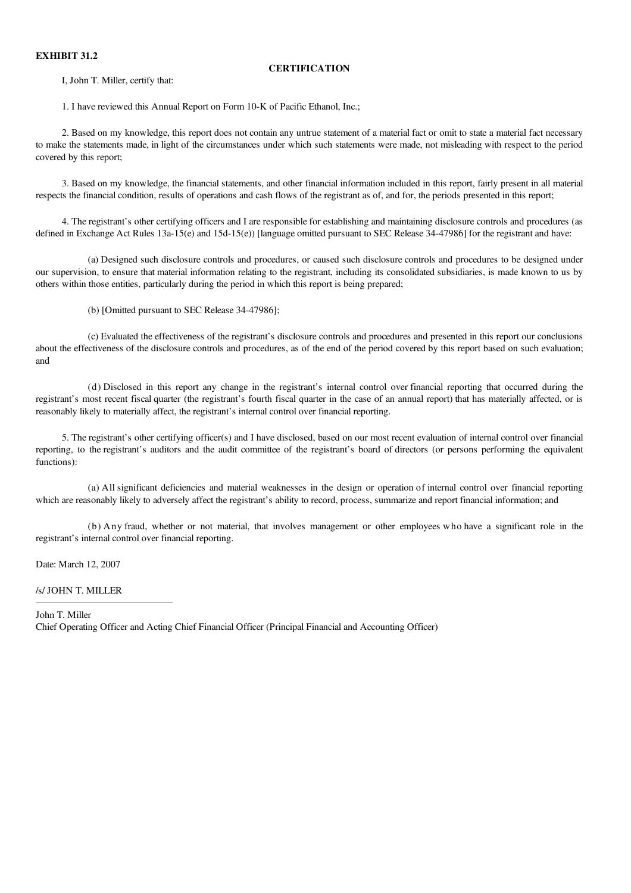### EXHIBIT 31.2

#### **CERTIFICATION**

I, John T. Miller, certify that:

1. I have reviewed this Annual Report on Form 10-K of Pacific Ethanol, Inc.;

2. Based on my knowledge, this report does not contain any untrue statement of a material fact or omit to state a material fact necessary to make the statements made, in light of the circumstances under which such statements were made, not misleading with respect to the period covered by this report;

3. Based on my knowledge, the financial statements, and other financial information included in this report, fairly present in all material respects the financial condition, results of operations and cash flows of the registrant as of, and for, the periods presented in this report;

4. The registrant's other certifying officers and I are responsible for establishing and maintaining disclosure controls and procedures (as defined in Exchange Act Rules 13a-15(e) and 15d-15(e)) [language omitted pursuant to SEC Release 34-47986] for the registrant and have:

(a) Designed such disclosure controls and procedures, or caused such disclosure controls and procedures to be designed under our supervision, to ensure that material information relating to the registrant, including its consolidated subsidiaries, is made known to us by others within those entities, particularly during the period in which this report is being prepared;

(b) [Omitted pursuant to SEC Release 34-47986];

(c) Evaluated the effectiveness of the registrant's disclosure controls and procedures and presented in this report our conclusions about the effectiveness of the disclosure controls and procedures, as of the end of the period covered by this report based on such evaluation; and

(d) Disclosed in this report any change in the registrant's internal control over financial reporting that occurred during the registrant's most recent fiscal quarter (the registrant's fourth fiscal quarter in the case of an annual report) that has materially affected, or is reasonably likely to materially affect, the registrant's internal control over financial reporting.

5. The registrant's other certifying officer(s) and I have disclosed, based on our most recent evaluation of internal control over financial reporting, to the registrant's auditors and the audit committee of the registrant's board of directors (or persons performing the equivalent functions):

(a) All significant deficiencies and material weaknesses in the design or operation of internal control over financial reporting which are reasonably likely to adversely affect the registrant's ability to record, process, summarize and report financial information; and

(b) Any fraud, whether or not material, that involves management or other employees who have a significant role in the registrant's internal control over financial reporting.

Date: March 12, 2007

### /s/ JOHN T. MILLER

#### John T. Miller

Chief Operating Officer and Acting Chief Financial Officer (Principal Financial and Accounting Officer)